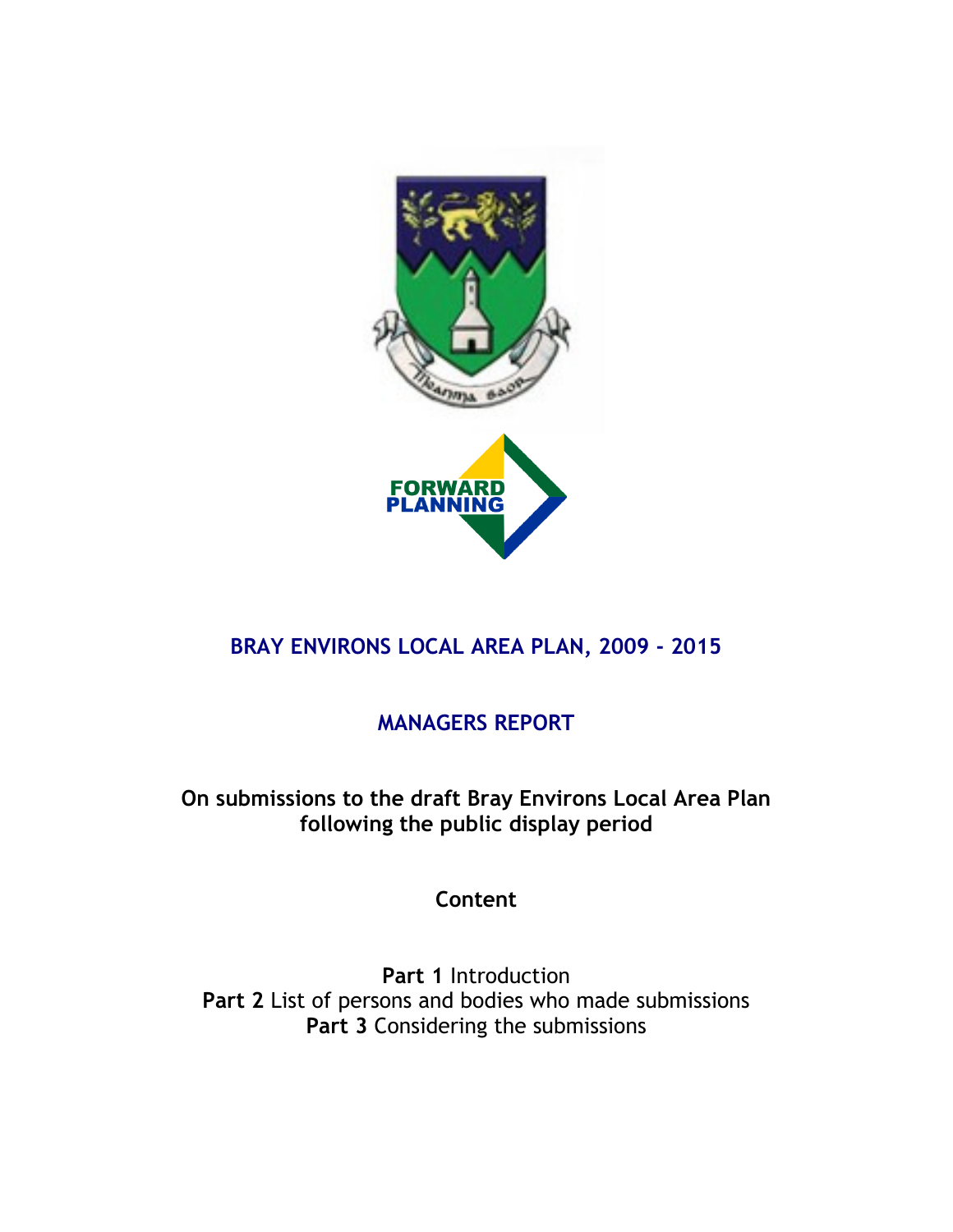

# BRAY ENVIRONS LOCAL AREA PLAN, 2009 - 2015

# MANAGERS REPORT

On submissions to the draft Bray Environs Local Area Plan following the public display period

Content

Part 1 Introduction Part 2 List of persons and bodies who made submissions Part 3 Considering the submissions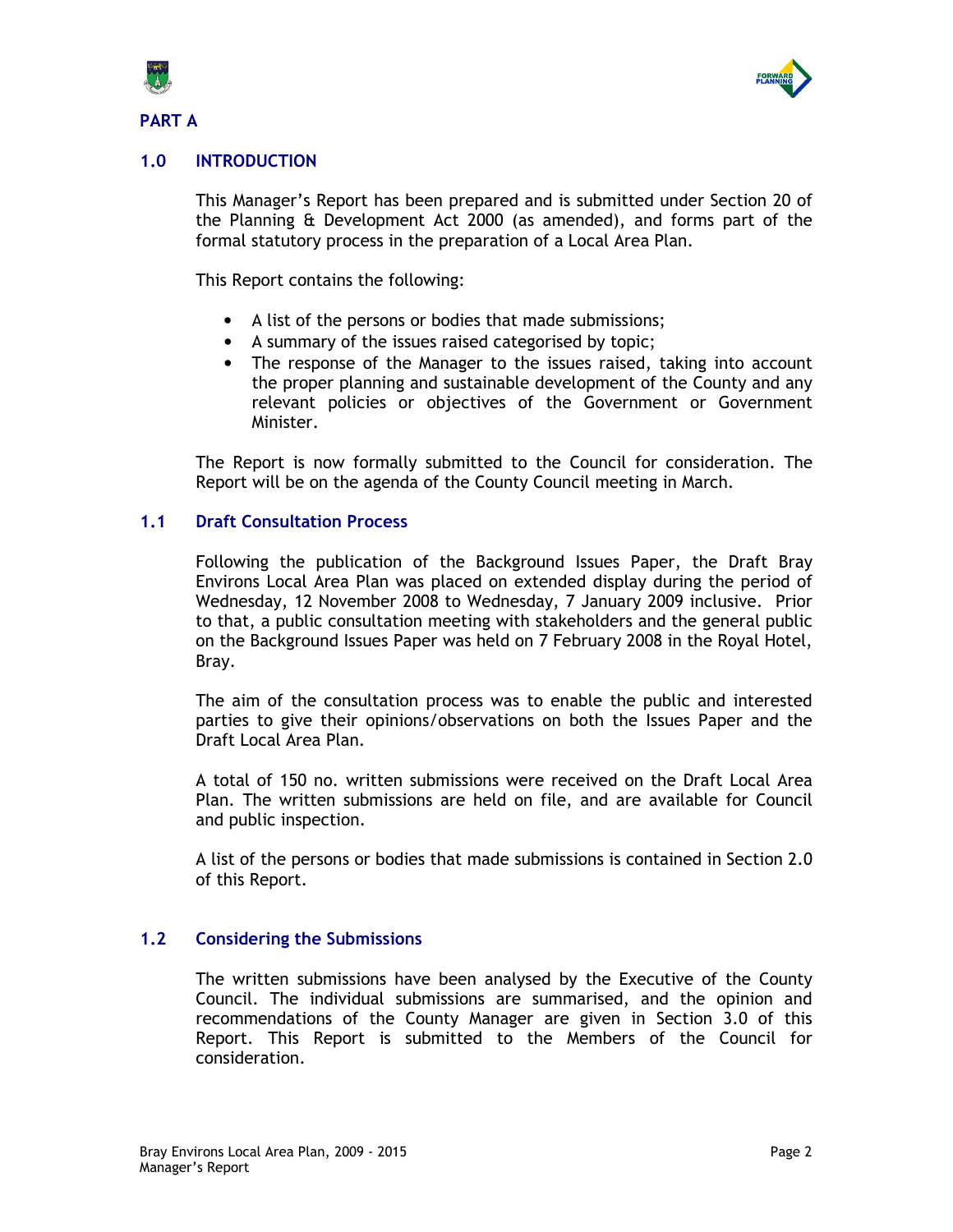

PART A



# 1.0 INTRODUCTION

This Manager's Report has been prepared and is submitted under Section 20 of the Planning & Development Act 2000 (as amended), and forms part of the formal statutory process in the preparation of a Local Area Plan.

This Report contains the following:

- A list of the persons or bodies that made submissions;
- A summary of the issues raised categorised by topic;
- The response of the Manager to the issues raised, taking into account the proper planning and sustainable development of the County and any relevant policies or objectives of the Government or Government Minister.

The Report is now formally submitted to the Council for consideration. The Report will be on the agenda of the County Council meeting in March.

### 1.1 Draft Consultation Process

Following the publication of the Background Issues Paper, the Draft Bray Environs Local Area Plan was placed on extended display during the period of Wednesday, 12 November 2008 to Wednesday, 7 January 2009 inclusive. Prior to that, a public consultation meeting with stakeholders and the general public on the Background Issues Paper was held on 7 February 2008 in the Royal Hotel, Bray.

The aim of the consultation process was to enable the public and interested parties to give their opinions/observations on both the Issues Paper and the Draft Local Area Plan.

A total of 150 no. written submissions were received on the Draft Local Area Plan. The written submissions are held on file, and are available for Council and public inspection.

A list of the persons or bodies that made submissions is contained in Section 2.0 of this Report.

### 1.2 Considering the Submissions

The written submissions have been analysed by the Executive of the County Council. The individual submissions are summarised, and the opinion and recommendations of the County Manager are given in Section 3.0 of this Report. This Report is submitted to the Members of the Council for consideration.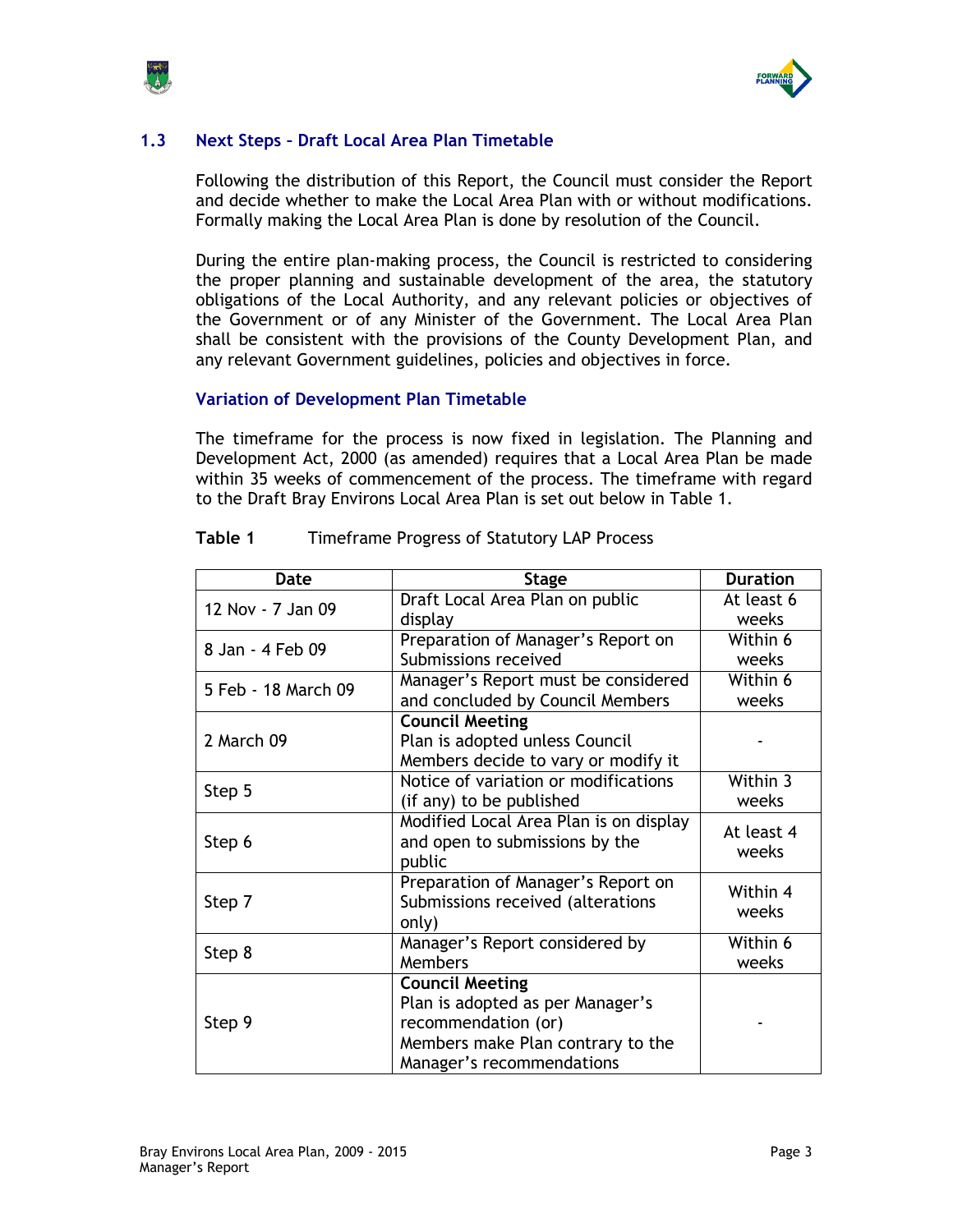



# 1.3 Next Steps – Draft Local Area Plan Timetable

Following the distribution of this Report, the Council must consider the Report and decide whether to make the Local Area Plan with or without modifications. Formally making the Local Area Plan is done by resolution of the Council.

During the entire plan-making process, the Council is restricted to considering the proper planning and sustainable development of the area, the statutory obligations of the Local Authority, and any relevant policies or objectives of the Government or of any Minister of the Government. The Local Area Plan shall be consistent with the provisions of the County Development Plan, and any relevant Government guidelines, policies and objectives in force.

## Variation of Development Plan Timetable

The timeframe for the process is now fixed in legislation. The Planning and Development Act, 2000 (as amended) requires that a Local Area Plan be made within 35 weeks of commencement of the process. The timeframe with regard to the Draft Bray Environs Local Area Plan is set out below in Table 1.

| Date                | <b>Stage</b>                           | <b>Duration</b> |
|---------------------|----------------------------------------|-----------------|
| 12 Nov - 7 Jan 09   | Draft Local Area Plan on public        | At least 6      |
|                     | display                                | weeks           |
| 8 Jan - 4 Feb 09    | Preparation of Manager's Report on     | Within 6        |
|                     | Submissions received                   | weeks           |
| 5 Feb - 18 March 09 | Manager's Report must be considered    | Within 6        |
|                     | and concluded by Council Members       | weeks           |
|                     | <b>Council Meeting</b>                 |                 |
| 2 March 09          | Plan is adopted unless Council         |                 |
|                     | Members decide to vary or modify it    |                 |
| Step 5              | Notice of variation or modifications   | Within 3        |
|                     | (if any) to be published               | weeks           |
|                     | Modified Local Area Plan is on display | At least 4      |
| Step 6              | and open to submissions by the         | weeks           |
|                     | public                                 |                 |
|                     | Preparation of Manager's Report on     | Within 4        |
| Step 7              | Submissions received (alterations      | weeks           |
|                     | only)                                  |                 |
| Step 8              | Manager's Report considered by         | Within 6        |
|                     | Members                                | weeks           |
|                     | <b>Council Meeting</b>                 |                 |
|                     | Plan is adopted as per Manager's       |                 |
| Step 9              | recommendation (or)                    |                 |
|                     | Members make Plan contrary to the      |                 |
|                     | Manager's recommendations              |                 |

## Table 1 Timeframe Progress of Statutory LAP Process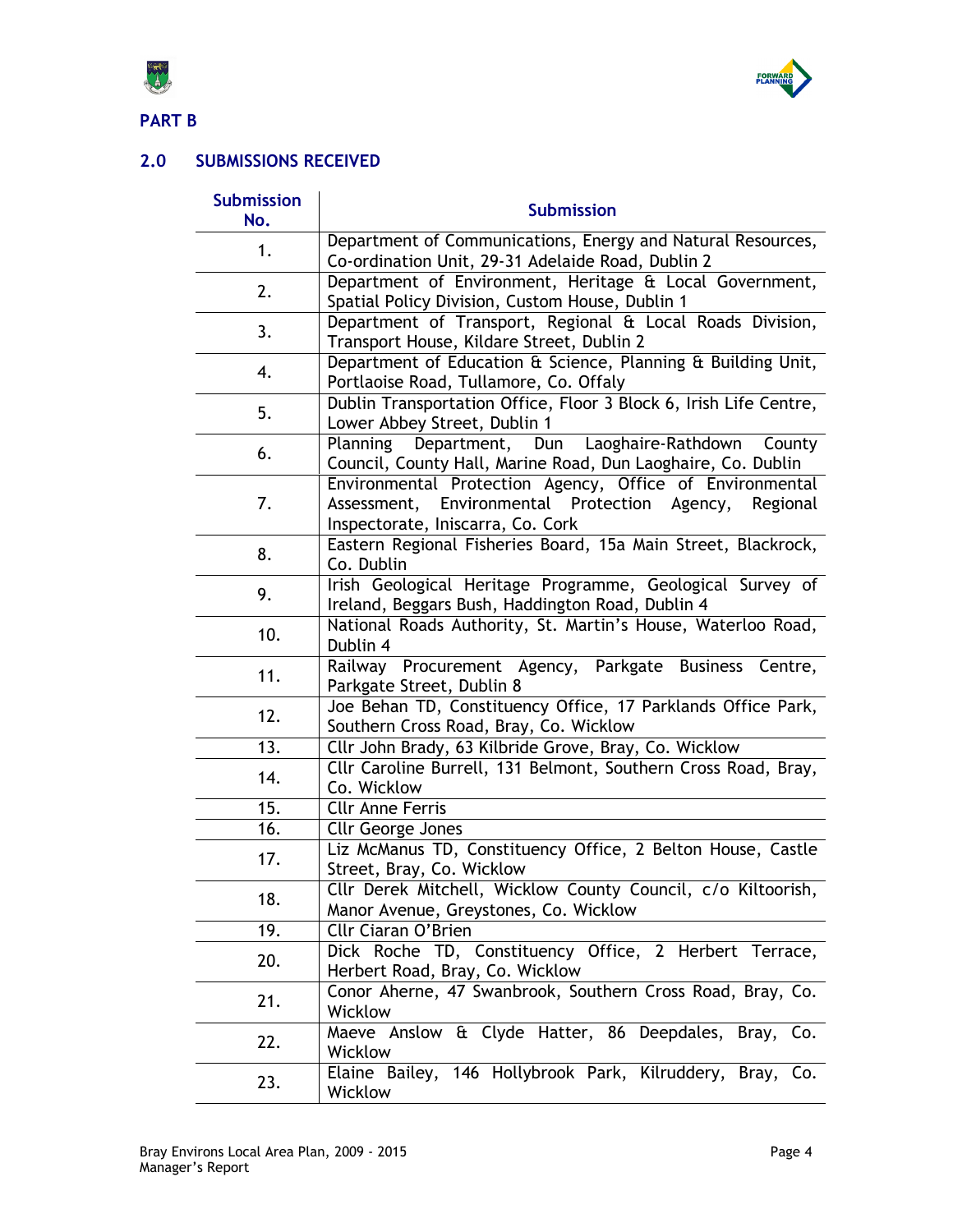



PART B

# 2.0 SUBMISSIONS RECEIVED

| <b>Submission</b><br>No. | <b>Submission</b>                                                                                                                                         |
|--------------------------|-----------------------------------------------------------------------------------------------------------------------------------------------------------|
| 1.                       | Department of Communications, Energy and Natural Resources,<br>Co-ordination Unit, 29-31 Adelaide Road, Dublin 2                                          |
| 2.                       | Department of Environment, Heritage & Local Government,<br>Spatial Policy Division, Custom House, Dublin 1                                                |
| 3.                       | Department of Transport, Regional & Local Roads Division,<br>Transport House, Kildare Street, Dublin 2                                                    |
| 4.                       | Department of Education & Science, Planning & Building Unit,<br>Portlaoise Road, Tullamore, Co. Offaly                                                    |
| 5.                       | Dublin Transportation Office, Floor 3 Block 6, Irish Life Centre,<br>Lower Abbey Street, Dublin 1                                                         |
| 6.                       | Department, Dun Laoghaire-Rathdown<br>Planning<br>County<br>Council, County Hall, Marine Road, Dun Laoghaire, Co. Dublin                                  |
| 7.                       | Environmental Protection Agency, Office of Environmental<br>Assessment, Environmental Protection Agency,<br>Regional<br>Inspectorate, Iniscarra, Co. Cork |
| 8.                       | Eastern Regional Fisheries Board, 15a Main Street, Blackrock,<br>Co. Dublin                                                                               |
| 9.                       | Irish Geological Heritage Programme, Geological Survey of<br>Ireland, Beggars Bush, Haddington Road, Dublin 4                                             |
| 10.                      | National Roads Authority, St. Martin's House, Waterloo Road,<br>Dublin 4                                                                                  |
| 11.                      | Railway Procurement Agency, Parkgate Business Centre,<br>Parkgate Street, Dublin 8                                                                        |
| 12.                      | Joe Behan TD, Constituency Office, 17 Parklands Office Park,<br>Southern Cross Road, Bray, Co. Wicklow                                                    |
| $\overline{13}$ .        | Cllr John Brady, 63 Kilbride Grove, Bray, Co. Wicklow                                                                                                     |
| 14.                      | Cllr Caroline Burrell, 131 Belmont, Southern Cross Road, Bray,<br>Co. Wicklow                                                                             |
| 15.                      | <b>Cllr Anne Ferris</b>                                                                                                                                   |
| 16.                      | <b>Cllr George Jones</b>                                                                                                                                  |
| 17.                      | Liz McManus TD, Constituency Office, 2 Belton House, Castle<br>Street, Bray, Co. Wicklow                                                                  |
| 18.                      | Cllr Derek Mitchell, Wicklow County Council, c/o Kiltoorish,<br>Manor Avenue, Greystones, Co. Wicklow                                                     |
| 19.                      | Cllr Ciaran O'Brien                                                                                                                                       |
| 20.                      | Dick Roche TD, Constituency Office, 2 Herbert Terrace,<br>Herbert Road, Bray, Co. Wicklow                                                                 |
| 21.                      | Conor Aherne, 47 Swanbrook, Southern Cross Road, Bray, Co.<br>Wicklow                                                                                     |
| 22.                      | Maeve Anslow & Clyde Hatter, 86 Deepdales, Bray, Co.<br>Wicklow                                                                                           |
| 23.                      | Elaine Bailey, 146 Hollybrook Park, Kilruddery, Bray, Co.<br>Wicklow                                                                                      |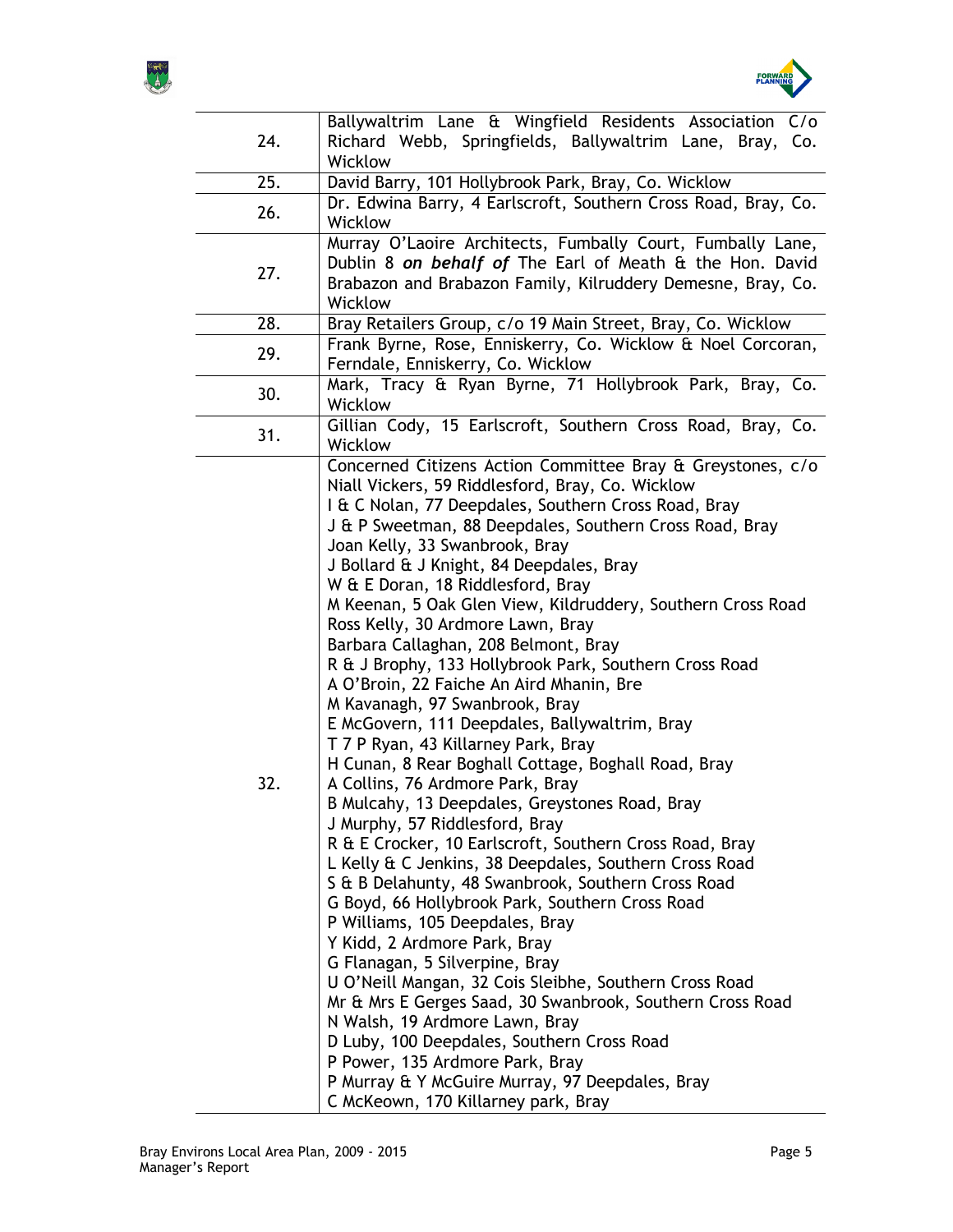



|                   | Ballywaltrim Lane & Wingfield Residents Association C/o        |
|-------------------|----------------------------------------------------------------|
| 24.               | Richard Webb, Springfields, Ballywaltrim Lane, Bray, Co.       |
|                   | Wicklow                                                        |
| $\overline{25}$ . | David Barry, 101 Hollybrook Park, Bray, Co. Wicklow            |
|                   |                                                                |
| 26.               | Dr. Edwina Barry, 4 Earlscroft, Southern Cross Road, Bray, Co. |
|                   | Wicklow                                                        |
|                   | Murray O'Laoire Architects, Fumbally Court, Fumbally Lane,     |
|                   | Dublin 8 on behalf of The Earl of Meath & the Hon. David       |
| 27.               | Brabazon and Brabazon Family, Kilruddery Demesne, Bray, Co.    |
|                   | Wicklow                                                        |
| 28.               | Bray Retailers Group, c/o 19 Main Street, Bray, Co. Wicklow    |
|                   | Frank Byrne, Rose, Enniskerry, Co. Wicklow & Noel Corcoran,    |
| 29.               |                                                                |
|                   | Ferndale, Enniskerry, Co. Wicklow                              |
| 30.               | Mark, Tracy & Ryan Byrne, 71 Hollybrook Park, Bray, Co.        |
|                   | Wicklow                                                        |
|                   | Gillian Cody, 15 Earlscroft, Southern Cross Road, Bray, Co.    |
| 31.               | Wicklow                                                        |
|                   | Concerned Citizens Action Committee Bray & Greystones, c/o     |
|                   | Niall Vickers, 59 Riddlesford, Bray, Co. Wicklow               |
|                   |                                                                |
|                   | I & C Nolan, 77 Deepdales, Southern Cross Road, Bray           |
|                   | J & P Sweetman, 88 Deepdales, Southern Cross Road, Bray        |
|                   | Joan Kelly, 33 Swanbrook, Bray                                 |
|                   | J Bollard & J Knight, 84 Deepdales, Bray                       |
|                   | W & E Doran, 18 Riddlesford, Bray                              |
|                   | M Keenan, 5 Oak Glen View, Kildruddery, Southern Cross Road    |
|                   | Ross Kelly, 30 Ardmore Lawn, Bray                              |
|                   |                                                                |
|                   | Barbara Callaghan, 208 Belmont, Bray                           |
|                   | R & J Brophy, 133 Hollybrook Park, Southern Cross Road         |
|                   | A O'Broin, 22 Faiche An Aird Mhanin, Bre                       |
|                   | M Kavanagh, 97 Swanbrook, Bray                                 |
|                   | E McGovern, 111 Deepdales, Ballywaltrim, Bray                  |
|                   | T 7 P Ryan, 43 Killarney Park, Bray                            |
|                   | H Cunan, 8 Rear Boghall Cottage, Boghall Road, Bray            |
| 32.               | A Collins, 76 Ardmore Park, Bray                               |
|                   |                                                                |
|                   | B Mulcahy, 13 Deepdales, Greystones Road, Bray                 |
|                   | J Murphy, 57 Riddlesford, Bray                                 |
|                   | R & E Crocker, 10 Earlscroft, Southern Cross Road, Bray        |
|                   | L Kelly & C Jenkins, 38 Deepdales, Southern Cross Road         |
|                   | S & B Delahunty, 48 Swanbrook, Southern Cross Road             |
|                   | G Boyd, 66 Hollybrook Park, Southern Cross Road                |
|                   | P Williams, 105 Deepdales, Bray                                |
|                   | Y Kidd, 2 Ardmore Park, Bray                                   |
|                   |                                                                |
|                   | G Flanagan, 5 Silverpine, Bray                                 |
|                   | U O'Neill Mangan, 32 Cois Sleibhe, Southern Cross Road         |
|                   | Mr & Mrs E Gerges Saad, 30 Swanbrook, Southern Cross Road      |
|                   | N Walsh, 19 Ardmore Lawn, Bray                                 |
|                   | D Luby, 100 Deepdales, Southern Cross Road                     |
|                   | P Power, 135 Ardmore Park, Bray                                |
|                   | P Murray & Y McGuire Murray, 97 Deepdales, Bray                |
|                   | C McKeown, 170 Killarney park, Bray                            |
|                   |                                                                |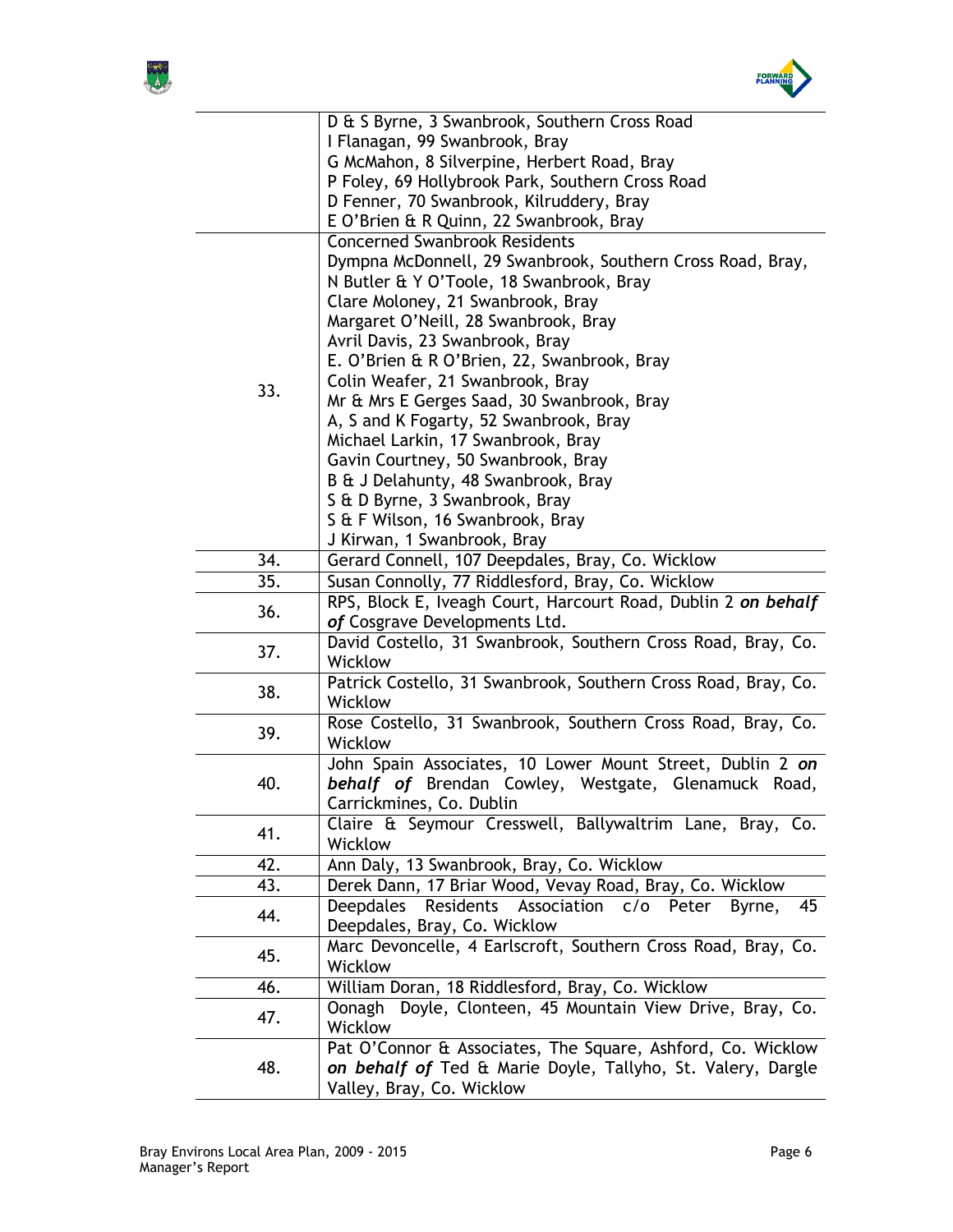



|     | D & S Byrne, 3 Swanbrook, Southern Cross Road                                                         |
|-----|-------------------------------------------------------------------------------------------------------|
|     | I Flanagan, 99 Swanbrook, Bray                                                                        |
|     | G McMahon, 8 Silverpine, Herbert Road, Bray                                                           |
|     | P Foley, 69 Hollybrook Park, Southern Cross Road                                                      |
|     | D Fenner, 70 Swanbrook, Kilruddery, Bray                                                              |
|     | E O'Brien & R Quinn, 22 Swanbrook, Bray                                                               |
|     | <b>Concerned Swanbrook Residents</b>                                                                  |
|     | Dympna McDonnell, 29 Swanbrook, Southern Cross Road, Bray,                                            |
|     | N Butler & Y O'Toole, 18 Swanbrook, Bray                                                              |
|     | Clare Moloney, 21 Swanbrook, Bray                                                                     |
|     | Margaret O'Neill, 28 Swanbrook, Bray                                                                  |
|     | Avril Davis, 23 Swanbrook, Bray                                                                       |
|     | E. O'Brien & R O'Brien, 22, Swanbrook, Bray                                                           |
| 33. | Colin Weafer, 21 Swanbrook, Bray                                                                      |
|     | Mr & Mrs E Gerges Saad, 30 Swanbrook, Bray                                                            |
|     | A, S and K Fogarty, 52 Swanbrook, Bray                                                                |
|     | Michael Larkin, 17 Swanbrook, Bray                                                                    |
|     | Gavin Courtney, 50 Swanbrook, Bray                                                                    |
|     | B & J Delahunty, 48 Swanbrook, Bray                                                                   |
|     | S & D Byrne, 3 Swanbrook, Bray                                                                        |
|     | S & F Wilson, 16 Swanbrook, Bray                                                                      |
| 34. | J Kirwan, 1 Swanbrook, Bray                                                                           |
| 35. | Gerard Connell, 107 Deepdales, Bray, Co. Wicklow<br>Susan Connolly, 77 Riddlesford, Bray, Co. Wicklow |
|     | RPS, Block E, Iveagh Court, Harcourt Road, Dublin 2 on behalf                                         |
| 36. | of Cosgrave Developments Ltd.                                                                         |
|     | David Costello, 31 Swanbrook, Southern Cross Road, Bray, Co.                                          |
| 37. | Wicklow                                                                                               |
|     | Patrick Costello, 31 Swanbrook, Southern Cross Road, Bray, Co.                                        |
| 38. | Wicklow                                                                                               |
|     | Rose Costello, 31 Swanbrook, Southern Cross Road, Bray, Co.                                           |
| 39. | Wicklow                                                                                               |
|     | John Spain Associates, 10 Lower Mount Street, Dublin 2 on                                             |
| 40. | behalf of Brendan Cowley, Westgate, Glenamuck Road,                                                   |
|     | Carrickmines, Co. Dublin                                                                              |
|     | Claire & Seymour Cresswell, Ballywaltrim Lane, Bray, Co.                                              |
| 41. | Wicklow                                                                                               |
| 42. | Ann Daly, 13 Swanbrook, Bray, Co. Wicklow                                                             |
| 43. | Derek Dann, 17 Briar Wood, Vevay Road, Bray, Co. Wicklow                                              |
| 44. | Residents Association<br><b>Deepdales</b><br>c/o<br>Peter<br>Byrne,<br>45                             |
|     | Deepdales, Bray, Co. Wicklow                                                                          |
| 45. | Marc Devoncelle, 4 Earlscroft, Southern Cross Road, Bray, Co.                                         |
|     | Wicklow                                                                                               |
| 46. | William Doran, 18 Riddlesford, Bray, Co. Wicklow                                                      |
| 47. | Oonagh Doyle, Clonteen, 45 Mountain View Drive, Bray, Co.                                             |
|     | <b>Wicklow</b>                                                                                        |
|     | Pat O'Connor & Associates, The Square, Ashford, Co. Wicklow                                           |
| 48. | on behalf of Ted & Marie Doyle, Tallyho, St. Valery, Dargle                                           |
|     | Valley, Bray, Co. Wicklow                                                                             |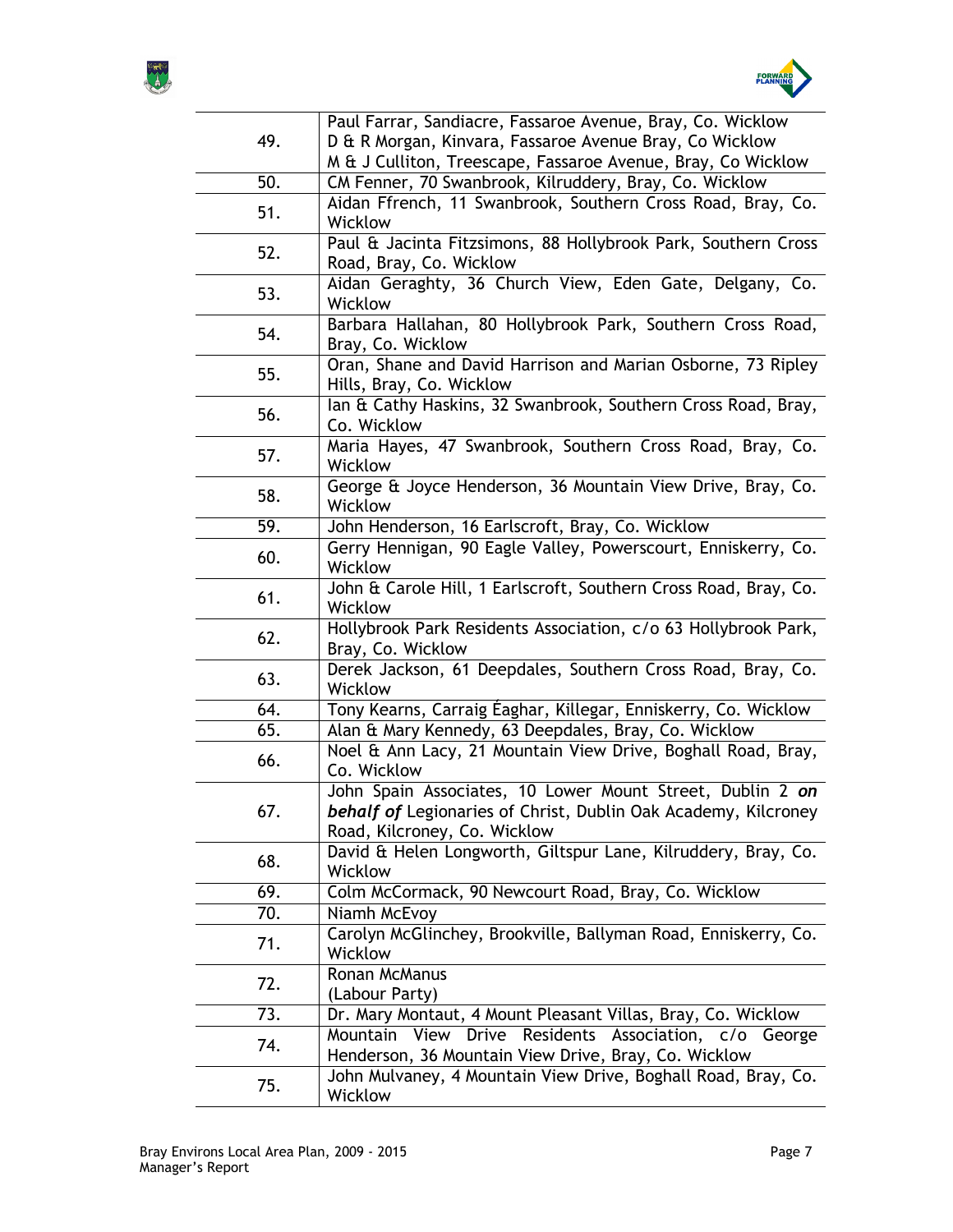



| 49.<br>D & R Morgan, Kinvara, Fassaroe Avenue Bray, Co Wicklow<br>M & J Culliton, Treescape, Fassaroe Avenue, Bray, Co Wicklow<br>50.<br>CM Fenner, 70 Swanbrook, Kilruddery, Bray, Co. Wicklow<br>Aidan Ffrench, 11 Swanbrook, Southern Cross Road, Bray, Co.<br>51.<br>Wicklow<br>Paul & Jacinta Fitzsimons, 88 Hollybrook Park, Southern Cross<br>52.<br>Road, Bray, Co. Wicklow<br>Aidan Geraghty, 36 Church View, Eden Gate, Delgany, Co.<br>53.<br>Wicklow<br>Barbara Hallahan, 80 Hollybrook Park, Southern Cross Road,<br>54.<br>Bray, Co. Wicklow<br>Oran, Shane and David Harrison and Marian Osborne, 73 Ripley<br>55.<br>Hills, Bray, Co. Wicklow<br>lan & Cathy Haskins, 32 Swanbrook, Southern Cross Road, Bray,<br>56.<br>Co. Wicklow<br>Maria Hayes, 47 Swanbrook, Southern Cross Road, Bray, Co.<br>57.<br>Wicklow<br>George & Joyce Henderson, 36 Mountain View Drive, Bray, Co.<br>58.<br>Wicklow<br>$\overline{5}9.$<br>John Henderson, 16 Earlscroft, Bray, Co. Wicklow<br>Gerry Hennigan, 90 Eagle Valley, Powerscourt, Enniskerry, Co.<br>60.<br>Wicklow<br>John & Carole Hill, 1 Earlscroft, Southern Cross Road, Bray, Co.<br>61.<br>Wicklow<br>Hollybrook Park Residents Association, c/o 63 Hollybrook Park,<br>62.<br>Bray, Co. Wicklow<br>Derek Jackson, 61 Deepdales, Southern Cross Road, Bray, Co.<br>63.<br>Wicklow<br>Tony Kearns, Carraig Éaghar, Killegar, Enniskerry, Co. Wicklow<br>64.<br>65.<br>Alan & Mary Kennedy, 63 Deepdales, Bray, Co. Wicklow<br>Noel & Ann Lacy, 21 Mountain View Drive, Boghall Road, Bray,<br>66.<br>Co. Wicklow<br>John Spain Associates, 10 Lower Mount Street, Dublin 2 on<br>behalf of Legionaries of Christ, Dublin Oak Academy, Kilcroney<br>67.<br>Road, Kilcroney, Co. Wicklow<br>David & Helen Longworth, Giltspur Lane, Kilruddery, Bray, Co.<br>68.<br>Wicklow<br>Colm McCormack, 90 Newcourt Road, Bray, Co. Wicklow<br>69.<br>70.<br>Niamh McEvoy<br>Carolyn McGlinchey, Brookville, Ballyman Road, Enniskerry, Co.<br>71.<br>Wicklow<br>Ronan McManus<br>72.<br>(Labour Party)<br>Dr. Mary Montaut, 4 Mount Pleasant Villas, Bray, Co. Wicklow<br>73.<br>Drive<br>Residents Association, c/o George<br>View<br>Mountain<br>74.<br>Henderson, 36 Mountain View Drive, Bray, Co. Wicklow<br>John Mulvaney, 4 Mountain View Drive, Boghall Road, Bray, Co.<br>75.<br>Wicklow |  | Paul Farrar, Sandiacre, Fassaroe Avenue, Bray, Co. Wicklow |
|-----------------------------------------------------------------------------------------------------------------------------------------------------------------------------------------------------------------------------------------------------------------------------------------------------------------------------------------------------------------------------------------------------------------------------------------------------------------------------------------------------------------------------------------------------------------------------------------------------------------------------------------------------------------------------------------------------------------------------------------------------------------------------------------------------------------------------------------------------------------------------------------------------------------------------------------------------------------------------------------------------------------------------------------------------------------------------------------------------------------------------------------------------------------------------------------------------------------------------------------------------------------------------------------------------------------------------------------------------------------------------------------------------------------------------------------------------------------------------------------------------------------------------------------------------------------------------------------------------------------------------------------------------------------------------------------------------------------------------------------------------------------------------------------------------------------------------------------------------------------------------------------------------------------------------------------------------------------------------------------------------------------------------------------------------------------------------------------------------------------------------------------------------------------------------------------------------------------------------------------------------------------------------------------------------------------------------------------------------------|--|------------------------------------------------------------|
|                                                                                                                                                                                                                                                                                                                                                                                                                                                                                                                                                                                                                                                                                                                                                                                                                                                                                                                                                                                                                                                                                                                                                                                                                                                                                                                                                                                                                                                                                                                                                                                                                                                                                                                                                                                                                                                                                                                                                                                                                                                                                                                                                                                                                                                                                                                                                           |  |                                                            |
|                                                                                                                                                                                                                                                                                                                                                                                                                                                                                                                                                                                                                                                                                                                                                                                                                                                                                                                                                                                                                                                                                                                                                                                                                                                                                                                                                                                                                                                                                                                                                                                                                                                                                                                                                                                                                                                                                                                                                                                                                                                                                                                                                                                                                                                                                                                                                           |  |                                                            |
|                                                                                                                                                                                                                                                                                                                                                                                                                                                                                                                                                                                                                                                                                                                                                                                                                                                                                                                                                                                                                                                                                                                                                                                                                                                                                                                                                                                                                                                                                                                                                                                                                                                                                                                                                                                                                                                                                                                                                                                                                                                                                                                                                                                                                                                                                                                                                           |  |                                                            |
|                                                                                                                                                                                                                                                                                                                                                                                                                                                                                                                                                                                                                                                                                                                                                                                                                                                                                                                                                                                                                                                                                                                                                                                                                                                                                                                                                                                                                                                                                                                                                                                                                                                                                                                                                                                                                                                                                                                                                                                                                                                                                                                                                                                                                                                                                                                                                           |  |                                                            |
|                                                                                                                                                                                                                                                                                                                                                                                                                                                                                                                                                                                                                                                                                                                                                                                                                                                                                                                                                                                                                                                                                                                                                                                                                                                                                                                                                                                                                                                                                                                                                                                                                                                                                                                                                                                                                                                                                                                                                                                                                                                                                                                                                                                                                                                                                                                                                           |  |                                                            |
|                                                                                                                                                                                                                                                                                                                                                                                                                                                                                                                                                                                                                                                                                                                                                                                                                                                                                                                                                                                                                                                                                                                                                                                                                                                                                                                                                                                                                                                                                                                                                                                                                                                                                                                                                                                                                                                                                                                                                                                                                                                                                                                                                                                                                                                                                                                                                           |  |                                                            |
|                                                                                                                                                                                                                                                                                                                                                                                                                                                                                                                                                                                                                                                                                                                                                                                                                                                                                                                                                                                                                                                                                                                                                                                                                                                                                                                                                                                                                                                                                                                                                                                                                                                                                                                                                                                                                                                                                                                                                                                                                                                                                                                                                                                                                                                                                                                                                           |  |                                                            |
|                                                                                                                                                                                                                                                                                                                                                                                                                                                                                                                                                                                                                                                                                                                                                                                                                                                                                                                                                                                                                                                                                                                                                                                                                                                                                                                                                                                                                                                                                                                                                                                                                                                                                                                                                                                                                                                                                                                                                                                                                                                                                                                                                                                                                                                                                                                                                           |  |                                                            |
|                                                                                                                                                                                                                                                                                                                                                                                                                                                                                                                                                                                                                                                                                                                                                                                                                                                                                                                                                                                                                                                                                                                                                                                                                                                                                                                                                                                                                                                                                                                                                                                                                                                                                                                                                                                                                                                                                                                                                                                                                                                                                                                                                                                                                                                                                                                                                           |  |                                                            |
|                                                                                                                                                                                                                                                                                                                                                                                                                                                                                                                                                                                                                                                                                                                                                                                                                                                                                                                                                                                                                                                                                                                                                                                                                                                                                                                                                                                                                                                                                                                                                                                                                                                                                                                                                                                                                                                                                                                                                                                                                                                                                                                                                                                                                                                                                                                                                           |  |                                                            |
|                                                                                                                                                                                                                                                                                                                                                                                                                                                                                                                                                                                                                                                                                                                                                                                                                                                                                                                                                                                                                                                                                                                                                                                                                                                                                                                                                                                                                                                                                                                                                                                                                                                                                                                                                                                                                                                                                                                                                                                                                                                                                                                                                                                                                                                                                                                                                           |  |                                                            |
|                                                                                                                                                                                                                                                                                                                                                                                                                                                                                                                                                                                                                                                                                                                                                                                                                                                                                                                                                                                                                                                                                                                                                                                                                                                                                                                                                                                                                                                                                                                                                                                                                                                                                                                                                                                                                                                                                                                                                                                                                                                                                                                                                                                                                                                                                                                                                           |  |                                                            |
|                                                                                                                                                                                                                                                                                                                                                                                                                                                                                                                                                                                                                                                                                                                                                                                                                                                                                                                                                                                                                                                                                                                                                                                                                                                                                                                                                                                                                                                                                                                                                                                                                                                                                                                                                                                                                                                                                                                                                                                                                                                                                                                                                                                                                                                                                                                                                           |  |                                                            |
|                                                                                                                                                                                                                                                                                                                                                                                                                                                                                                                                                                                                                                                                                                                                                                                                                                                                                                                                                                                                                                                                                                                                                                                                                                                                                                                                                                                                                                                                                                                                                                                                                                                                                                                                                                                                                                                                                                                                                                                                                                                                                                                                                                                                                                                                                                                                                           |  |                                                            |
|                                                                                                                                                                                                                                                                                                                                                                                                                                                                                                                                                                                                                                                                                                                                                                                                                                                                                                                                                                                                                                                                                                                                                                                                                                                                                                                                                                                                                                                                                                                                                                                                                                                                                                                                                                                                                                                                                                                                                                                                                                                                                                                                                                                                                                                                                                                                                           |  |                                                            |
|                                                                                                                                                                                                                                                                                                                                                                                                                                                                                                                                                                                                                                                                                                                                                                                                                                                                                                                                                                                                                                                                                                                                                                                                                                                                                                                                                                                                                                                                                                                                                                                                                                                                                                                                                                                                                                                                                                                                                                                                                                                                                                                                                                                                                                                                                                                                                           |  |                                                            |
|                                                                                                                                                                                                                                                                                                                                                                                                                                                                                                                                                                                                                                                                                                                                                                                                                                                                                                                                                                                                                                                                                                                                                                                                                                                                                                                                                                                                                                                                                                                                                                                                                                                                                                                                                                                                                                                                                                                                                                                                                                                                                                                                                                                                                                                                                                                                                           |  |                                                            |
|                                                                                                                                                                                                                                                                                                                                                                                                                                                                                                                                                                                                                                                                                                                                                                                                                                                                                                                                                                                                                                                                                                                                                                                                                                                                                                                                                                                                                                                                                                                                                                                                                                                                                                                                                                                                                                                                                                                                                                                                                                                                                                                                                                                                                                                                                                                                                           |  |                                                            |
|                                                                                                                                                                                                                                                                                                                                                                                                                                                                                                                                                                                                                                                                                                                                                                                                                                                                                                                                                                                                                                                                                                                                                                                                                                                                                                                                                                                                                                                                                                                                                                                                                                                                                                                                                                                                                                                                                                                                                                                                                                                                                                                                                                                                                                                                                                                                                           |  |                                                            |
|                                                                                                                                                                                                                                                                                                                                                                                                                                                                                                                                                                                                                                                                                                                                                                                                                                                                                                                                                                                                                                                                                                                                                                                                                                                                                                                                                                                                                                                                                                                                                                                                                                                                                                                                                                                                                                                                                                                                                                                                                                                                                                                                                                                                                                                                                                                                                           |  |                                                            |
|                                                                                                                                                                                                                                                                                                                                                                                                                                                                                                                                                                                                                                                                                                                                                                                                                                                                                                                                                                                                                                                                                                                                                                                                                                                                                                                                                                                                                                                                                                                                                                                                                                                                                                                                                                                                                                                                                                                                                                                                                                                                                                                                                                                                                                                                                                                                                           |  |                                                            |
|                                                                                                                                                                                                                                                                                                                                                                                                                                                                                                                                                                                                                                                                                                                                                                                                                                                                                                                                                                                                                                                                                                                                                                                                                                                                                                                                                                                                                                                                                                                                                                                                                                                                                                                                                                                                                                                                                                                                                                                                                                                                                                                                                                                                                                                                                                                                                           |  |                                                            |
|                                                                                                                                                                                                                                                                                                                                                                                                                                                                                                                                                                                                                                                                                                                                                                                                                                                                                                                                                                                                                                                                                                                                                                                                                                                                                                                                                                                                                                                                                                                                                                                                                                                                                                                                                                                                                                                                                                                                                                                                                                                                                                                                                                                                                                                                                                                                                           |  |                                                            |
|                                                                                                                                                                                                                                                                                                                                                                                                                                                                                                                                                                                                                                                                                                                                                                                                                                                                                                                                                                                                                                                                                                                                                                                                                                                                                                                                                                                                                                                                                                                                                                                                                                                                                                                                                                                                                                                                                                                                                                                                                                                                                                                                                                                                                                                                                                                                                           |  |                                                            |
|                                                                                                                                                                                                                                                                                                                                                                                                                                                                                                                                                                                                                                                                                                                                                                                                                                                                                                                                                                                                                                                                                                                                                                                                                                                                                                                                                                                                                                                                                                                                                                                                                                                                                                                                                                                                                                                                                                                                                                                                                                                                                                                                                                                                                                                                                                                                                           |  |                                                            |
|                                                                                                                                                                                                                                                                                                                                                                                                                                                                                                                                                                                                                                                                                                                                                                                                                                                                                                                                                                                                                                                                                                                                                                                                                                                                                                                                                                                                                                                                                                                                                                                                                                                                                                                                                                                                                                                                                                                                                                                                                                                                                                                                                                                                                                                                                                                                                           |  |                                                            |
|                                                                                                                                                                                                                                                                                                                                                                                                                                                                                                                                                                                                                                                                                                                                                                                                                                                                                                                                                                                                                                                                                                                                                                                                                                                                                                                                                                                                                                                                                                                                                                                                                                                                                                                                                                                                                                                                                                                                                                                                                                                                                                                                                                                                                                                                                                                                                           |  |                                                            |
|                                                                                                                                                                                                                                                                                                                                                                                                                                                                                                                                                                                                                                                                                                                                                                                                                                                                                                                                                                                                                                                                                                                                                                                                                                                                                                                                                                                                                                                                                                                                                                                                                                                                                                                                                                                                                                                                                                                                                                                                                                                                                                                                                                                                                                                                                                                                                           |  |                                                            |
|                                                                                                                                                                                                                                                                                                                                                                                                                                                                                                                                                                                                                                                                                                                                                                                                                                                                                                                                                                                                                                                                                                                                                                                                                                                                                                                                                                                                                                                                                                                                                                                                                                                                                                                                                                                                                                                                                                                                                                                                                                                                                                                                                                                                                                                                                                                                                           |  |                                                            |
|                                                                                                                                                                                                                                                                                                                                                                                                                                                                                                                                                                                                                                                                                                                                                                                                                                                                                                                                                                                                                                                                                                                                                                                                                                                                                                                                                                                                                                                                                                                                                                                                                                                                                                                                                                                                                                                                                                                                                                                                                                                                                                                                                                                                                                                                                                                                                           |  |                                                            |
|                                                                                                                                                                                                                                                                                                                                                                                                                                                                                                                                                                                                                                                                                                                                                                                                                                                                                                                                                                                                                                                                                                                                                                                                                                                                                                                                                                                                                                                                                                                                                                                                                                                                                                                                                                                                                                                                                                                                                                                                                                                                                                                                                                                                                                                                                                                                                           |  |                                                            |
|                                                                                                                                                                                                                                                                                                                                                                                                                                                                                                                                                                                                                                                                                                                                                                                                                                                                                                                                                                                                                                                                                                                                                                                                                                                                                                                                                                                                                                                                                                                                                                                                                                                                                                                                                                                                                                                                                                                                                                                                                                                                                                                                                                                                                                                                                                                                                           |  |                                                            |
|                                                                                                                                                                                                                                                                                                                                                                                                                                                                                                                                                                                                                                                                                                                                                                                                                                                                                                                                                                                                                                                                                                                                                                                                                                                                                                                                                                                                                                                                                                                                                                                                                                                                                                                                                                                                                                                                                                                                                                                                                                                                                                                                                                                                                                                                                                                                                           |  |                                                            |
|                                                                                                                                                                                                                                                                                                                                                                                                                                                                                                                                                                                                                                                                                                                                                                                                                                                                                                                                                                                                                                                                                                                                                                                                                                                                                                                                                                                                                                                                                                                                                                                                                                                                                                                                                                                                                                                                                                                                                                                                                                                                                                                                                                                                                                                                                                                                                           |  |                                                            |
|                                                                                                                                                                                                                                                                                                                                                                                                                                                                                                                                                                                                                                                                                                                                                                                                                                                                                                                                                                                                                                                                                                                                                                                                                                                                                                                                                                                                                                                                                                                                                                                                                                                                                                                                                                                                                                                                                                                                                                                                                                                                                                                                                                                                                                                                                                                                                           |  |                                                            |
|                                                                                                                                                                                                                                                                                                                                                                                                                                                                                                                                                                                                                                                                                                                                                                                                                                                                                                                                                                                                                                                                                                                                                                                                                                                                                                                                                                                                                                                                                                                                                                                                                                                                                                                                                                                                                                                                                                                                                                                                                                                                                                                                                                                                                                                                                                                                                           |  |                                                            |
|                                                                                                                                                                                                                                                                                                                                                                                                                                                                                                                                                                                                                                                                                                                                                                                                                                                                                                                                                                                                                                                                                                                                                                                                                                                                                                                                                                                                                                                                                                                                                                                                                                                                                                                                                                                                                                                                                                                                                                                                                                                                                                                                                                                                                                                                                                                                                           |  |                                                            |
|                                                                                                                                                                                                                                                                                                                                                                                                                                                                                                                                                                                                                                                                                                                                                                                                                                                                                                                                                                                                                                                                                                                                                                                                                                                                                                                                                                                                                                                                                                                                                                                                                                                                                                                                                                                                                                                                                                                                                                                                                                                                                                                                                                                                                                                                                                                                                           |  |                                                            |
|                                                                                                                                                                                                                                                                                                                                                                                                                                                                                                                                                                                                                                                                                                                                                                                                                                                                                                                                                                                                                                                                                                                                                                                                                                                                                                                                                                                                                                                                                                                                                                                                                                                                                                                                                                                                                                                                                                                                                                                                                                                                                                                                                                                                                                                                                                                                                           |  |                                                            |
|                                                                                                                                                                                                                                                                                                                                                                                                                                                                                                                                                                                                                                                                                                                                                                                                                                                                                                                                                                                                                                                                                                                                                                                                                                                                                                                                                                                                                                                                                                                                                                                                                                                                                                                                                                                                                                                                                                                                                                                                                                                                                                                                                                                                                                                                                                                                                           |  |                                                            |
|                                                                                                                                                                                                                                                                                                                                                                                                                                                                                                                                                                                                                                                                                                                                                                                                                                                                                                                                                                                                                                                                                                                                                                                                                                                                                                                                                                                                                                                                                                                                                                                                                                                                                                                                                                                                                                                                                                                                                                                                                                                                                                                                                                                                                                                                                                                                                           |  |                                                            |
|                                                                                                                                                                                                                                                                                                                                                                                                                                                                                                                                                                                                                                                                                                                                                                                                                                                                                                                                                                                                                                                                                                                                                                                                                                                                                                                                                                                                                                                                                                                                                                                                                                                                                                                                                                                                                                                                                                                                                                                                                                                                                                                                                                                                                                                                                                                                                           |  |                                                            |
|                                                                                                                                                                                                                                                                                                                                                                                                                                                                                                                                                                                                                                                                                                                                                                                                                                                                                                                                                                                                                                                                                                                                                                                                                                                                                                                                                                                                                                                                                                                                                                                                                                                                                                                                                                                                                                                                                                                                                                                                                                                                                                                                                                                                                                                                                                                                                           |  |                                                            |
|                                                                                                                                                                                                                                                                                                                                                                                                                                                                                                                                                                                                                                                                                                                                                                                                                                                                                                                                                                                                                                                                                                                                                                                                                                                                                                                                                                                                                                                                                                                                                                                                                                                                                                                                                                                                                                                                                                                                                                                                                                                                                                                                                                                                                                                                                                                                                           |  |                                                            |
|                                                                                                                                                                                                                                                                                                                                                                                                                                                                                                                                                                                                                                                                                                                                                                                                                                                                                                                                                                                                                                                                                                                                                                                                                                                                                                                                                                                                                                                                                                                                                                                                                                                                                                                                                                                                                                                                                                                                                                                                                                                                                                                                                                                                                                                                                                                                                           |  |                                                            |
|                                                                                                                                                                                                                                                                                                                                                                                                                                                                                                                                                                                                                                                                                                                                                                                                                                                                                                                                                                                                                                                                                                                                                                                                                                                                                                                                                                                                                                                                                                                                                                                                                                                                                                                                                                                                                                                                                                                                                                                                                                                                                                                                                                                                                                                                                                                                                           |  |                                                            |
|                                                                                                                                                                                                                                                                                                                                                                                                                                                                                                                                                                                                                                                                                                                                                                                                                                                                                                                                                                                                                                                                                                                                                                                                                                                                                                                                                                                                                                                                                                                                                                                                                                                                                                                                                                                                                                                                                                                                                                                                                                                                                                                                                                                                                                                                                                                                                           |  |                                                            |
|                                                                                                                                                                                                                                                                                                                                                                                                                                                                                                                                                                                                                                                                                                                                                                                                                                                                                                                                                                                                                                                                                                                                                                                                                                                                                                                                                                                                                                                                                                                                                                                                                                                                                                                                                                                                                                                                                                                                                                                                                                                                                                                                                                                                                                                                                                                                                           |  |                                                            |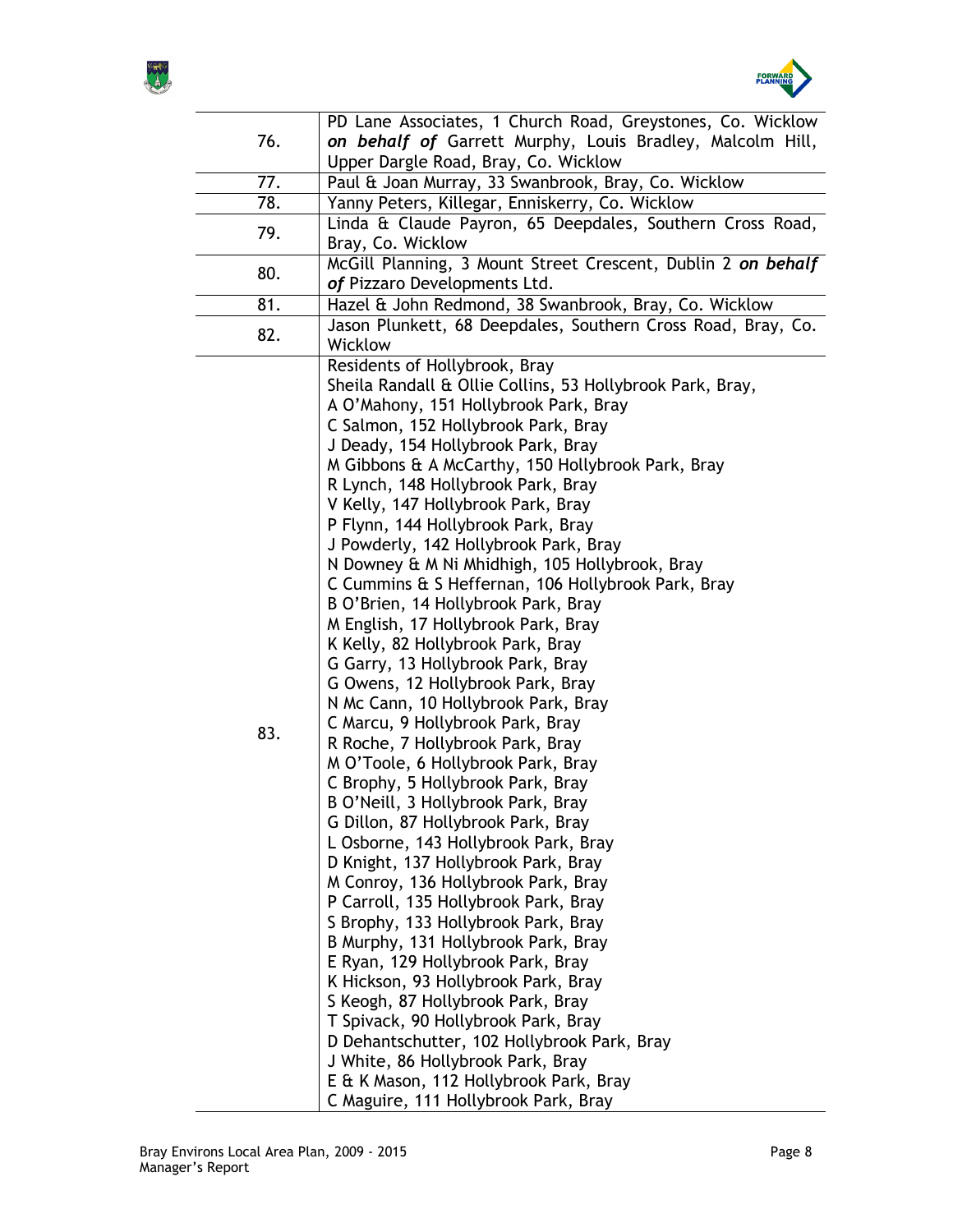



|     | PD Lane Associates, 1 Church Road, Greystones, Co. Wicklow   |
|-----|--------------------------------------------------------------|
| 76. | on behalf of Garrett Murphy, Louis Bradley, Malcolm Hill,    |
|     | Upper Dargle Road, Bray, Co. Wicklow                         |
| 77. | Paul & Joan Murray, 33 Swanbrook, Bray, Co. Wicklow          |
| 78. | Yanny Peters, Killegar, Enniskerry, Co. Wicklow              |
|     | Linda & Claude Payron, 65 Deepdales, Southern Cross Road,    |
| 79. | Bray, Co. Wicklow                                            |
|     | McGill Planning, 3 Mount Street Crescent, Dublin 2 on behalf |
| 80. | of Pizzaro Developments Ltd.                                 |
| 81. | Hazel & John Redmond, 38 Swanbrook, Bray, Co. Wicklow        |
|     | Jason Plunkett, 68 Deepdales, Southern Cross Road, Bray, Co. |
| 82. | Wicklow                                                      |
|     | Residents of Hollybrook, Bray                                |
|     | Sheila Randall & Ollie Collins, 53 Hollybrook Park, Bray,    |
|     | A O'Mahony, 151 Hollybrook Park, Bray                        |
|     | C Salmon, 152 Hollybrook Park, Bray                          |
|     | J Deady, 154 Hollybrook Park, Bray                           |
|     | M Gibbons & A McCarthy, 150 Hollybrook Park, Bray            |
|     | R Lynch, 148 Hollybrook Park, Bray                           |
|     | V Kelly, 147 Hollybrook Park, Bray                           |
|     | P Flynn, 144 Hollybrook Park, Bray                           |
|     | J Powderly, 142 Hollybrook Park, Bray                        |
|     | N Downey & M Ni Mhidhigh, 105 Hollybrook, Bray               |
|     | C Cummins & S Heffernan, 106 Hollybrook Park, Bray           |
|     | B O'Brien, 14 Hollybrook Park, Bray                          |
|     | M English, 17 Hollybrook Park, Bray                          |
|     | K Kelly, 82 Hollybrook Park, Bray                            |
|     | G Garry, 13 Hollybrook Park, Bray                            |
|     | G Owens, 12 Hollybrook Park, Bray                            |
|     | N Mc Cann, 10 Hollybrook Park, Bray                          |
|     | C Marcu, 9 Hollybrook Park, Bray                             |
| 83. | R Roche, 7 Hollybrook Park, Bray                             |
|     | M O'Toole, 6 Hollybrook Park, Bray                           |
|     | C Brophy, 5 Hollybrook Park, Bray                            |
|     | B O'Neill, 3 Hollybrook Park, Bray                           |
|     | G Dillon, 87 Hollybrook Park, Bray                           |
|     | L Osborne, 143 Hollybrook Park, Bray                         |
|     | D Knight, 137 Hollybrook Park, Bray                          |
|     | M Conroy, 136 Hollybrook Park, Bray                          |
|     | P Carroll, 135 Hollybrook Park, Bray                         |
|     | S Brophy, 133 Hollybrook Park, Bray                          |
|     | B Murphy, 131 Hollybrook Park, Bray                          |
|     | E Ryan, 129 Hollybrook Park, Bray                            |
|     | K Hickson, 93 Hollybrook Park, Bray                          |
|     | S Keogh, 87 Hollybrook Park, Bray                            |
|     | T Spivack, 90 Hollybrook Park, Bray                          |
|     | D Dehantschutter, 102 Hollybrook Park, Bray                  |
|     | J White, 86 Hollybrook Park, Bray                            |
|     | E & K Mason, 112 Hollybrook Park, Bray                       |
|     |                                                              |
|     | C Maguire, 111 Hollybrook Park, Bray                         |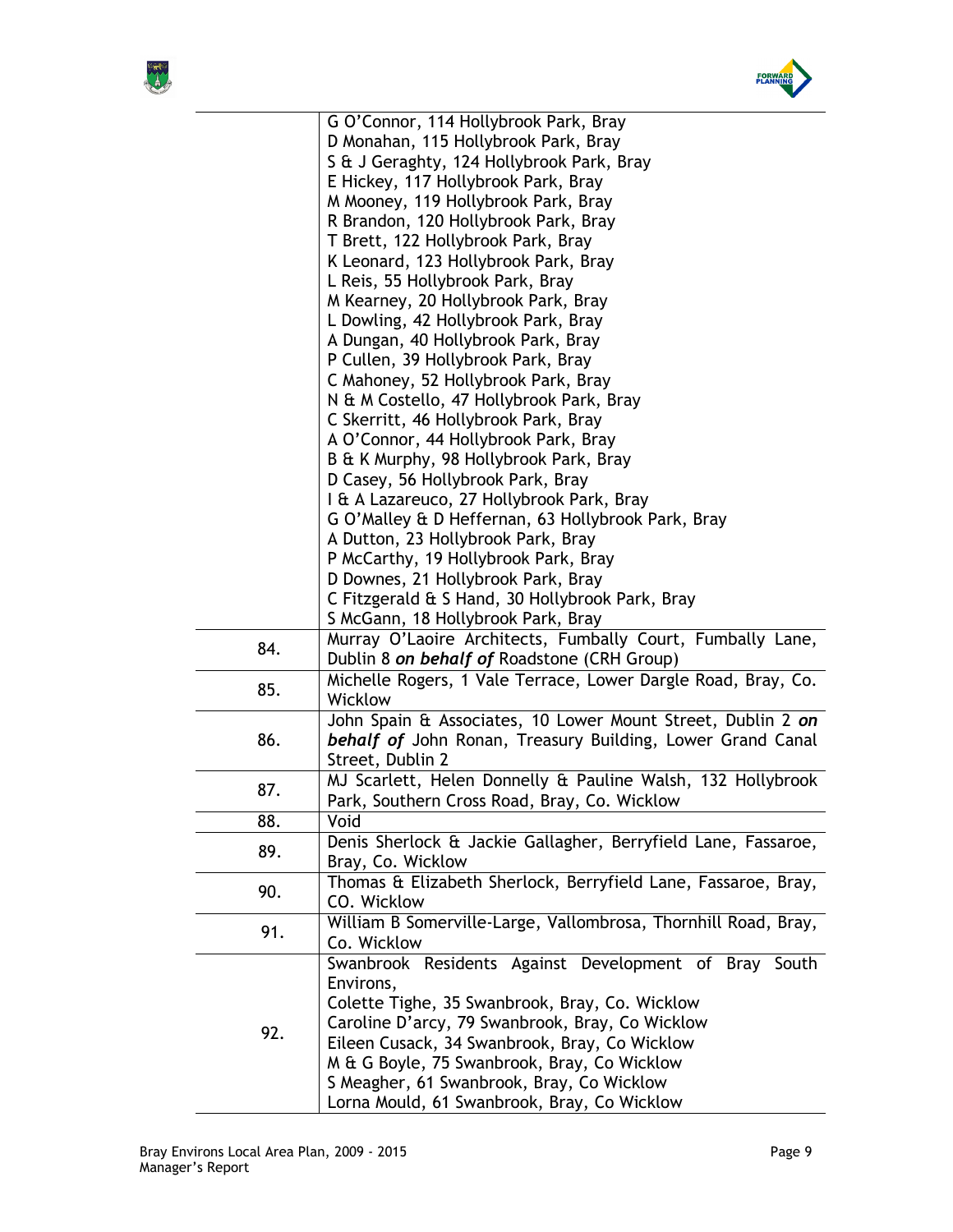



|     | G O'Connor, 114 Hollybrook Park, Bray                          |
|-----|----------------------------------------------------------------|
|     | D Monahan, 115 Hollybrook Park, Bray                           |
|     | S & J Geraghty, 124 Hollybrook Park, Bray                      |
|     | E Hickey, 117 Hollybrook Park, Bray                            |
|     | M Mooney, 119 Hollybrook Park, Bray                            |
|     | R Brandon, 120 Hollybrook Park, Bray                           |
|     | T Brett, 122 Hollybrook Park, Bray                             |
|     | K Leonard, 123 Hollybrook Park, Bray                           |
|     | L Reis, 55 Hollybrook Park, Bray                               |
|     | M Kearney, 20 Hollybrook Park, Bray                            |
|     | L Dowling, 42 Hollybrook Park, Bray                            |
|     | A Dungan, 40 Hollybrook Park, Bray                             |
|     | P Cullen, 39 Hollybrook Park, Bray                             |
|     | C Mahoney, 52 Hollybrook Park, Bray                            |
|     | N & M Costello, 47 Hollybrook Park, Bray                       |
|     | C Skerritt, 46 Hollybrook Park, Bray                           |
|     | A O'Connor, 44 Hollybrook Park, Bray                           |
|     | B & K Murphy, 98 Hollybrook Park, Bray                         |
|     | D Casey, 56 Hollybrook Park, Bray                              |
|     | I & A Lazareuco, 27 Hollybrook Park, Bray                      |
|     | G O'Malley & D Heffernan, 63 Hollybrook Park, Bray             |
|     | A Dutton, 23 Hollybrook Park, Bray                             |
|     | P McCarthy, 19 Hollybrook Park, Bray                           |
|     | D Downes, 21 Hollybrook Park, Bray                             |
|     | C Fitzgerald & S Hand, 30 Hollybrook Park, Bray                |
|     | S McGann, 18 Hollybrook Park, Bray                             |
|     | Murray O'Laoire Architects, Fumbally Court, Fumbally Lane,     |
| 84. | Dublin 8 on behalf of Roadstone (CRH Group)                    |
|     | Michelle Rogers, 1 Vale Terrace, Lower Dargle Road, Bray, Co.  |
| 85. | Wicklow                                                        |
|     | John Spain & Associates, 10 Lower Mount Street, Dublin 2 on    |
| 86. | behalf of John Ronan, Treasury Building, Lower Grand Canal     |
|     | Street, Dublin 2                                               |
|     | MJ Scarlett, Helen Donnelly & Pauline Walsh, 132 Hollybrook    |
| 87. | Park, Southern Cross Road, Bray, Co. Wicklow                   |
|     | Void                                                           |
| 88. |                                                                |
| 89. | Denis Sherlock & Jackie Gallagher, Berryfield Lane, Fassaroe,  |
|     | Bray, Co. Wicklow                                              |
| 90. | Thomas & Elizabeth Sherlock, Berryfield Lane, Fassaroe, Bray,  |
|     | CO. Wicklow                                                    |
| 91. | William B Somerville-Large, Vallombrosa, Thornhill Road, Bray, |
|     | Co. Wicklow                                                    |
|     | Swanbrook Residents Against Development of Bray South          |
|     | Environs,                                                      |
|     | Colette Tighe, 35 Swanbrook, Bray, Co. Wicklow                 |
| 92. | Caroline D'arcy, 79 Swanbrook, Bray, Co Wicklow                |
|     | Eileen Cusack, 34 Swanbrook, Bray, Co Wicklow                  |
|     | M & G Boyle, 75 Swanbrook, Bray, Co Wicklow                    |
|     | S Meagher, 61 Swanbrook, Bray, Co Wicklow                      |
|     | Lorna Mould, 61 Swanbrook, Bray, Co Wicklow                    |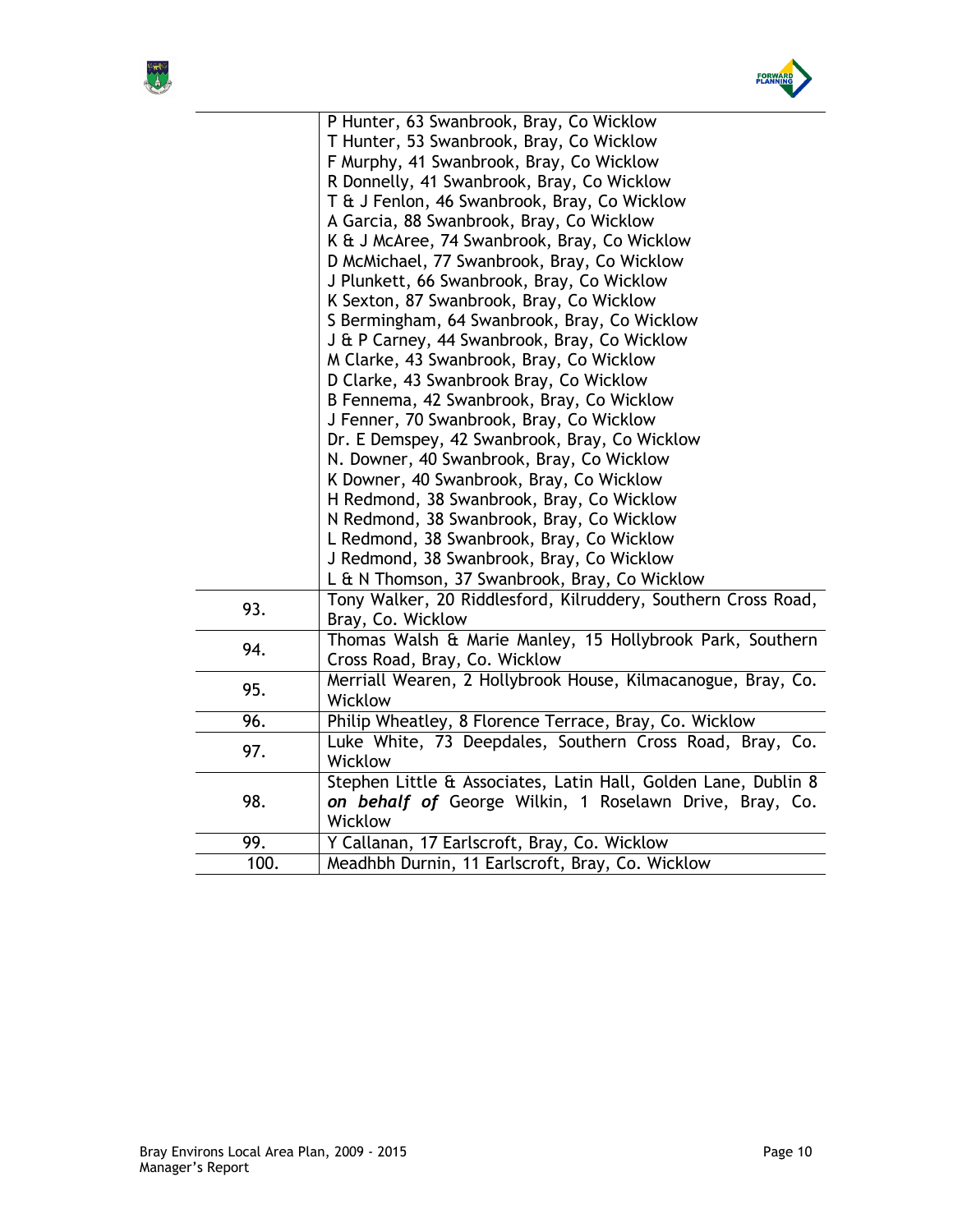



|      | P Hunter, 63 Swanbrook, Bray, Co Wicklow                       |
|------|----------------------------------------------------------------|
|      | T Hunter, 53 Swanbrook, Bray, Co Wicklow                       |
|      | F Murphy, 41 Swanbrook, Bray, Co Wicklow                       |
|      | R Donnelly, 41 Swanbrook, Bray, Co Wicklow                     |
|      | T & J Fenlon, 46 Swanbrook, Bray, Co Wicklow                   |
|      | A Garcia, 88 Swanbrook, Bray, Co Wicklow                       |
|      | K & J McAree, 74 Swanbrook, Bray, Co Wicklow                   |
|      | D McMichael, 77 Swanbrook, Bray, Co Wicklow                    |
|      | J Plunkett, 66 Swanbrook, Bray, Co Wicklow                     |
|      | K Sexton, 87 Swanbrook, Bray, Co Wicklow                       |
|      | S Bermingham, 64 Swanbrook, Bray, Co Wicklow                   |
|      | J & P Carney, 44 Swanbrook, Bray, Co Wicklow                   |
|      | M Clarke, 43 Swanbrook, Bray, Co Wicklow                       |
|      | D Clarke, 43 Swanbrook Bray, Co Wicklow                        |
|      | B Fennema, 42 Swanbrook, Bray, Co Wicklow                      |
|      | J Fenner, 70 Swanbrook, Bray, Co Wicklow                       |
|      | Dr. E Demspey, 42 Swanbrook, Bray, Co Wicklow                  |
|      | N. Downer, 40 Swanbrook, Bray, Co Wicklow                      |
|      | K Downer, 40 Swanbrook, Bray, Co Wicklow                       |
|      | H Redmond, 38 Swanbrook, Bray, Co Wicklow                      |
|      | N Redmond, 38 Swanbrook, Bray, Co Wicklow                      |
|      | L Redmond, 38 Swanbrook, Bray, Co Wicklow                      |
|      | J Redmond, 38 Swanbrook, Bray, Co Wicklow                      |
|      | L & N Thomson, 37 Swanbrook, Bray, Co Wicklow                  |
| 93.  | Tony Walker, 20 Riddlesford, Kilruddery, Southern Cross Road,  |
|      | Bray, Co. Wicklow                                              |
| 94.  | Thomas Walsh & Marie Manley, 15 Hollybrook Park, Southern      |
|      | Cross Road, Bray, Co. Wicklow                                  |
|      | Merriall Wearen, 2 Hollybrook House, Kilmacanogue, Bray, Co.   |
| 95.  | Wicklow                                                        |
| 96.  | Philip Wheatley, 8 Florence Terrace, Bray, Co. Wicklow         |
| 97.  | Luke White, 73 Deepdales, Southern Cross Road, Bray, Co.       |
|      | Wicklow                                                        |
| 98.  | Stephen Little & Associates, Latin Hall, Golden Lane, Dublin 8 |
|      | on behalf of George Wilkin, 1 Roselawn Drive, Bray, Co.        |
|      | Wicklow                                                        |
| 99.  | Y Callanan, 17 Earlscroft, Bray, Co. Wicklow                   |
| 100. | Meadhbh Durnin, 11 Earlscroft, Bray, Co. Wicklow               |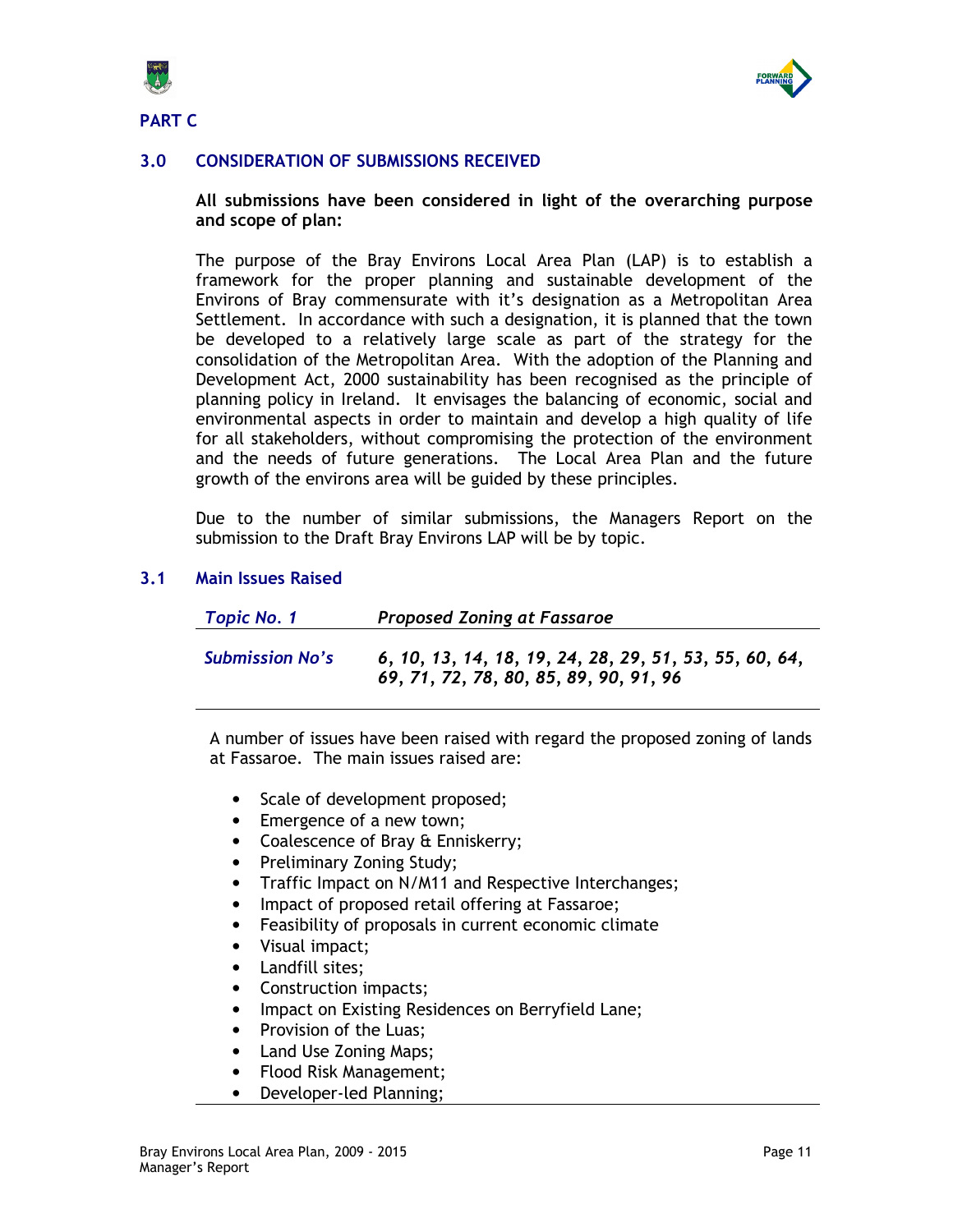



# 3.0 CONSIDERATION OF SUBMISSIONS RECEIVED

All submissions have been considered in light of the overarching purpose and scope of plan:

The purpose of the Bray Environs Local Area Plan (LAP) is to establish a framework for the proper planning and sustainable development of the Environs of Bray commensurate with it's designation as a Metropolitan Area Settlement. In accordance with such a designation, it is planned that the town be developed to a relatively large scale as part of the strategy for the consolidation of the Metropolitan Area. With the adoption of the Planning and Development Act, 2000 sustainability has been recognised as the principle of planning policy in Ireland. It envisages the balancing of economic, social and environmental aspects in order to maintain and develop a high quality of life for all stakeholders, without compromising the protection of the environment and the needs of future generations. The Local Area Plan and the future growth of the environs area will be guided by these principles.

Due to the number of similar submissions, the Managers Report on the submission to the Draft Bray Environs LAP will be by topic.

### 3.1 Main Issues Raised

| <b>Topic No. 1</b>     | <b>Proposed Zoning at Fassaroe</b>                                                               |
|------------------------|--------------------------------------------------------------------------------------------------|
| <b>Submission No's</b> | 6, 10, 13, 14, 18, 19, 24, 28, 29, 51, 53, 55, 60, 64,<br>69, 71, 72, 78, 80, 85, 89, 90, 91, 96 |

A number of issues have been raised with regard the proposed zoning of lands at Fassaroe. The main issues raised are:

- Scale of development proposed;
- Emergence of a new town;
- Coalescence of Bray & Enniskerry;
- Preliminary Zoning Study;
- Traffic Impact on N/M11 and Respective Interchanges;
- Impact of proposed retail offering at Fassaroe;
- Feasibility of proposals in current economic climate
- Visual impact;
- Landfill sites;
- Construction impacts;
- Impact on Existing Residences on Berryfield Lane;
- Provision of the Luas:
- Land Use Zoning Maps;
- Flood Risk Management;
- Developer-led Planning;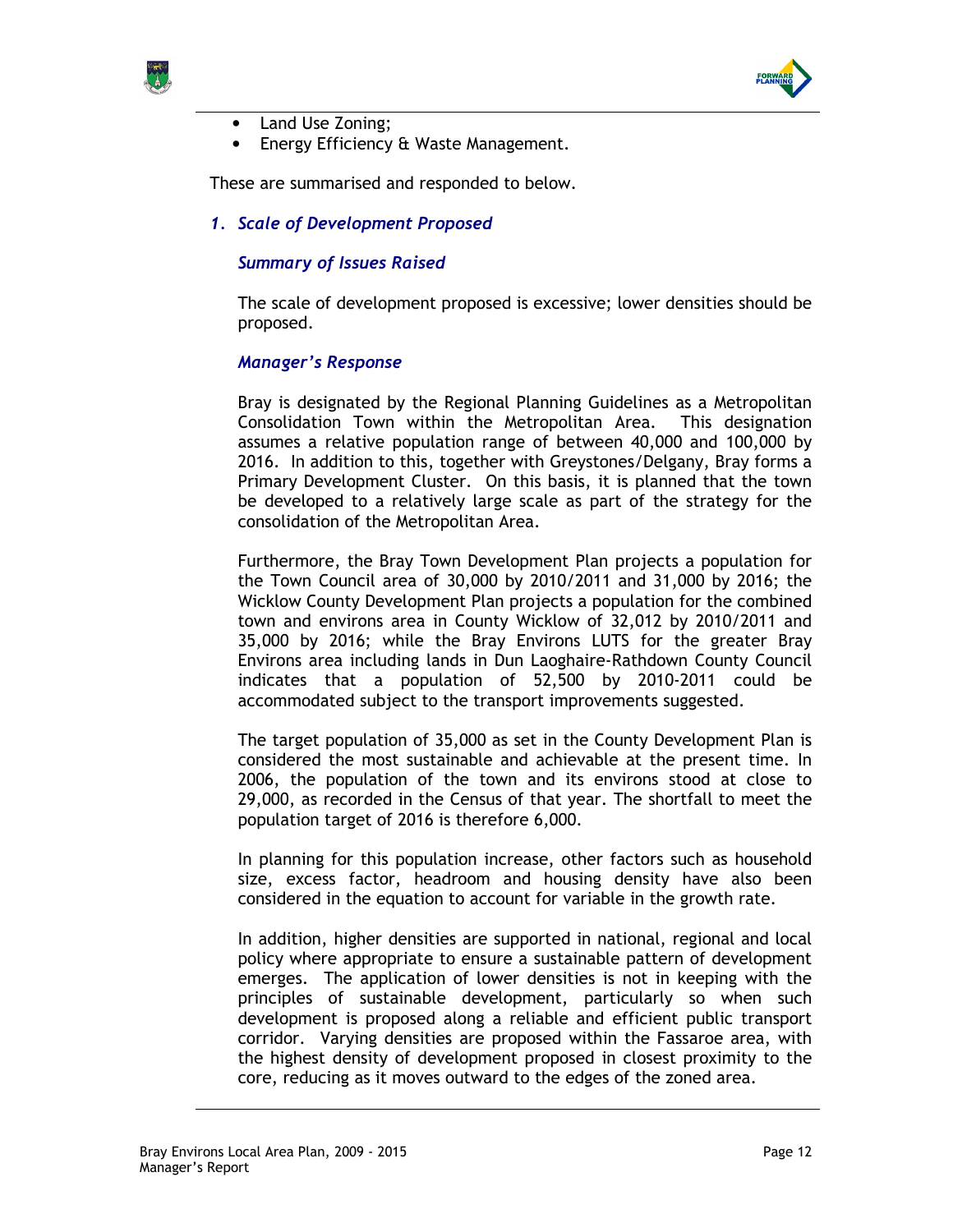



- Land Use Zoning;
- Energy Efficiency & Waste Management.

These are summarised and responded to below.

1. Scale of Development Proposed

### Summary of Issues Raised

The scale of development proposed is excessive; lower densities should be proposed.

#### Manager's Response

Bray is designated by the Regional Planning Guidelines as a Metropolitan Consolidation Town within the Metropolitan Area. This designation assumes a relative population range of between 40,000 and 100,000 by 2016. In addition to this, together with Greystones/Delgany, Bray forms a Primary Development Cluster. On this basis, it is planned that the town be developed to a relatively large scale as part of the strategy for the consolidation of the Metropolitan Area.

Furthermore, the Bray Town Development Plan projects a population for the Town Council area of 30,000 by 2010/2011 and 31,000 by 2016; the Wicklow County Development Plan projects a population for the combined town and environs area in County Wicklow of 32,012 by 2010/2011 and 35,000 by 2016; while the Bray Environs LUTS for the greater Bray Environs area including lands in Dun Laoghaire-Rathdown County Council indicates that a population of 52,500 by 2010-2011 could be accommodated subject to the transport improvements suggested.

The target population of 35,000 as set in the County Development Plan is considered the most sustainable and achievable at the present time. In 2006, the population of the town and its environs stood at close to 29,000, as recorded in the Census of that year. The shortfall to meet the population target of 2016 is therefore 6,000.

In planning for this population increase, other factors such as household size, excess factor, headroom and housing density have also been considered in the equation to account for variable in the growth rate.

In addition, higher densities are supported in national, regional and local policy where appropriate to ensure a sustainable pattern of development emerges. The application of lower densities is not in keeping with the principles of sustainable development, particularly so when such development is proposed along a reliable and efficient public transport corridor. Varying densities are proposed within the Fassaroe area, with the highest density of development proposed in closest proximity to the core, reducing as it moves outward to the edges of the zoned area.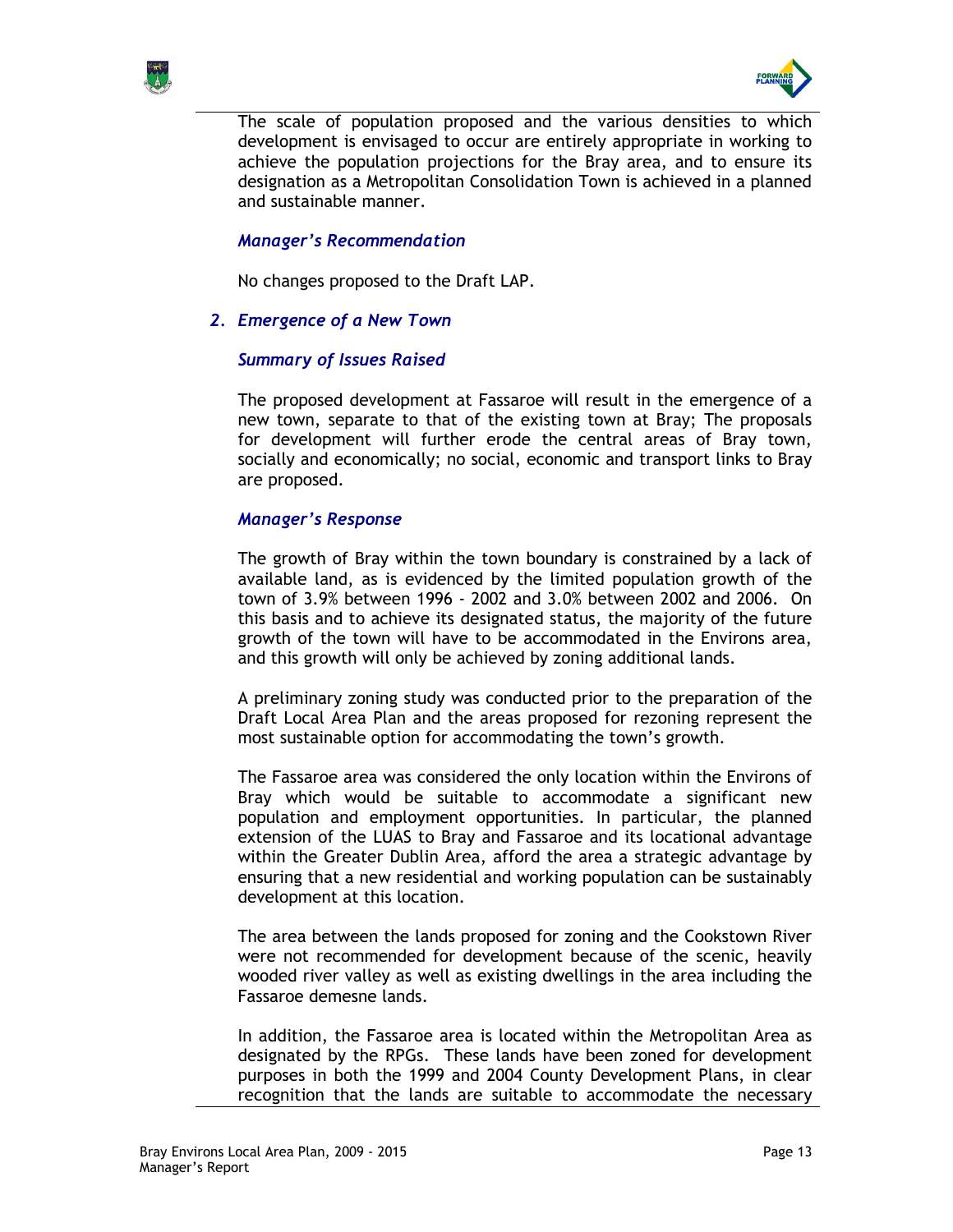



The scale of population proposed and the various densities to which development is envisaged to occur are entirely appropriate in working to achieve the population projections for the Bray area, and to ensure its designation as a Metropolitan Consolidation Town is achieved in a planned and sustainable manner.

## Manager's Recommendation

No changes proposed to the Draft LAP.

### 2. Emergence of a New Town

#### Summary of Issues Raised

The proposed development at Fassaroe will result in the emergence of a new town, separate to that of the existing town at Bray; The proposals for development will further erode the central areas of Bray town, socially and economically; no social, economic and transport links to Bray are proposed.

#### Manager's Response

The growth of Bray within the town boundary is constrained by a lack of available land, as is evidenced by the limited population growth of the town of 3.9% between 1996 - 2002 and 3.0% between 2002 and 2006. On this basis and to achieve its designated status, the majority of the future growth of the town will have to be accommodated in the Environs area, and this growth will only be achieved by zoning additional lands.

A preliminary zoning study was conducted prior to the preparation of the Draft Local Area Plan and the areas proposed for rezoning represent the most sustainable option for accommodating the town's growth.

The Fassaroe area was considered the only location within the Environs of Bray which would be suitable to accommodate a significant new population and employment opportunities. In particular, the planned extension of the LUAS to Bray and Fassaroe and its locational advantage within the Greater Dublin Area, afford the area a strategic advantage by ensuring that a new residential and working population can be sustainably development at this location.

The area between the lands proposed for zoning and the Cookstown River were not recommended for development because of the scenic, heavily wooded river valley as well as existing dwellings in the area including the Fassaroe demesne lands.

In addition, the Fassaroe area is located within the Metropolitan Area as designated by the RPGs. These lands have been zoned for development purposes in both the 1999 and 2004 County Development Plans, in clear recognition that the lands are suitable to accommodate the necessary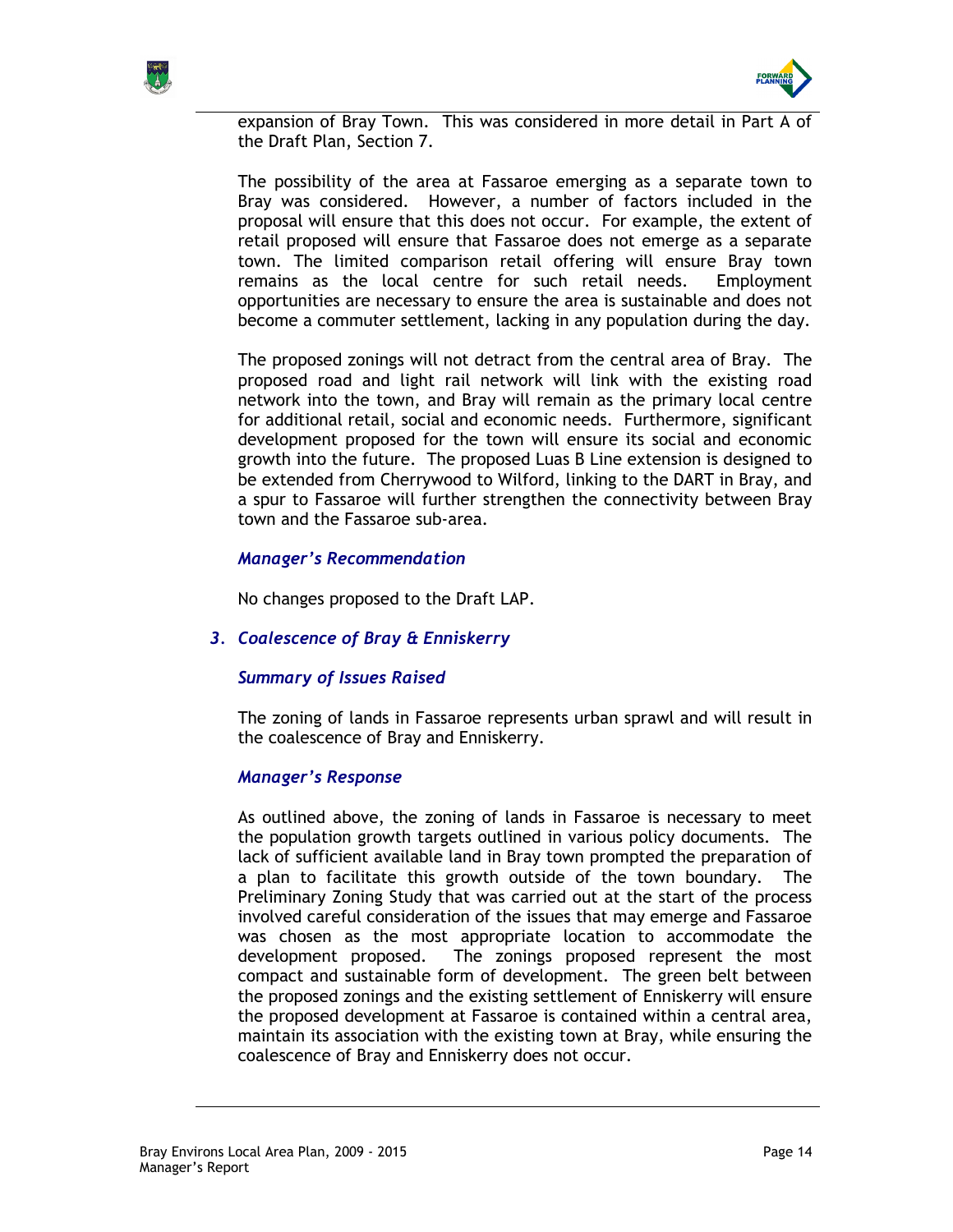



expansion of Bray Town. This was considered in more detail in Part A of the Draft Plan, Section 7.

The possibility of the area at Fassaroe emerging as a separate town to Bray was considered. However, a number of factors included in the proposal will ensure that this does not occur. For example, the extent of retail proposed will ensure that Fassaroe does not emerge as a separate town. The limited comparison retail offering will ensure Bray town remains as the local centre for such retail needs. Employment opportunities are necessary to ensure the area is sustainable and does not become a commuter settlement, lacking in any population during the day.

The proposed zonings will not detract from the central area of Bray. The proposed road and light rail network will link with the existing road network into the town, and Bray will remain as the primary local centre for additional retail, social and economic needs. Furthermore, significant development proposed for the town will ensure its social and economic growth into the future. The proposed Luas B Line extension is designed to be extended from Cherrywood to Wilford, linking to the DART in Bray, and a spur to Fassaroe will further strengthen the connectivity between Bray town and the Fassaroe sub-area.

## Manager's Recommendation

No changes proposed to the Draft LAP.

## 3. Coalescence of Bray & Enniskerry

### Summary of Issues Raised

The zoning of lands in Fassaroe represents urban sprawl and will result in the coalescence of Bray and Enniskerry.

### Manager's Response

As outlined above, the zoning of lands in Fassaroe is necessary to meet the population growth targets outlined in various policy documents. The lack of sufficient available land in Bray town prompted the preparation of a plan to facilitate this growth outside of the town boundary. The Preliminary Zoning Study that was carried out at the start of the process involved careful consideration of the issues that may emerge and Fassaroe was chosen as the most appropriate location to accommodate the development proposed. The zonings proposed represent the most compact and sustainable form of development. The green belt between the proposed zonings and the existing settlement of Enniskerry will ensure the proposed development at Fassaroe is contained within a central area, maintain its association with the existing town at Bray, while ensuring the coalescence of Bray and Enniskerry does not occur.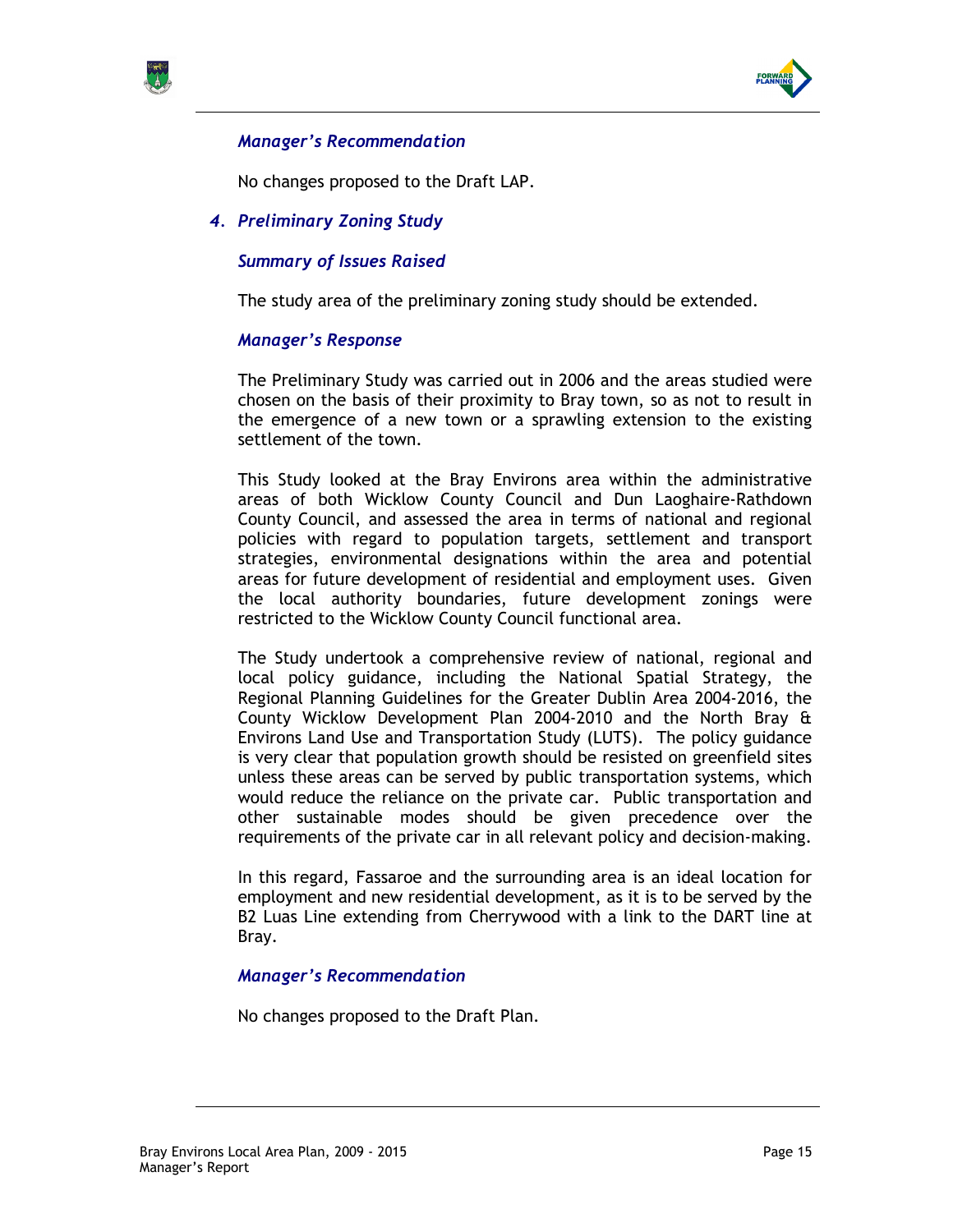



# Manager's Recommendation

No changes proposed to the Draft LAP.

4. Preliminary Zoning Study

# Summary of Issues Raised

The study area of the preliminary zoning study should be extended.

## Manager's Response

The Preliminary Study was carried out in 2006 and the areas studied were chosen on the basis of their proximity to Bray town, so as not to result in the emergence of a new town or a sprawling extension to the existing settlement of the town.

This Study looked at the Bray Environs area within the administrative areas of both Wicklow County Council and Dun Laoghaire-Rathdown County Council, and assessed the area in terms of national and regional policies with regard to population targets, settlement and transport strategies, environmental designations within the area and potential areas for future development of residential and employment uses. Given the local authority boundaries, future development zonings were restricted to the Wicklow County Council functional area.

The Study undertook a comprehensive review of national, regional and local policy guidance, including the National Spatial Strategy, the Regional Planning Guidelines for the Greater Dublin Area 2004-2016, the County Wicklow Development Plan 2004-2010 and the North Bray & Environs Land Use and Transportation Study (LUTS). The policy guidance is very clear that population growth should be resisted on greenfield sites unless these areas can be served by public transportation systems, which would reduce the reliance on the private car. Public transportation and other sustainable modes should be given precedence over the requirements of the private car in all relevant policy and decision-making.

In this regard, Fassaroe and the surrounding area is an ideal location for employment and new residential development, as it is to be served by the B2 Luas Line extending from Cherrywood with a link to the DART line at Bray.

## Manager's Recommendation

No changes proposed to the Draft Plan.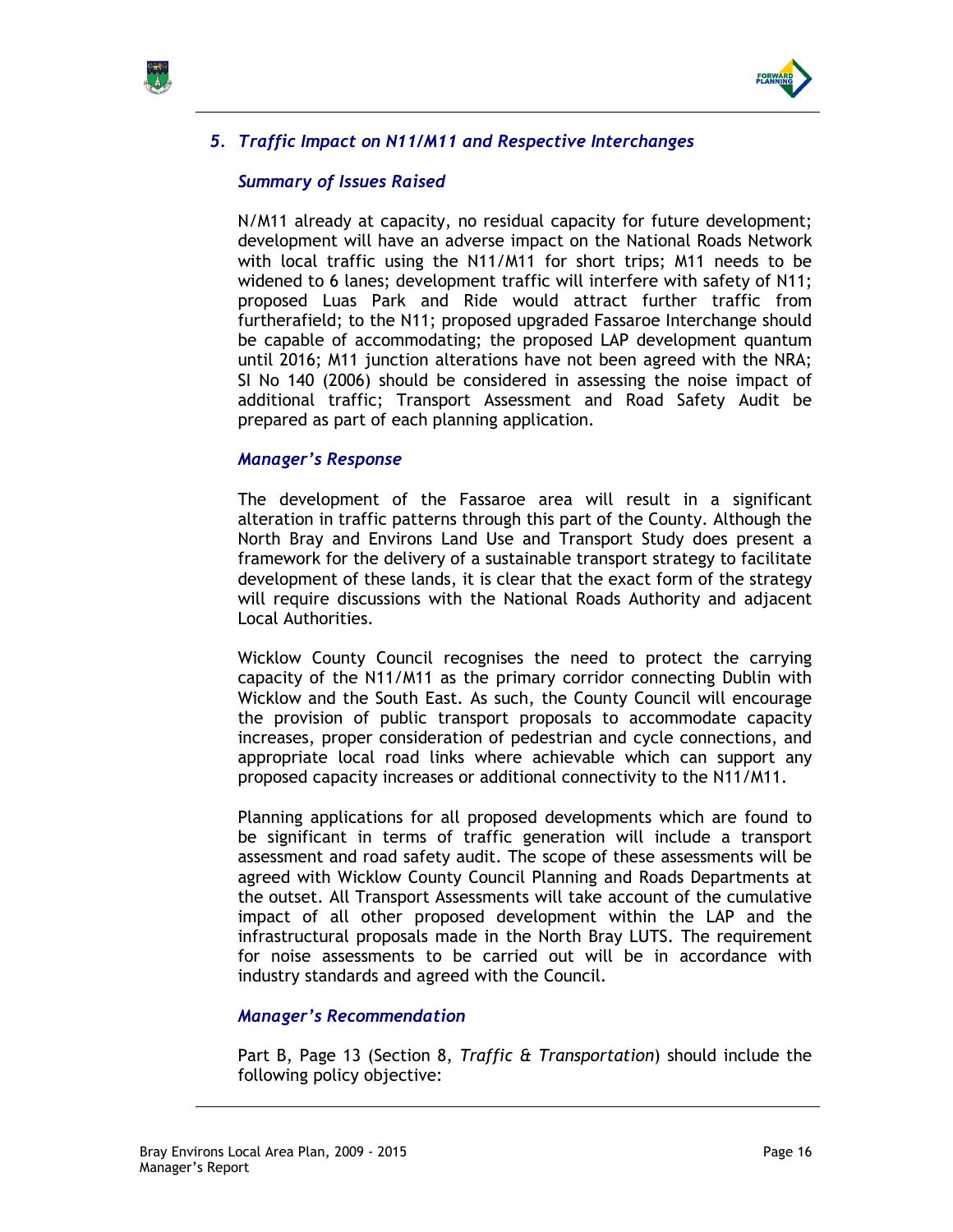



# 5. Traffic Impact on N11/M11 and Respective Interchanges

### Summary of Issues Raised

N/M11 already at capacity, no residual capacity for future development; development will have an adverse impact on the National Roads Network with local traffic using the N11/M11 for short trips; M11 needs to be widened to 6 lanes; development traffic will interfere with safety of N11; proposed Luas Park and Ride would attract further traffic from furtherafield; to the N11; proposed upgraded Fassaroe Interchange should be capable of accommodating; the proposed LAP development quantum until 2016; M11 junction alterations have not been agreed with the NRA; SI No 140 (2006) should be considered in assessing the noise impact of additional traffic; Transport Assessment and Road Safety Audit be prepared as part of each planning application.

### Manager's Response

The development of the Fassaroe area will result in a significant alteration in traffic patterns through this part of the County. Although the North Bray and Environs Land Use and Transport Study does present a framework for the delivery of a sustainable transport strategy to facilitate development of these lands, it is clear that the exact form of the strategy will require discussions with the National Roads Authority and adjacent Local Authorities.

Wicklow County Council recognises the need to protect the carrying capacity of the N11/M11 as the primary corridor connecting Dublin with Wicklow and the South East. As such, the County Council will encourage the provision of public transport proposals to accommodate capacity increases, proper consideration of pedestrian and cycle connections, and appropriate local road links where achievable which can support any proposed capacity increases or additional connectivity to the N11/M11.

Planning applications for all proposed developments which are found to be significant in terms of traffic generation will include a transport assessment and road safety audit. The scope of these assessments will be agreed with Wicklow County Council Planning and Roads Departments at the outset. All Transport Assessments will take account of the cumulative impact of all other proposed development within the LAP and the infrastructural proposals made in the North Bray LUTS. The requirement for noise assessments to be carried out will be in accordance with industry standards and agreed with the Council.

### Manager's Recommendation

Part B, Page 13 (Section 8, Traffic & Transportation) should include the following policy objective: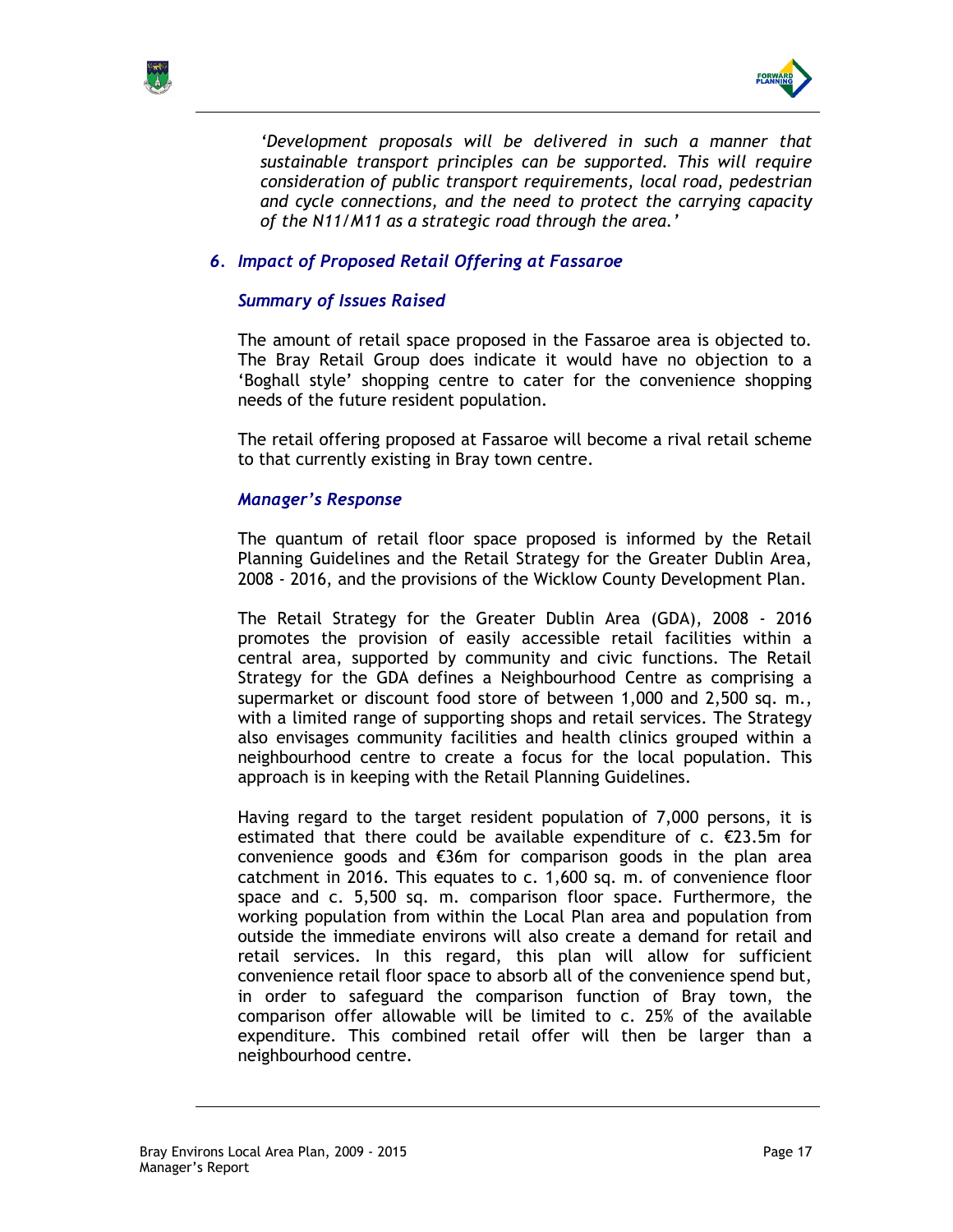



'Development proposals will be delivered in such a manner that sustainable transport principles can be supported. This will require consideration of public transport requirements, local road, pedestrian and cycle connections, and the need to protect the carrying capacity of the N11/M11 as a strategic road through the area.'

## 6. Impact of Proposed Retail Offering at Fassaroe

## Summary of Issues Raised

The amount of retail space proposed in the Fassaroe area is objected to. The Bray Retail Group does indicate it would have no objection to a 'Boghall style' shopping centre to cater for the convenience shopping needs of the future resident population.

The retail offering proposed at Fassaroe will become a rival retail scheme to that currently existing in Bray town centre.

### Manager's Response

The quantum of retail floor space proposed is informed by the Retail Planning Guidelines and the Retail Strategy for the Greater Dublin Area, 2008 - 2016, and the provisions of the Wicklow County Development Plan.

The Retail Strategy for the Greater Dublin Area (GDA), 2008 - 2016 promotes the provision of easily accessible retail facilities within a central area, supported by community and civic functions. The Retail Strategy for the GDA defines a Neighbourhood Centre as comprising a supermarket or discount food store of between 1,000 and 2,500 sq. m., with a limited range of supporting shops and retail services. The Strategy also envisages community facilities and health clinics grouped within a neighbourhood centre to create a focus for the local population. This approach is in keeping with the Retail Planning Guidelines.

Having regard to the target resident population of 7,000 persons, it is estimated that there could be available expenditure of  $c. \epsilon$ 23.5m for convenience goods and €36m for comparison goods in the plan area catchment in 2016. This equates to c. 1,600 sq. m. of convenience floor space and c. 5,500 sq. m. comparison floor space. Furthermore, the working population from within the Local Plan area and population from outside the immediate environs will also create a demand for retail and retail services. In this regard, this plan will allow for sufficient convenience retail floor space to absorb all of the convenience spend but, in order to safeguard the comparison function of Bray town, the comparison offer allowable will be limited to c. 25% of the available expenditure. This combined retail offer will then be larger than a neighbourhood centre.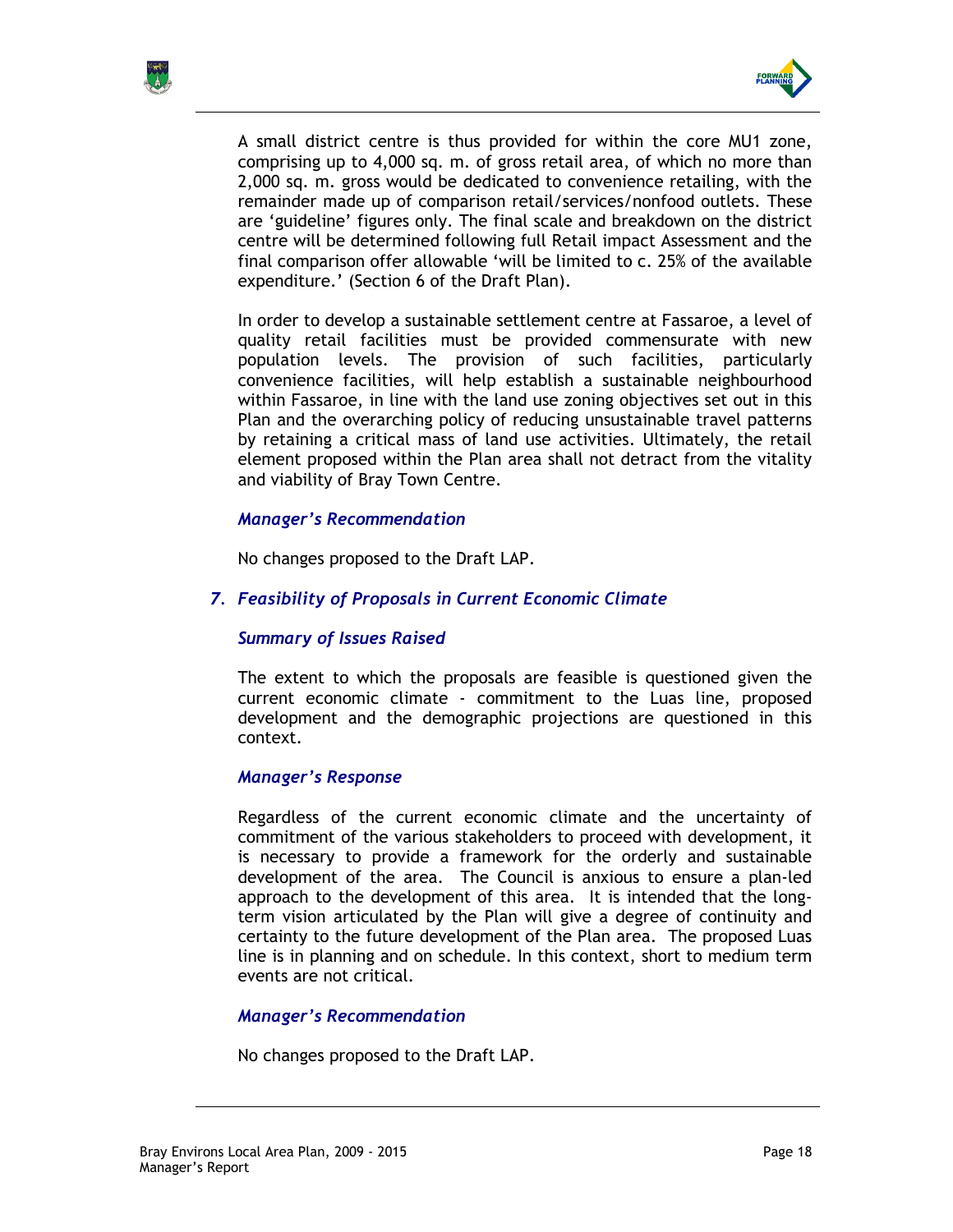



A small district centre is thus provided for within the core MU1 zone, comprising up to 4,000 sq. m. of gross retail area, of which no more than 2,000 sq. m. gross would be dedicated to convenience retailing, with the remainder made up of comparison retail/services/nonfood outlets. These are 'guideline' figures only. The final scale and breakdown on the district centre will be determined following full Retail impact Assessment and the final comparison offer allowable 'will be limited to c. 25% of the available expenditure.' (Section 6 of the Draft Plan).

In order to develop a sustainable settlement centre at Fassaroe, a level of quality retail facilities must be provided commensurate with new population levels. The provision of such facilities, particularly convenience facilities, will help establish a sustainable neighbourhood within Fassaroe, in line with the land use zoning objectives set out in this Plan and the overarching policy of reducing unsustainable travel patterns by retaining a critical mass of land use activities. Ultimately, the retail element proposed within the Plan area shall not detract from the vitality and viability of Bray Town Centre.

## Manager's Recommendation

No changes proposed to the Draft LAP.

## 7. Feasibility of Proposals in Current Economic Climate

## Summary of Issues Raised

The extent to which the proposals are feasible is questioned given the current economic climate - commitment to the Luas line, proposed development and the demographic projections are questioned in this context.

## Manager's Response

Regardless of the current economic climate and the uncertainty of commitment of the various stakeholders to proceed with development, it is necessary to provide a framework for the orderly and sustainable development of the area. The Council is anxious to ensure a plan-led approach to the development of this area. It is intended that the longterm vision articulated by the Plan will give a degree of continuity and certainty to the future development of the Plan area. The proposed Luas line is in planning and on schedule. In this context, short to medium term events are not critical.

### Manager's Recommendation

No changes proposed to the Draft LAP.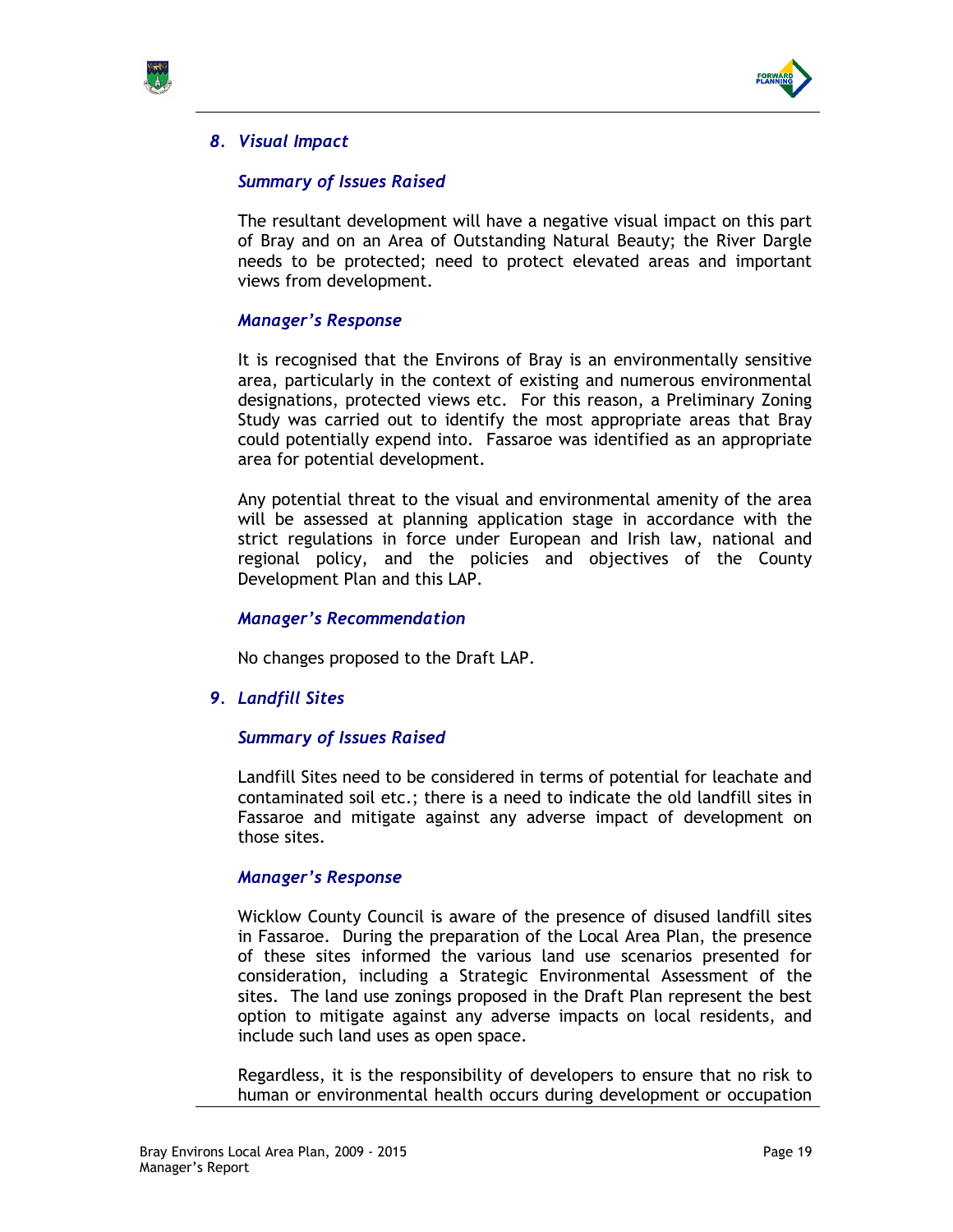



## 8. Visual Impact

## Summary of Issues Raised

The resultant development will have a negative visual impact on this part of Bray and on an Area of Outstanding Natural Beauty; the River Dargle needs to be protected; need to protect elevated areas and important views from development.

## Manager's Response

It is recognised that the Environs of Bray is an environmentally sensitive area, particularly in the context of existing and numerous environmental designations, protected views etc. For this reason, a Preliminary Zoning Study was carried out to identify the most appropriate areas that Bray could potentially expend into. Fassaroe was identified as an appropriate area for potential development.

Any potential threat to the visual and environmental amenity of the area will be assessed at planning application stage in accordance with the strict regulations in force under European and Irish law, national and regional policy, and the policies and objectives of the County Development Plan and this LAP.

### Manager's Recommendation

No changes proposed to the Draft LAP.

### 9. Landfill Sites

### Summary of Issues Raised

Landfill Sites need to be considered in terms of potential for leachate and contaminated soil etc.; there is a need to indicate the old landfill sites in Fassaroe and mitigate against any adverse impact of development on those sites.

### Manager's Response

Wicklow County Council is aware of the presence of disused landfill sites in Fassaroe. During the preparation of the Local Area Plan, the presence of these sites informed the various land use scenarios presented for consideration, including a Strategic Environmental Assessment of the sites. The land use zonings proposed in the Draft Plan represent the best option to mitigate against any adverse impacts on local residents, and include such land uses as open space.

Regardless, it is the responsibility of developers to ensure that no risk to human or environmental health occurs during development or occupation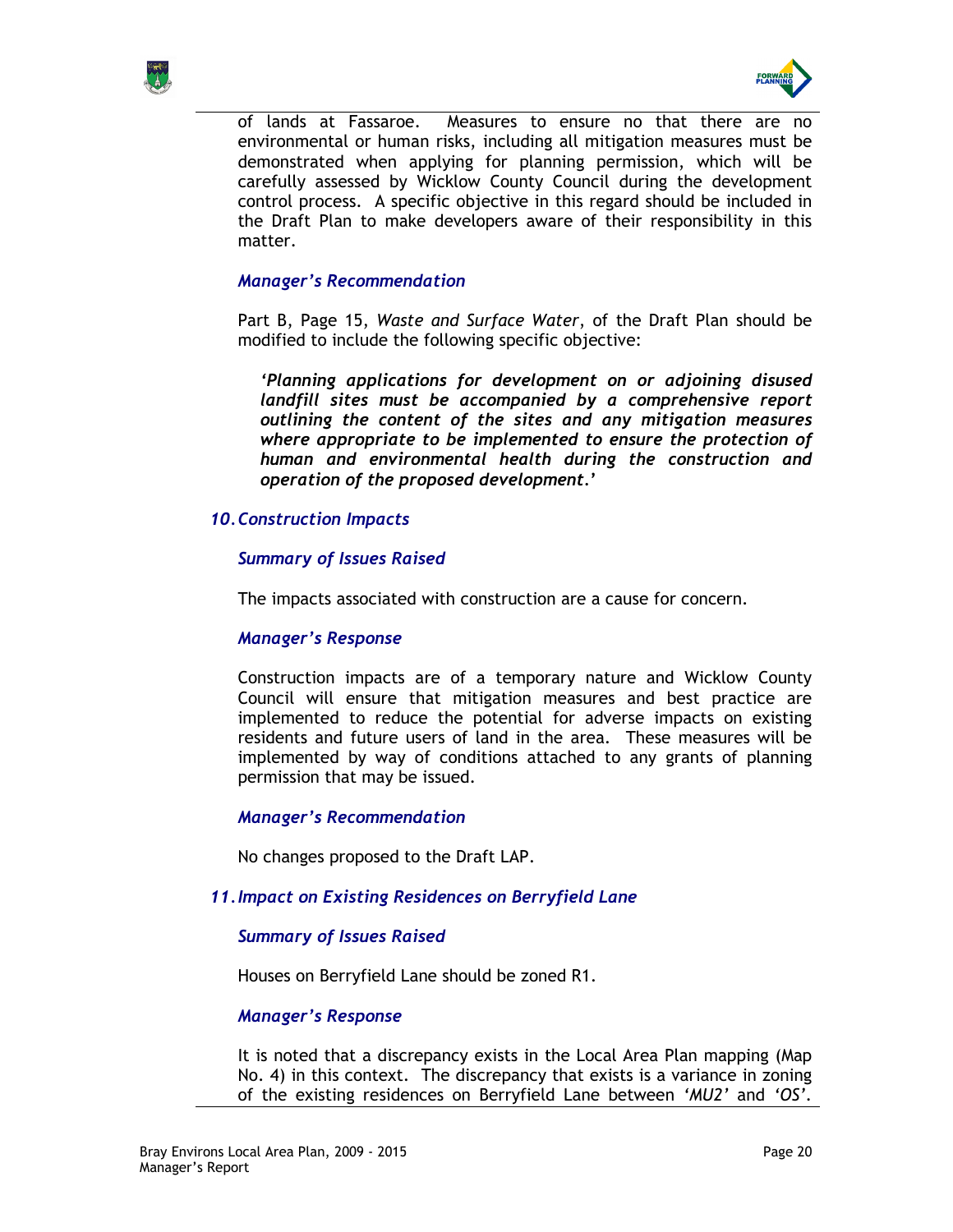



of lands at Fassaroe. Measures to ensure no that there are no environmental or human risks, including all mitigation measures must be demonstrated when applying for planning permission, which will be carefully assessed by Wicklow County Council during the development control process. A specific objective in this regard should be included in the Draft Plan to make developers aware of their responsibility in this matter.

## Manager's Recommendation

Part B, Page 15, Waste and Surface Water, of the Draft Plan should be modified to include the following specific objective:

'Planning applications for development on or adjoining disused landfill sites must be accompanied by a comprehensive report outlining the content of the sites and any mitigation measures where appropriate to be implemented to ensure the protection of human and environmental health during the construction and operation of the proposed development.'

## 10. Construction Impacts

## Summary of Issues Raised

The impacts associated with construction are a cause for concern.

### Manager's Response

Construction impacts are of a temporary nature and Wicklow County Council will ensure that mitigation measures and best practice are implemented to reduce the potential for adverse impacts on existing residents and future users of land in the area. These measures will be implemented by way of conditions attached to any grants of planning permission that may be issued.

### Manager's Recommendation

No changes proposed to the Draft LAP.

### 11. Impact on Existing Residences on Berryfield Lane

### Summary of Issues Raised

Houses on Berryfield Lane should be zoned R1.

### Manager's Response

It is noted that a discrepancy exists in the Local Area Plan mapping (Map No. 4) in this context. The discrepancy that exists is a variance in zoning of the existing residences on Berryfield Lane between 'MU2' and 'OS'.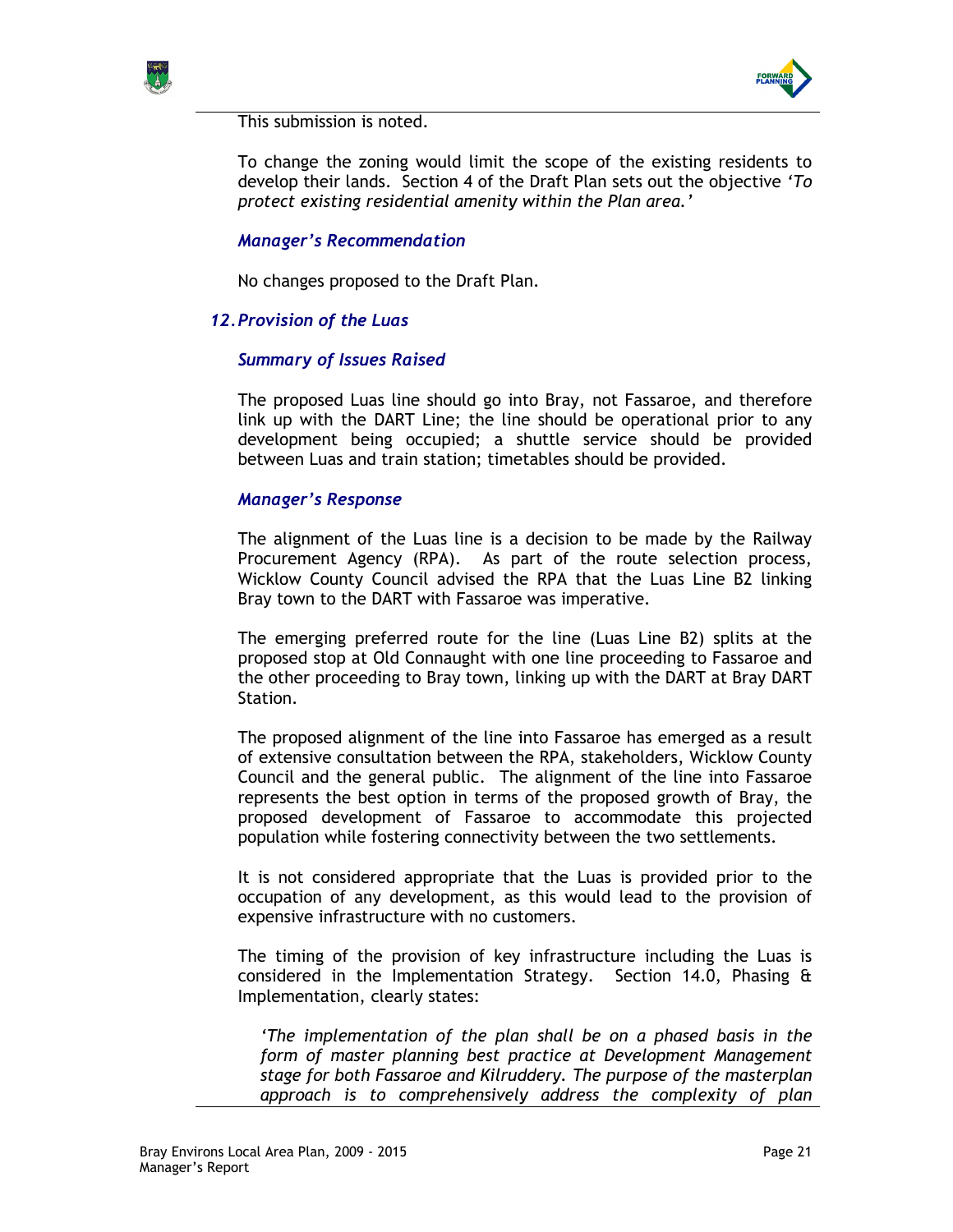



This submission is noted.

To change the zoning would limit the scope of the existing residents to develop their lands. Section 4 of the Draft Plan sets out the objective 'To protect existing residential amenity within the Plan area.'

## Manager's Recommendation

No changes proposed to the Draft Plan.

## 12. Provision of the Luas

## Summary of Issues Raised

The proposed Luas line should go into Bray, not Fassaroe, and therefore link up with the DART Line; the line should be operational prior to any development being occupied; a shuttle service should be provided between Luas and train station; timetables should be provided.

## Manager's Response

The alignment of the Luas line is a decision to be made by the Railway Procurement Agency (RPA). As part of the route selection process, Wicklow County Council advised the RPA that the Luas Line B2 linking Bray town to the DART with Fassaroe was imperative.

The emerging preferred route for the line (Luas Line B2) splits at the proposed stop at Old Connaught with one line proceeding to Fassaroe and the other proceeding to Bray town, linking up with the DART at Bray DART Station.

The proposed alignment of the line into Fassaroe has emerged as a result of extensive consultation between the RPA, stakeholders, Wicklow County Council and the general public. The alignment of the line into Fassaroe represents the best option in terms of the proposed growth of Bray, the proposed development of Fassaroe to accommodate this projected population while fostering connectivity between the two settlements.

It is not considered appropriate that the Luas is provided prior to the occupation of any development, as this would lead to the provision of expensive infrastructure with no customers.

The timing of the provision of key infrastructure including the Luas is considered in the Implementation Strategy. Section 14.0, Phasing & Implementation, clearly states:

'The implementation of the plan shall be on a phased basis in the form of master planning best practice at Development Management stage for both Fassaroe and Kilruddery. The purpose of the masterplan approach is to comprehensively address the complexity of plan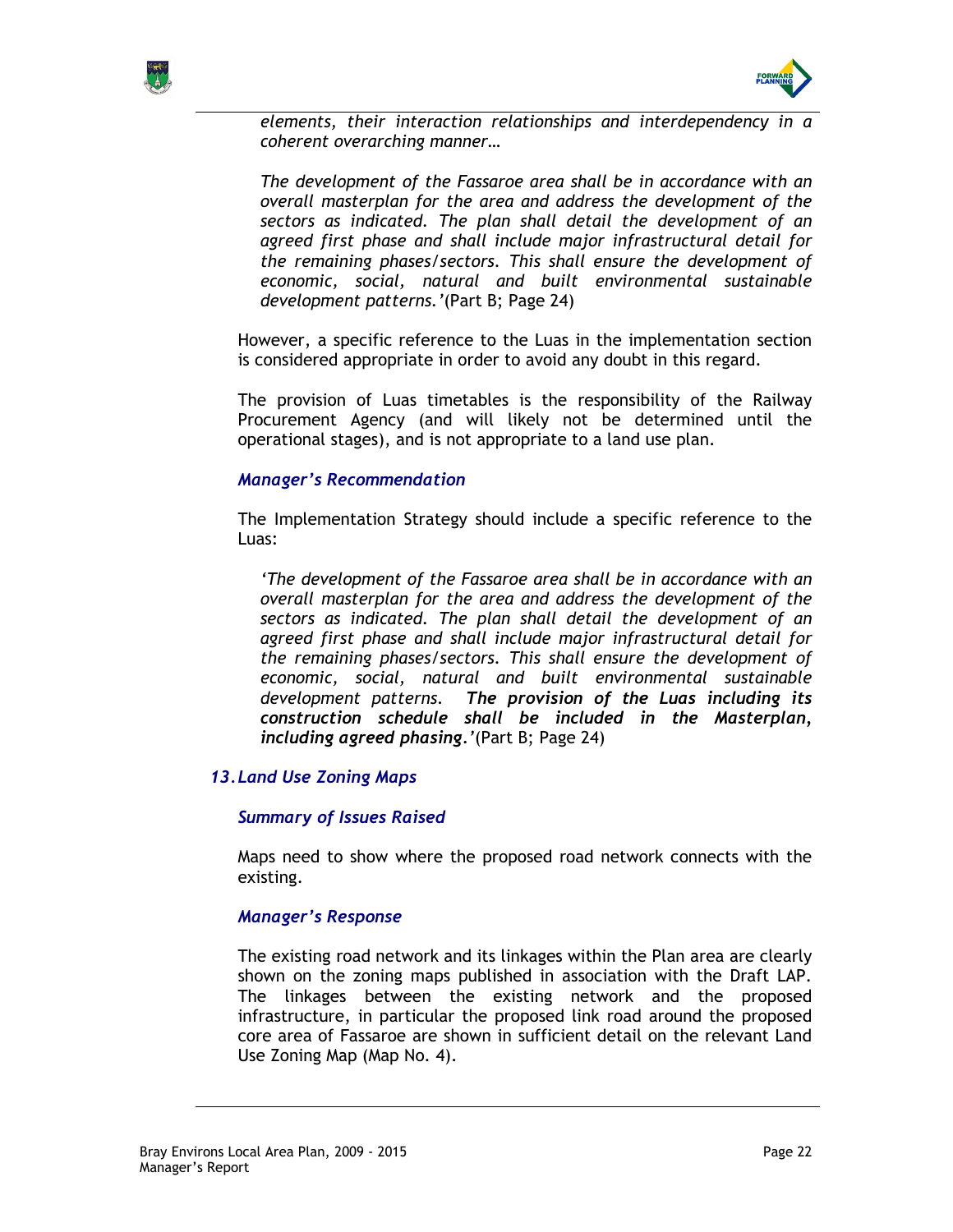



elements, their interaction relationships and interdependency in a coherent overarching manner…

The development of the Fassaroe area shall be in accordance with an overall masterplan for the area and address the development of the sectors as indicated. The plan shall detail the development of an agreed first phase and shall include major infrastructural detail for the remaining phases/sectors. This shall ensure the development of economic, social, natural and built environmental sustainable development patterns.'(Part B; Page 24)

However, a specific reference to the Luas in the implementation section is considered appropriate in order to avoid any doubt in this regard.

The provision of Luas timetables is the responsibility of the Railway Procurement Agency (and will likely not be determined until the operational stages), and is not appropriate to a land use plan.

## Manager's Recommendation

The Implementation Strategy should include a specific reference to the Luas:

'The development of the Fassaroe area shall be in accordance with an overall masterplan for the area and address the development of the sectors as indicated. The plan shall detail the development of an agreed first phase and shall include major infrastructural detail for the remaining phases/sectors. This shall ensure the development of economic, social, natural and built environmental sustainable development patterns. The provision of the Luas including its construction schedule shall be included in the Masterplan, including agreed phasing.'(Part B; Page 24)

## 13. Land Use Zoning Maps

### Summary of Issues Raised

Maps need to show where the proposed road network connects with the existing.

### Manager's Response

The existing road network and its linkages within the Plan area are clearly shown on the zoning maps published in association with the Draft LAP. The linkages between the existing network and the proposed infrastructure, in particular the proposed link road around the proposed core area of Fassaroe are shown in sufficient detail on the relevant Land Use Zoning Map (Map No. 4).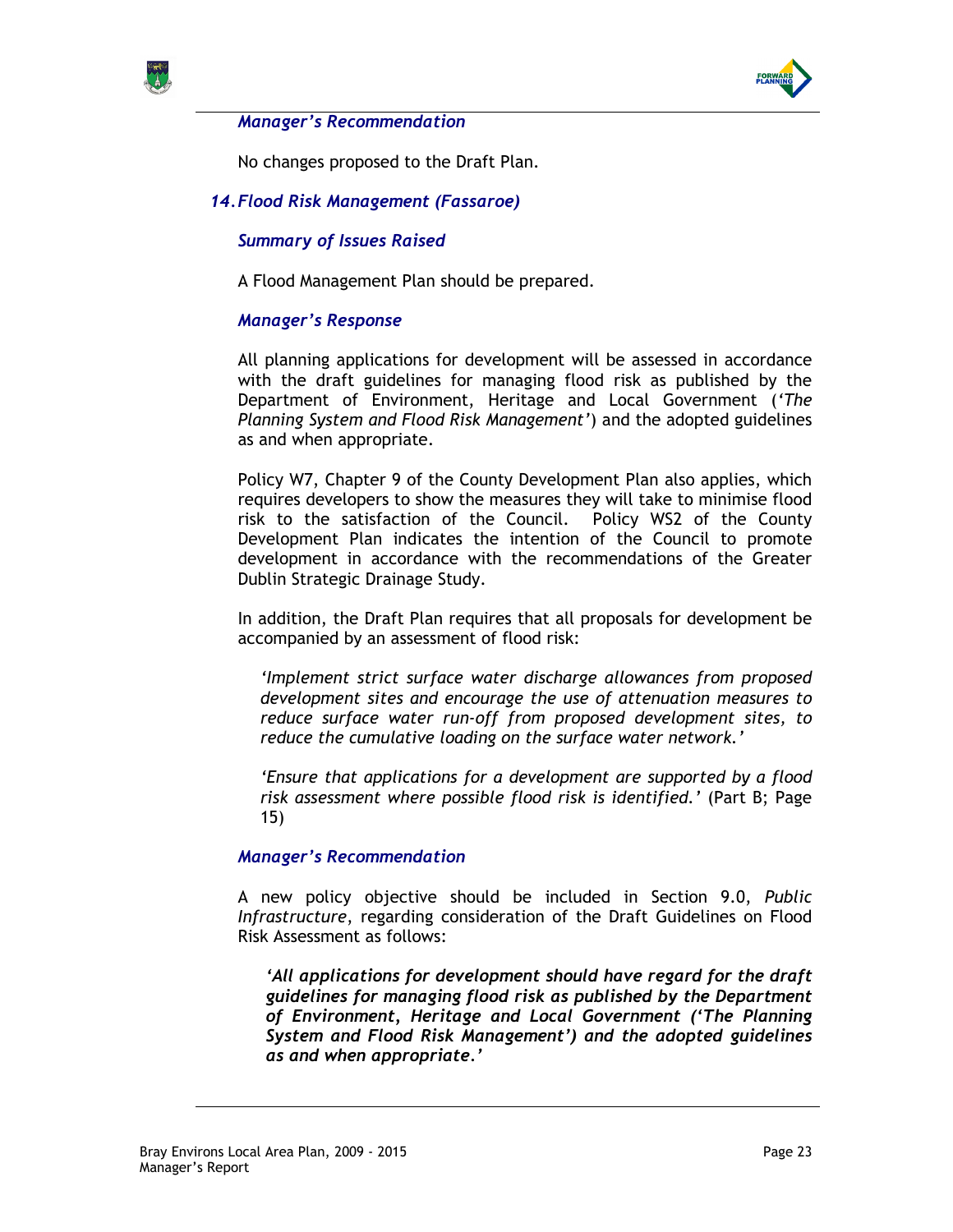



### Manager's Recommendation

No changes proposed to the Draft Plan.

# 14. Flood Risk Management (Fassaroe)

## Summary of Issues Raised

A Flood Management Plan should be prepared.

## Manager's Response

All planning applications for development will be assessed in accordance with the draft guidelines for managing flood risk as published by the Department of Environment, Heritage and Local Government ('The Planning System and Flood Risk Management') and the adopted guidelines as and when appropriate.

Policy W7, Chapter 9 of the County Development Plan also applies, which requires developers to show the measures they will take to minimise flood risk to the satisfaction of the Council. Policy WS2 of the County Development Plan indicates the intention of the Council to promote development in accordance with the recommendations of the Greater Dublin Strategic Drainage Study.

In addition, the Draft Plan requires that all proposals for development be accompanied by an assessment of flood risk:

'Implement strict surface water discharge allowances from proposed development sites and encourage the use of attenuation measures to reduce surface water run-off from proposed development sites, to reduce the cumulative loading on the surface water network.'

'Ensure that applications for a development are supported by a flood risk assessment where possible flood risk is identified.' (Part B; Page 15)

### Manager's Recommendation

A new policy objective should be included in Section 9.0, Public Infrastructure, regarding consideration of the Draft Guidelines on Flood Risk Assessment as follows:

'All applications for development should have regard for the draft guidelines for managing flood risk as published by the Department of Environment, Heritage and Local Government ('The Planning System and Flood Risk Management') and the adopted guidelines as and when appropriate.'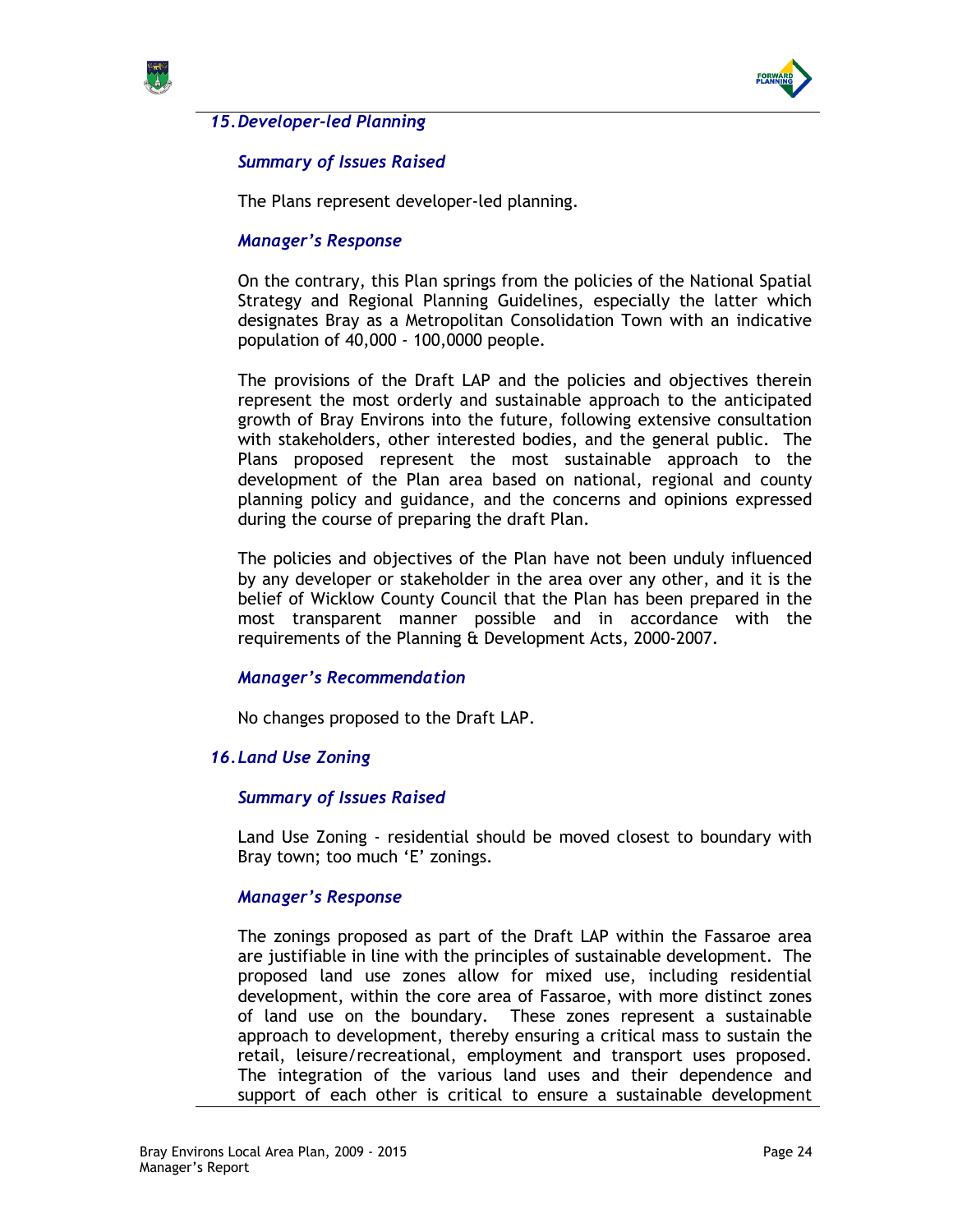



## 15. Developer-led Planning

## Summary of Issues Raised

The Plans represent developer-led planning.

#### Manager's Response

On the contrary, this Plan springs from the policies of the National Spatial Strategy and Regional Planning Guidelines, especially the latter which designates Bray as a Metropolitan Consolidation Town with an indicative population of 40,000 - 100,0000 people.

The provisions of the Draft LAP and the policies and objectives therein represent the most orderly and sustainable approach to the anticipated growth of Bray Environs into the future, following extensive consultation with stakeholders, other interested bodies, and the general public. The Plans proposed represent the most sustainable approach to the development of the Plan area based on national, regional and county planning policy and guidance, and the concerns and opinions expressed during the course of preparing the draft Plan.

The policies and objectives of the Plan have not been unduly influenced by any developer or stakeholder in the area over any other, and it is the belief of Wicklow County Council that the Plan has been prepared in the most transparent manner possible and in accordance with the requirements of the Planning & Development Acts, 2000-2007.

### Manager's Recommendation

No changes proposed to the Draft LAP.

### 16. Land Use Zoning

#### Summary of Issues Raised

Land Use Zoning - residential should be moved closest to boundary with Bray town; too much 'E' zonings.

### Manager's Response

The zonings proposed as part of the Draft LAP within the Fassaroe area are justifiable in line with the principles of sustainable development. The proposed land use zones allow for mixed use, including residential development, within the core area of Fassaroe, with more distinct zones of land use on the boundary. These zones represent a sustainable approach to development, thereby ensuring a critical mass to sustain the retail, leisure/recreational, employment and transport uses proposed. The integration of the various land uses and their dependence and support of each other is critical to ensure a sustainable development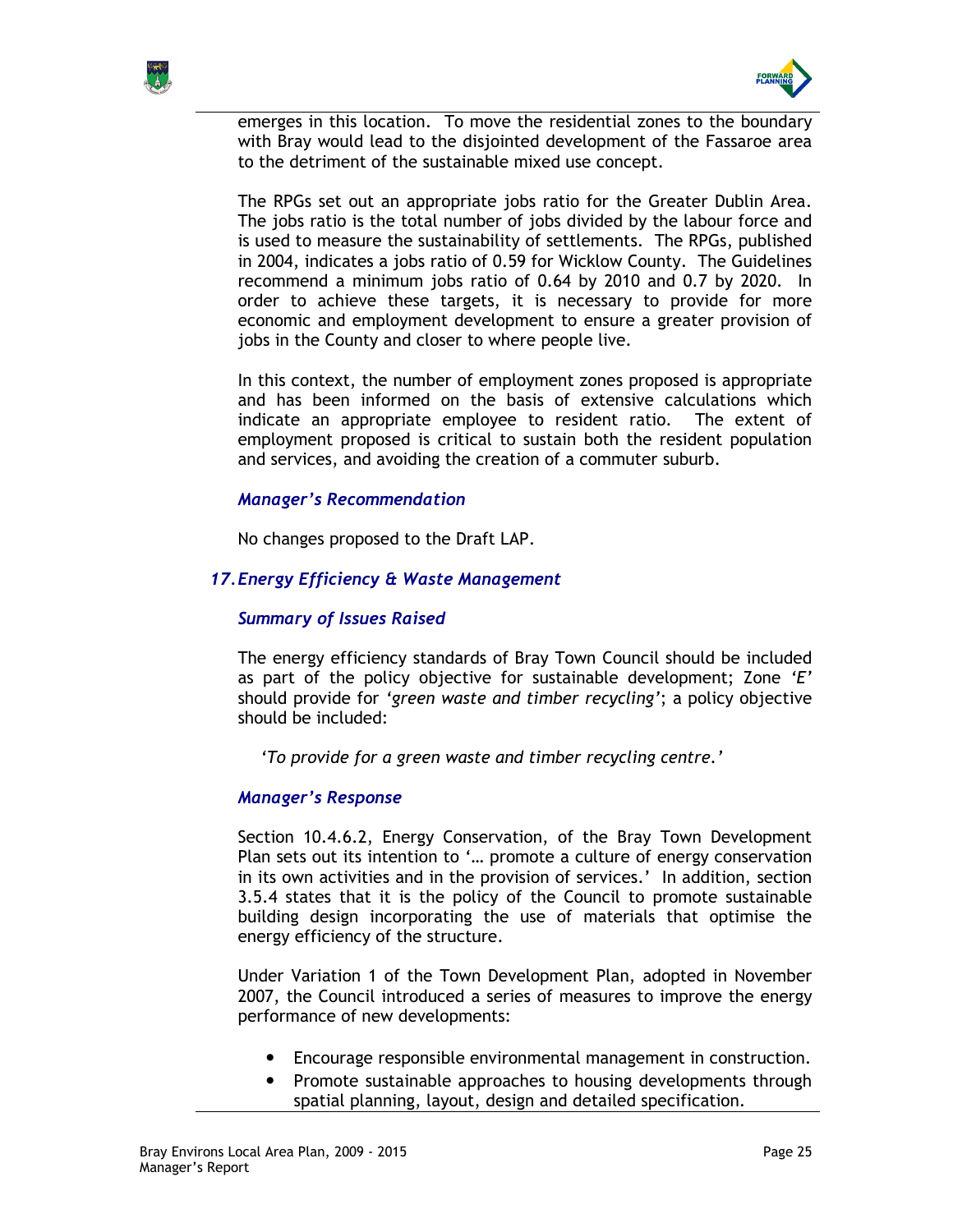



emerges in this location. To move the residential zones to the boundary with Bray would lead to the disjointed development of the Fassaroe area to the detriment of the sustainable mixed use concept.

The RPGs set out an appropriate jobs ratio for the Greater Dublin Area. The jobs ratio is the total number of jobs divided by the labour force and is used to measure the sustainability of settlements. The RPGs, published in 2004, indicates a jobs ratio of 0.59 for Wicklow County. The Guidelines recommend a minimum jobs ratio of 0.64 by 2010 and 0.7 by 2020. In order to achieve these targets, it is necessary to provide for more economic and employment development to ensure a greater provision of jobs in the County and closer to where people live.

In this context, the number of employment zones proposed is appropriate and has been informed on the basis of extensive calculations which indicate an appropriate employee to resident ratio. The extent of employment proposed is critical to sustain both the resident population and services, and avoiding the creation of a commuter suburb.

## Manager's Recommendation

No changes proposed to the Draft LAP.

## 17. Energy Efficiency & Waste Management

### Summary of Issues Raised

The energy efficiency standards of Bray Town Council should be included as part of the policy objective for sustainable development; Zone  $E'$ should provide for 'green waste and timber recycling'; a policy objective should be included:

'To provide for a green waste and timber recycling centre.'

### Manager's Response

Section 10.4.6.2, Energy Conservation, of the Bray Town Development Plan sets out its intention to '… promote a culture of energy conservation in its own activities and in the provision of services.' In addition, section 3.5.4 states that it is the policy of the Council to promote sustainable building design incorporating the use of materials that optimise the energy efficiency of the structure.

Under Variation 1 of the Town Development Plan, adopted in November 2007, the Council introduced a series of measures to improve the energy performance of new developments:

- Encourage responsible environmental management in construction.
- Promote sustainable approaches to housing developments through spatial planning, layout, design and detailed specification.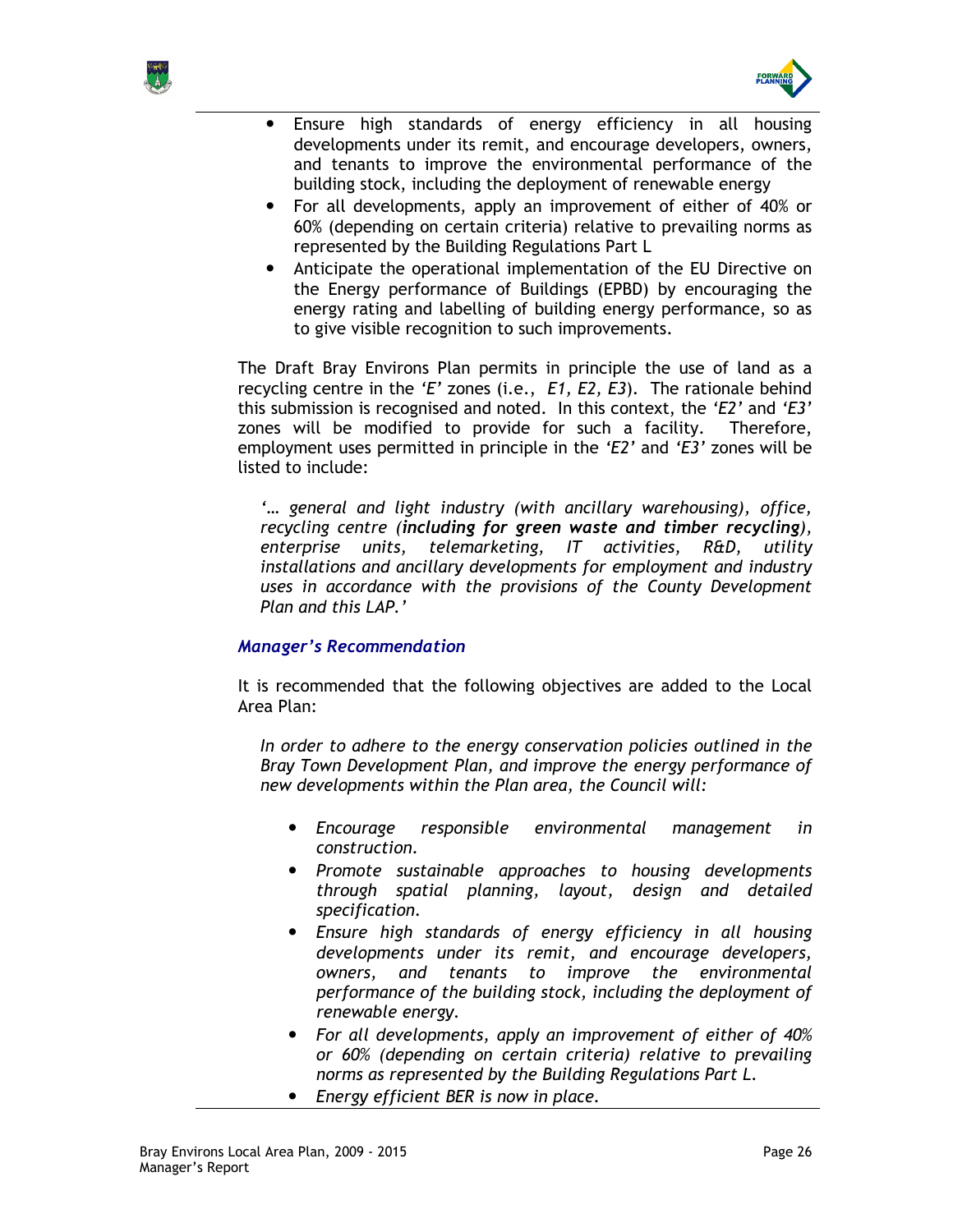



- Ensure high standards of energy efficiency in all housing developments under its remit, and encourage developers, owners, and tenants to improve the environmental performance of the building stock, including the deployment of renewable energy
- For all developments, apply an improvement of either of 40% or 60% (depending on certain criteria) relative to prevailing norms as represented by the Building Regulations Part L
- Anticipate the operational implementation of the EU Directive on the Energy performance of Buildings (EPBD) by encouraging the energy rating and labelling of building energy performance, so as to give visible recognition to such improvements.

The Draft Bray Environs Plan permits in principle the use of land as a recycling centre in the 'E' zones (i.e.,  $E1, E2, E3$ ). The rationale behind this submission is recognised and noted. In this context, the 'E2' and 'E3' zones will be modified to provide for such a facility. Therefore, employment uses permitted in principle in the 'E2' and 'E3' zones will be listed to include:

'… general and light industry (with ancillary warehousing), office, recycling centre (including for green waste and timber recycling), enterprise units, telemarketing, IT activities, R&D, utility installations and ancillary developments for employment and industry uses in accordance with the provisions of the County Development Plan and this LAP.'

## Manager's Recommendation

It is recommended that the following objectives are added to the Local Area Plan:

In order to adhere to the energy conservation policies outlined in the Bray Town Development Plan, and improve the energy performance of new developments within the Plan area, the Council will:

- Encourage responsible environmental management in construction.
- Promote sustainable approaches to housing developments through spatial planning, layout, design and detailed specification.
- Ensure high standards of energy efficiency in all housing developments under its remit, and encourage developers, owners, and tenants to improve the environmental performance of the building stock, including the deployment of renewable energy.
- For all developments, apply an improvement of either of 40% or 60% (depending on certain criteria) relative to prevailing norms as represented by the Building Regulations Part L.
- Energy efficient BER is now in place.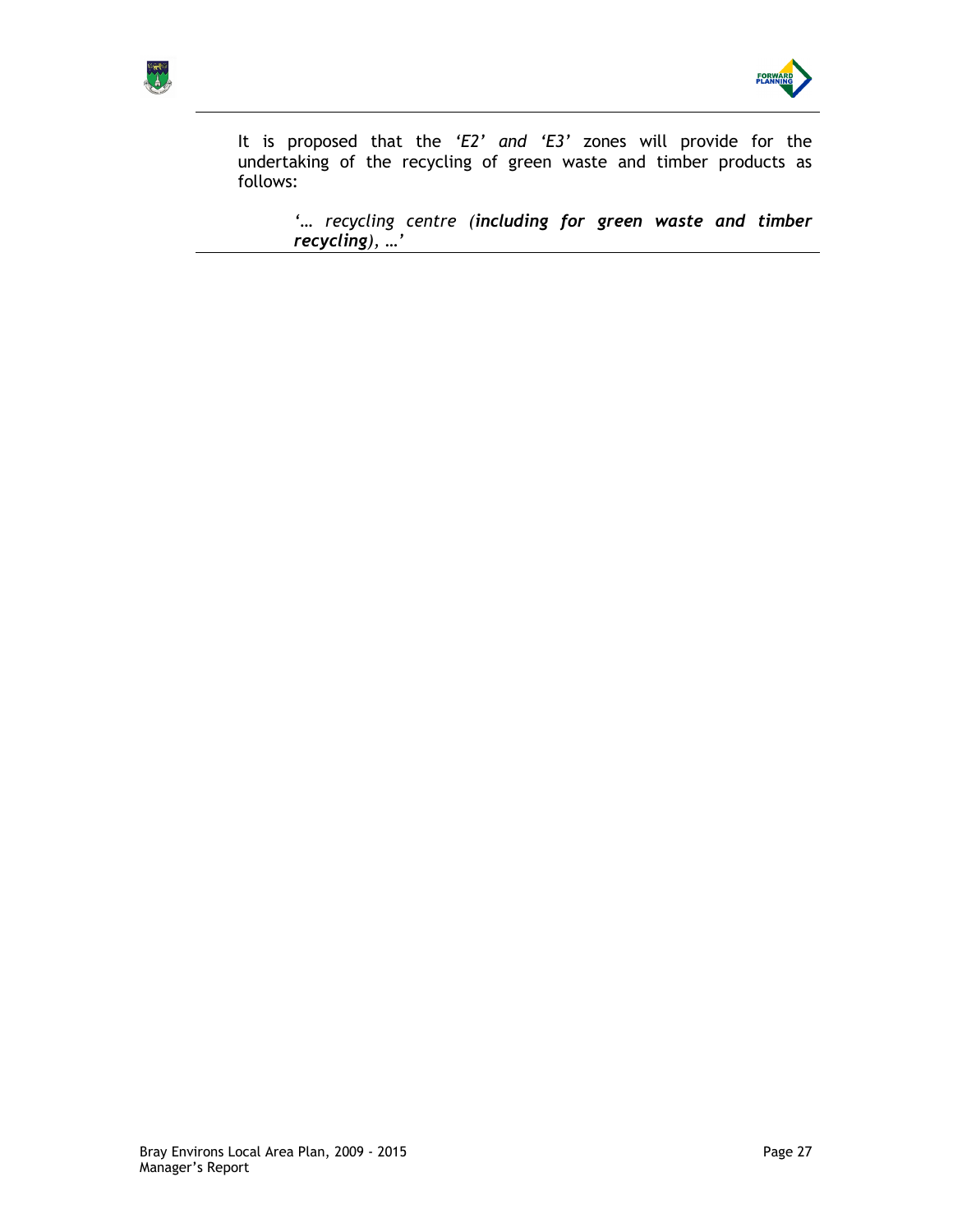



It is proposed that the 'E2' and 'E3' zones will provide for the undertaking of the recycling of green waste and timber products as follows:

'… recycling centre (including for green waste and timber recycling), …'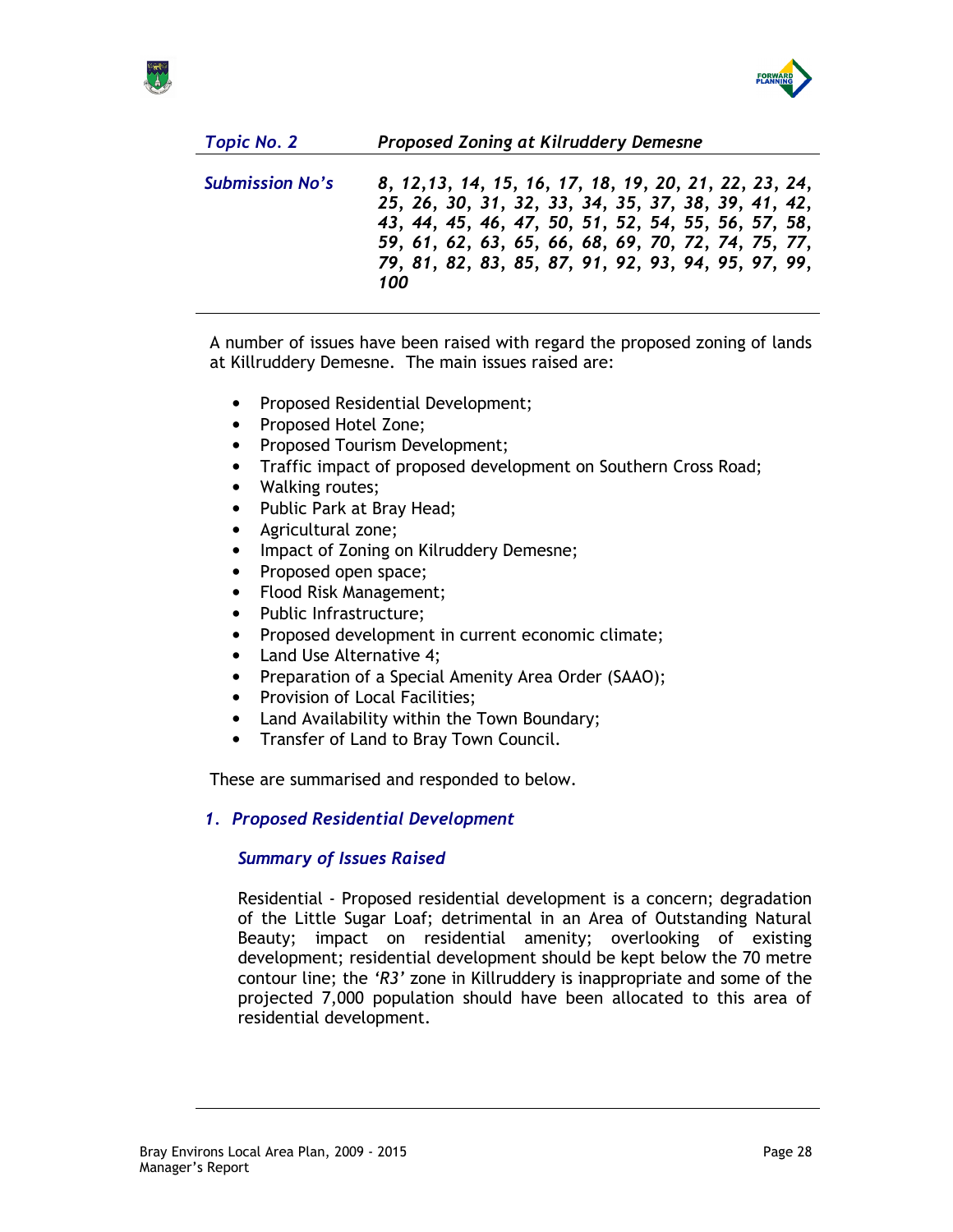

| <b>Topic No. 2</b>     | Proposed Zoning at Kilruddery Demesne                                                                                                                                                                                                                                                     |
|------------------------|-------------------------------------------------------------------------------------------------------------------------------------------------------------------------------------------------------------------------------------------------------------------------------------------|
| <b>Submission No's</b> | 8, 12, 13, 14, 15, 16, 17, 18, 19, 20, 21, 22, 23, 24,<br>25, 26, 30, 31, 32, 33, 34, 35, 37, 38, 39, 41, 42,<br>43, 44, 45, 46, 47, 50, 51, 52, 54, 55, 56, 57, 58,<br>59, 61, 62, 63, 65, 66, 68, 69, 70, 72, 74, 75, 77,<br>79, 81, 82, 83, 85, 87, 91, 92, 93, 94, 95, 97, 99,<br>100 |
|                        |                                                                                                                                                                                                                                                                                           |

A number of issues have been raised with regard the proposed zoning of lands at Killruddery Demesne. The main issues raised are:

- Proposed Residential Development;
- Proposed Hotel Zone;
- Proposed Tourism Development;
- Traffic impact of proposed development on Southern Cross Road;
- Walking routes;
- Public Park at Bray Head;
- Agricultural zone;
- Impact of Zoning on Kilruddery Demesne;
- Proposed open space;
- Flood Risk Management;
- Public Infrastructure;
- Proposed development in current economic climate;
- Land Use Alternative 4;
- Preparation of a Special Amenity Area Order (SAAO);
- Provision of Local Facilities;
- Land Availability within the Town Boundary;
- Transfer of Land to Bray Town Council.

These are summarised and responded to below.

## 1. Proposed Residential Development

## Summary of Issues Raised

Residential - Proposed residential development is a concern; degradation of the Little Sugar Loaf; detrimental in an Area of Outstanding Natural Beauty; impact on residential amenity; overlooking of existing development; residential development should be kept below the 70 metre contour line; the 'R3' zone in Killruddery is inappropriate and some of the projected 7,000 population should have been allocated to this area of residential development.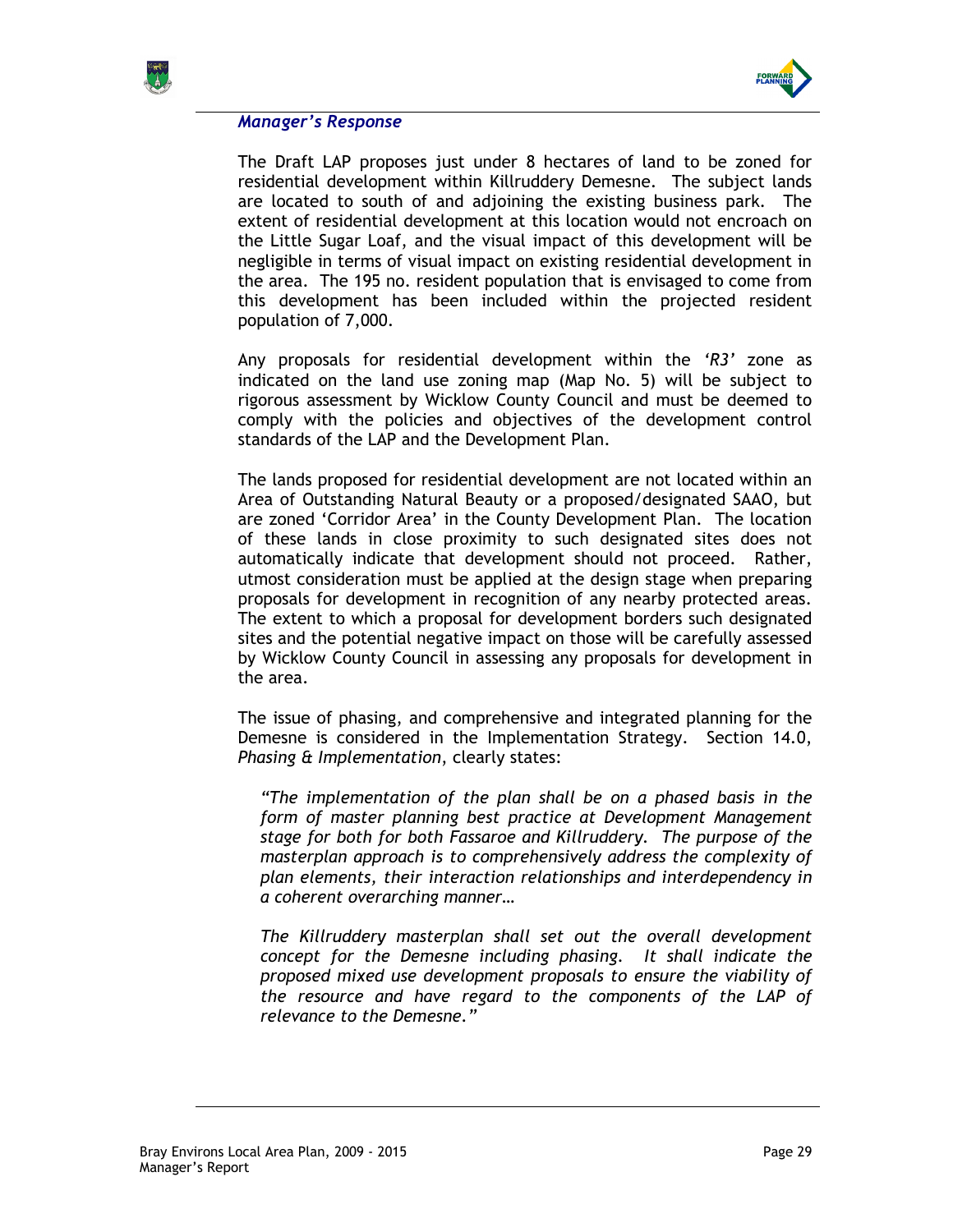



## Manager's Response

The Draft LAP proposes just under 8 hectares of land to be zoned for residential development within Killruddery Demesne. The subject lands are located to south of and adjoining the existing business park. The extent of residential development at this location would not encroach on the Little Sugar Loaf, and the visual impact of this development will be negligible in terms of visual impact on existing residential development in the area. The 195 no. resident population that is envisaged to come from this development has been included within the projected resident population of 7,000.

Any proposals for residential development within the 'R3' zone as indicated on the land use zoning map (Map No. 5) will be subject to rigorous assessment by Wicklow County Council and must be deemed to comply with the policies and objectives of the development control standards of the LAP and the Development Plan.

The lands proposed for residential development are not located within an Area of Outstanding Natural Beauty or a proposed/designated SAAO, but are zoned 'Corridor Area' in the County Development Plan. The location of these lands in close proximity to such designated sites does not automatically indicate that development should not proceed. Rather, utmost consideration must be applied at the design stage when preparing proposals for development in recognition of any nearby protected areas. The extent to which a proposal for development borders such designated sites and the potential negative impact on those will be carefully assessed by Wicklow County Council in assessing any proposals for development in the area.

The issue of phasing, and comprehensive and integrated planning for the Demesne is considered in the Implementation Strategy. Section 14.0, Phasing & Implementation, clearly states:

"The implementation of the plan shall be on a phased basis in the form of master planning best practice at Development Management stage for both for both Fassaroe and Killruddery. The purpose of the masterplan approach is to comprehensively address the complexity of plan elements, their interaction relationships and interdependency in a coherent overarching manner…

The Killruddery masterplan shall set out the overall development concept for the Demesne including phasing. It shall indicate the proposed mixed use development proposals to ensure the viability of the resource and have regard to the components of the LAP of relevance to the Demesne."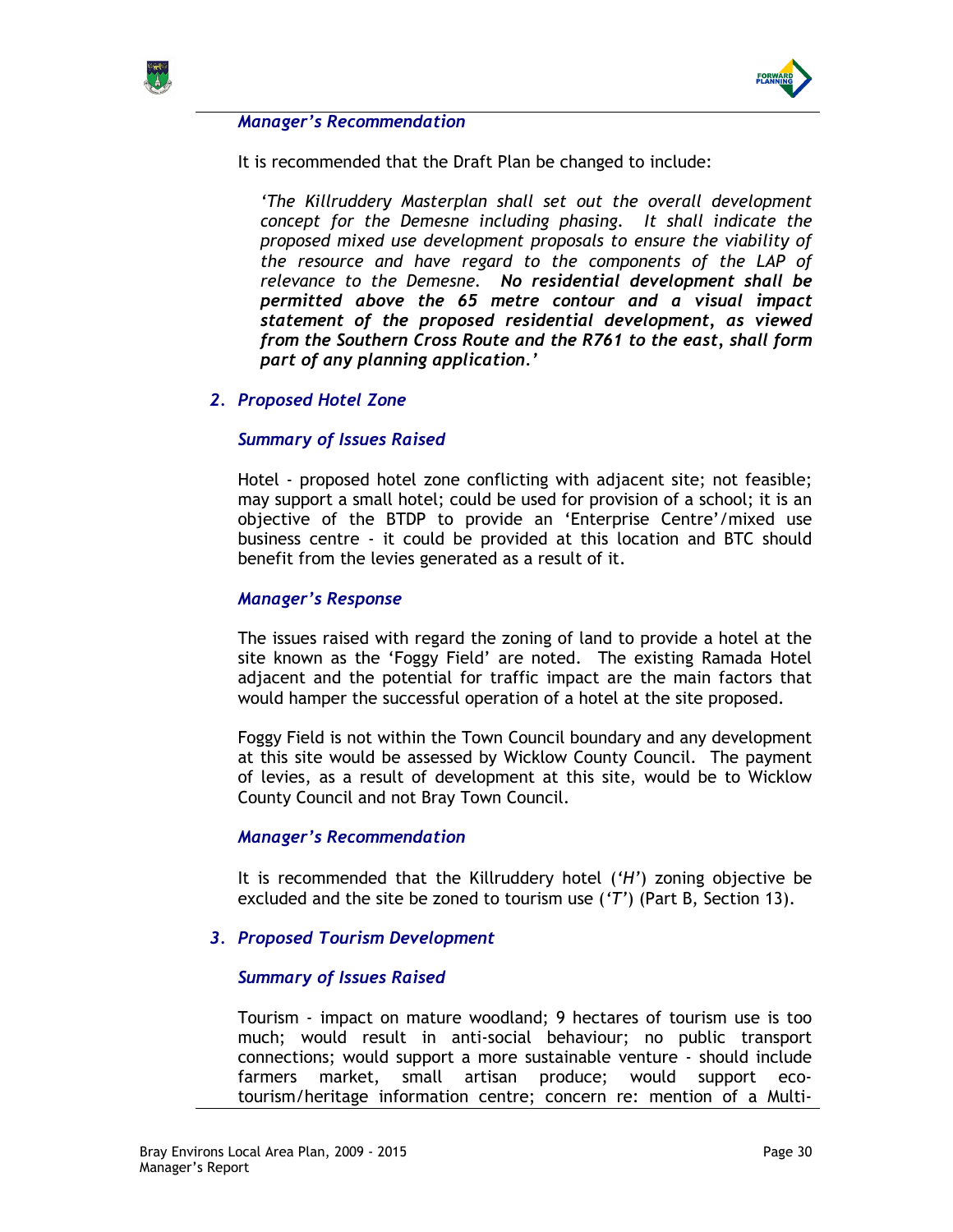



### Manager's Recommendation

It is recommended that the Draft Plan be changed to include:

'The Killruddery Masterplan shall set out the overall development concept for the Demesne including phasing. It shall indicate the proposed mixed use development proposals to ensure the viability of the resource and have regard to the components of the LAP of relevance to the Demesne. No residential development shall be permitted above the 65 metre contour and a visual impact statement of the proposed residential development, as viewed from the Southern Cross Route and the R761 to the east, shall form part of any planning application.'

## 2. Proposed Hotel Zone

## Summary of Issues Raised

Hotel - proposed hotel zone conflicting with adjacent site; not feasible; may support a small hotel; could be used for provision of a school; it is an objective of the BTDP to provide an 'Enterprise Centre'/mixed use business centre - it could be provided at this location and BTC should benefit from the levies generated as a result of it.

## Manager's Response

The issues raised with regard the zoning of land to provide a hotel at the site known as the 'Foggy Field' are noted. The existing Ramada Hotel adjacent and the potential for traffic impact are the main factors that would hamper the successful operation of a hotel at the site proposed.

Foggy Field is not within the Town Council boundary and any development at this site would be assessed by Wicklow County Council. The payment of levies, as a result of development at this site, would be to Wicklow County Council and not Bray Town Council.

### Manager's Recommendation

It is recommended that the Killruddery hotel ('H') zoning objective be excluded and the site be zoned to tourism use  $(T')$  (Part B, Section 13).

## 3. Proposed Tourism Development

### Summary of Issues Raised

Tourism - impact on mature woodland; 9 hectares of tourism use is too much; would result in anti-social behaviour; no public transport connections; would support a more sustainable venture - should include farmers market, small artisan produce; would support ecotourism/heritage information centre; concern re: mention of a Multi-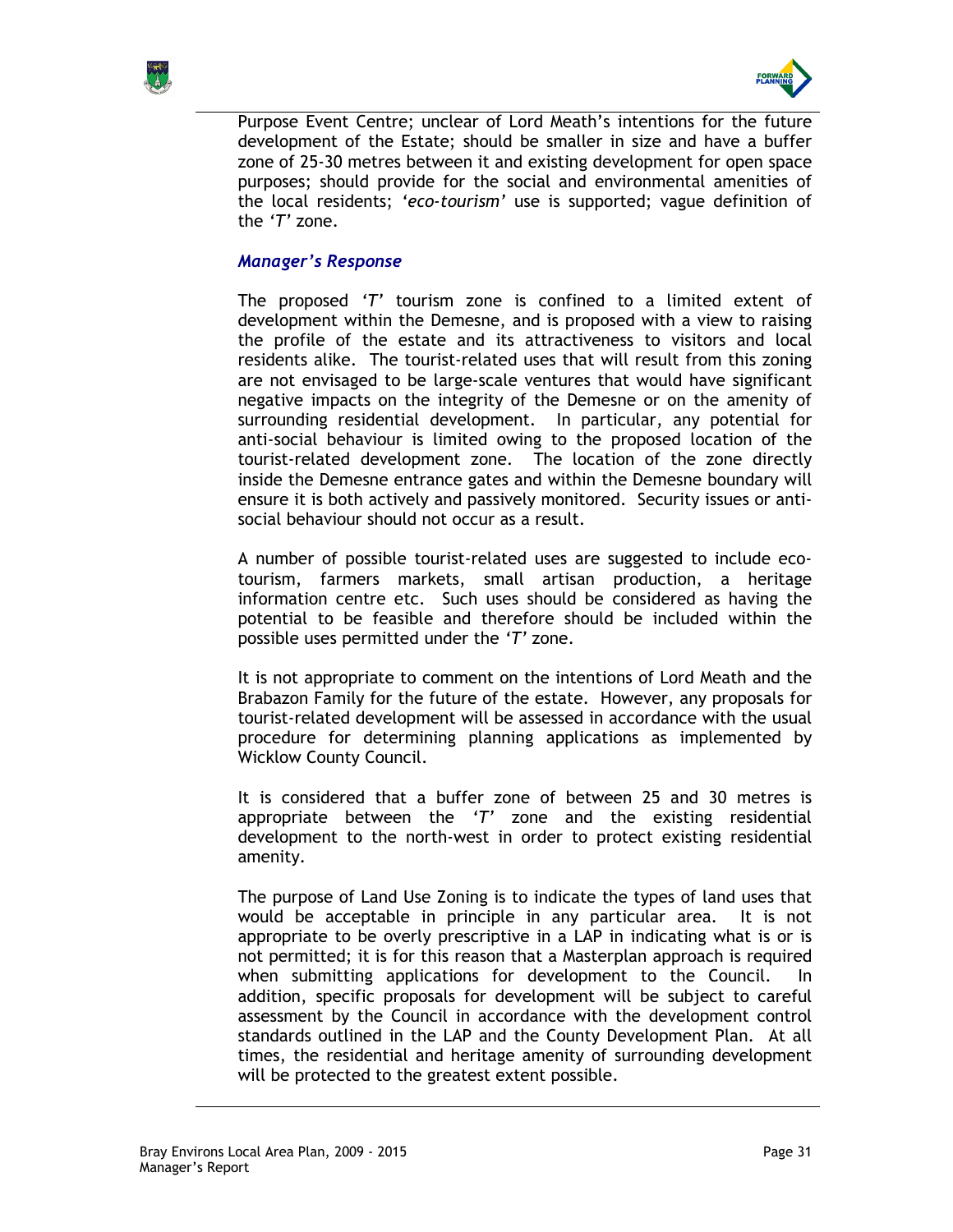



Purpose Event Centre; unclear of Lord Meath's intentions for the future development of the Estate; should be smaller in size and have a buffer zone of 25-30 metres between it and existing development for open space purposes; should provide for the social and environmental amenities of the local residents; 'eco-tourism' use is supported; vague definition of the 'T' zone.

## Manager's Response

The proposed 'T' tourism zone is confined to a limited extent of development within the Demesne, and is proposed with a view to raising the profile of the estate and its attractiveness to visitors and local residents alike. The tourist-related uses that will result from this zoning are not envisaged to be large-scale ventures that would have significant negative impacts on the integrity of the Demesne or on the amenity of surrounding residential development. In particular, any potential for anti-social behaviour is limited owing to the proposed location of the tourist-related development zone. The location of the zone directly inside the Demesne entrance gates and within the Demesne boundary will ensure it is both actively and passively monitored. Security issues or antisocial behaviour should not occur as a result.

A number of possible tourist-related uses are suggested to include ecotourism, farmers markets, small artisan production, a heritage information centre etc. Such uses should be considered as having the potential to be feasible and therefore should be included within the possible uses permitted under the 'T' zone.

It is not appropriate to comment on the intentions of Lord Meath and the Brabazon Family for the future of the estate. However, any proposals for tourist-related development will be assessed in accordance with the usual procedure for determining planning applications as implemented by Wicklow County Council.

It is considered that a buffer zone of between 25 and 30 metres is appropriate between the  $T'$  zone and the existing residential development to the north-west in order to protect existing residential amenity.

The purpose of Land Use Zoning is to indicate the types of land uses that would be acceptable in principle in any particular area. It is not appropriate to be overly prescriptive in a LAP in indicating what is or is not permitted; it is for this reason that a Masterplan approach is required when submitting applications for development to the Council. In addition, specific proposals for development will be subject to careful assessment by the Council in accordance with the development control standards outlined in the LAP and the County Development Plan. At all times, the residential and heritage amenity of surrounding development will be protected to the greatest extent possible.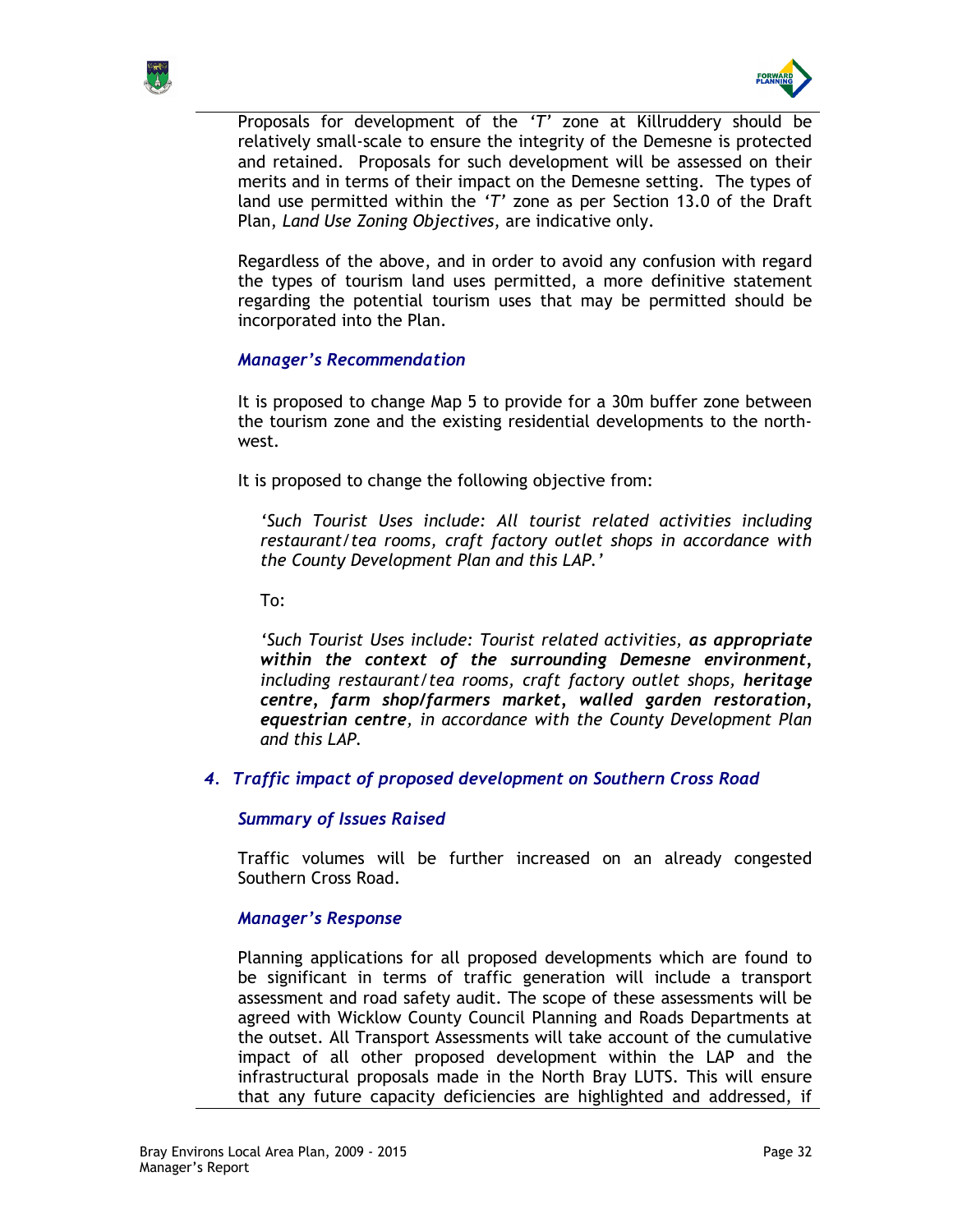



Proposals for development of the 'T' zone at Killruddery should be relatively small-scale to ensure the integrity of the Demesne is protected and retained. Proposals for such development will be assessed on their merits and in terms of their impact on the Demesne setting. The types of land use permitted within the ' $T'$  zone as per Section 13.0 of the Draft Plan, Land Use Zoning Objectives, are indicative only.

Regardless of the above, and in order to avoid any confusion with regard the types of tourism land uses permitted, a more definitive statement regarding the potential tourism uses that may be permitted should be incorporated into the Plan.

## Manager's Recommendation

It is proposed to change Map 5 to provide for a 30m buffer zone between the tourism zone and the existing residential developments to the northwest.

It is proposed to change the following objective from:

'Such Tourist Uses include: All tourist related activities including restaurant/tea rooms, craft factory outlet shops in accordance with the County Development Plan and this LAP.'

To:

'Such Tourist Uses include: Tourist related activities, as appropriate within the context of the surrounding Demesne environment, including restaurant/tea rooms, craft factory outlet shops, heritage centre, farm shop/farmers market, walled garden restoration, equestrian centre, in accordance with the County Development Plan and this LAP.

4. Traffic impact of proposed development on Southern Cross Road

## Summary of Issues Raised

Traffic volumes will be further increased on an already congested Southern Cross Road.

## Manager's Response

Planning applications for all proposed developments which are found to be significant in terms of traffic generation will include a transport assessment and road safety audit. The scope of these assessments will be agreed with Wicklow County Council Planning and Roads Departments at the outset. All Transport Assessments will take account of the cumulative impact of all other proposed development within the LAP and the infrastructural proposals made in the North Bray LUTS. This will ensure that any future capacity deficiencies are highlighted and addressed, if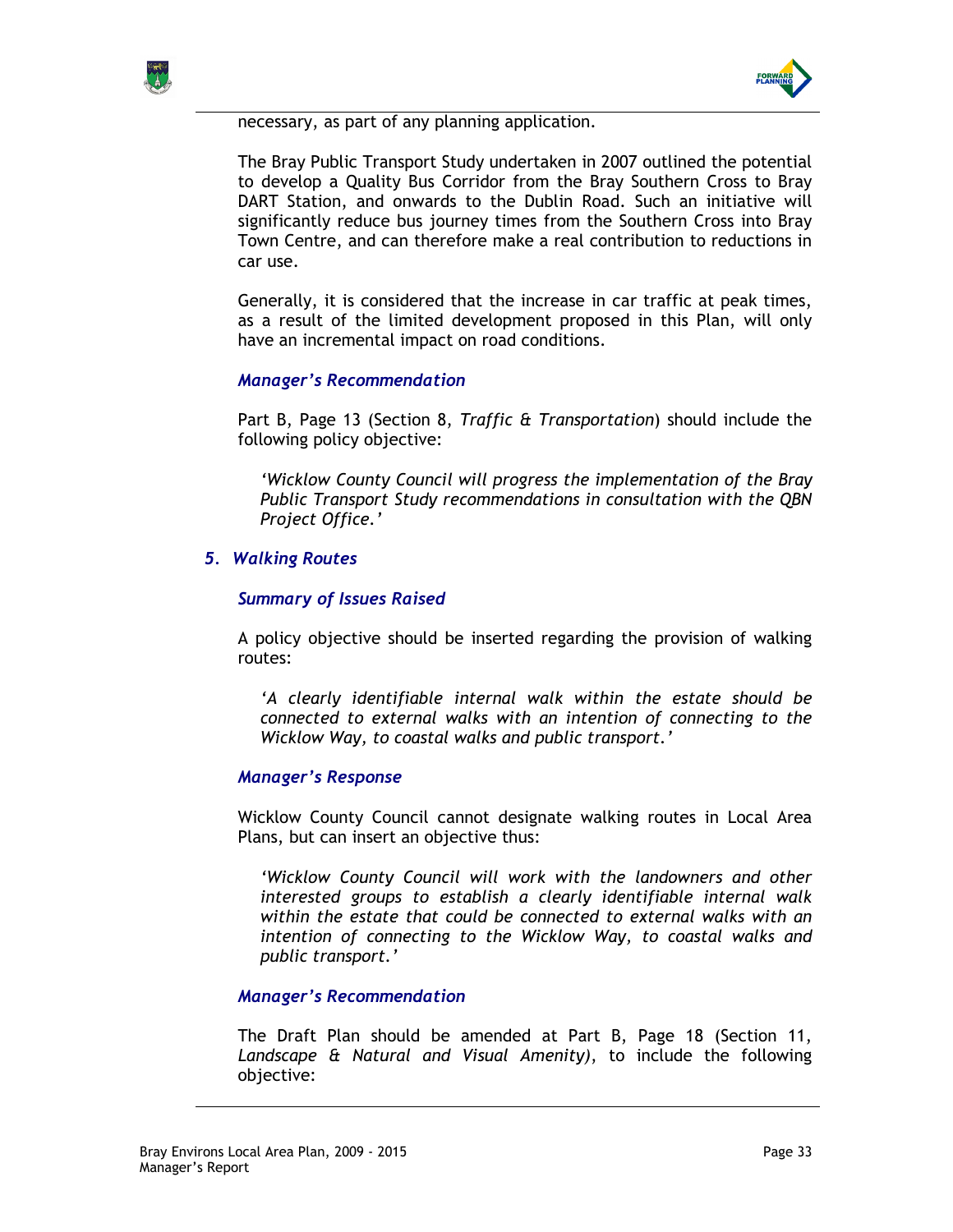



necessary, as part of any planning application.

The Bray Public Transport Study undertaken in 2007 outlined the potential to develop a Quality Bus Corridor from the Bray Southern Cross to Bray DART Station, and onwards to the Dublin Road. Such an initiative will significantly reduce bus journey times from the Southern Cross into Bray Town Centre, and can therefore make a real contribution to reductions in car use.

Generally, it is considered that the increase in car traffic at peak times, as a result of the limited development proposed in this Plan, will only have an incremental impact on road conditions.

## Manager's Recommendation

Part B, Page 13 (Section 8, Traffic & Transportation) should include the following policy objective:

'Wicklow County Council will progress the implementation of the Bray Public Transport Study recommendations in consultation with the QBN Project Office.'

## 5. Walking Routes

## Summary of Issues Raised

A policy objective should be inserted regarding the provision of walking routes:

'A clearly identifiable internal walk within the estate should be connected to external walks with an intention of connecting to the Wicklow Way, to coastal walks and public transport.'

### Manager's Response

Wicklow County Council cannot designate walking routes in Local Area Plans, but can insert an objective thus:

'Wicklow County Council will work with the landowners and other interested groups to establish a clearly identifiable internal walk within the estate that could be connected to external walks with an intention of connecting to the Wicklow Way, to coastal walks and public transport.'

### Manager's Recommendation

The Draft Plan should be amended at Part B, Page 18 (Section 11, Landscape & Natural and Visual Amenity), to include the following objective: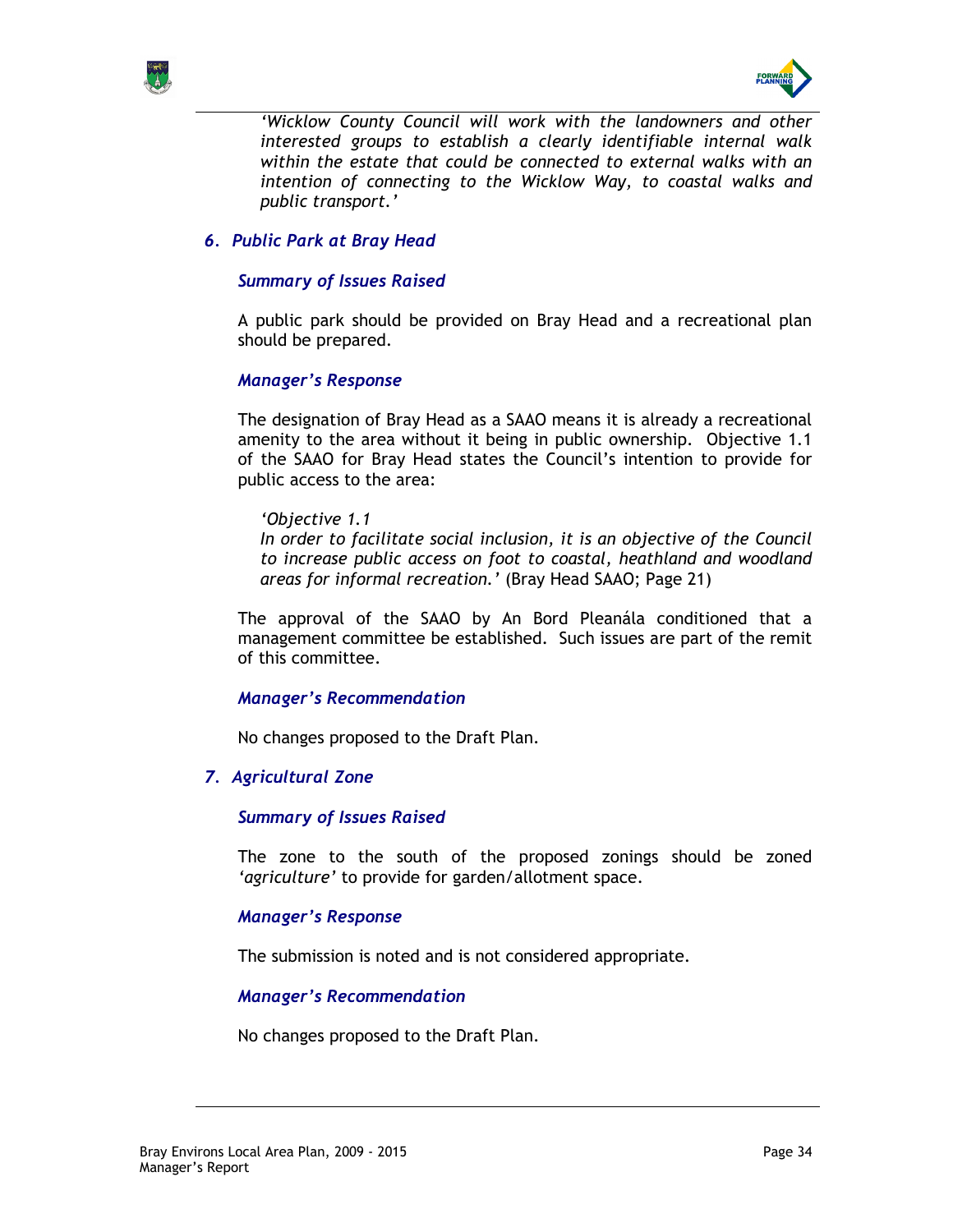



'Wicklow County Council will work with the landowners and other interested groups to establish a clearly identifiable internal walk within the estate that could be connected to external walks with an intention of connecting to the Wicklow Way, to coastal walks and public transport.'

## 6. Public Park at Bray Head

### Summary of Issues Raised

A public park should be provided on Bray Head and a recreational plan should be prepared.

### Manager's Response

The designation of Bray Head as a SAAO means it is already a recreational amenity to the area without it being in public ownership. Objective 1.1 of the SAAO for Bray Head states the Council's intention to provide for public access to the area:

'Objective 1.1 In order to facilitate social inclusion, it is an objective of the Council to increase public access on foot to coastal, heathland and woodland areas for informal recreation.' (Bray Head SAAO; Page 21)

The approval of the SAAO by An Bord Pleanála conditioned that a management committee be established. Such issues are part of the remit of this committee.

### Manager's Recommendation

No changes proposed to the Draft Plan.

### 7. Agricultural Zone

### Summary of Issues Raised

The zone to the south of the proposed zonings should be zoned 'agriculture' to provide for garden/allotment space.

### Manager's Response

The submission is noted and is not considered appropriate.

### Manager's Recommendation

No changes proposed to the Draft Plan.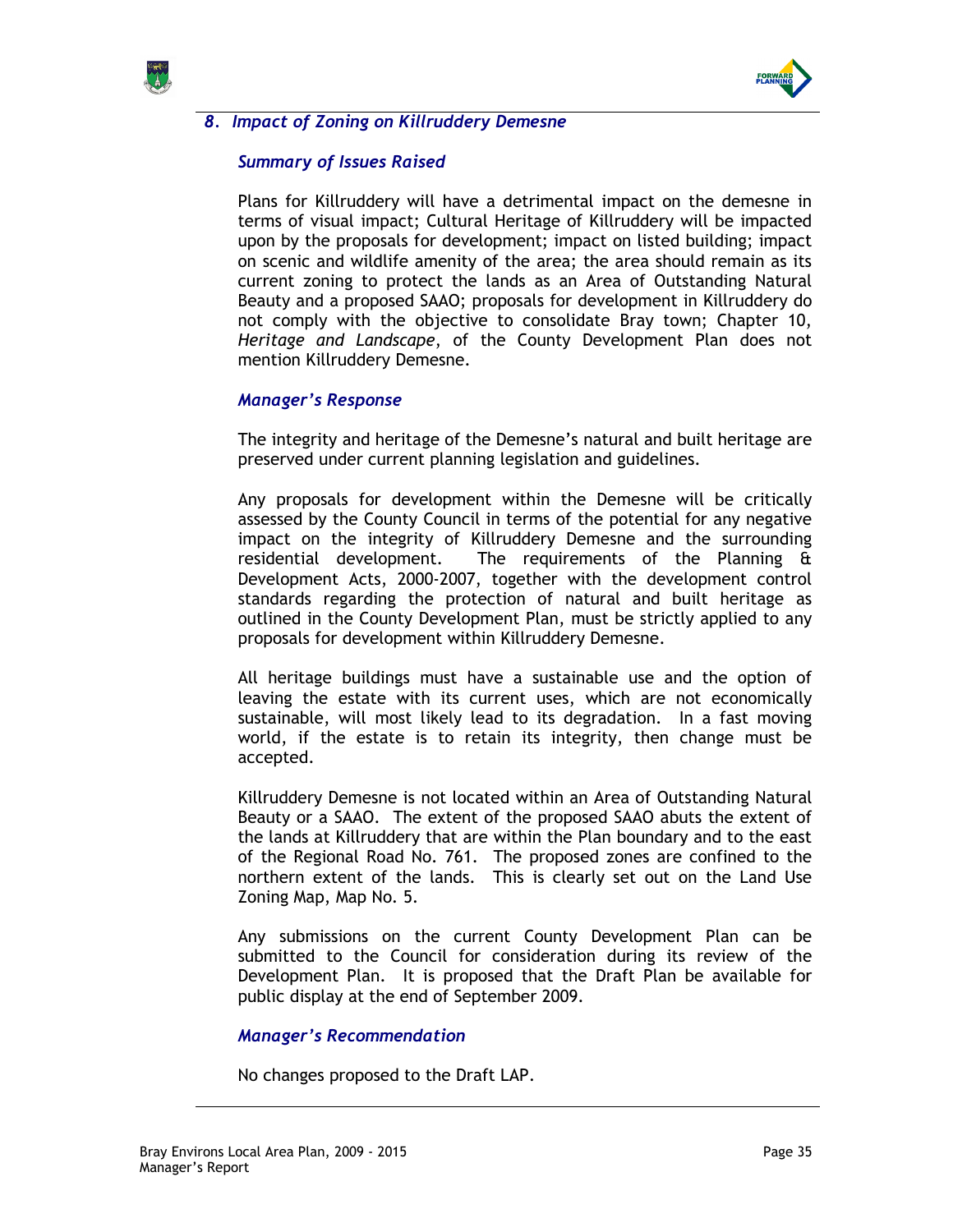



# 8. Impact of Zoning on Killruddery Demesne

## Summary of Issues Raised

Plans for Killruddery will have a detrimental impact on the demesne in terms of visual impact; Cultural Heritage of Killruddery will be impacted upon by the proposals for development; impact on listed building; impact on scenic and wildlife amenity of the area; the area should remain as its current zoning to protect the lands as an Area of Outstanding Natural Beauty and a proposed SAAO; proposals for development in Killruddery do not comply with the objective to consolidate Bray town; Chapter 10, Heritage and Landscape, of the County Development Plan does not mention Killruddery Demesne.

## Manager's Response

The integrity and heritage of the Demesne's natural and built heritage are preserved under current planning legislation and guidelines.

Any proposals for development within the Demesne will be critically assessed by the County Council in terms of the potential for any negative impact on the integrity of Killruddery Demesne and the surrounding residential development. The requirements of the Planning & Development Acts, 2000-2007, together with the development control standards regarding the protection of natural and built heritage as outlined in the County Development Plan, must be strictly applied to any proposals for development within Killruddery Demesne.

All heritage buildings must have a sustainable use and the option of leaving the estate with its current uses, which are not economically sustainable, will most likely lead to its degradation. In a fast moving world, if the estate is to retain its integrity, then change must be accepted.

Killruddery Demesne is not located within an Area of Outstanding Natural Beauty or a SAAO. The extent of the proposed SAAO abuts the extent of the lands at Killruddery that are within the Plan boundary and to the east of the Regional Road No. 761. The proposed zones are confined to the northern extent of the lands. This is clearly set out on the Land Use Zoning Map, Map No. 5.

Any submissions on the current County Development Plan can be submitted to the Council for consideration during its review of the Development Plan. It is proposed that the Draft Plan be available for public display at the end of September 2009.

### Manager's Recommendation

No changes proposed to the Draft LAP.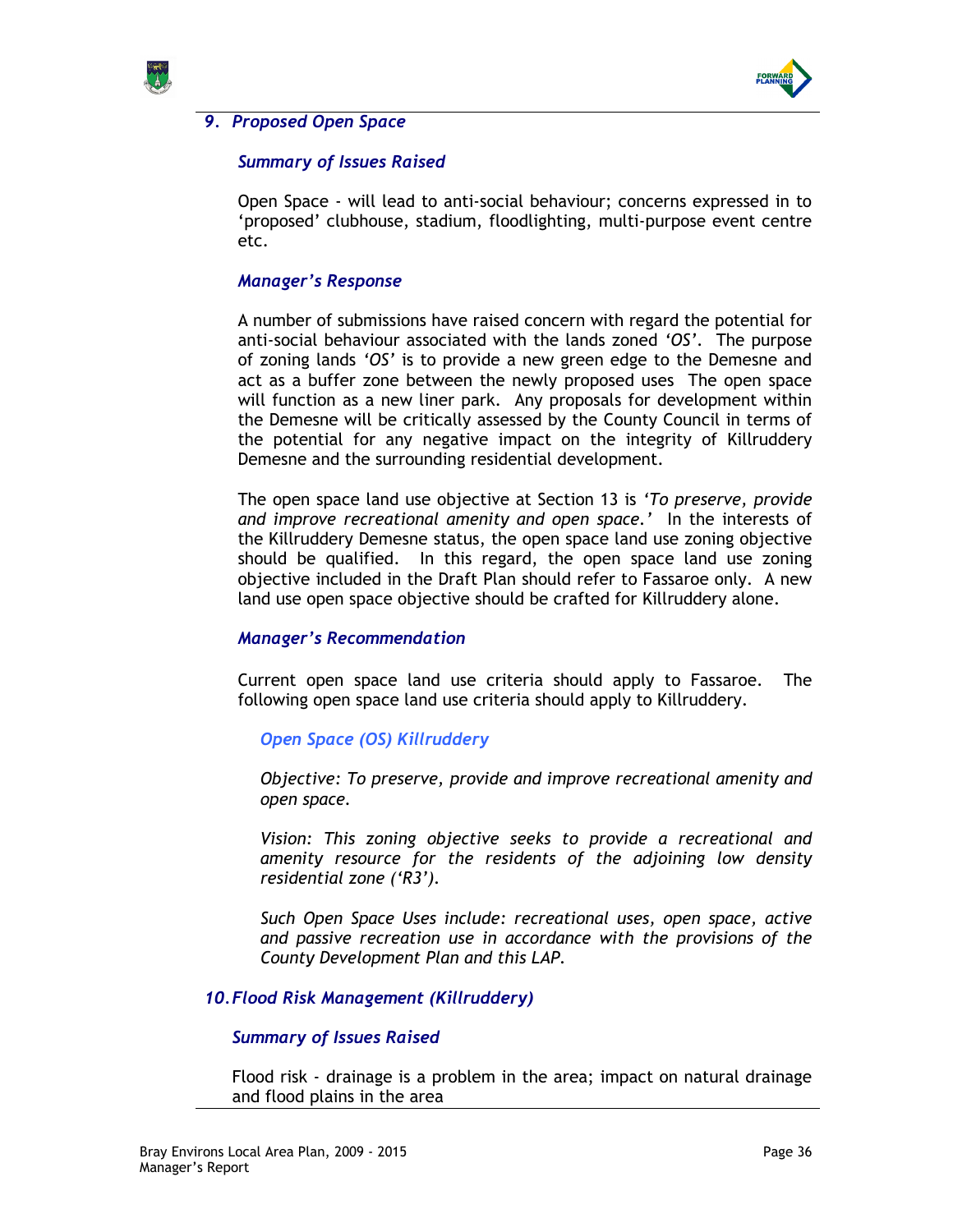



## 9. Proposed Open Space

## Summary of Issues Raised

Open Space - will lead to anti-social behaviour; concerns expressed in to 'proposed' clubhouse, stadium, floodlighting, multi-purpose event centre etc.

### Manager's Response

A number of submissions have raised concern with regard the potential for anti-social behaviour associated with the lands zoned 'OS'. The purpose of zoning lands 'OS' is to provide a new green edge to the Demesne and act as a buffer zone between the newly proposed uses The open space will function as a new liner park. Any proposals for development within the Demesne will be critically assessed by the County Council in terms of the potential for any negative impact on the integrity of Killruddery Demesne and the surrounding residential development.

The open space land use objective at Section 13 is 'To preserve, provide and improve recreational amenity and open space.' In the interests of the Killruddery Demesne status, the open space land use zoning objective should be qualified. In this regard, the open space land use zoning objective included in the Draft Plan should refer to Fassaroe only. A new land use open space objective should be crafted for Killruddery alone.

### Manager's Recommendation

Current open space land use criteria should apply to Fassaroe. The following open space land use criteria should apply to Killruddery.

### Open Space (OS) Killruddery

Objective: To preserve, provide and improve recreational amenity and open space.

Vision: This zoning objective seeks to provide a recreational and amenity resource for the residents of the adjoining low density residential zone ('R3').

Such Open Space Uses include: recreational uses, open space, active and passive recreation use in accordance with the provisions of the County Development Plan and this LAP.

### 10. Flood Risk Management (Killruddery)

#### Summary of Issues Raised

Flood risk - drainage is a problem in the area; impact on natural drainage and flood plains in the area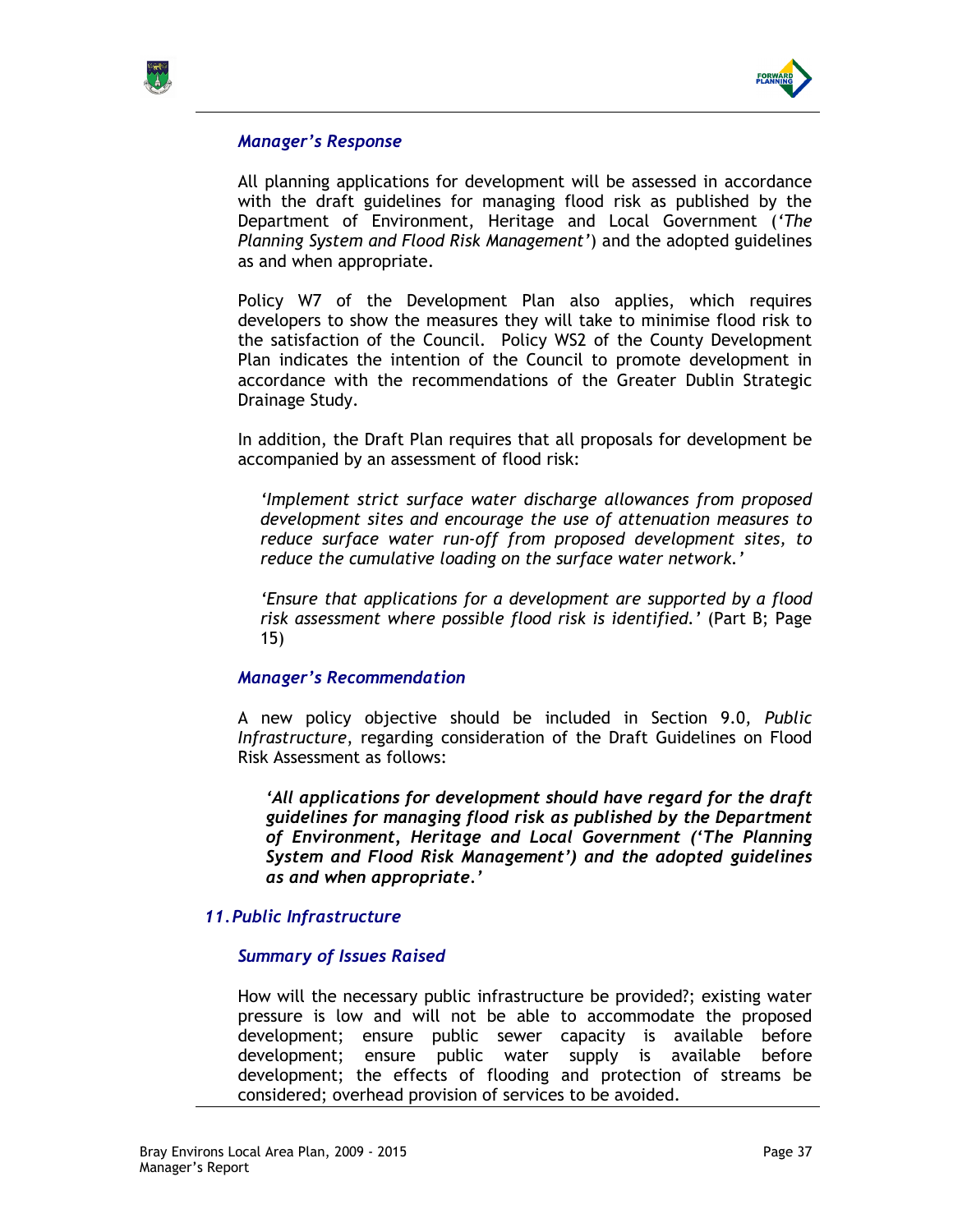



All planning applications for development will be assessed in accordance with the draft guidelines for managing flood risk as published by the Department of Environment, Heritage and Local Government ('The Planning System and Flood Risk Management') and the adopted guidelines as and when appropriate.

Policy W7 of the Development Plan also applies, which requires developers to show the measures they will take to minimise flood risk to the satisfaction of the Council. Policy WS2 of the County Development Plan indicates the intention of the Council to promote development in accordance with the recommendations of the Greater Dublin Strategic Drainage Study.

In addition, the Draft Plan requires that all proposals for development be accompanied by an assessment of flood risk:

'Implement strict surface water discharge allowances from proposed development sites and encourage the use of attenuation measures to reduce surface water run-off from proposed development sites, to reduce the cumulative loading on the surface water network.'

'Ensure that applications for a development are supported by a flood risk assessment where possible flood risk is identified.' (Part B; Page 15)

### Manager's Recommendation

A new policy objective should be included in Section 9.0, Public Infrastructure, regarding consideration of the Draft Guidelines on Flood Risk Assessment as follows:

'All applications for development should have regard for the draft guidelines for managing flood risk as published by the Department of Environment, Heritage and Local Government ('The Planning System and Flood Risk Management') and the adopted guidelines as and when appropriate.'

### 11. Public Infrastructure

### Summary of Issues Raised

How will the necessary public infrastructure be provided?; existing water pressure is low and will not be able to accommodate the proposed development; ensure public sewer capacity is available before development; ensure public water supply is available before development; the effects of flooding and protection of streams be considered; overhead provision of services to be avoided.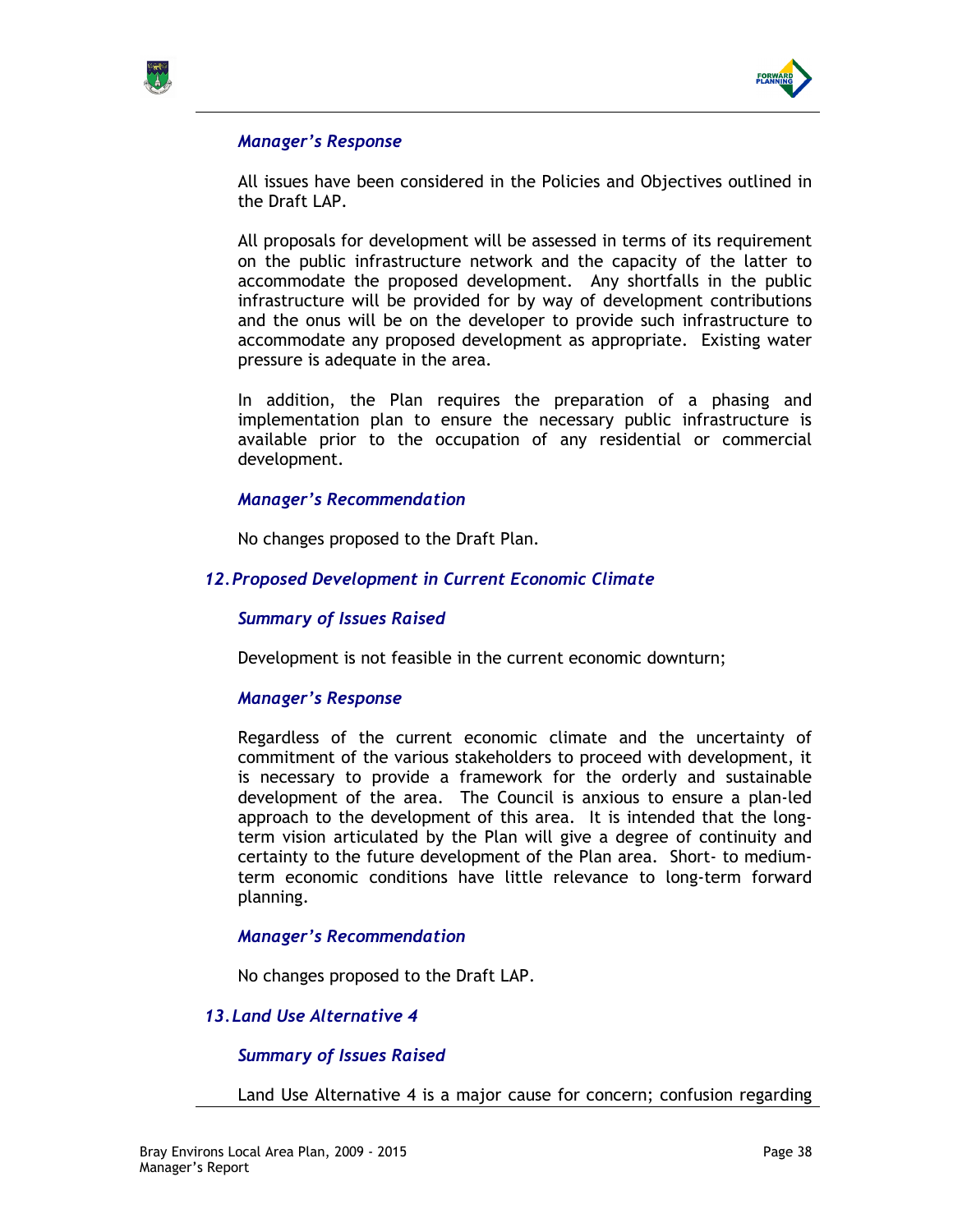



All issues have been considered in the Policies and Objectives outlined in the Draft LAP.

All proposals for development will be assessed in terms of its requirement on the public infrastructure network and the capacity of the latter to accommodate the proposed development. Any shortfalls in the public infrastructure will be provided for by way of development contributions and the onus will be on the developer to provide such infrastructure to accommodate any proposed development as appropriate. Existing water pressure is adequate in the area.

In addition, the Plan requires the preparation of a phasing and implementation plan to ensure the necessary public infrastructure is available prior to the occupation of any residential or commercial development.

### Manager's Recommendation

No changes proposed to the Draft Plan.

## 12. Proposed Development in Current Economic Climate

#### Summary of Issues Raised

Development is not feasible in the current economic downturn;

### Manager's Response

Regardless of the current economic climate and the uncertainty of commitment of the various stakeholders to proceed with development, it is necessary to provide a framework for the orderly and sustainable development of the area. The Council is anxious to ensure a plan-led approach to the development of this area. It is intended that the longterm vision articulated by the Plan will give a degree of continuity and certainty to the future development of the Plan area. Short- to mediumterm economic conditions have little relevance to long-term forward planning.

### Manager's Recommendation

No changes proposed to the Draft LAP.

### 13. Land Use Alternative 4

### Summary of Issues Raised

Land Use Alternative 4 is a major cause for concern; confusion regarding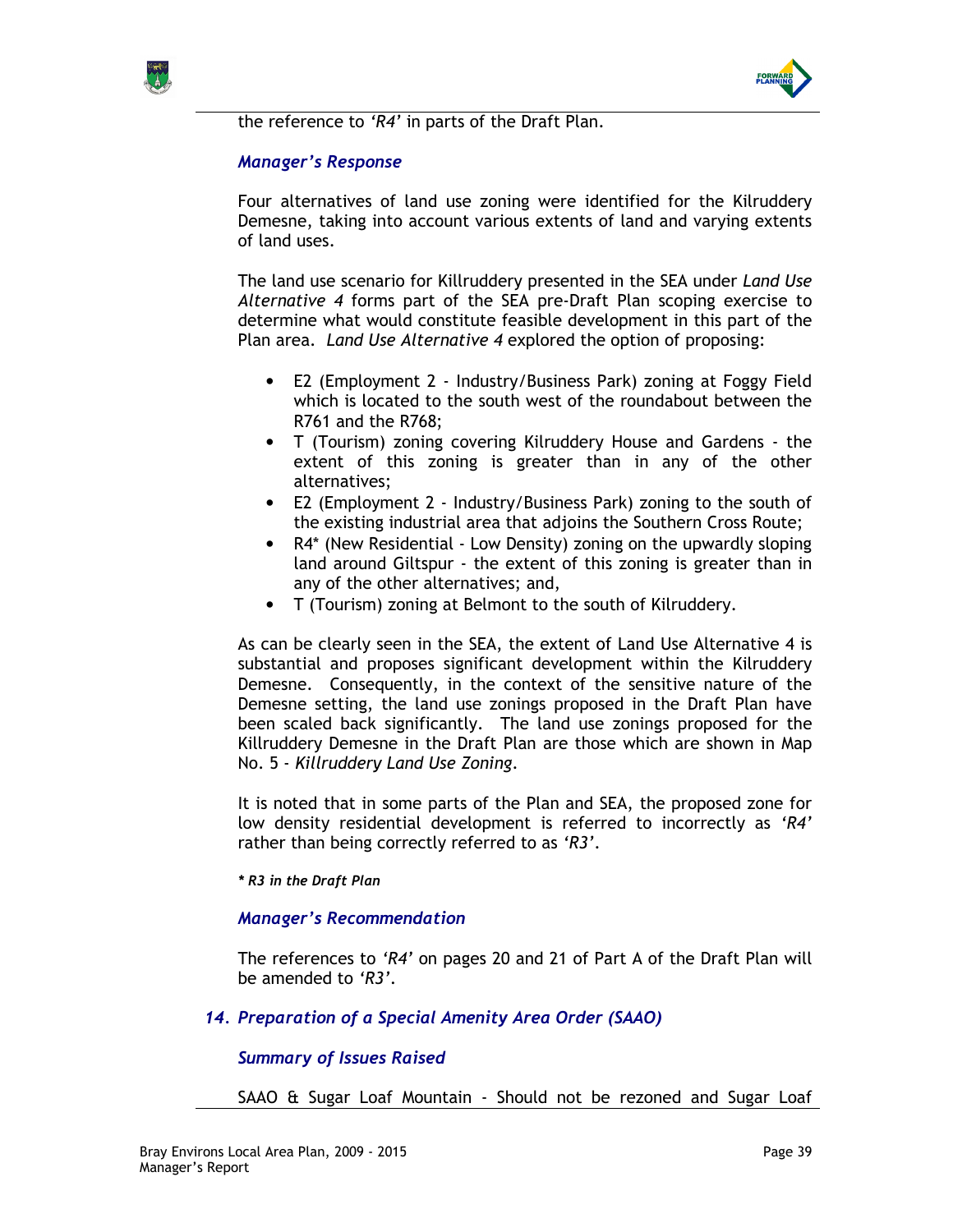



Four alternatives of land use zoning were identified for the Kilruddery Demesne, taking into account various extents of land and varying extents of land uses.

The land use scenario for Killruddery presented in the SEA under Land Use Alternative 4 forms part of the SEA pre-Draft Plan scoping exercise to determine what would constitute feasible development in this part of the Plan area. Land Use Alternative 4 explored the option of proposing:

- E2 (Employment 2 Industry/Business Park) zoning at Foggy Field which is located to the south west of the roundabout between the R761 and the R768;
- T (Tourism) zoning covering Kilruddery House and Gardens the extent of this zoning is greater than in any of the other alternatives;
- E2 (Employment 2 Industry/Business Park) zoning to the south of the existing industrial area that adjoins the Southern Cross Route;
- R4\* (New Residential Low Density) zoning on the upwardly sloping land around Giltspur - the extent of this zoning is greater than in any of the other alternatives; and,
- T (Tourism) zoning at Belmont to the south of Kilruddery.

As can be clearly seen in the SEA, the extent of Land Use Alternative 4 is substantial and proposes significant development within the Kilruddery Demesne. Consequently, in the context of the sensitive nature of the Demesne setting, the land use zonings proposed in the Draft Plan have been scaled back significantly. The land use zonings proposed for the Killruddery Demesne in the Draft Plan are those which are shown in Map No. 5 - Killruddery Land Use Zoning.

It is noted that in some parts of the Plan and SEA, the proposed zone for low density residential development is referred to incorrectly as 'R4' rather than being correctly referred to as 'R3'.

#### \* R3 in the Draft Plan

### Manager's Recommendation

The references to 'R4' on pages 20 and 21 of Part A of the Draft Plan will be amended to 'R3'.

## 14. Preparation of a Special Amenity Area Order (SAAO)

## Summary of Issues Raised

SAAO & Sugar Loaf Mountain - Should not be rezoned and Sugar Loaf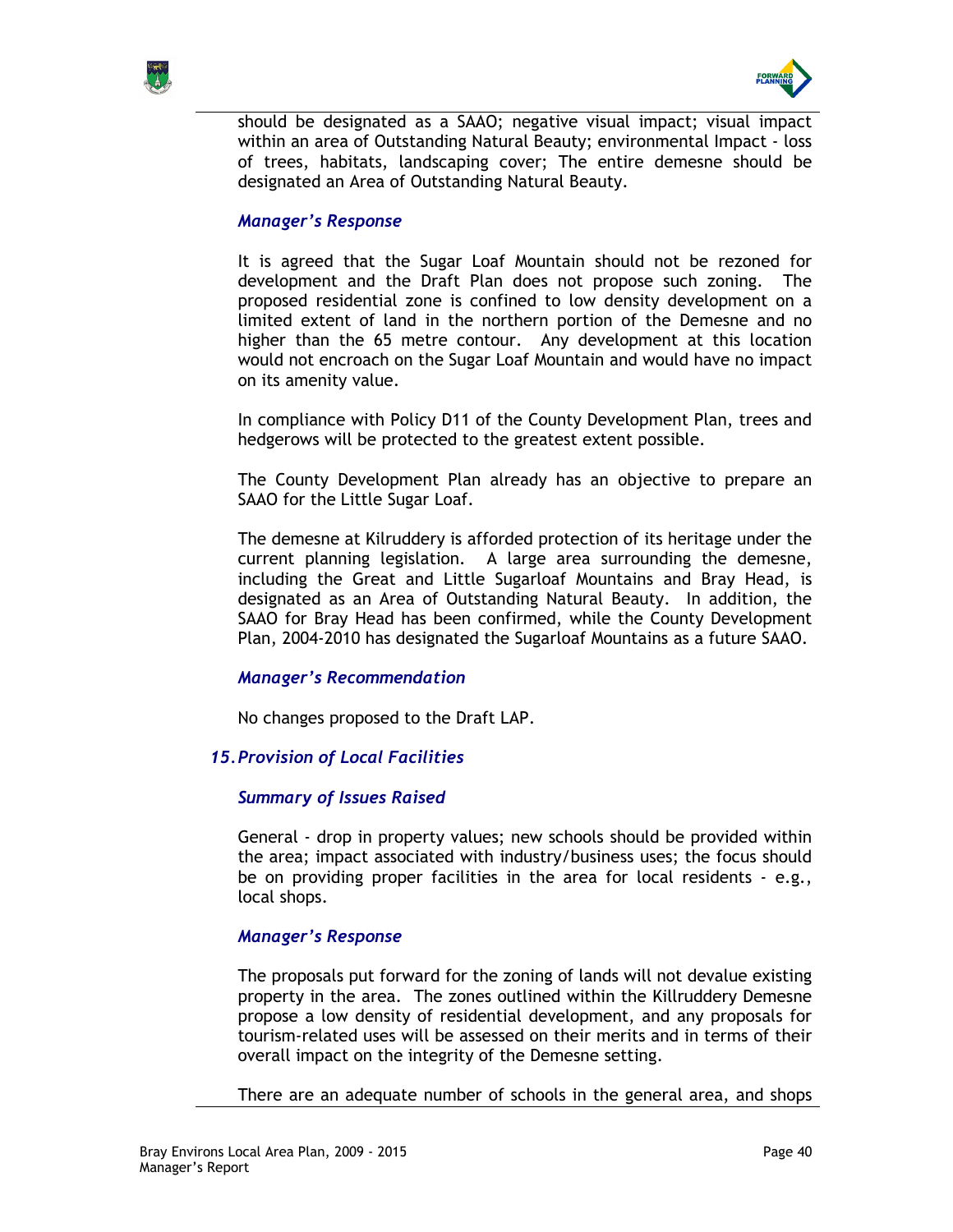



should be designated as a SAAO; negative visual impact; visual impact within an area of Outstanding Natural Beauty; environmental Impact - loss of trees, habitats, landscaping cover; The entire demesne should be designated an Area of Outstanding Natural Beauty.

## Manager's Response

It is agreed that the Sugar Loaf Mountain should not be rezoned for development and the Draft Plan does not propose such zoning. The proposed residential zone is confined to low density development on a limited extent of land in the northern portion of the Demesne and no higher than the 65 metre contour. Any development at this location would not encroach on the Sugar Loaf Mountain and would have no impact on its amenity value.

In compliance with Policy D11 of the County Development Plan, trees and hedgerows will be protected to the greatest extent possible.

The County Development Plan already has an objective to prepare an SAAO for the Little Sugar Loaf.

The demesne at Kilruddery is afforded protection of its heritage under the current planning legislation. A large area surrounding the demesne, including the Great and Little Sugarloaf Mountains and Bray Head, is designated as an Area of Outstanding Natural Beauty. In addition, the SAAO for Bray Head has been confirmed, while the County Development Plan, 2004-2010 has designated the Sugarloaf Mountains as a future SAAO.

### Manager's Recommendation

No changes proposed to the Draft LAP.

## 15. Provision of Local Facilities

### Summary of Issues Raised

General - drop in property values; new schools should be provided within the area; impact associated with industry/business uses; the focus should be on providing proper facilities in the area for local residents - e.g., local shops.

### Manager's Response

The proposals put forward for the zoning of lands will not devalue existing property in the area. The zones outlined within the Killruddery Demesne propose a low density of residential development, and any proposals for tourism-related uses will be assessed on their merits and in terms of their overall impact on the integrity of the Demesne setting.

There are an adequate number of schools in the general area, and shops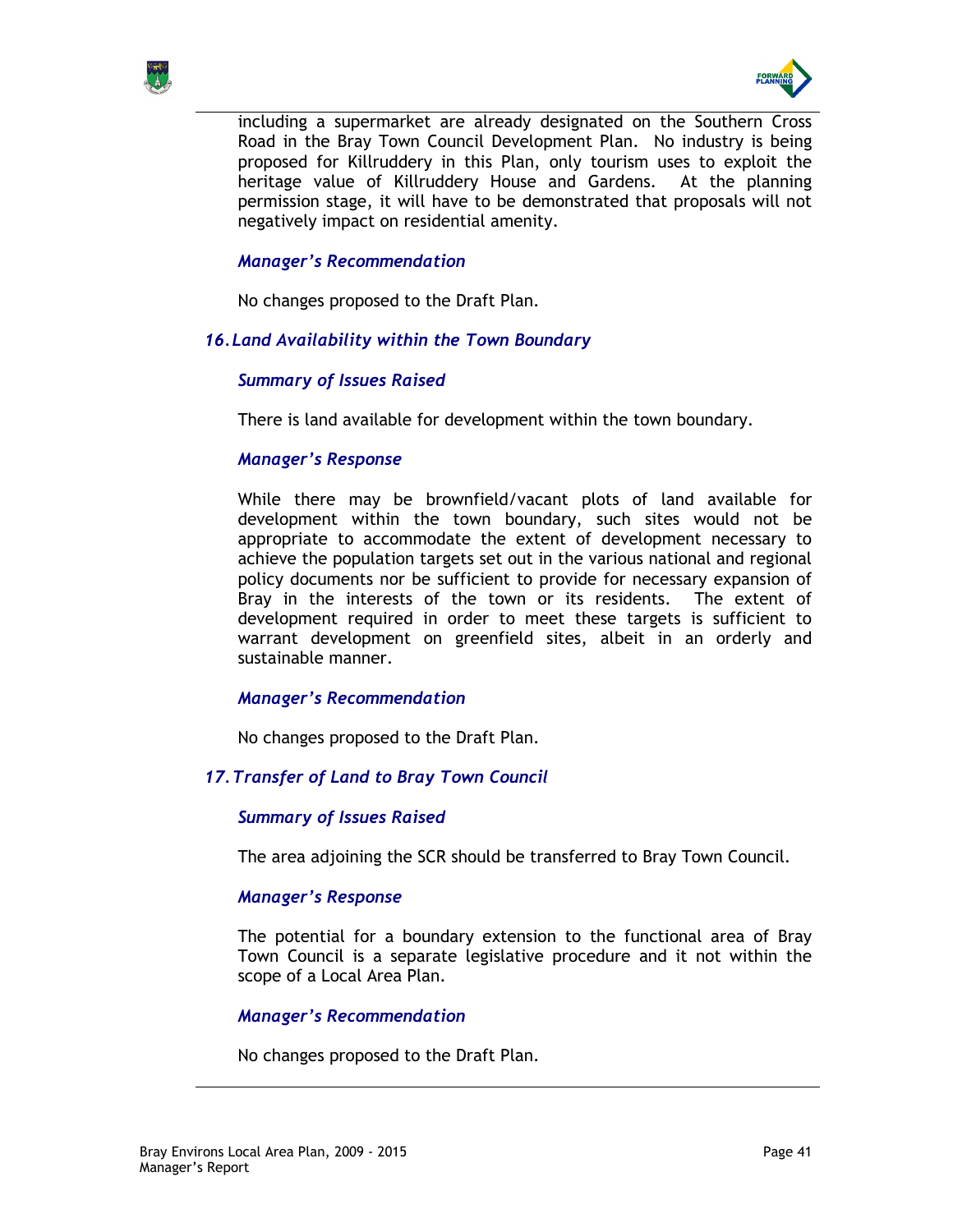



including a supermarket are already designated on the Southern Cross Road in the Bray Town Council Development Plan. No industry is being proposed for Killruddery in this Plan, only tourism uses to exploit the heritage value of Killruddery House and Gardens. At the planning permission stage, it will have to be demonstrated that proposals will not negatively impact on residential amenity.

## Manager's Recommendation

No changes proposed to the Draft Plan.

## 16. Land Availability within the Town Boundary

## Summary of Issues Raised

There is land available for development within the town boundary.

### Manager's Response

While there may be brownfield/vacant plots of land available for development within the town boundary, such sites would not be appropriate to accommodate the extent of development necessary to achieve the population targets set out in the various national and regional policy documents nor be sufficient to provide for necessary expansion of Bray in the interests of the town or its residents. The extent of development required in order to meet these targets is sufficient to warrant development on greenfield sites, albeit in an orderly and sustainable manner.

### Manager's Recommendation

No changes proposed to the Draft Plan.

## 17. Transfer of Land to Bray Town Council

### Summary of Issues Raised

The area adjoining the SCR should be transferred to Bray Town Council.

### Manager's Response

The potential for a boundary extension to the functional area of Bray Town Council is a separate legislative procedure and it not within the scope of a Local Area Plan.

### Manager's Recommendation

No changes proposed to the Draft Plan.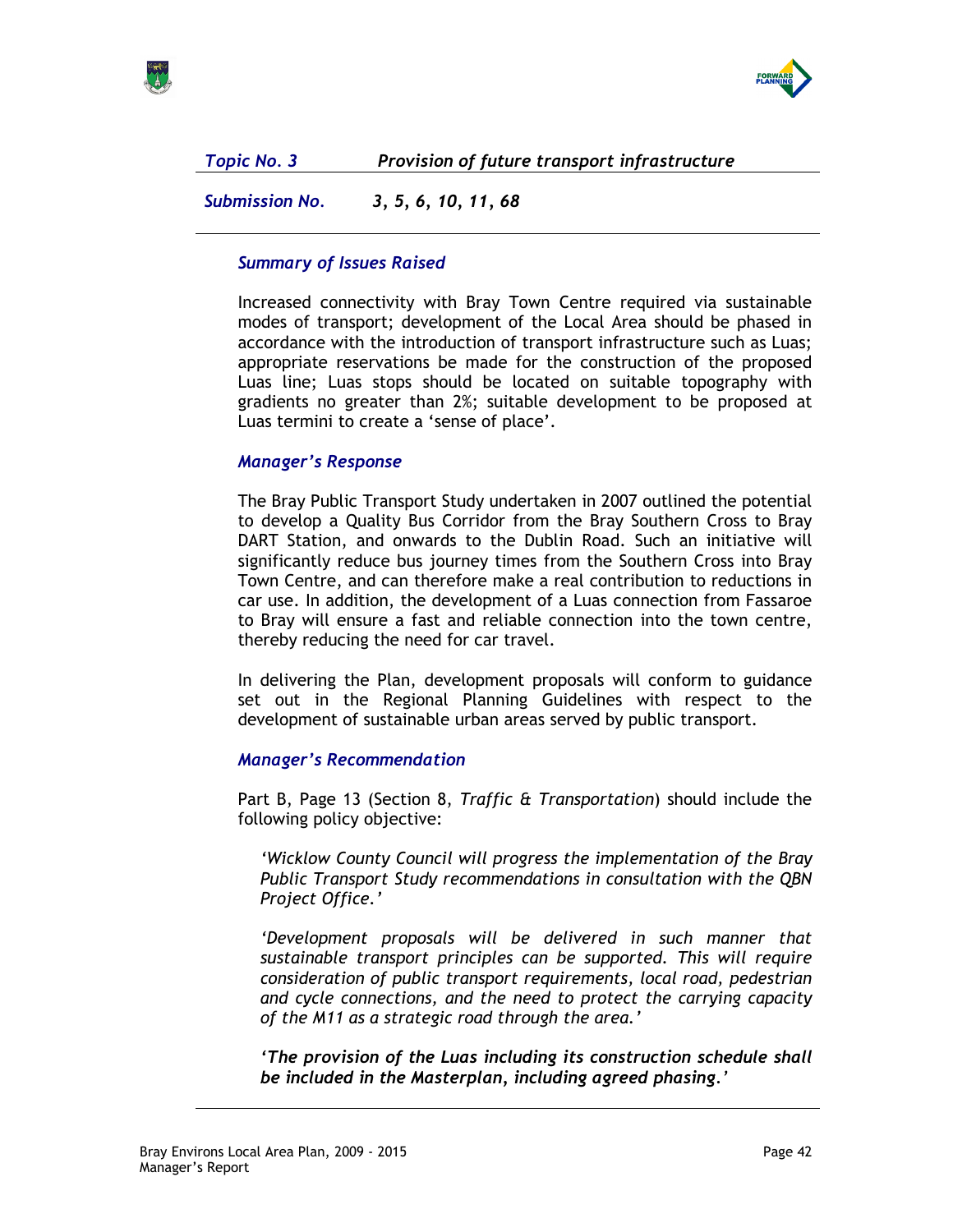

Topic No. 3 Provision of future transport infrastructure

Submission No. 3, 5, 6, 10, 11, 68

# Summary of Issues Raised

Increased connectivity with Bray Town Centre required via sustainable modes of transport; development of the Local Area should be phased in accordance with the introduction of transport infrastructure such as Luas; appropriate reservations be made for the construction of the proposed Luas line; Luas stops should be located on suitable topography with gradients no greater than 2%; suitable development to be proposed at Luas termini to create a 'sense of place'.

# Manager's Response

The Bray Public Transport Study undertaken in 2007 outlined the potential to develop a Quality Bus Corridor from the Bray Southern Cross to Bray DART Station, and onwards to the Dublin Road. Such an initiative will significantly reduce bus journey times from the Southern Cross into Bray Town Centre, and can therefore make a real contribution to reductions in car use. In addition, the development of a Luas connection from Fassaroe to Bray will ensure a fast and reliable connection into the town centre, thereby reducing the need for car travel.

In delivering the Plan, development proposals will conform to guidance set out in the Regional Planning Guidelines with respect to the development of sustainable urban areas served by public transport.

# Manager's Recommendation

Part B, Page 13 (Section 8, Traffic & Transportation) should include the following policy objective:

'Wicklow County Council will progress the implementation of the Bray Public Transport Study recommendations in consultation with the QBN Project Office.'

'Development proposals will be delivered in such manner that sustainable transport principles can be supported. This will require consideration of public transport requirements, local road, pedestrian and cycle connections, and the need to protect the carrying capacity of the M11 as a strategic road through the area.'

'The provision of the Luas including its construction schedule shall be included in the Masterplan, including agreed phasing.'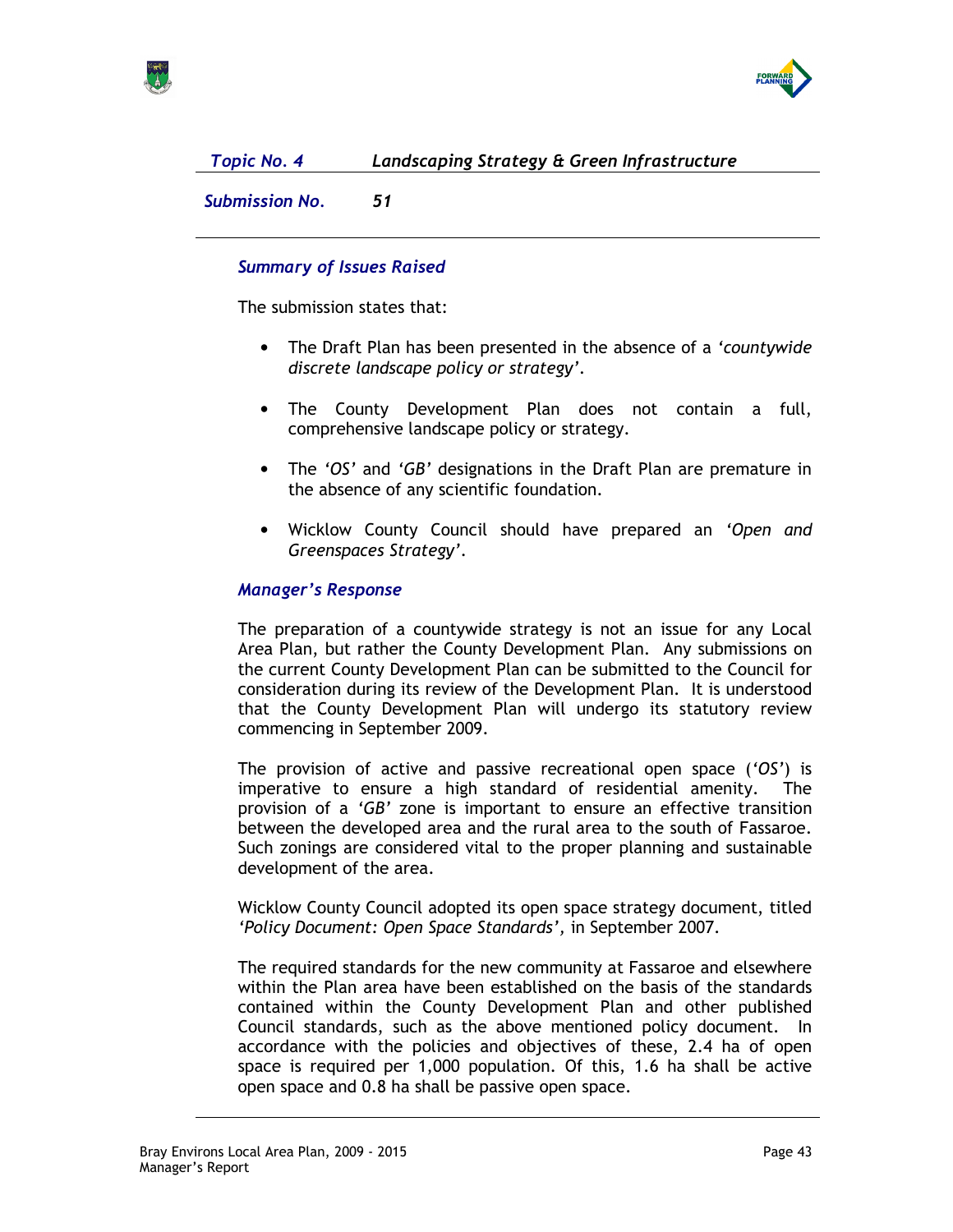

# Topic No. 4 Landscaping Strategy & Green Infrastructure

Submission No. 51

## Summary of Issues Raised

The submission states that:

- The Draft Plan has been presented in the absence of a *'countywide* discrete landscape policy or strategy'.
- The County Development Plan does not contain a full, comprehensive landscape policy or strategy.
- The 'OS' and 'GB' designations in the Draft Plan are premature in the absence of any scientific foundation.
- Wicklow County Council should have prepared an 'Open and Greenspaces Strategy'.

## Manager's Response

The preparation of a countywide strategy is not an issue for any Local Area Plan, but rather the County Development Plan. Any submissions on the current County Development Plan can be submitted to the Council for consideration during its review of the Development Plan. It is understood that the County Development Plan will undergo its statutory review commencing in September 2009.

The provision of active and passive recreational open space ('OS') is imperative to ensure a high standard of residential amenity. The provision of a 'GB' zone is important to ensure an effective transition between the developed area and the rural area to the south of Fassaroe. Such zonings are considered vital to the proper planning and sustainable development of the area.

Wicklow County Council adopted its open space strategy document, titled 'Policy Document: Open Space Standards', in September 2007.

The required standards for the new community at Fassaroe and elsewhere within the Plan area have been established on the basis of the standards contained within the County Development Plan and other published Council standards, such as the above mentioned policy document. In accordance with the policies and objectives of these, 2.4 ha of open space is required per 1,000 population. Of this, 1.6 ha shall be active open space and 0.8 ha shall be passive open space.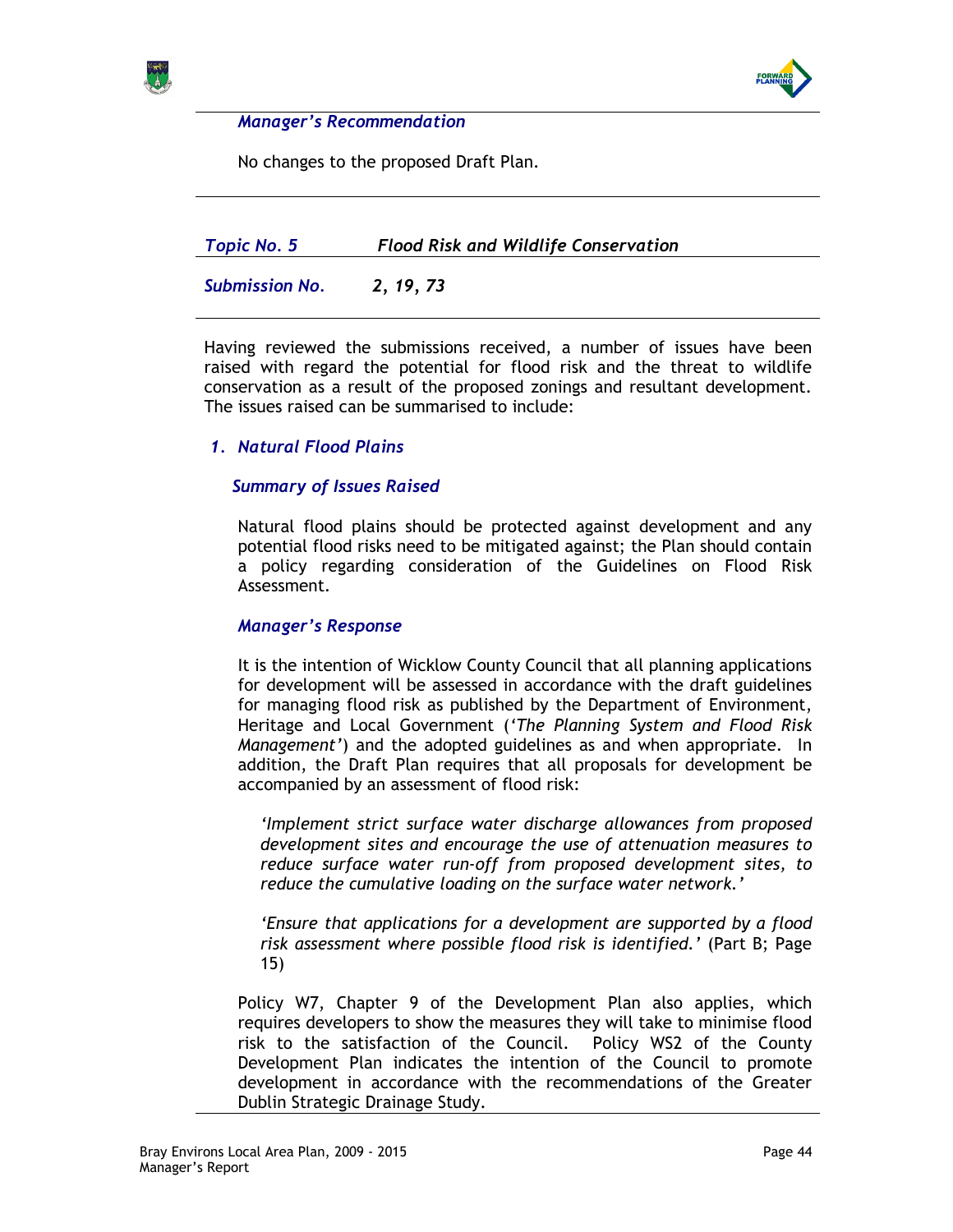



No changes to the proposed Draft Plan.

| Topic No. 5           | <b>Flood Risk and Wildlife Conservation</b> |
|-----------------------|---------------------------------------------|
| <b>Submission No.</b> | 2, 19, 73                                   |

Having reviewed the submissions received, a number of issues have been raised with regard the potential for flood risk and the threat to wildlife conservation as a result of the proposed zonings and resultant development. The issues raised can be summarised to include:

## 1. Natural Flood Plains

## Summary of Issues Raised

Natural flood plains should be protected against development and any potential flood risks need to be mitigated against; the Plan should contain a policy regarding consideration of the Guidelines on Flood Risk Assessment.

### Manager's Response

It is the intention of Wicklow County Council that all planning applications for development will be assessed in accordance with the draft guidelines for managing flood risk as published by the Department of Environment, Heritage and Local Government ('The Planning System and Flood Risk Management') and the adopted guidelines as and when appropriate. In addition, the Draft Plan requires that all proposals for development be accompanied by an assessment of flood risk:

'Implement strict surface water discharge allowances from proposed development sites and encourage the use of attenuation measures to reduce surface water run-off from proposed development sites, to reduce the cumulative loading on the surface water network.'

'Ensure that applications for a development are supported by a flood risk assessment where possible flood risk is identified.' (Part B; Page 15)

Policy W7, Chapter 9 of the Development Plan also applies, which requires developers to show the measures they will take to minimise flood risk to the satisfaction of the Council. Policy WS2 of the County Development Plan indicates the intention of the Council to promote development in accordance with the recommendations of the Greater Dublin Strategic Drainage Study.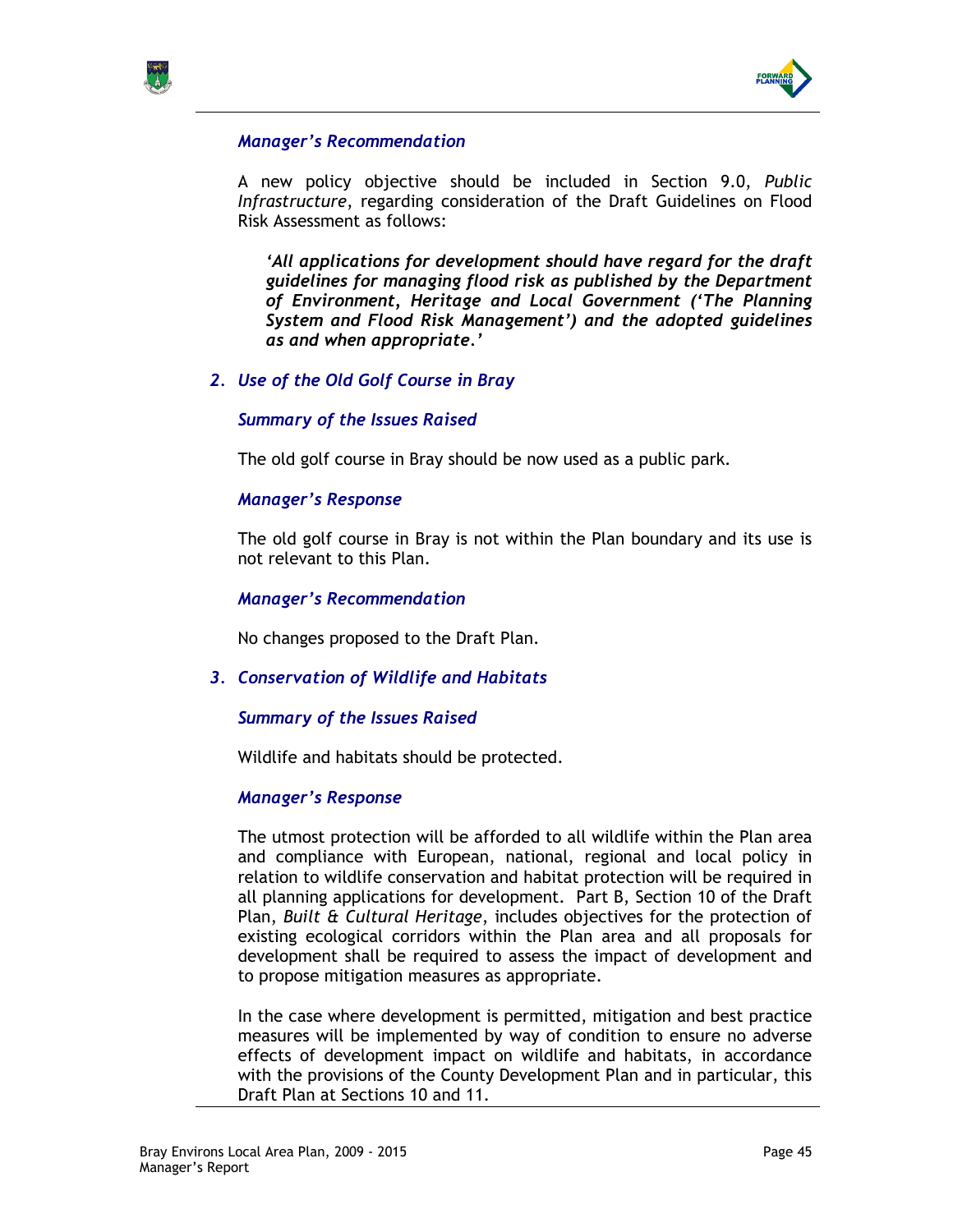



A new policy objective should be included in Section 9.0, Public Infrastructure, regarding consideration of the Draft Guidelines on Flood Risk Assessment as follows:

'All applications for development should have regard for the draft guidelines for managing flood risk as published by the Department of Environment, Heritage and Local Government ('The Planning System and Flood Risk Management') and the adopted guidelines as and when appropriate.'

## 2. Use of the Old Golf Course in Bray

#### Summary of the Issues Raised

The old golf course in Bray should be now used as a public park.

#### Manager's Response

The old golf course in Bray is not within the Plan boundary and its use is not relevant to this Plan.

#### Manager's Recommendation

No changes proposed to the Draft Plan.

### 3. Conservation of Wildlife and Habitats

#### Summary of the Issues Raised

Wildlife and habitats should be protected.

#### Manager's Response

The utmost protection will be afforded to all wildlife within the Plan area and compliance with European, national, regional and local policy in relation to wildlife conservation and habitat protection will be required in all planning applications for development. Part B, Section 10 of the Draft Plan, Built & Cultural Heritage, includes objectives for the protection of existing ecological corridors within the Plan area and all proposals for development shall be required to assess the impact of development and to propose mitigation measures as appropriate.

In the case where development is permitted, mitigation and best practice measures will be implemented by way of condition to ensure no adverse effects of development impact on wildlife and habitats, in accordance with the provisions of the County Development Plan and in particular, this Draft Plan at Sections 10 and 11.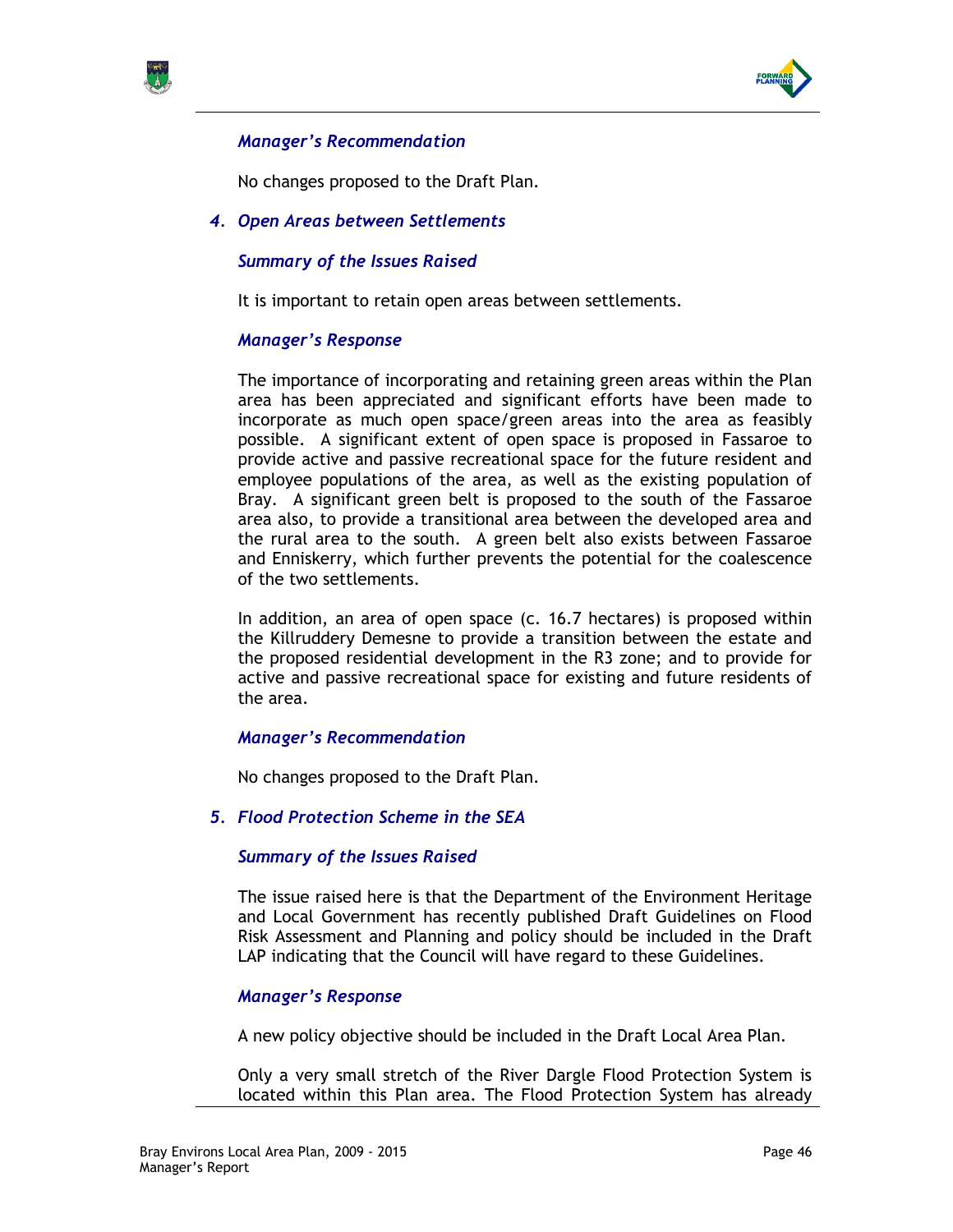



No changes proposed to the Draft Plan.

4. Open Areas between Settlements

## Summary of the Issues Raised

It is important to retain open areas between settlements.

### Manager's Response

The importance of incorporating and retaining green areas within the Plan area has been appreciated and significant efforts have been made to incorporate as much open space/green areas into the area as feasibly possible. A significant extent of open space is proposed in Fassaroe to provide active and passive recreational space for the future resident and employee populations of the area, as well as the existing population of Bray. A significant green belt is proposed to the south of the Fassaroe area also, to provide a transitional area between the developed area and the rural area to the south. A green belt also exists between Fassaroe and Enniskerry, which further prevents the potential for the coalescence of the two settlements.

In addition, an area of open space (c. 16.7 hectares) is proposed within the Killruddery Demesne to provide a transition between the estate and the proposed residential development in the R3 zone; and to provide for active and passive recreational space for existing and future residents of the area.

### Manager's Recommendation

No changes proposed to the Draft Plan.

5. Flood Protection Scheme in the SEA

### Summary of the Issues Raised

The issue raised here is that the Department of the Environment Heritage and Local Government has recently published Draft Guidelines on Flood Risk Assessment and Planning and policy should be included in the Draft LAP indicating that the Council will have regard to these Guidelines.

## Manager's Response

A new policy objective should be included in the Draft Local Area Plan.

Only a very small stretch of the River Dargle Flood Protection System is located within this Plan area. The Flood Protection System has already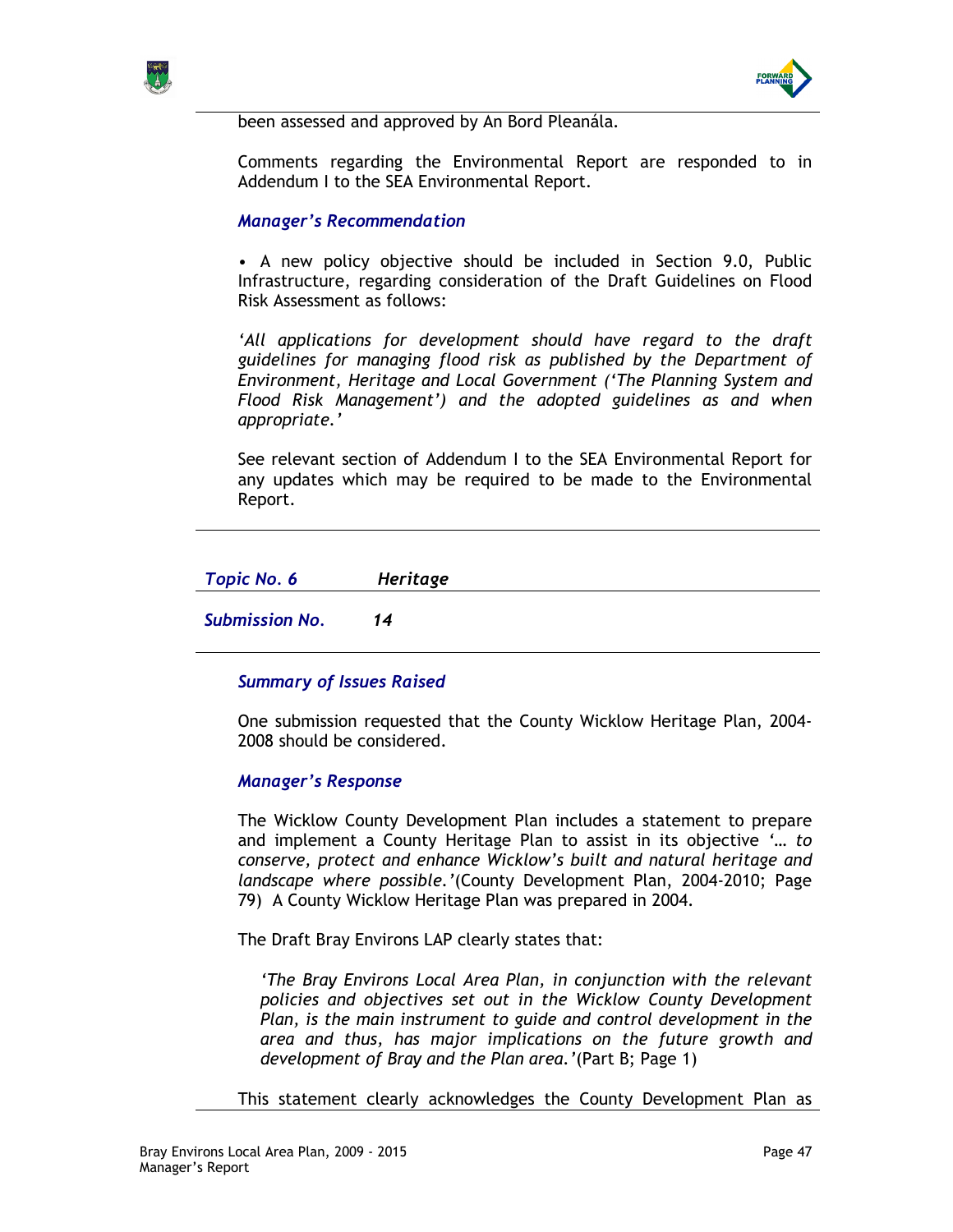



been assessed and approved by An Bord Pleanála.

Comments regarding the Environmental Report are responded to in Addendum I to the SEA Environmental Report.

## Manager's Recommendation

• A new policy objective should be included in Section 9.0, Public Infrastructure, regarding consideration of the Draft Guidelines on Flood Risk Assessment as follows:

'All applications for development should have regard to the draft guidelines for managing flood risk as published by the Department of Environment, Heritage and Local Government ('The Planning System and Flood Risk Management') and the adopted guidelines as and when appropriate.'

See relevant section of Addendum I to the SEA Environmental Report for any updates which may be required to be made to the Environmental Report.

| Topic No. 6 | Heritage |
|-------------|----------|
|-------------|----------|

Submission No. 14

## Summary of Issues Raised

One submission requested that the County Wicklow Heritage Plan, 2004- 2008 should be considered.

### Manager's Response

The Wicklow County Development Plan includes a statement to prepare and implement a County Heritage Plan to assist in its objective '… to conserve, protect and enhance Wicklow's built and natural heritage and landscape where possible.'(County Development Plan, 2004-2010; Page 79) A County Wicklow Heritage Plan was prepared in 2004.

The Draft Bray Environs LAP clearly states that:

'The Bray Environs Local Area Plan, in conjunction with the relevant policies and objectives set out in the Wicklow County Development Plan, is the main instrument to guide and control development in the area and thus, has major implications on the future growth and development of Bray and the Plan area.'(Part B; Page 1)

This statement clearly acknowledges the County Development Plan as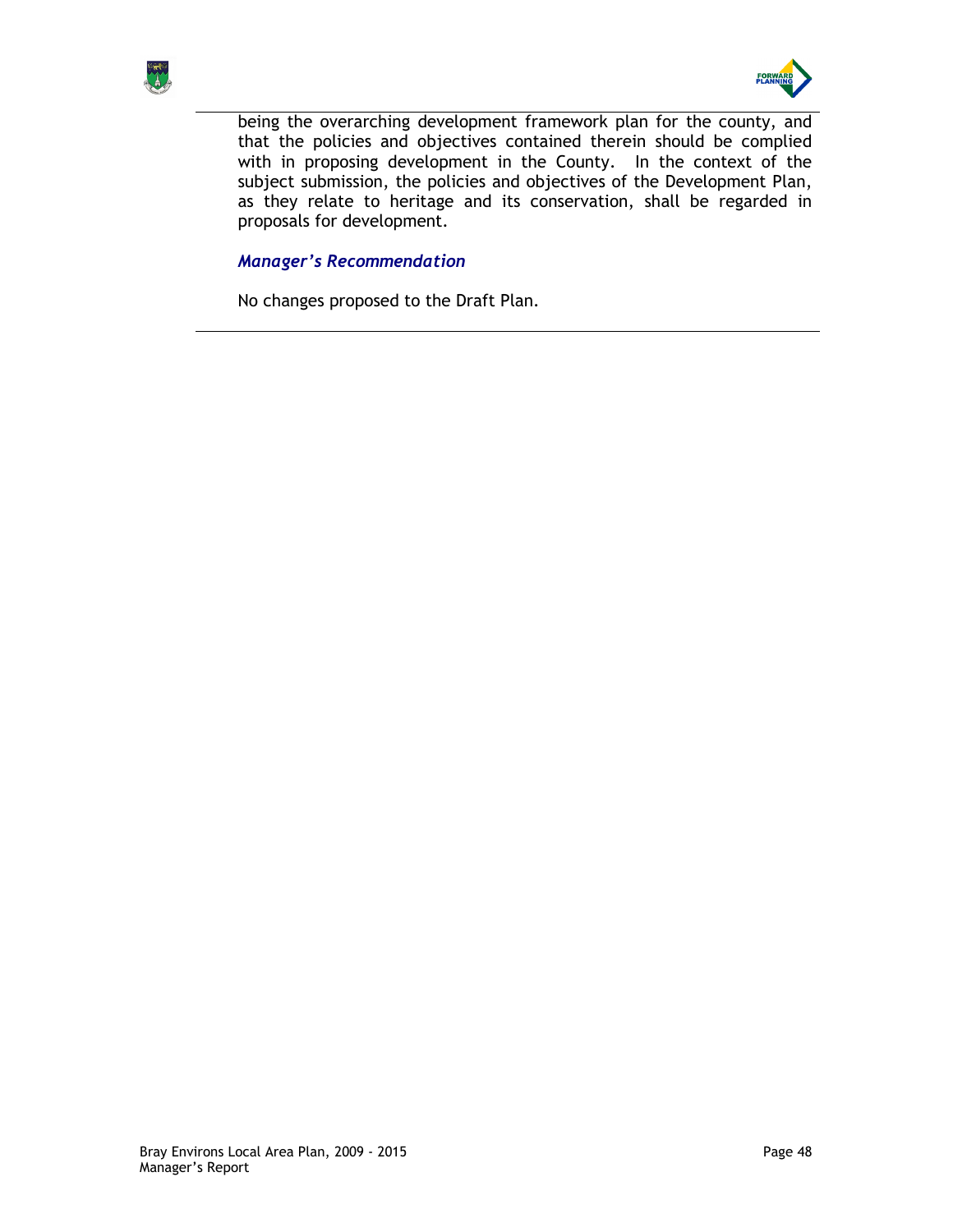



being the overarching development framework plan for the county, and that the policies and objectives contained therein should be complied with in proposing development in the County. In the context of the subject submission, the policies and objectives of the Development Plan, as they relate to heritage and its conservation, shall be regarded in proposals for development.

## Manager's Recommendation

No changes proposed to the Draft Plan.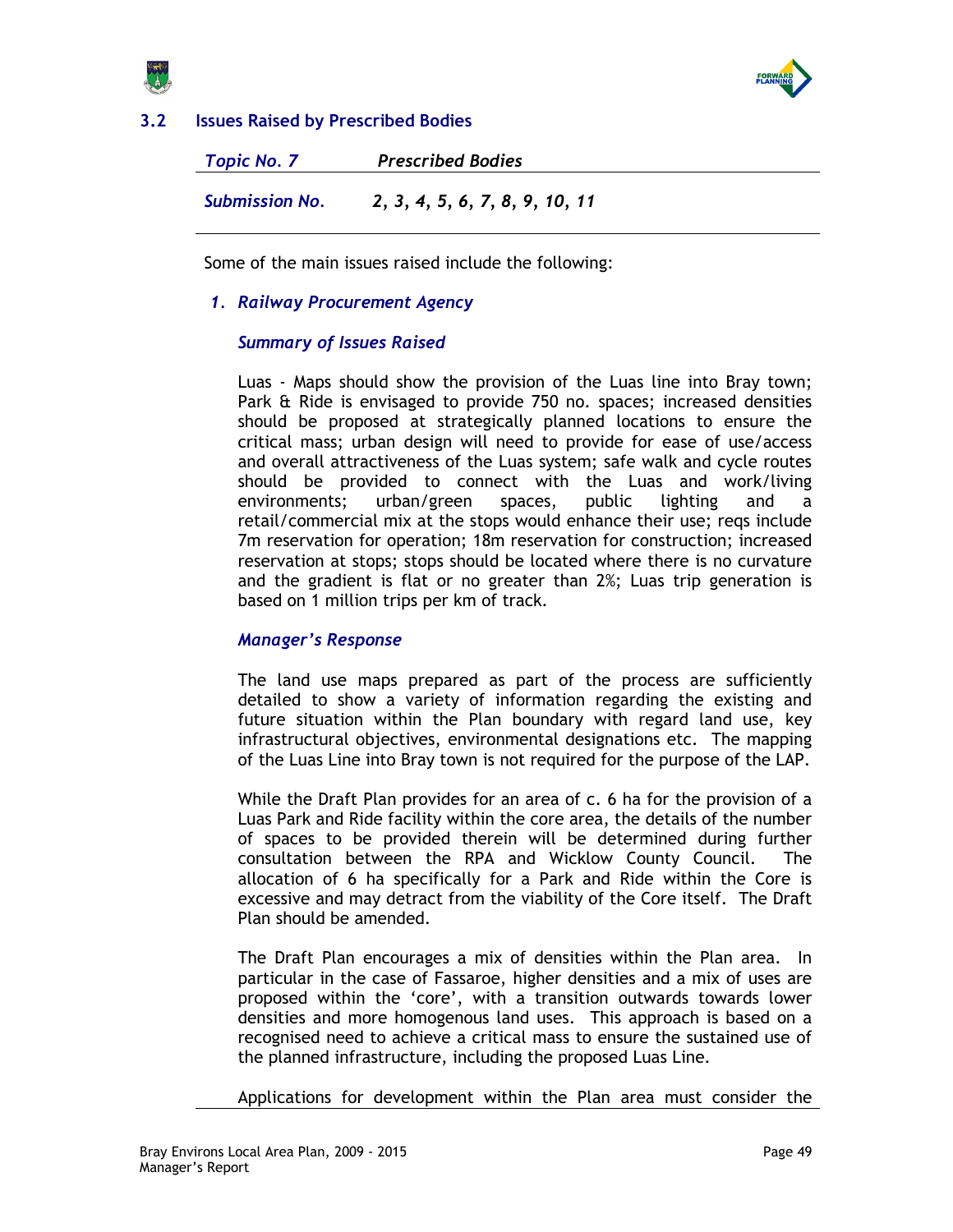



# 3.2 Issues Raised by Prescribed Bodies

Topic No. 7 Prescribed Bodies Submission No. 2, 3, 4, 5, 6, 7, 8, 9, 10, 11

Some of the main issues raised include the following:

### 1. Railway Procurement Agency

## Summary of Issues Raised

Luas - Maps should show the provision of the Luas line into Bray town; Park & Ride is envisaged to provide 750 no. spaces; increased densities should be proposed at strategically planned locations to ensure the critical mass; urban design will need to provide for ease of use/access and overall attractiveness of the Luas system; safe walk and cycle routes should be provided to connect with the Luas and work/living environments; urban/green spaces, public lighting and a retail/commercial mix at the stops would enhance their use; reqs include 7m reservation for operation; 18m reservation for construction; increased reservation at stops; stops should be located where there is no curvature and the gradient is flat or no greater than 2%; Luas trip generation is based on 1 million trips per km of track.

### Manager's Response

The land use maps prepared as part of the process are sufficiently detailed to show a variety of information regarding the existing and future situation within the Plan boundary with regard land use, key infrastructural objectives, environmental designations etc. The mapping of the Luas Line into Bray town is not required for the purpose of the LAP.

While the Draft Plan provides for an area of c. 6 ha for the provision of a Luas Park and Ride facility within the core area, the details of the number of spaces to be provided therein will be determined during further consultation between the RPA and Wicklow County Council. The allocation of 6 ha specifically for a Park and Ride within the Core is excessive and may detract from the viability of the Core itself. The Draft Plan should be amended.

The Draft Plan encourages a mix of densities within the Plan area. In particular in the case of Fassaroe, higher densities and a mix of uses are proposed within the 'core', with a transition outwards towards lower densities and more homogenous land uses. This approach is based on a recognised need to achieve a critical mass to ensure the sustained use of the planned infrastructure, including the proposed Luas Line.

Applications for development within the Plan area must consider the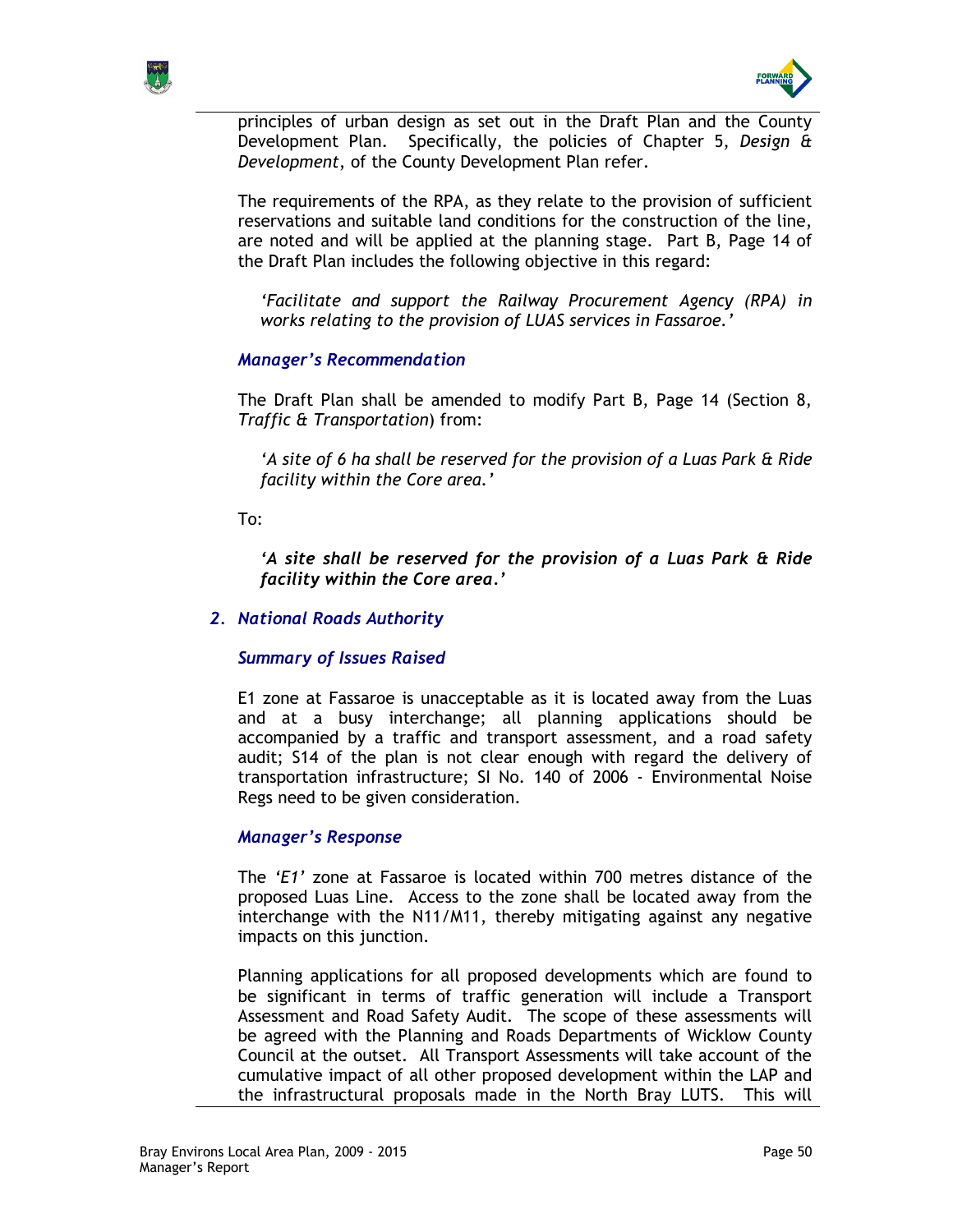



principles of urban design as set out in the Draft Plan and the County Development Plan. Specifically, the policies of Chapter 5, Design & Development, of the County Development Plan refer.

The requirements of the RPA, as they relate to the provision of sufficient reservations and suitable land conditions for the construction of the line, are noted and will be applied at the planning stage. Part B, Page 14 of the Draft Plan includes the following objective in this regard:

'Facilitate and support the Railway Procurement Agency (RPA) in works relating to the provision of LUAS services in Fassaroe.'

## Manager's Recommendation

The Draft Plan shall be amended to modify Part B, Page 14 (Section 8, Traffic & Transportation) from:

'A site of 6 ha shall be reserved for the provision of a Luas Park & Ride facility within the Core area.'

To:

'A site shall be reserved for the provision of a Luas Park & Ride facility within the Core area.'

## 2. National Roads Authority

## Summary of Issues Raised

E1 zone at Fassaroe is unacceptable as it is located away from the Luas and at a busy interchange; all planning applications should be accompanied by a traffic and transport assessment, and a road safety audit; S14 of the plan is not clear enough with regard the delivery of transportation infrastructure; SI No. 140 of 2006 - Environmental Noise Regs need to be given consideration.

### Manager's Response

The 'E1' zone at Fassaroe is located within 700 metres distance of the proposed Luas Line. Access to the zone shall be located away from the interchange with the N11/M11, thereby mitigating against any negative impacts on this junction.

Planning applications for all proposed developments which are found to be significant in terms of traffic generation will include a Transport Assessment and Road Safety Audit. The scope of these assessments will be agreed with the Planning and Roads Departments of Wicklow County Council at the outset. All Transport Assessments will take account of the cumulative impact of all other proposed development within the LAP and the infrastructural proposals made in the North Bray LUTS. This will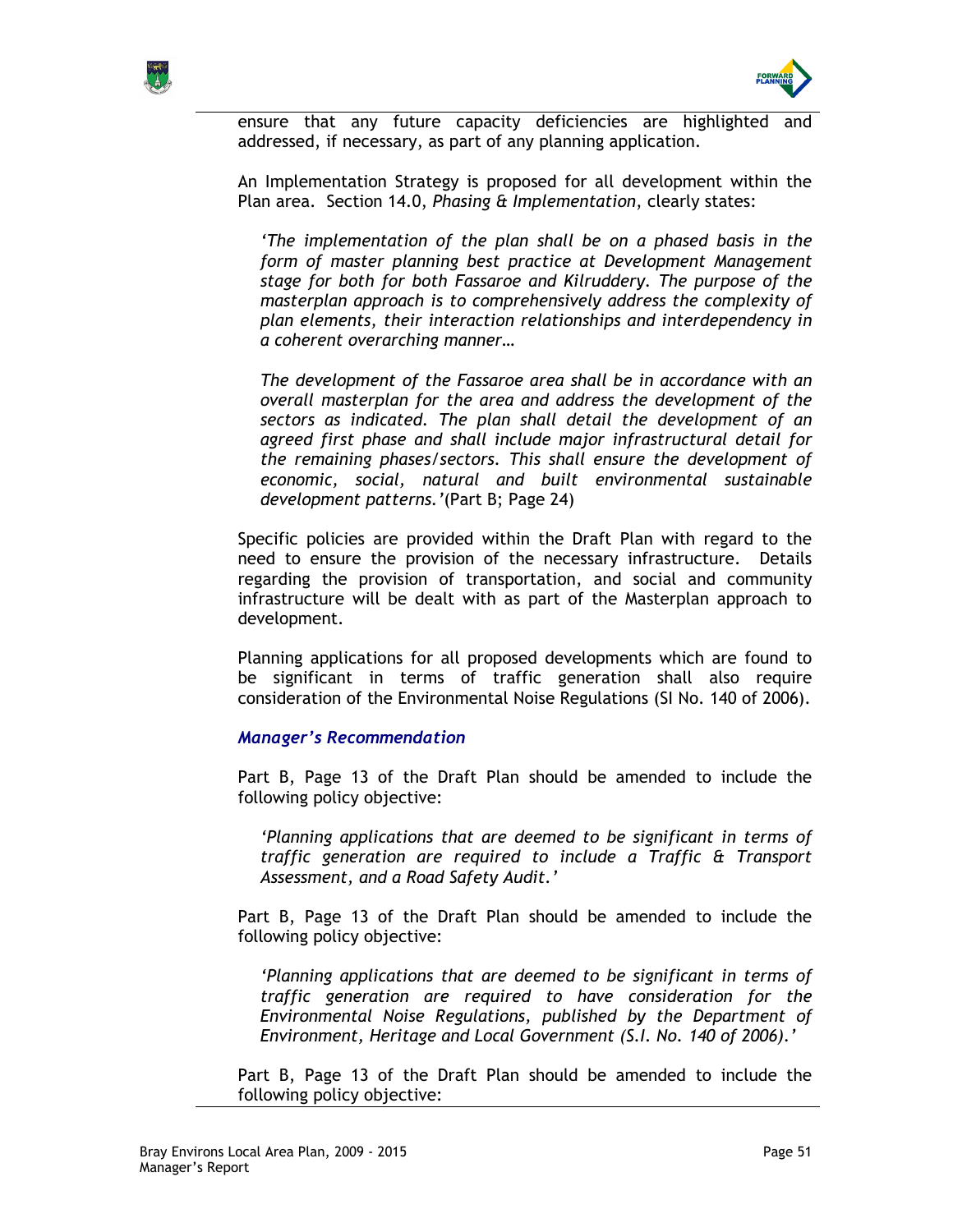



ensure that any future capacity deficiencies are highlighted and addressed, if necessary, as part of any planning application.

An Implementation Strategy is proposed for all development within the Plan area. Section 14.0, Phasing & Implementation, clearly states:

'The implementation of the plan shall be on a phased basis in the form of master planning best practice at Development Management stage for both for both Fassaroe and Kilruddery. The purpose of the masterplan approach is to comprehensively address the complexity of plan elements, their interaction relationships and interdependency in a coherent overarching manner…

The development of the Fassaroe area shall be in accordance with an overall masterplan for the area and address the development of the sectors as indicated. The plan shall detail the development of an agreed first phase and shall include major infrastructural detail for the remaining phases/sectors. This shall ensure the development of economic, social, natural and built environmental sustainable development patterns.'(Part B; Page 24)

Specific policies are provided within the Draft Plan with regard to the need to ensure the provision of the necessary infrastructure. Details regarding the provision of transportation, and social and community infrastructure will be dealt with as part of the Masterplan approach to development.

Planning applications for all proposed developments which are found to be significant in terms of traffic generation shall also require consideration of the Environmental Noise Regulations (SI No. 140 of 2006).

### Manager's Recommendation

Part B, Page 13 of the Draft Plan should be amended to include the following policy objective:

'Planning applications that are deemed to be significant in terms of traffic generation are required to include a Traffic & Transport Assessment, and a Road Safety Audit.'

Part B, Page 13 of the Draft Plan should be amended to include the following policy objective:

'Planning applications that are deemed to be significant in terms of traffic generation are required to have consideration for the Environmental Noise Regulations, published by the Department of Environment, Heritage and Local Government (S.I. No. 140 of 2006).'

Part B, Page 13 of the Draft Plan should be amended to include the following policy objective: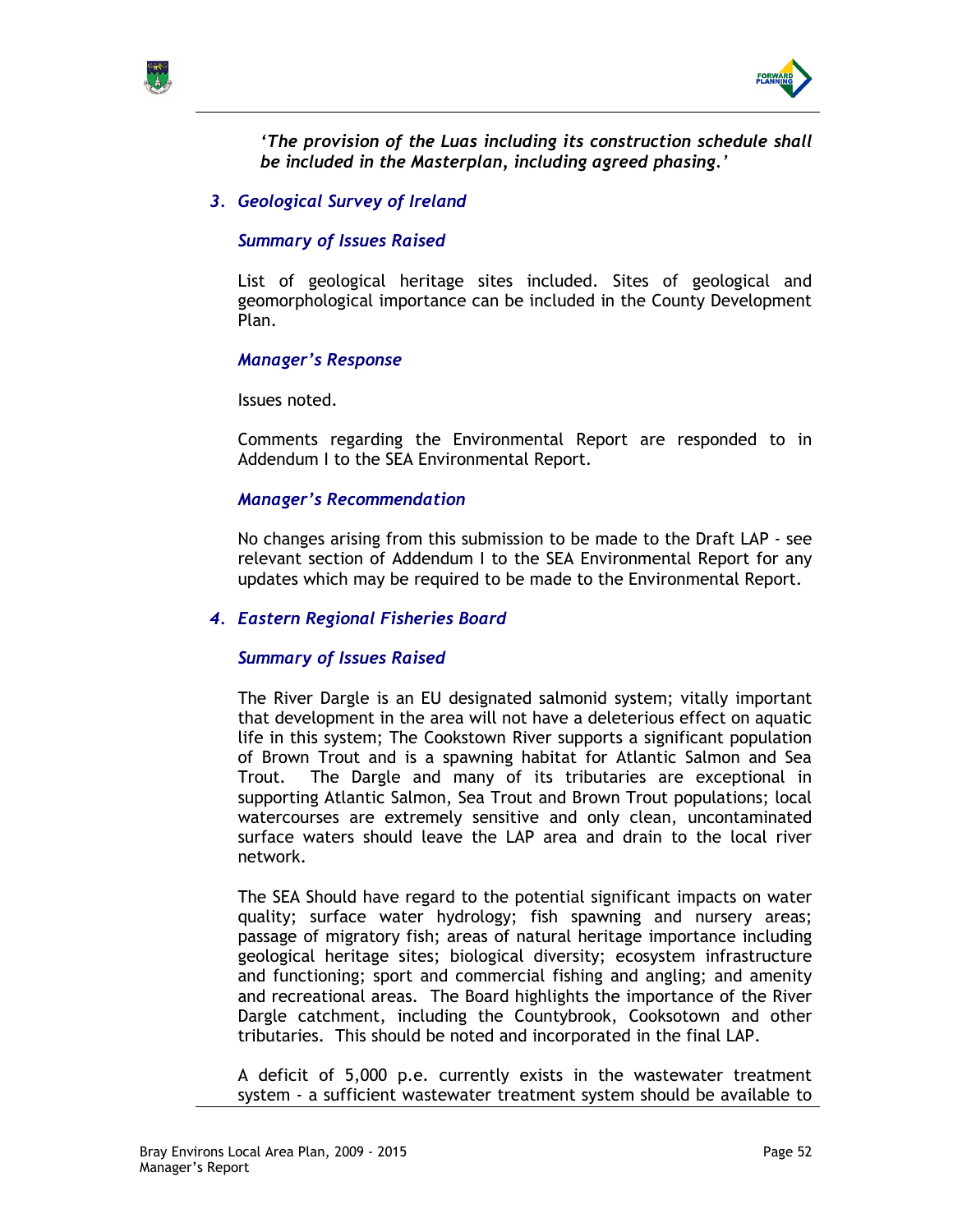



'The provision of the Luas including its construction schedule shall be included in the Masterplan, including agreed phasing.'

3. Geological Survey of Ireland

### Summary of Issues Raised

List of geological heritage sites included. Sites of geological and geomorphological importance can be included in the County Development Plan.

### Manager's Response

Issues noted.

Comments regarding the Environmental Report are responded to in Addendum I to the SEA Environmental Report.

### Manager's Recommendation

No changes arising from this submission to be made to the Draft LAP - see relevant section of Addendum I to the SEA Environmental Report for any updates which may be required to be made to the Environmental Report.

### 4. Eastern Regional Fisheries Board

### Summary of Issues Raised

The River Dargle is an EU designated salmonid system; vitally important that development in the area will not have a deleterious effect on aquatic life in this system; The Cookstown River supports a significant population of Brown Trout and is a spawning habitat for Atlantic Salmon and Sea Trout. The Dargle and many of its tributaries are exceptional in supporting Atlantic Salmon, Sea Trout and Brown Trout populations; local watercourses are extremely sensitive and only clean, uncontaminated surface waters should leave the LAP area and drain to the local river network.

The SEA Should have regard to the potential significant impacts on water quality; surface water hydrology; fish spawning and nursery areas; passage of migratory fish; areas of natural heritage importance including geological heritage sites; biological diversity; ecosystem infrastructure and functioning; sport and commercial fishing and angling; and amenity and recreational areas. The Board highlights the importance of the River Dargle catchment, including the Countybrook, Cooksotown and other tributaries. This should be noted and incorporated in the final LAP.

A deficit of 5,000 p.e. currently exists in the wastewater treatment system - a sufficient wastewater treatment system should be available to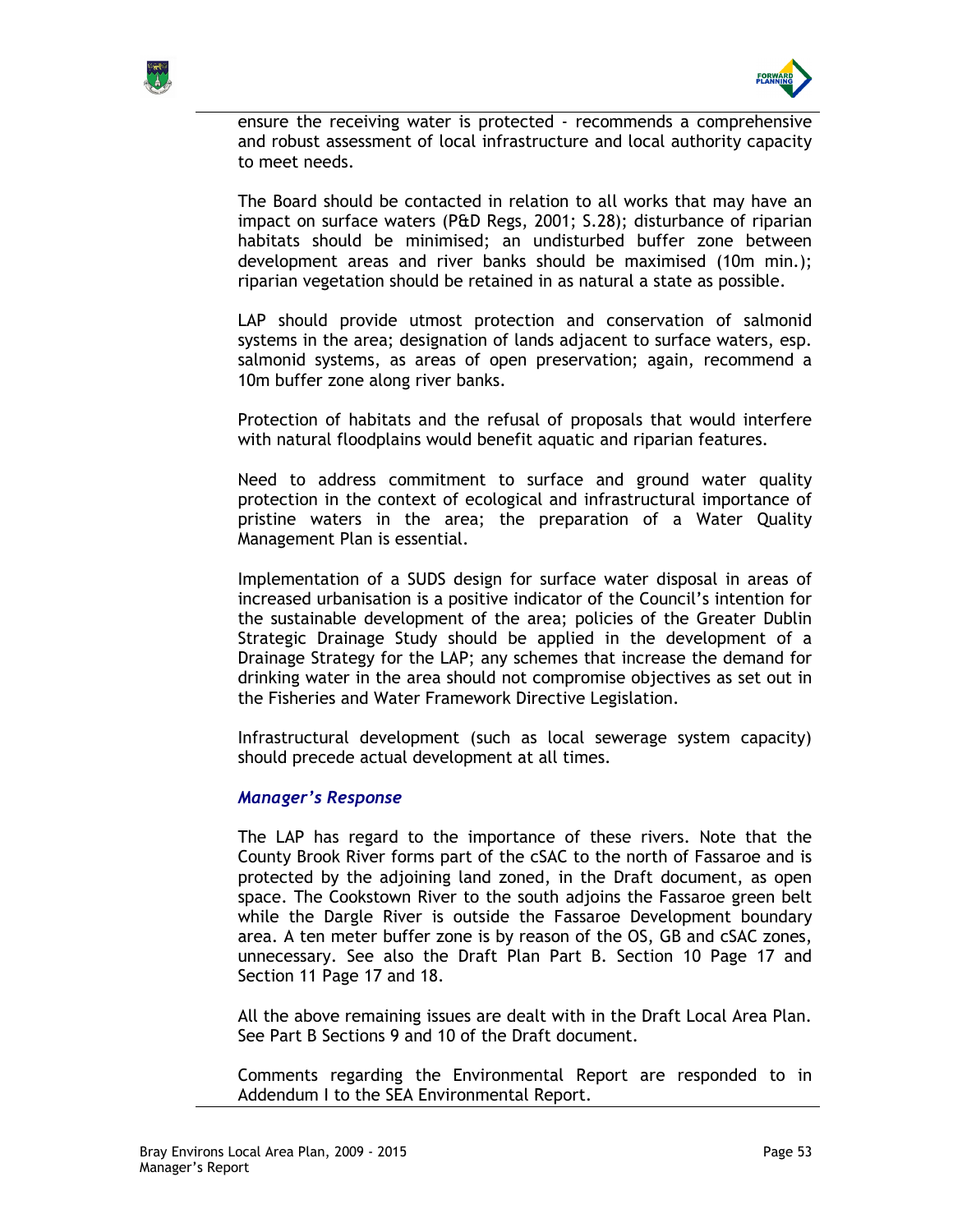



ensure the receiving water is protected - recommends a comprehensive and robust assessment of local infrastructure and local authority capacity to meet needs.

The Board should be contacted in relation to all works that may have an impact on surface waters (P&D Regs, 2001; S.28); disturbance of riparian habitats should be minimised; an undisturbed buffer zone between development areas and river banks should be maximised (10m min.); riparian vegetation should be retained in as natural a state as possible.

LAP should provide utmost protection and conservation of salmonid systems in the area; designation of lands adjacent to surface waters, esp. salmonid systems, as areas of open preservation; again, recommend a 10m buffer zone along river banks.

Protection of habitats and the refusal of proposals that would interfere with natural floodplains would benefit aquatic and riparian features.

Need to address commitment to surface and ground water quality protection in the context of ecological and infrastructural importance of pristine waters in the area; the preparation of a Water Quality Management Plan is essential.

Implementation of a SUDS design for surface water disposal in areas of increased urbanisation is a positive indicator of the Council's intention for the sustainable development of the area; policies of the Greater Dublin Strategic Drainage Study should be applied in the development of a Drainage Strategy for the LAP; any schemes that increase the demand for drinking water in the area should not compromise objectives as set out in the Fisheries and Water Framework Directive Legislation.

Infrastructural development (such as local sewerage system capacity) should precede actual development at all times.

### Manager's Response

The LAP has regard to the importance of these rivers. Note that the County Brook River forms part of the cSAC to the north of Fassaroe and is protected by the adjoining land zoned, in the Draft document, as open space. The Cookstown River to the south adjoins the Fassaroe green belt while the Dargle River is outside the Fassaroe Development boundary area. A ten meter buffer zone is by reason of the OS, GB and cSAC zones, unnecessary. See also the Draft Plan Part B. Section 10 Page 17 and Section 11 Page 17 and 18.

All the above remaining issues are dealt with in the Draft Local Area Plan. See Part B Sections 9 and 10 of the Draft document.

Comments regarding the Environmental Report are responded to in Addendum I to the SEA Environmental Report.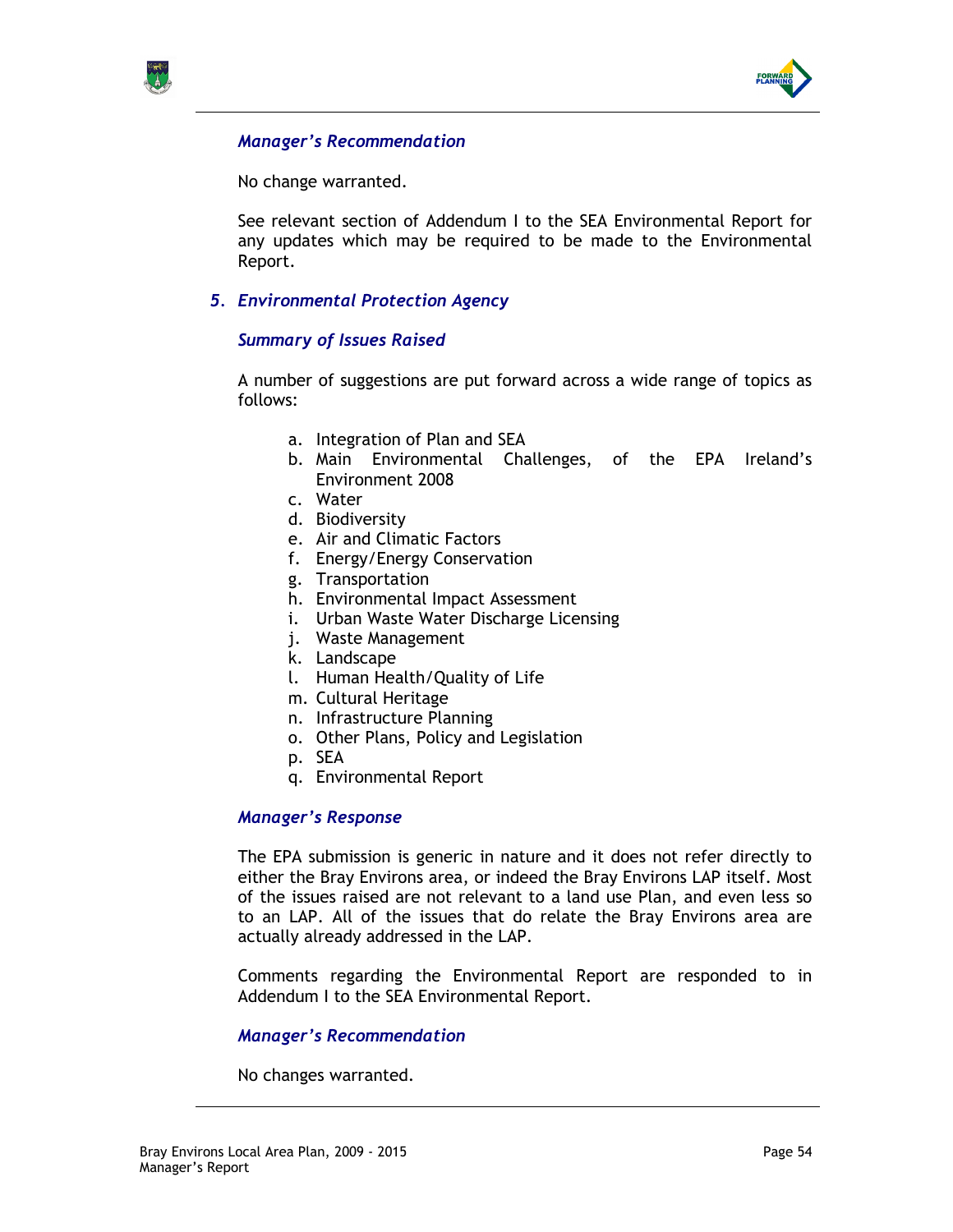



No change warranted.

See relevant section of Addendum I to the SEA Environmental Report for any updates which may be required to be made to the Environmental Report.

5. Environmental Protection Agency

## Summary of Issues Raised

A number of suggestions are put forward across a wide range of topics as follows:

- a. Integration of Plan and SEA
- b. Main Environmental Challenges, of the EPA Ireland's Environment 2008
- c. Water
- d. Biodiversity
- e. Air and Climatic Factors
- f. Energy/Energy Conservation
- g. Transportation
- h. Environmental Impact Assessment
- i. Urban Waste Water Discharge Licensing
- j. Waste Management
- k. Landscape
- l. Human Health/Quality of Life
- m. Cultural Heritage
- n. Infrastructure Planning
- o. Other Plans, Policy and Legislation
- p. SEA
- q. Environmental Report

### Manager's Response

The EPA submission is generic in nature and it does not refer directly to either the Bray Environs area, or indeed the Bray Environs LAP itself. Most of the issues raised are not relevant to a land use Plan, and even less so to an LAP. All of the issues that do relate the Bray Environs area are actually already addressed in the LAP.

Comments regarding the Environmental Report are responded to in Addendum I to the SEA Environmental Report.

### Manager's Recommendation

No changes warranted.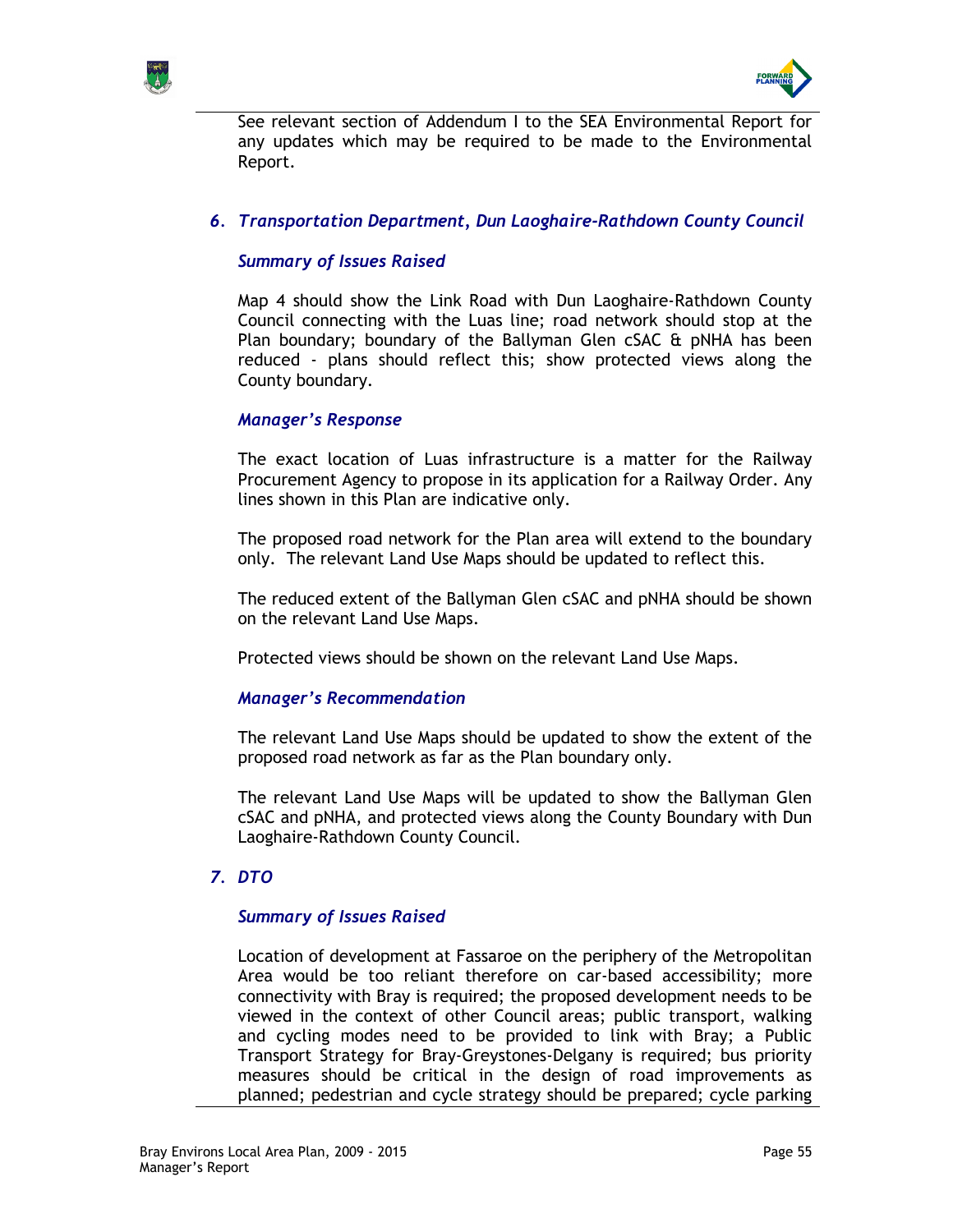



See relevant section of Addendum I to the SEA Environmental Report for any updates which may be required to be made to the Environmental Report.

## 6. Transportation Department, Dun Laoghaire-Rathdown County Council

## Summary of Issues Raised

Map 4 should show the Link Road with Dun Laoghaire-Rathdown County Council connecting with the Luas line; road network should stop at the Plan boundary; boundary of the Ballyman Glen cSAC & pNHA has been reduced - plans should reflect this; show protected views along the County boundary.

### Manager's Response

The exact location of Luas infrastructure is a matter for the Railway Procurement Agency to propose in its application for a Railway Order. Any lines shown in this Plan are indicative only.

The proposed road network for the Plan area will extend to the boundary only. The relevant Land Use Maps should be updated to reflect this.

The reduced extent of the Ballyman Glen cSAC and pNHA should be shown on the relevant Land Use Maps.

Protected views should be shown on the relevant Land Use Maps.

### Manager's Recommendation

The relevant Land Use Maps should be updated to show the extent of the proposed road network as far as the Plan boundary only.

The relevant Land Use Maps will be updated to show the Ballyman Glen cSAC and pNHA, and protected views along the County Boundary with Dun Laoghaire-Rathdown County Council.

### 7. DTO

### Summary of Issues Raised

Location of development at Fassaroe on the periphery of the Metropolitan Area would be too reliant therefore on car-based accessibility; more connectivity with Bray is required; the proposed development needs to be viewed in the context of other Council areas; public transport, walking and cycling modes need to be provided to link with Bray; a Public Transport Strategy for Bray-Greystones-Delgany is required; bus priority measures should be critical in the design of road improvements as planned; pedestrian and cycle strategy should be prepared; cycle parking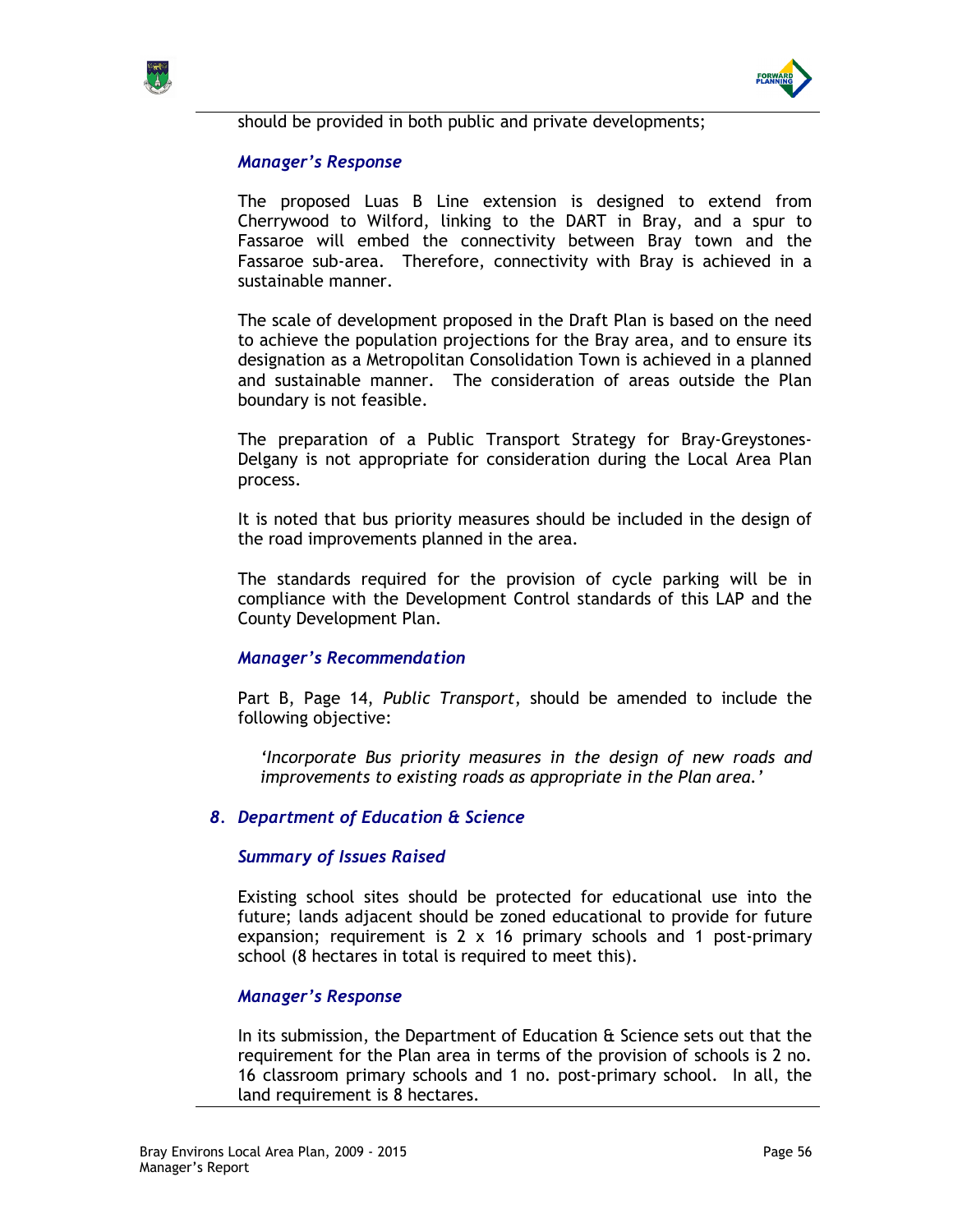



should be provided in both public and private developments;

## Manager's Response

The proposed Luas B Line extension is designed to extend from Cherrywood to Wilford, linking to the DART in Bray, and a spur to Fassaroe will embed the connectivity between Bray town and the Fassaroe sub-area. Therefore, connectivity with Bray is achieved in a sustainable manner.

The scale of development proposed in the Draft Plan is based on the need to achieve the population projections for the Bray area, and to ensure its designation as a Metropolitan Consolidation Town is achieved in a planned and sustainable manner. The consideration of areas outside the Plan boundary is not feasible.

The preparation of a Public Transport Strategy for Bray-Greystones-Delgany is not appropriate for consideration during the Local Area Plan process.

It is noted that bus priority measures should be included in the design of the road improvements planned in the area.

The standards required for the provision of cycle parking will be in compliance with the Development Control standards of this LAP and the County Development Plan.

## Manager's Recommendation

Part B, Page 14, Public Transport, should be amended to include the following objective:

'Incorporate Bus priority measures in the design of new roads and improvements to existing roads as appropriate in the Plan area.'

## 8. Department of Education & Science

### Summary of Issues Raised

Existing school sites should be protected for educational use into the future; lands adjacent should be zoned educational to provide for future expansion; requirement is 2 x 16 primary schools and 1 post-primary school (8 hectares in total is required to meet this).

### Manager's Response

In its submission, the Department of Education & Science sets out that the requirement for the Plan area in terms of the provision of schools is 2 no. 16 classroom primary schools and 1 no. post-primary school. In all, the land requirement is 8 hectares.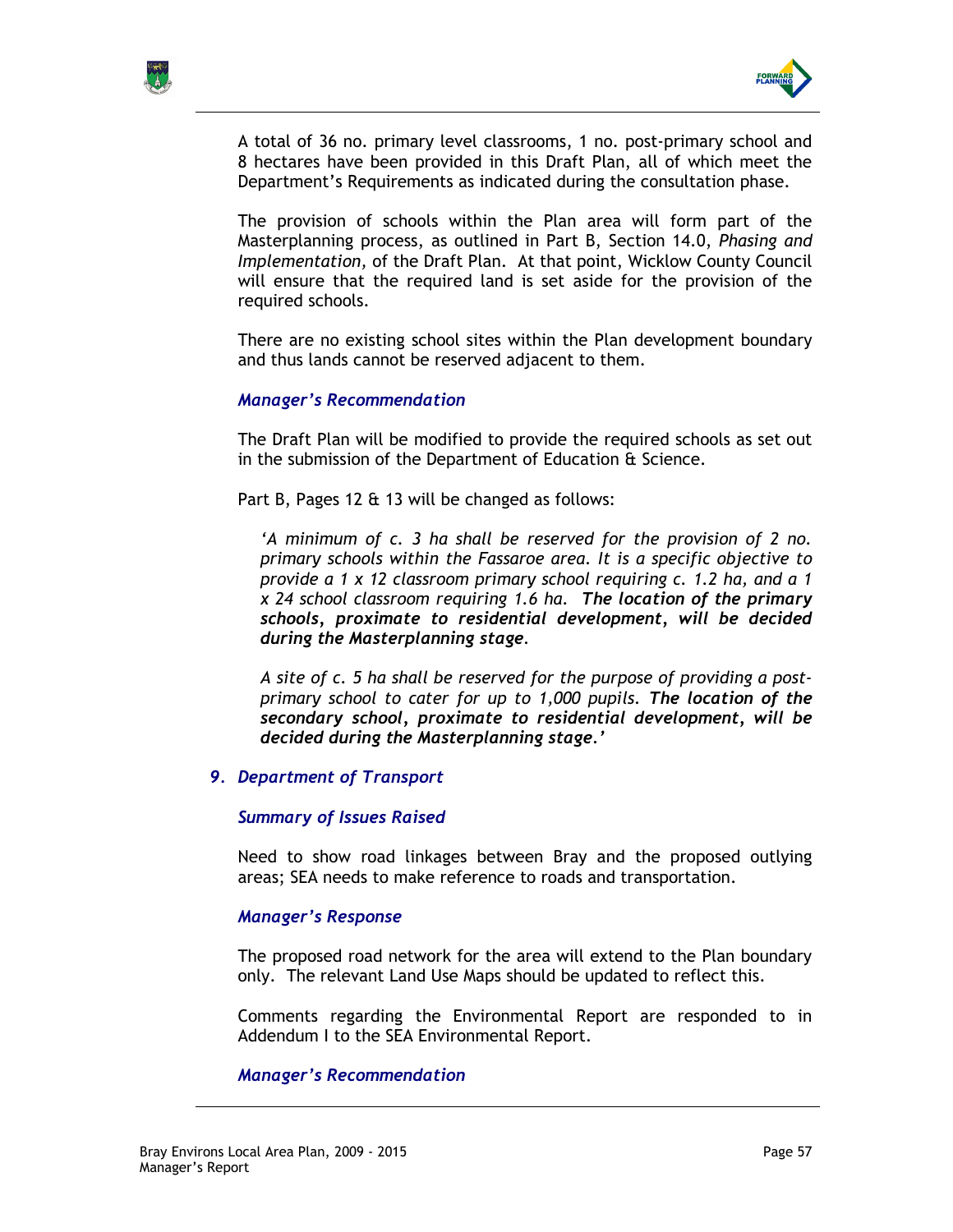



A total of 36 no. primary level classrooms, 1 no. post-primary school and 8 hectares have been provided in this Draft Plan, all of which meet the Department's Requirements as indicated during the consultation phase.

The provision of schools within the Plan area will form part of the Masterplanning process, as outlined in Part B, Section 14.0, Phasing and Implementation, of the Draft Plan. At that point, Wicklow County Council will ensure that the required land is set aside for the provision of the required schools.

There are no existing school sites within the Plan development boundary and thus lands cannot be reserved adjacent to them.

### Manager's Recommendation

The Draft Plan will be modified to provide the required schools as set out in the submission of the Department of Education & Science.

Part B, Pages 12 & 13 will be changed as follows:

'A minimum of c. 3 ha shall be reserved for the provision of 2 no. primary schools within the Fassaroe area. It is a specific objective to provide a 1 x 12 classroom primary school requiring c. 1.2 ha, and a 1 x 24 school classroom requiring 1.6 ha. The location of the primary schools, proximate to residential development, will be decided during the Masterplanning stage.

A site of c. 5 ha shall be reserved for the purpose of providing a postprimary school to cater for up to 1,000 pupils. The location of the secondary school, proximate to residential development, will be decided during the Masterplanning stage.'

### 9. Department of Transport

### Summary of Issues Raised

Need to show road linkages between Bray and the proposed outlying areas; SEA needs to make reference to roads and transportation.

### Manager's Response

The proposed road network for the area will extend to the Plan boundary only. The relevant Land Use Maps should be updated to reflect this.

Comments regarding the Environmental Report are responded to in Addendum I to the SEA Environmental Report.

### Manager's Recommendation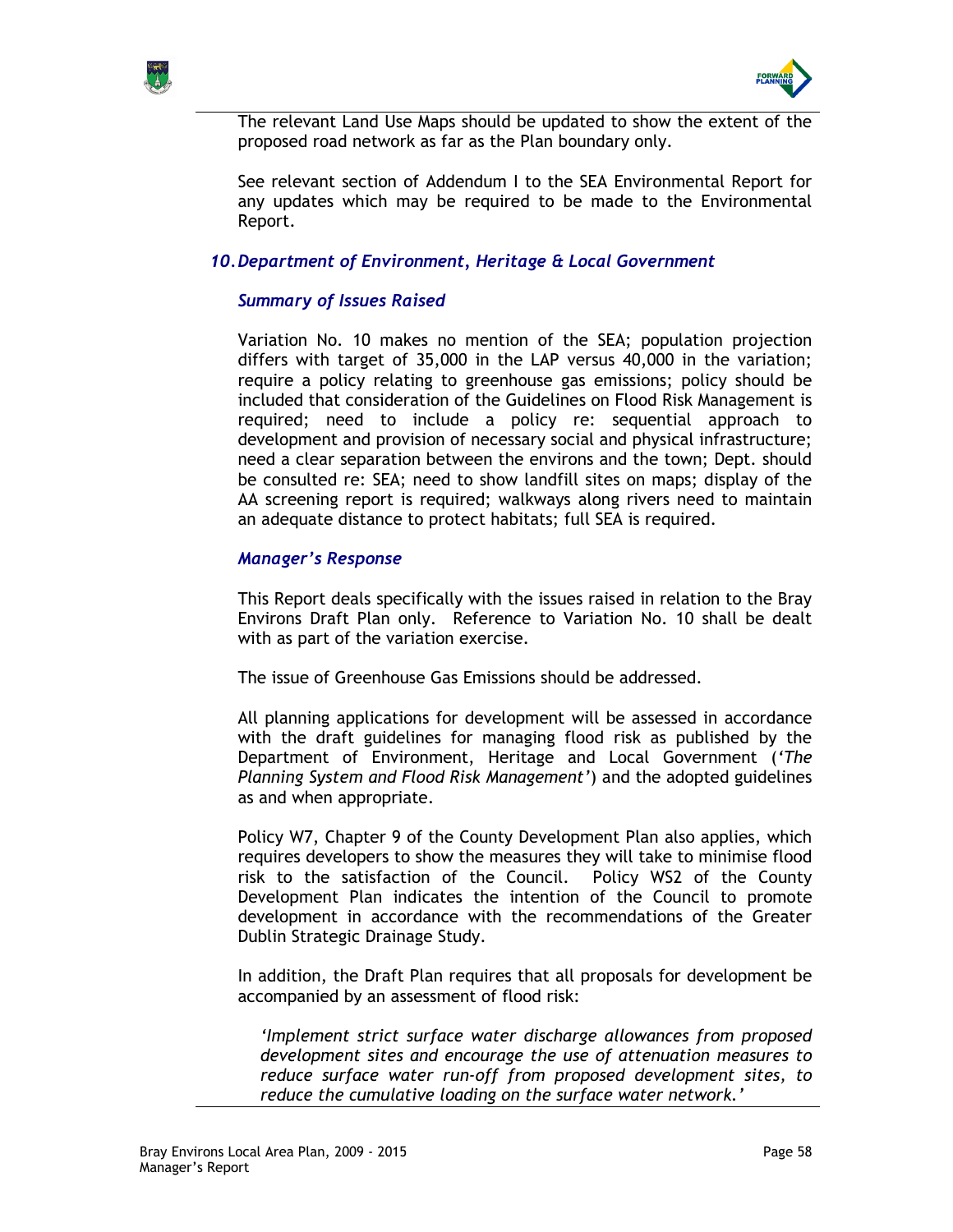



The relevant Land Use Maps should be updated to show the extent of the proposed road network as far as the Plan boundary only.

See relevant section of Addendum I to the SEA Environmental Report for any updates which may be required to be made to the Environmental Report.

## 10. Department of Environment, Heritage & Local Government

## Summary of Issues Raised

Variation No. 10 makes no mention of the SEA; population projection differs with target of 35,000 in the LAP versus 40,000 in the variation; require a policy relating to greenhouse gas emissions; policy should be included that consideration of the Guidelines on Flood Risk Management is required; need to include a policy re: sequential approach to development and provision of necessary social and physical infrastructure; need a clear separation between the environs and the town; Dept. should be consulted re: SEA; need to show landfill sites on maps; display of the AA screening report is required; walkways along rivers need to maintain an adequate distance to protect habitats; full SEA is required.

## Manager's Response

This Report deals specifically with the issues raised in relation to the Bray Environs Draft Plan only. Reference to Variation No. 10 shall be dealt with as part of the variation exercise.

The issue of Greenhouse Gas Emissions should be addressed.

All planning applications for development will be assessed in accordance with the draft guidelines for managing flood risk as published by the Department of Environment, Heritage and Local Government ('The Planning System and Flood Risk Management') and the adopted guidelines as and when appropriate.

Policy W7, Chapter 9 of the County Development Plan also applies, which requires developers to show the measures they will take to minimise flood risk to the satisfaction of the Council. Policy WS2 of the County Development Plan indicates the intention of the Council to promote development in accordance with the recommendations of the Greater Dublin Strategic Drainage Study.

In addition, the Draft Plan requires that all proposals for development be accompanied by an assessment of flood risk:

'Implement strict surface water discharge allowances from proposed development sites and encourage the use of attenuation measures to reduce surface water run-off from proposed development sites, to reduce the cumulative loading on the surface water network.'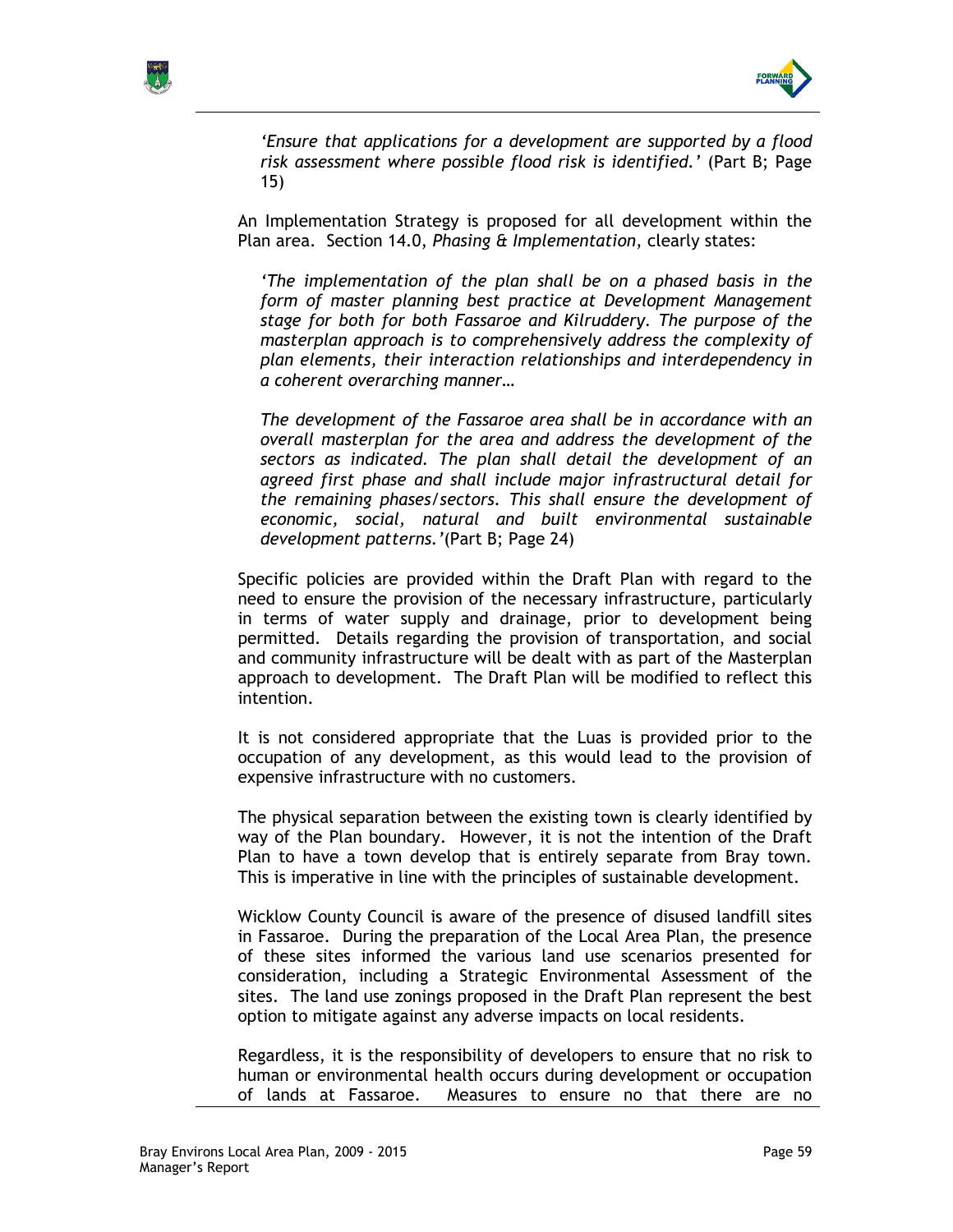



'Ensure that applications for a development are supported by a flood risk assessment where possible flood risk is identified.' (Part B; Page 15)

An Implementation Strategy is proposed for all development within the Plan area. Section 14.0, Phasing & Implementation, clearly states:

'The implementation of the plan shall be on a phased basis in the form of master planning best practice at Development Management stage for both for both Fassaroe and Kilruddery. The purpose of the masterplan approach is to comprehensively address the complexity of plan elements, their interaction relationships and interdependency in a coherent overarching manner…

The development of the Fassaroe area shall be in accordance with an overall masterplan for the area and address the development of the sectors as indicated. The plan shall detail the development of an agreed first phase and shall include major infrastructural detail for the remaining phases/sectors. This shall ensure the development of economic, social, natural and built environmental sustainable development patterns.'(Part B; Page 24)

Specific policies are provided within the Draft Plan with regard to the need to ensure the provision of the necessary infrastructure, particularly in terms of water supply and drainage, prior to development being permitted. Details regarding the provision of transportation, and social and community infrastructure will be dealt with as part of the Masterplan approach to development. The Draft Plan will be modified to reflect this intention.

It is not considered appropriate that the Luas is provided prior to the occupation of any development, as this would lead to the provision of expensive infrastructure with no customers.

The physical separation between the existing town is clearly identified by way of the Plan boundary. However, it is not the intention of the Draft Plan to have a town develop that is entirely separate from Bray town. This is imperative in line with the principles of sustainable development.

Wicklow County Council is aware of the presence of disused landfill sites in Fassaroe. During the preparation of the Local Area Plan, the presence of these sites informed the various land use scenarios presented for consideration, including a Strategic Environmental Assessment of the sites. The land use zonings proposed in the Draft Plan represent the best option to mitigate against any adverse impacts on local residents.

Regardless, it is the responsibility of developers to ensure that no risk to human or environmental health occurs during development or occupation of lands at Fassaroe. Measures to ensure no that there are no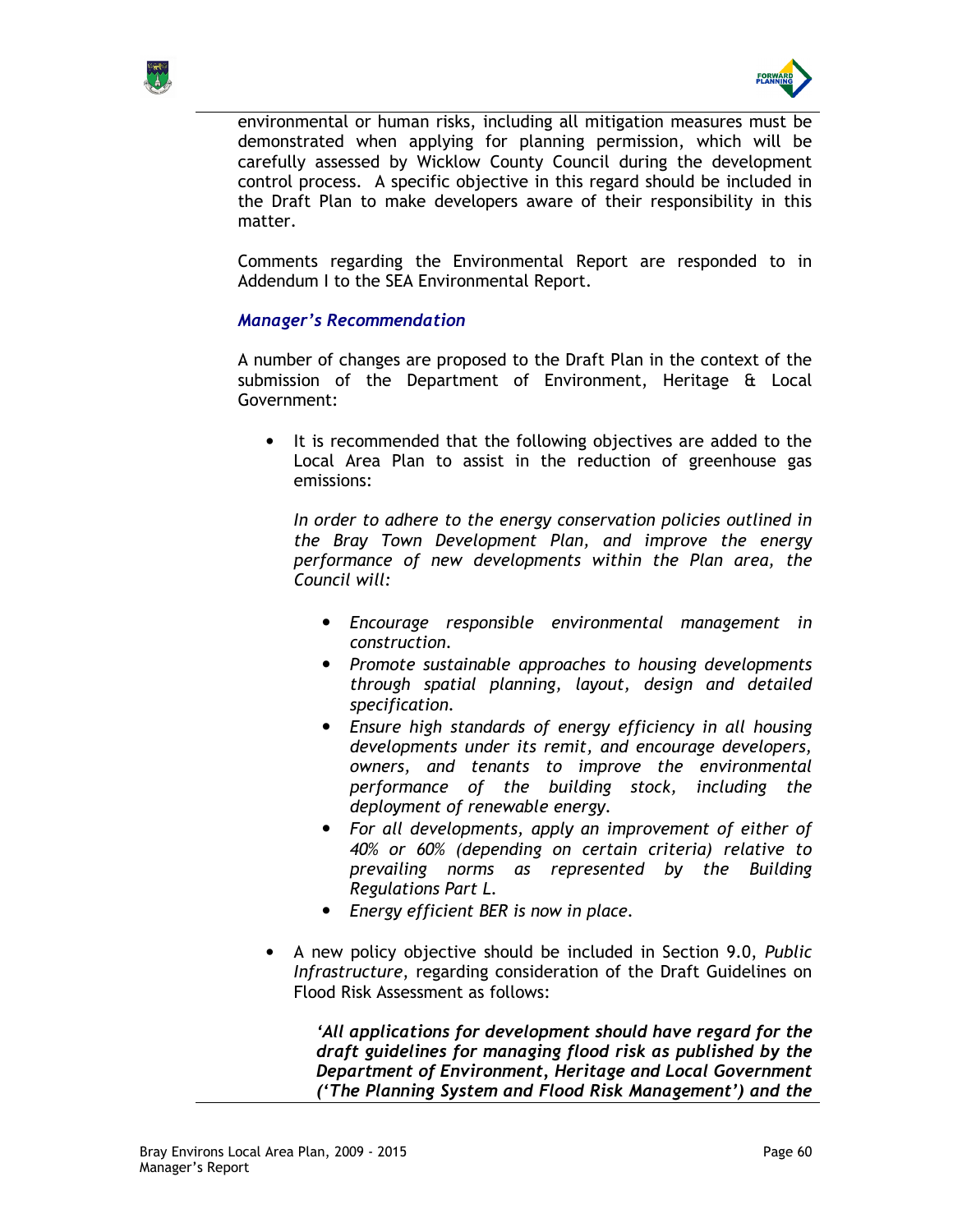



environmental or human risks, including all mitigation measures must be demonstrated when applying for planning permission, which will be carefully assessed by Wicklow County Council during the development control process. A specific objective in this regard should be included in the Draft Plan to make developers aware of their responsibility in this matter.

Comments regarding the Environmental Report are responded to in Addendum I to the SEA Environmental Report.

## Manager's Recommendation

A number of changes are proposed to the Draft Plan in the context of the submission of the Department of Environment, Heritage & Local Government:

• It is recommended that the following objectives are added to the Local Area Plan to assist in the reduction of greenhouse gas emissions:

In order to adhere to the energy conservation policies outlined in the Bray Town Development Plan, and improve the energy performance of new developments within the Plan area, the Council will:

- Encourage responsible environmental management in construction.
- Promote sustainable approaches to housing developments through spatial planning, layout, design and detailed specification.
- Ensure high standards of energy efficiency in all housing developments under its remit, and encourage developers, owners, and tenants to improve the environmental performance of the building stock, including the deployment of renewable energy.
- For all developments, apply an improvement of either of 40% or 60% (depending on certain criteria) relative to prevailing norms as represented by the Building Regulations Part L.
- Energy efficient BER is now in place.
- A new policy objective should be included in Section 9.0, Public Infrastructure, regarding consideration of the Draft Guidelines on Flood Risk Assessment as follows:

'All applications for development should have regard for the draft guidelines for managing flood risk as published by the Department of Environment, Heritage and Local Government ('The Planning System and Flood Risk Management') and the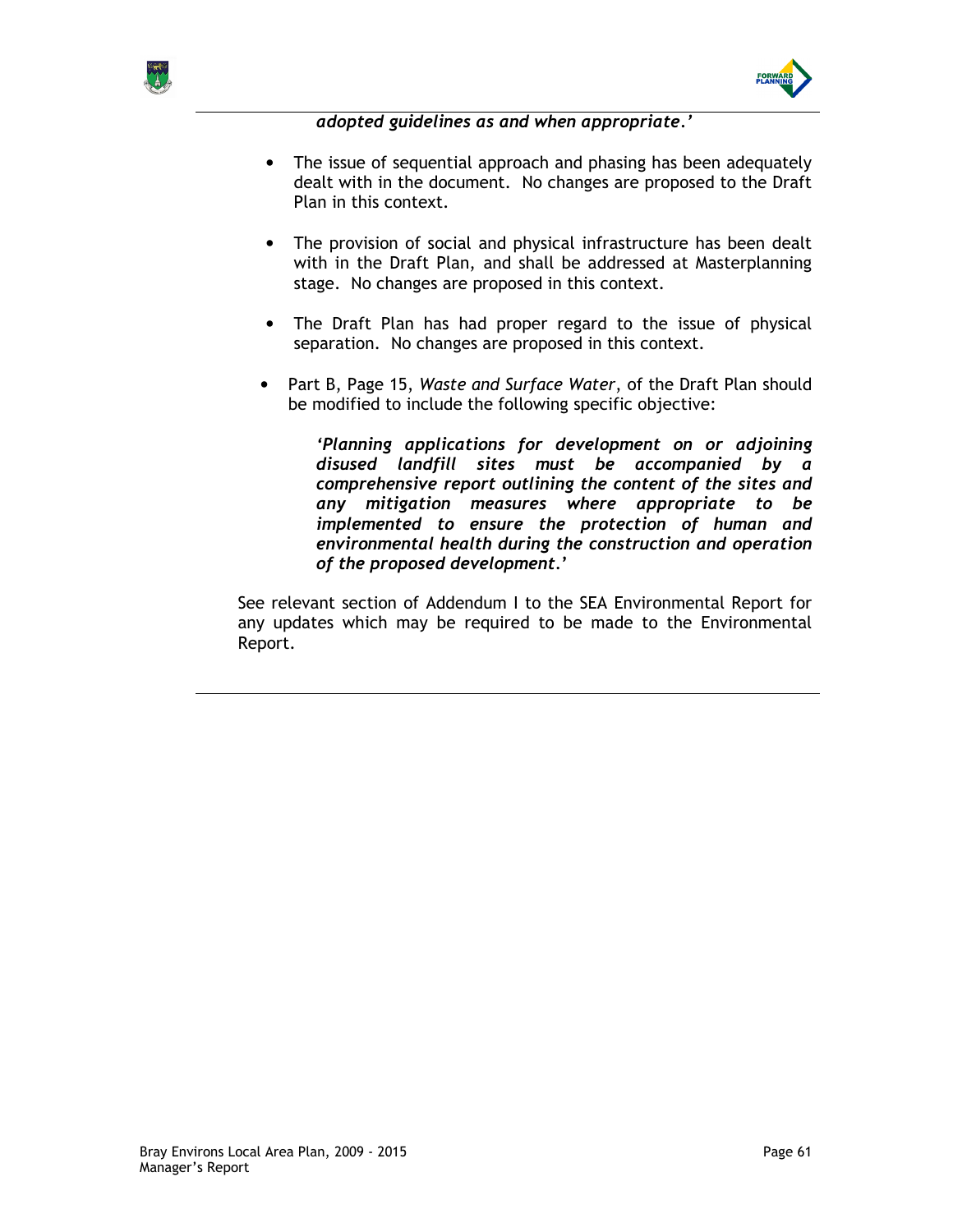



adopted guidelines as and when appropriate.'

- The issue of sequential approach and phasing has been adequately dealt with in the document. No changes are proposed to the Draft Plan in this context.
- The provision of social and physical infrastructure has been dealt with in the Draft Plan, and shall be addressed at Masterplanning stage. No changes are proposed in this context.
- The Draft Plan has had proper regard to the issue of physical separation. No changes are proposed in this context.
- Part B, Page 15, Waste and Surface Water, of the Draft Plan should be modified to include the following specific objective:

'Planning applications for development on or adjoining disused landfill sites must be accompanied by a comprehensive report outlining the content of the sites and any mitigation measures where appropriate to be implemented to ensure the protection of human and environmental health during the construction and operation of the proposed development.'

See relevant section of Addendum I to the SEA Environmental Report for any updates which may be required to be made to the Environmental Report.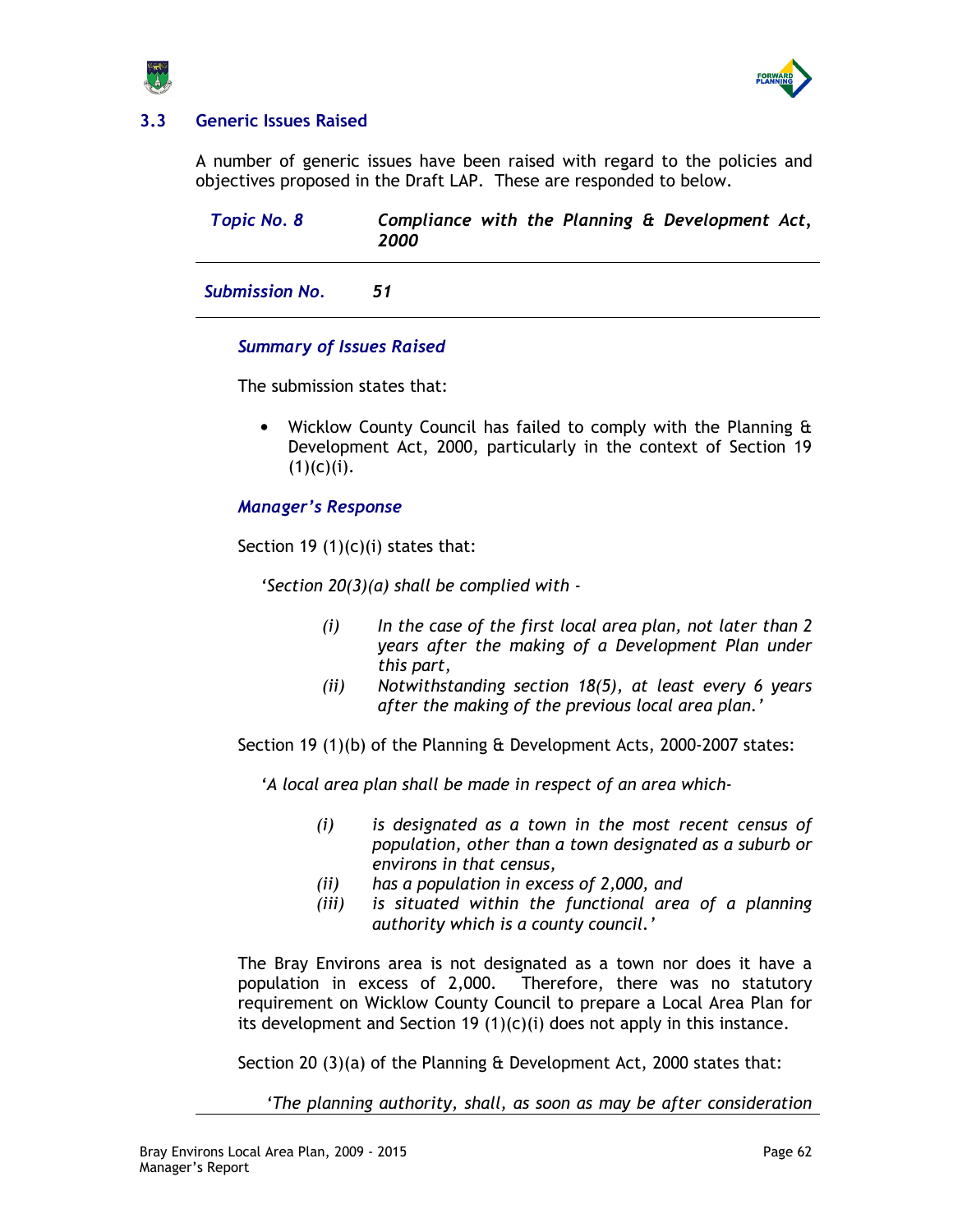

# 3.3 Generic Issues Raised

A number of generic issues have been raised with regard to the policies and objectives proposed in the Draft LAP. These are responded to below.

| <b>Topic No. 8</b>    | 2000 |  |  | Compliance with the Planning & Development Act, |  |
|-----------------------|------|--|--|-------------------------------------------------|--|
| <b>Submission No.</b> | 51   |  |  |                                                 |  |

## Summary of Issues Raised

The submission states that:

• Wicklow County Council has failed to comply with the Planning & Development Act, 2000, particularly in the context of Section 19  $(1)(c)(i)$ .

## Manager's Response

Section 19  $(1)(c)(i)$  states that:

'Section 20(3)(a) shall be complied with -

- $(i)$  In the case of the first local area plan, not later than 2 years after the making of a Development Plan under this part,
- (ii) Notwithstanding section 18(5), at least every 6 years after the making of the previous local area plan.'

Section 19 (1)(b) of the Planning & Development Acts, 2000-2007 states:

'A local area plan shall be made in respect of an area which-

- (i) is designated as a town in the most recent census of population, other than a town designated as a suburb or environs in that census,
- (ii) has a population in excess of 2,000, and
- (iii) is situated within the functional area of a planning authority which is a county council.'

The Bray Environs area is not designated as a town nor does it have a population in excess of 2,000. Therefore, there was no statutory requirement on Wicklow County Council to prepare a Local Area Plan for its development and Section 19 (1)(c)(i) does not apply in this instance.

Section 20 (3)(a) of the Planning & Development Act, 2000 states that:

'The planning authority, shall, as soon as may be after consideration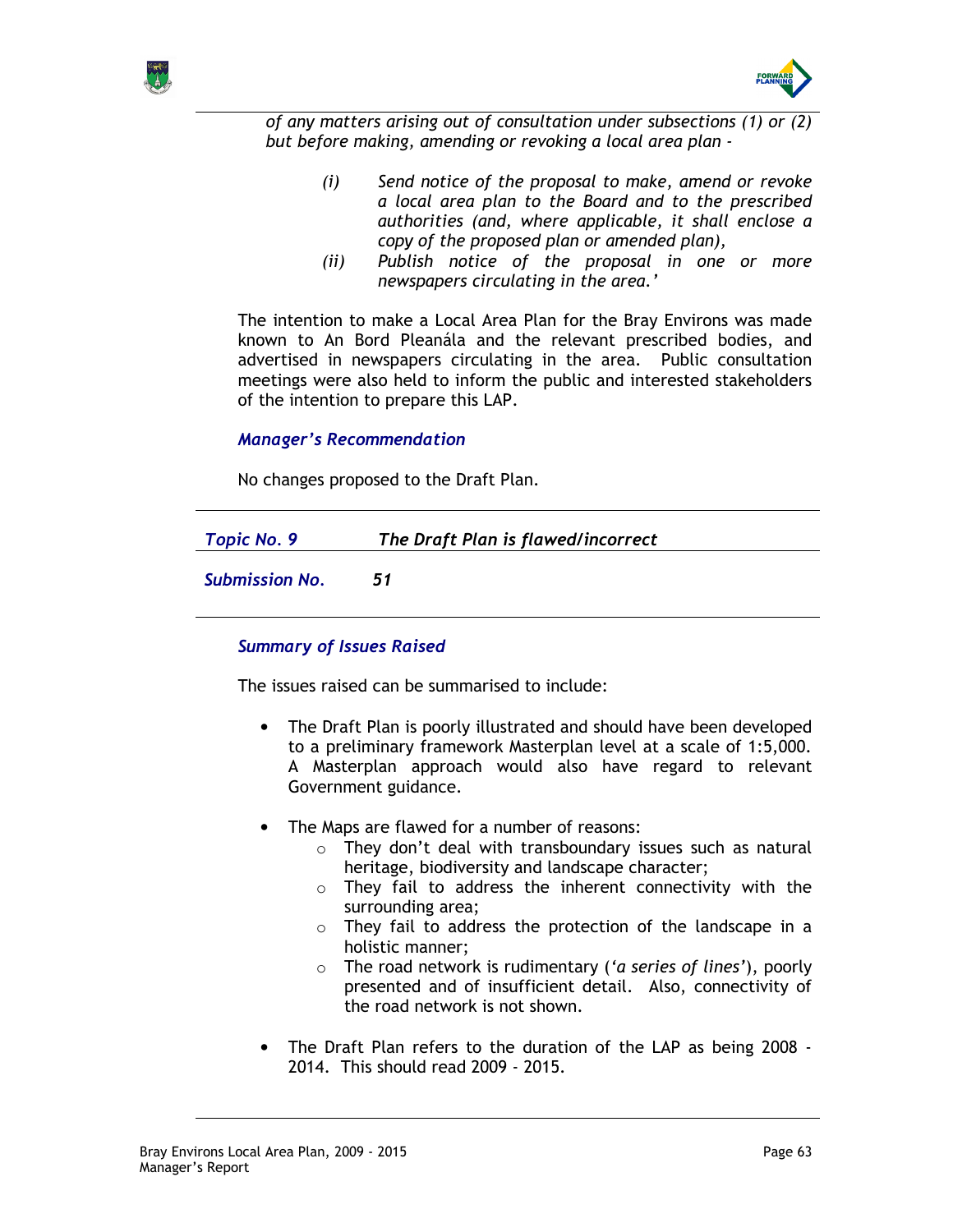



of any matters arising out of consultation under subsections (1) or (2) but before making, amending or revoking a local area plan -

- (i) Send notice of the proposal to make, amend or revoke a local area plan to the Board and to the prescribed authorities (and, where applicable, it shall enclose a copy of the proposed plan or amended plan),
- (ii) Publish notice of the proposal in one or more newspapers circulating in the area.'

The intention to make a Local Area Plan for the Bray Environs was made known to An Bord Pleanála and the relevant prescribed bodies, and advertised in newspapers circulating in the area. Public consultation meetings were also held to inform the public and interested stakeholders of the intention to prepare this LAP.

## Manager's Recommendation

No changes proposed to the Draft Plan.

| Topic No. 9 | The Draft Plan is flawed/incorrect |  |
|-------------|------------------------------------|--|
|             |                                    |  |

Submission No. 51

## Summary of Issues Raised

The issues raised can be summarised to include:

- The Draft Plan is poorly illustrated and should have been developed to a preliminary framework Masterplan level at a scale of 1:5,000. A Masterplan approach would also have regard to relevant Government guidance.
- The Maps are flawed for a number of reasons:
	- $\circ$  They don't deal with transboundary issues such as natural heritage, biodiversity and landscape character;
	- $\circ$  They fail to address the inherent connectivity with the surrounding area;
	- $\circ$  They fail to address the protection of the landscape in a holistic manner;
	- $\circ$  The road network is rudimentary ('a series of lines'), poorly presented and of insufficient detail. Also, connectivity of the road network is not shown.
- The Draft Plan refers to the duration of the LAP as being 2008 2014. This should read 2009 - 2015.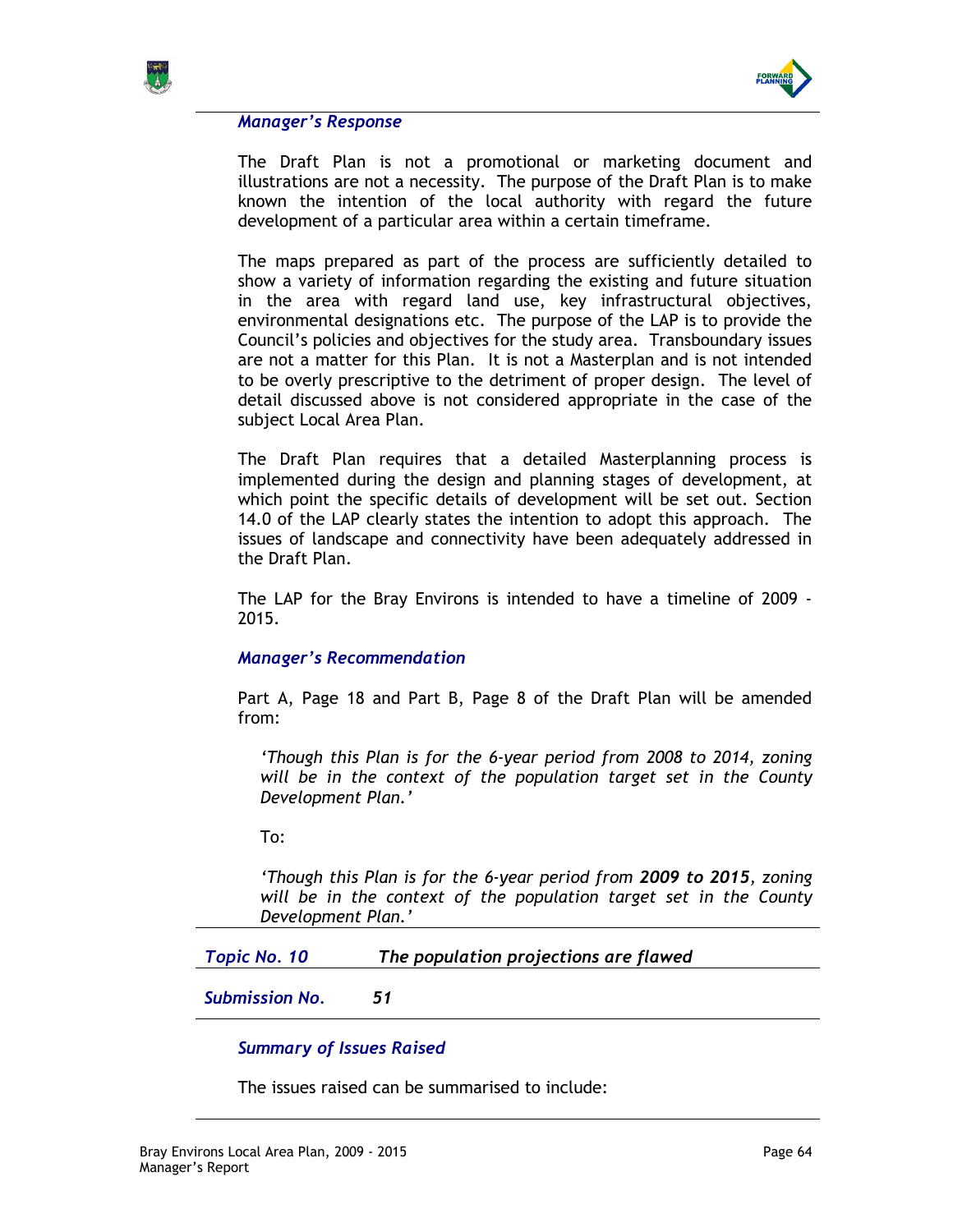



The Draft Plan is not a promotional or marketing document and illustrations are not a necessity. The purpose of the Draft Plan is to make known the intention of the local authority with regard the future development of a particular area within a certain timeframe.

The maps prepared as part of the process are sufficiently detailed to show a variety of information regarding the existing and future situation in the area with regard land use, key infrastructural objectives, environmental designations etc. The purpose of the LAP is to provide the Council's policies and objectives for the study area. Transboundary issues are not a matter for this Plan. It is not a Masterplan and is not intended to be overly prescriptive to the detriment of proper design. The level of detail discussed above is not considered appropriate in the case of the subject Local Area Plan.

The Draft Plan requires that a detailed Masterplanning process is implemented during the design and planning stages of development, at which point the specific details of development will be set out. Section 14.0 of the LAP clearly states the intention to adopt this approach. The issues of landscape and connectivity have been adequately addressed in the Draft Plan.

The LAP for the Bray Environs is intended to have a timeline of 2009 - 2015.

### Manager's Recommendation

Part A, Page 18 and Part B, Page 8 of the Draft Plan will be amended from:

'Though this Plan is for the 6-year period from 2008 to 2014, zoning will be in the context of the population target set in the County Development Plan.'

To:

'Though this Plan is for the 6-year period from 2009 to 2015, zoning will be in the context of the population target set in the County Development Plan.'

Topic No. 10 The population projections are flawed

Submission No. 51

## Summary of Issues Raised

The issues raised can be summarised to include: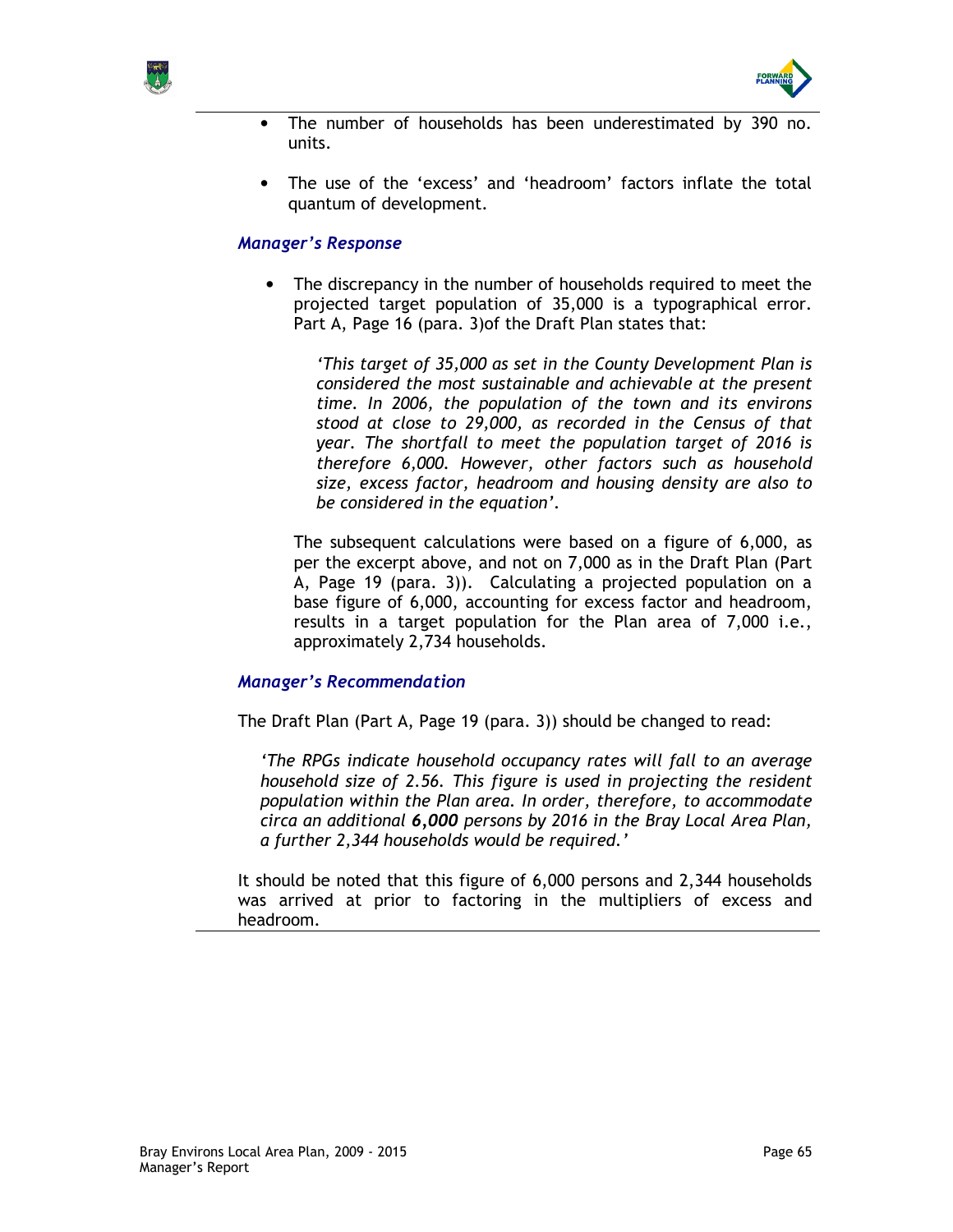



- The number of households has been underestimated by 390 no. units.
- The use of the 'excess' and 'headroom' factors inflate the total quantum of development.

The discrepancy in the number of households required to meet the projected target population of 35,000 is a typographical error. Part A, Page 16 (para. 3)of the Draft Plan states that:

'This target of 35,000 as set in the County Development Plan is considered the most sustainable and achievable at the present time. In 2006, the population of the town and its environs stood at close to 29,000, as recorded in the Census of that year. The shortfall to meet the population target of 2016 is therefore 6,000. However, other factors such as household size, excess factor, headroom and housing density are also to be considered in the equation'.

The subsequent calculations were based on a figure of 6,000, as per the excerpt above, and not on 7,000 as in the Draft Plan (Part A, Page 19 (para. 3)). Calculating a projected population on a base figure of 6,000, accounting for excess factor and headroom, results in a target population for the Plan area of 7,000 i.e., approximately 2,734 households.

### Manager's Recommendation

The Draft Plan (Part A, Page 19 (para. 3)) should be changed to read:

'The RPGs indicate household occupancy rates will fall to an average household size of 2.56. This figure is used in projecting the resident population within the Plan area. In order, therefore, to accommodate circa an additional 6,000 persons by 2016 in the Bray Local Area Plan, a further 2,344 households would be required.'

It should be noted that this figure of 6,000 persons and 2,344 households was arrived at prior to factoring in the multipliers of excess and headroom.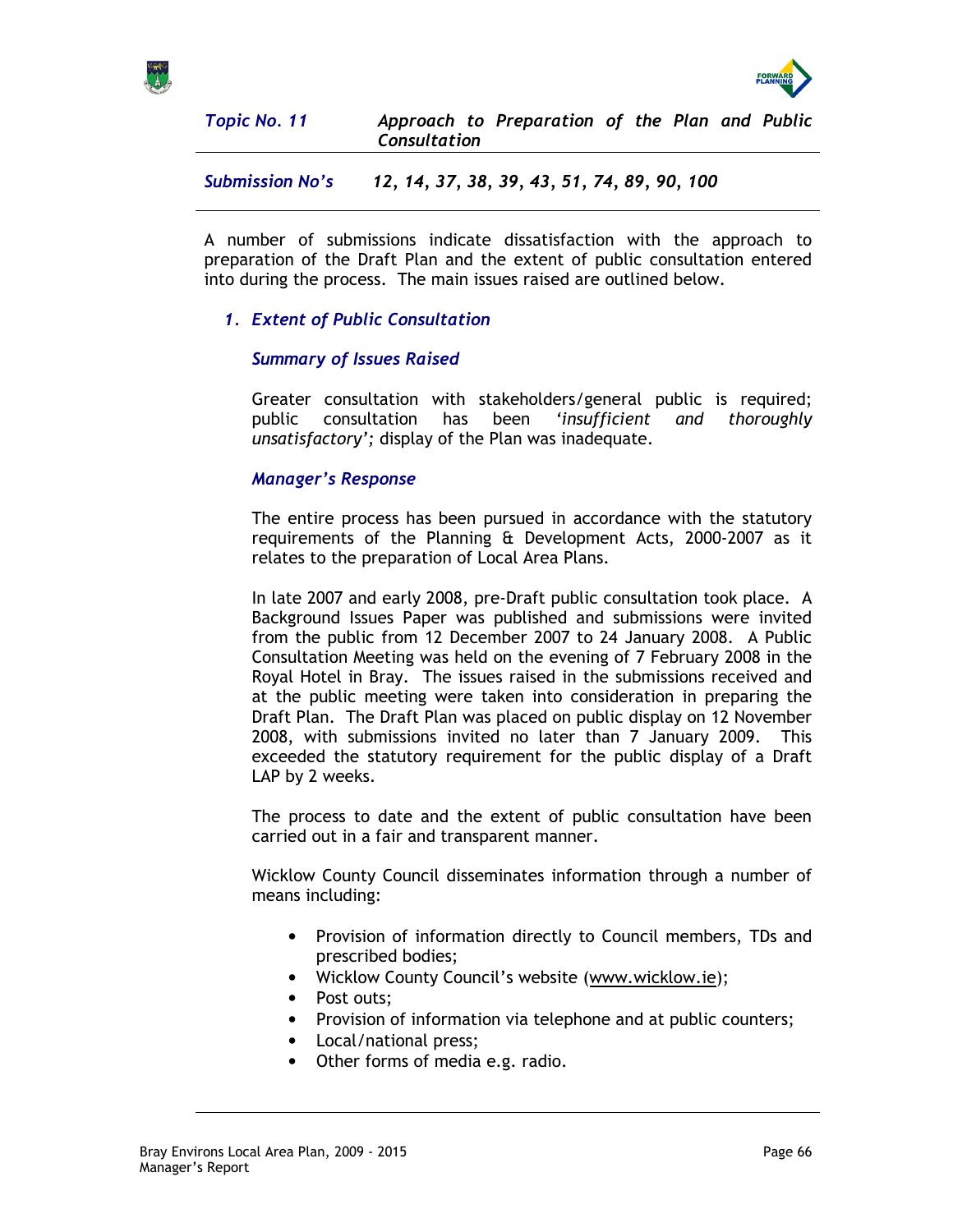



Topic No. 11 Approach to Preparation of the Plan and Public **Consultation** 

Submission No's 12, 14, 37, 38, 39, 43, 51, 74, 89, 90, 100

A number of submissions indicate dissatisfaction with the approach to preparation of the Draft Plan and the extent of public consultation entered into during the process. The main issues raised are outlined below.

# 1. Extent of Public Consultation

## Summary of Issues Raised

Greater consultation with stakeholders/general public is required; public consultation has been 'insufficient and thoroughly unsatisfactory'; display of the Plan was inadequate.

## Manager's Response

The entire process has been pursued in accordance with the statutory requirements of the Planning & Development Acts, 2000-2007 as it relates to the preparation of Local Area Plans.

In late 2007 and early 2008, pre-Draft public consultation took place. A Background Issues Paper was published and submissions were invited from the public from 12 December 2007 to 24 January 2008. A Public Consultation Meeting was held on the evening of 7 February 2008 in the Royal Hotel in Bray. The issues raised in the submissions received and at the public meeting were taken into consideration in preparing the Draft Plan. The Draft Plan was placed on public display on 12 November 2008, with submissions invited no later than 7 January 2009. This exceeded the statutory requirement for the public display of a Draft LAP by 2 weeks.

The process to date and the extent of public consultation have been carried out in a fair and transparent manner.

Wicklow County Council disseminates information through a number of means including:

- Provision of information directly to Council members, TDs and prescribed bodies;
- Wicklow County Council's website (www.wicklow.ie);
- Post outs;
- Provision of information via telephone and at public counters;
- Local/national press;
- Other forms of media e.g. radio.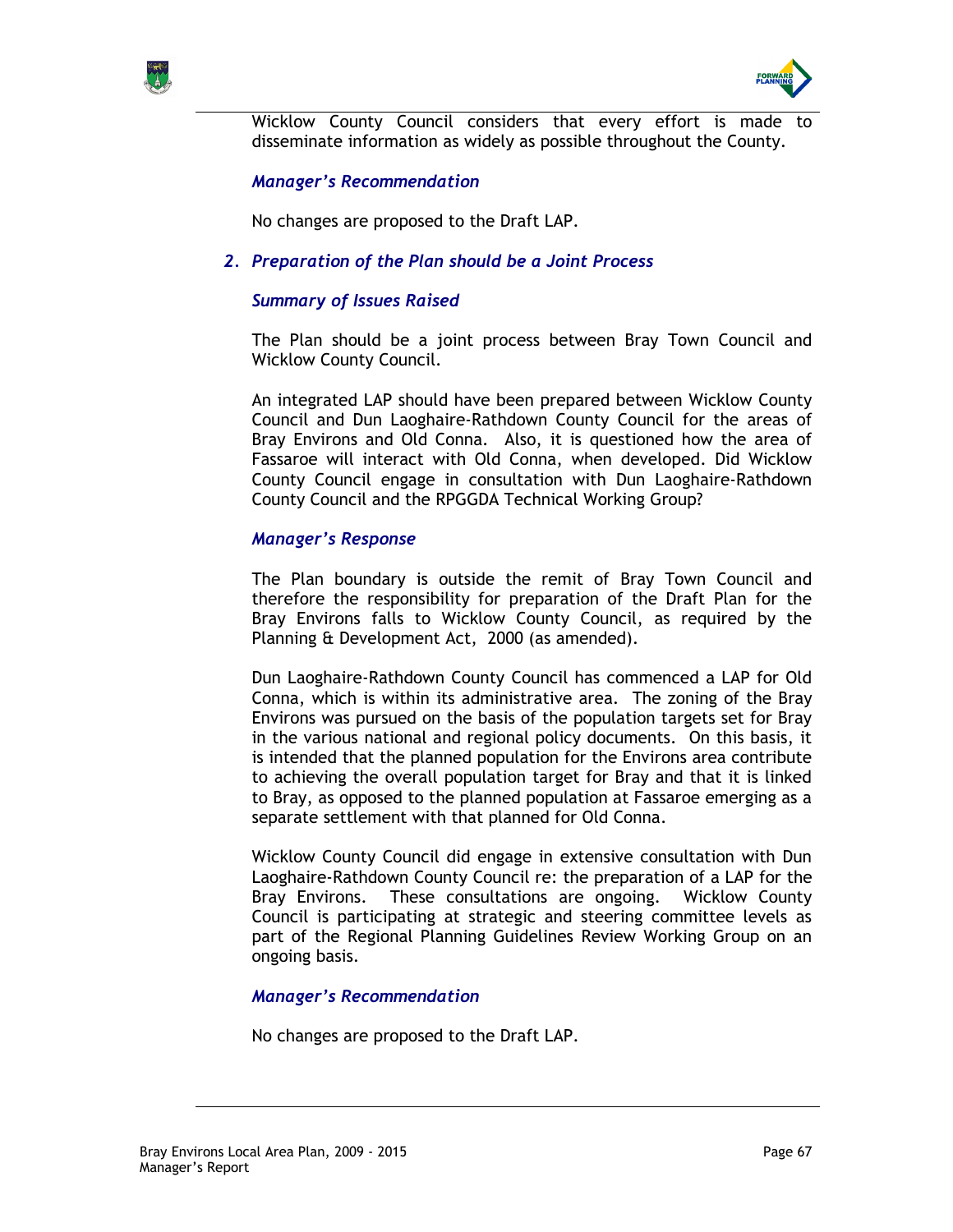



Wicklow County Council considers that every effort is made disseminate information as widely as possible throughout the County.

### Manager's Recommendation

No changes are proposed to the Draft LAP.

## 2. Preparation of the Plan should be a Joint Process

### Summary of Issues Raised

The Plan should be a joint process between Bray Town Council and Wicklow County Council.

An integrated LAP should have been prepared between Wicklow County Council and Dun Laoghaire-Rathdown County Council for the areas of Bray Environs and Old Conna. Also, it is questioned how the area of Fassaroe will interact with Old Conna, when developed. Did Wicklow County Council engage in consultation with Dun Laoghaire-Rathdown County Council and the RPGGDA Technical Working Group?

### Manager's Response

The Plan boundary is outside the remit of Bray Town Council and therefore the responsibility for preparation of the Draft Plan for the Bray Environs falls to Wicklow County Council, as required by the Planning & Development Act, 2000 (as amended).

Dun Laoghaire-Rathdown County Council has commenced a LAP for Old Conna, which is within its administrative area. The zoning of the Bray Environs was pursued on the basis of the population targets set for Bray in the various national and regional policy documents. On this basis, it is intended that the planned population for the Environs area contribute to achieving the overall population target for Bray and that it is linked to Bray, as opposed to the planned population at Fassaroe emerging as a separate settlement with that planned for Old Conna.

Wicklow County Council did engage in extensive consultation with Dun Laoghaire-Rathdown County Council re: the preparation of a LAP for the Bray Environs. These consultations are ongoing. Wicklow County Council is participating at strategic and steering committee levels as part of the Regional Planning Guidelines Review Working Group on an ongoing basis.

### Manager's Recommendation

No changes are proposed to the Draft LAP.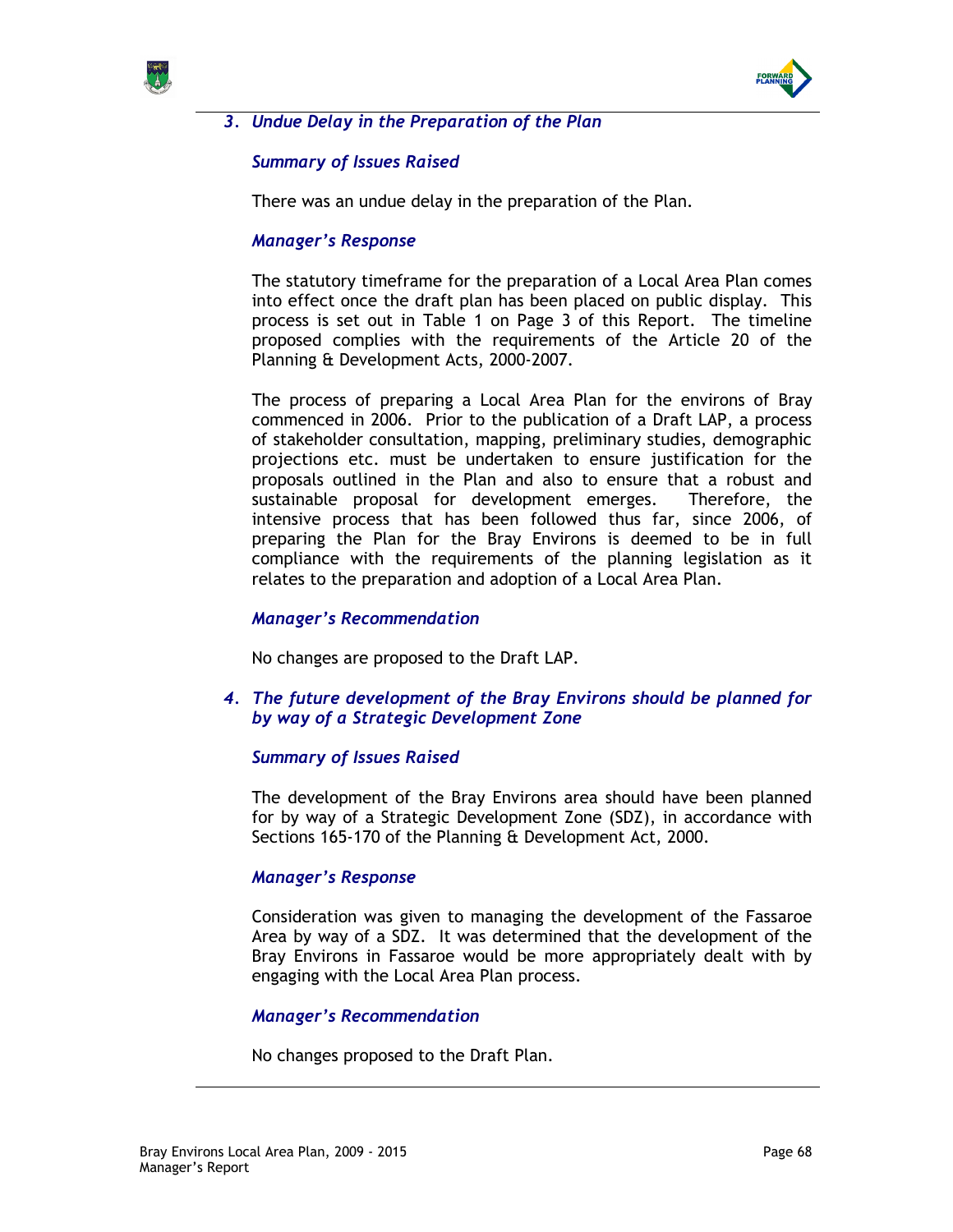



# 3. Undue Delay in the Preparation of the Plan

## Summary of Issues Raised

There was an undue delay in the preparation of the Plan.

### Manager's Response

The statutory timeframe for the preparation of a Local Area Plan comes into effect once the draft plan has been placed on public display. This process is set out in Table 1 on Page 3 of this Report. The timeline proposed complies with the requirements of the Article 20 of the Planning & Development Acts, 2000-2007.

The process of preparing a Local Area Plan for the environs of Bray commenced in 2006. Prior to the publication of a Draft LAP, a process of stakeholder consultation, mapping, preliminary studies, demographic projections etc. must be undertaken to ensure justification for the proposals outlined in the Plan and also to ensure that a robust and sustainable proposal for development emerges. Therefore, the intensive process that has been followed thus far, since 2006, of preparing the Plan for the Bray Environs is deemed to be in full compliance with the requirements of the planning legislation as it relates to the preparation and adoption of a Local Area Plan.

### Manager's Recommendation

No changes are proposed to the Draft LAP.

### 4. The future development of the Bray Environs should be planned for by way of a Strategic Development Zone

### Summary of Issues Raised

The development of the Bray Environs area should have been planned for by way of a Strategic Development Zone (SDZ), in accordance with Sections 165-170 of the Planning & Development Act, 2000.

### Manager's Response

Consideration was given to managing the development of the Fassaroe Area by way of a SDZ. It was determined that the development of the Bray Environs in Fassaroe would be more appropriately dealt with by engaging with the Local Area Plan process.

### Manager's Recommendation

No changes proposed to the Draft Plan.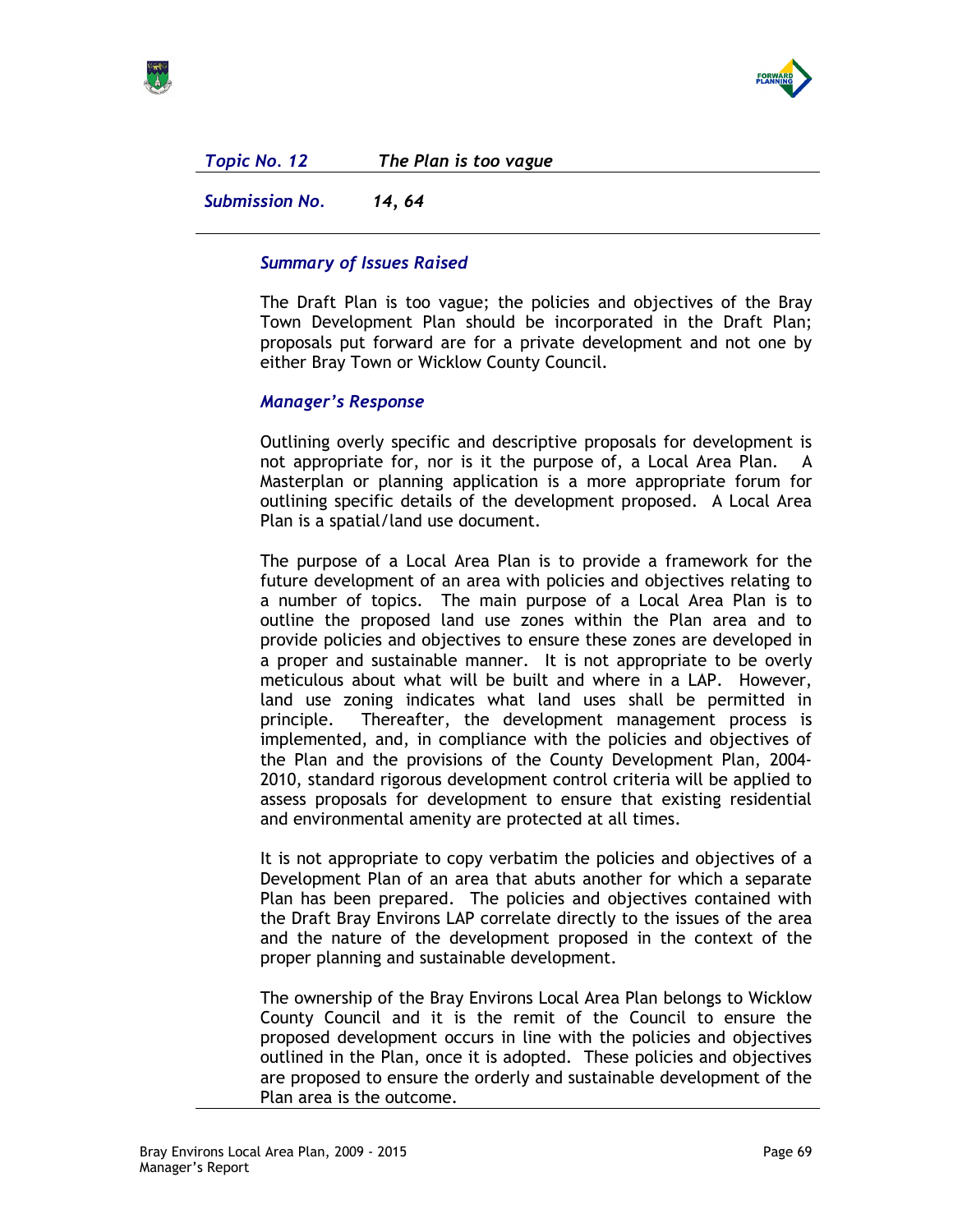

Topic No. 12 The Plan is too vague

Submission No. 14, 64

# Summary of Issues Raised

The Draft Plan is too vague; the policies and objectives of the Bray Town Development Plan should be incorporated in the Draft Plan; proposals put forward are for a private development and not one by either Bray Town or Wicklow County Council.

## Manager's Response

Outlining overly specific and descriptive proposals for development is not appropriate for, nor is it the purpose of, a Local Area Plan. A Masterplan or planning application is a more appropriate forum for outlining specific details of the development proposed. A Local Area Plan is a spatial/land use document.

The purpose of a Local Area Plan is to provide a framework for the future development of an area with policies and objectives relating to a number of topics. The main purpose of a Local Area Plan is to outline the proposed land use zones within the Plan area and to provide policies and objectives to ensure these zones are developed in a proper and sustainable manner. It is not appropriate to be overly meticulous about what will be built and where in a LAP. However, land use zoning indicates what land uses shall be permitted in principle. Thereafter, the development management process is implemented, and, in compliance with the policies and objectives of the Plan and the provisions of the County Development Plan, 2004- 2010, standard rigorous development control criteria will be applied to assess proposals for development to ensure that existing residential and environmental amenity are protected at all times.

It is not appropriate to copy verbatim the policies and objectives of a Development Plan of an area that abuts another for which a separate Plan has been prepared. The policies and objectives contained with the Draft Bray Environs LAP correlate directly to the issues of the area and the nature of the development proposed in the context of the proper planning and sustainable development.

The ownership of the Bray Environs Local Area Plan belongs to Wicklow County Council and it is the remit of the Council to ensure the proposed development occurs in line with the policies and objectives outlined in the Plan, once it is adopted. These policies and objectives are proposed to ensure the orderly and sustainable development of the Plan area is the outcome.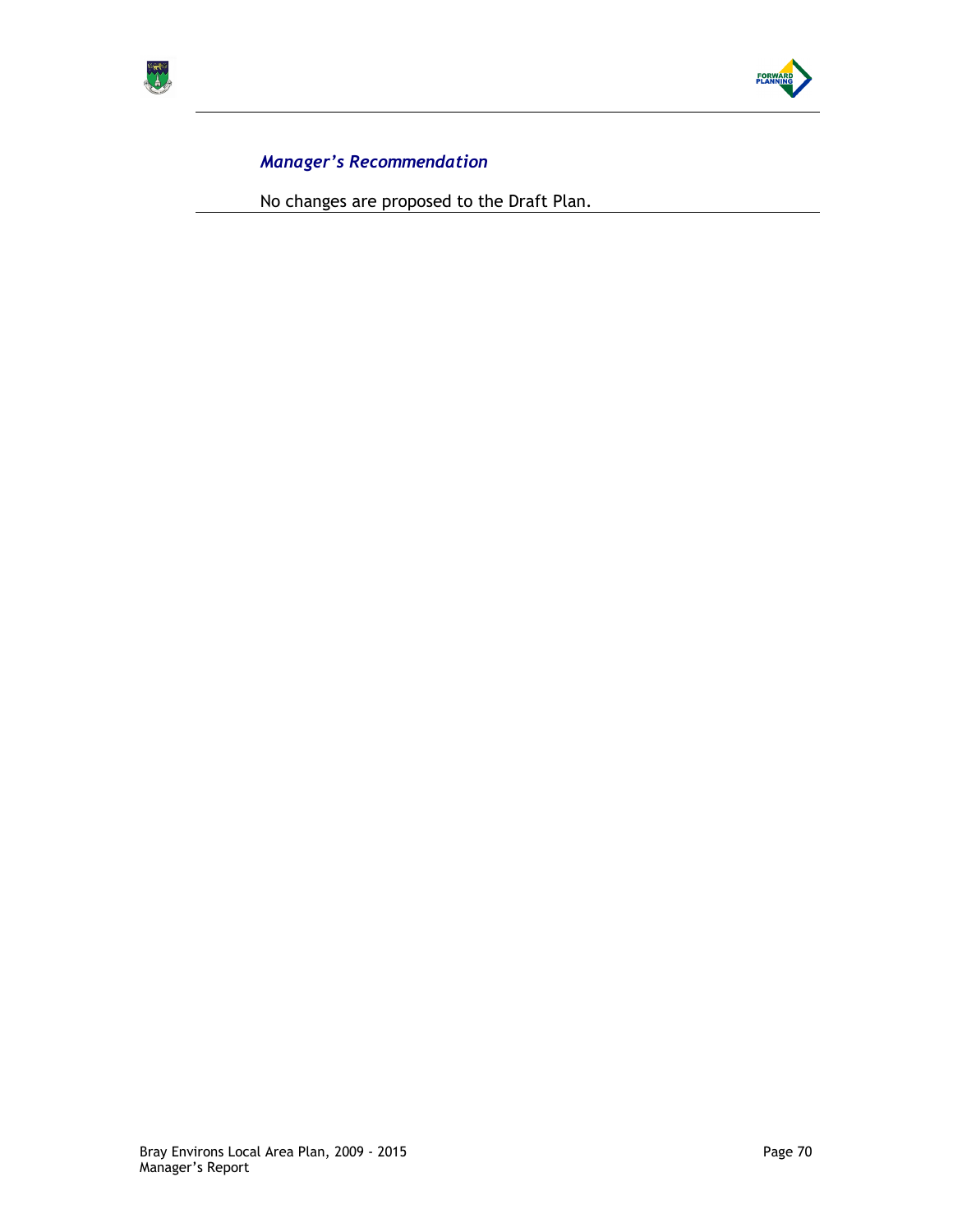



No changes are proposed to the Draft Plan.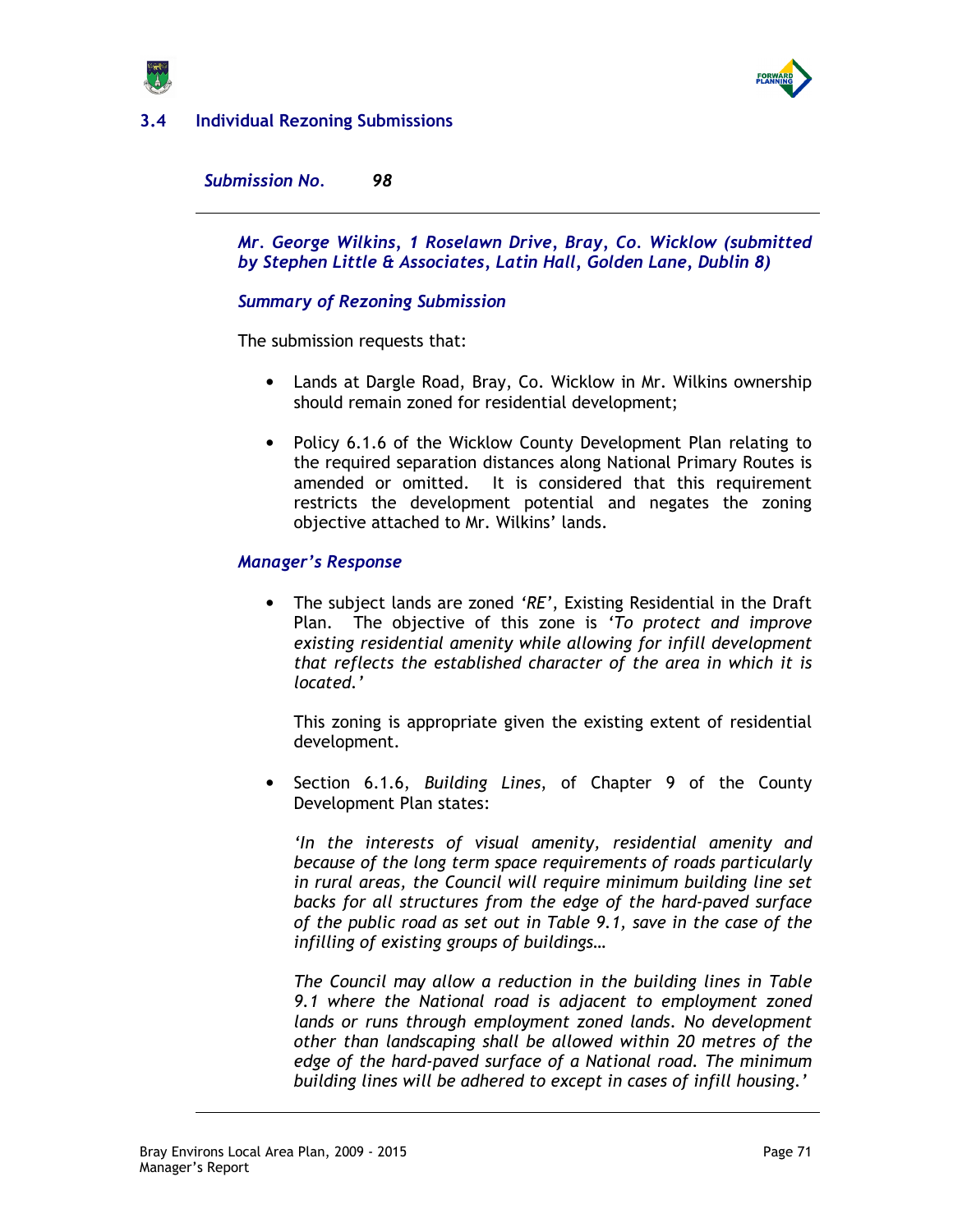

# 3.4 Individual Rezoning Submissions

Submission No. 98

Mr. George Wilkins, 1 Roselawn Drive, Bray, Co. Wicklow (submitted by Stephen Little & Associates, Latin Hall, Golden Lane, Dublin 8)

## Summary of Rezoning Submission

The submission requests that:

- Lands at Dargle Road, Bray, Co. Wicklow in Mr. Wilkins ownership should remain zoned for residential development;
- Policy 6.1.6 of the Wicklow County Development Plan relating to the required separation distances along National Primary Routes is amended or omitted. It is considered that this requirement restricts the development potential and negates the zoning objective attached to Mr. Wilkins' lands.

### Manager's Response

• The subject lands are zoned 'RE', Existing Residential in the Draft Plan. The objective of this zone is 'To protect and improve existing residential amenity while allowing for infill development that reflects the established character of the area in which it is located.'

This zoning is appropriate given the existing extent of residential development.

Section 6.1.6, Building Lines, of Chapter 9 of the County Development Plan states:

'In the interests of visual amenity, residential amenity and because of the long term space requirements of roads particularly in rural areas, the Council will require minimum building line set backs for all structures from the edge of the hard-paved surface of the public road as set out in Table 9.1, save in the case of the infilling of existing groups of buildings…

The Council may allow a reduction in the building lines in Table 9.1 where the National road is adjacent to employment zoned lands or runs through employment zoned lands. No development other than landscaping shall be allowed within 20 metres of the edge of the hard-paved surface of a National road. The minimum building lines will be adhered to except in cases of infill housing.'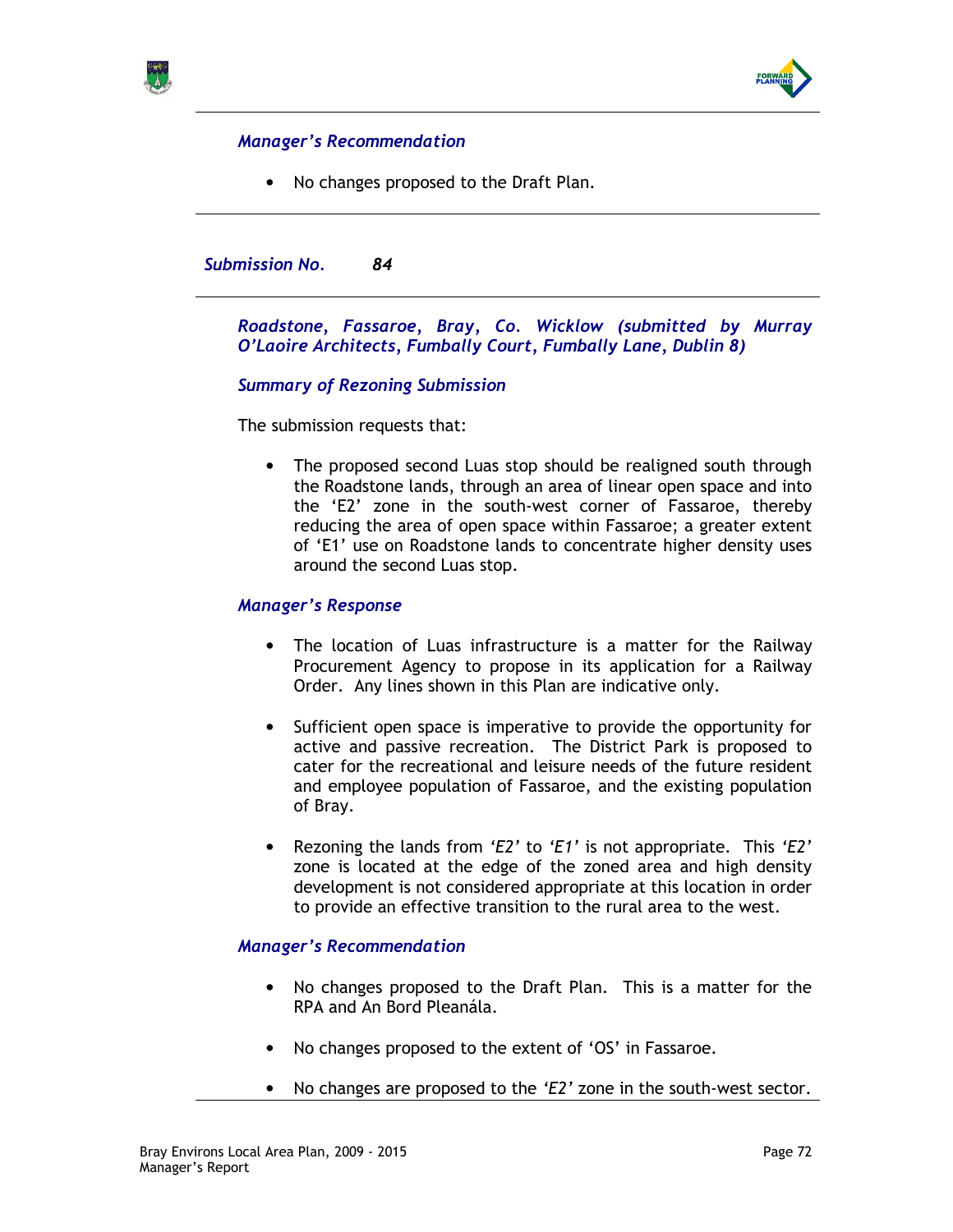



• No changes proposed to the Draft Plan.

### Submission No. 84

## Roadstone, Fassaroe, Bray, Co. Wicklow (submitted by Murray O'Laoire Architects, Fumbally Court, Fumbally Lane, Dublin 8)

## Summary of Rezoning Submission

The submission requests that:

• The proposed second Luas stop should be realigned south through the Roadstone lands, through an area of linear open space and into the 'E2' zone in the south-west corner of Fassaroe, thereby reducing the area of open space within Fassaroe; a greater extent of 'E1' use on Roadstone lands to concentrate higher density uses around the second Luas stop.

### Manager's Response

- The location of Luas infrastructure is a matter for the Railway Procurement Agency to propose in its application for a Railway Order. Any lines shown in this Plan are indicative only.
- Sufficient open space is imperative to provide the opportunity for active and passive recreation. The District Park is proposed to cater for the recreational and leisure needs of the future resident and employee population of Fassaroe, and the existing population of Bray.
- Rezoning the lands from 'E2' to 'E1' is not appropriate. This 'E2' zone is located at the edge of the zoned area and high density development is not considered appropriate at this location in order to provide an effective transition to the rural area to the west.

### Manager's Recommendation

- No changes proposed to the Draft Plan. This is a matter for the RPA and An Bord Pleanála.
- No changes proposed to the extent of 'OS' in Fassaroe.
- No changes are proposed to the 'E2' zone in the south-west sector.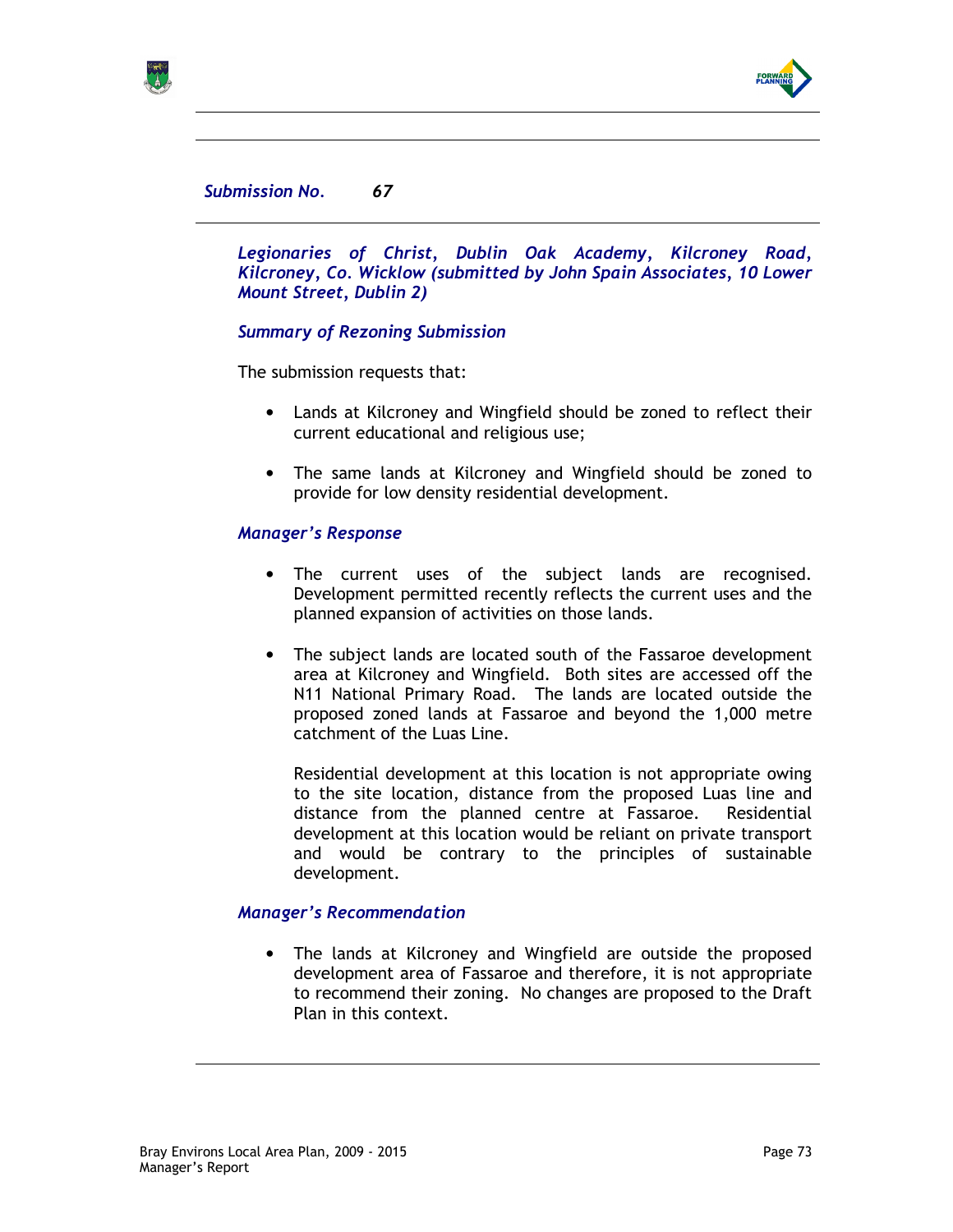

# Submission No. 67

Legionaries of Christ, Dublin Oak Academy, Kilcroney Road, Kilcroney, Co. Wicklow (submitted by John Spain Associates, 10 Lower Mount Street, Dublin 2)

### Summary of Rezoning Submission

The submission requests that:

- Lands at Kilcroney and Wingfield should be zoned to reflect their current educational and religious use;
- The same lands at Kilcroney and Wingfield should be zoned to provide for low density residential development.

### Manager's Response

- The current uses of the subject lands are recognised. Development permitted recently reflects the current uses and the planned expansion of activities on those lands.
- The subject lands are located south of the Fassaroe development area at Kilcroney and Wingfield. Both sites are accessed off the N11 National Primary Road. The lands are located outside the proposed zoned lands at Fassaroe and beyond the 1,000 metre catchment of the Luas Line.

Residential development at this location is not appropriate owing to the site location, distance from the proposed Luas line and distance from the planned centre at Fassaroe. Residential development at this location would be reliant on private transport and would be contrary to the principles of sustainable development.

#### Manager's Recommendation

• The lands at Kilcroney and Wingfield are outside the proposed development area of Fassaroe and therefore, it is not appropriate to recommend their zoning. No changes are proposed to the Draft Plan in this context.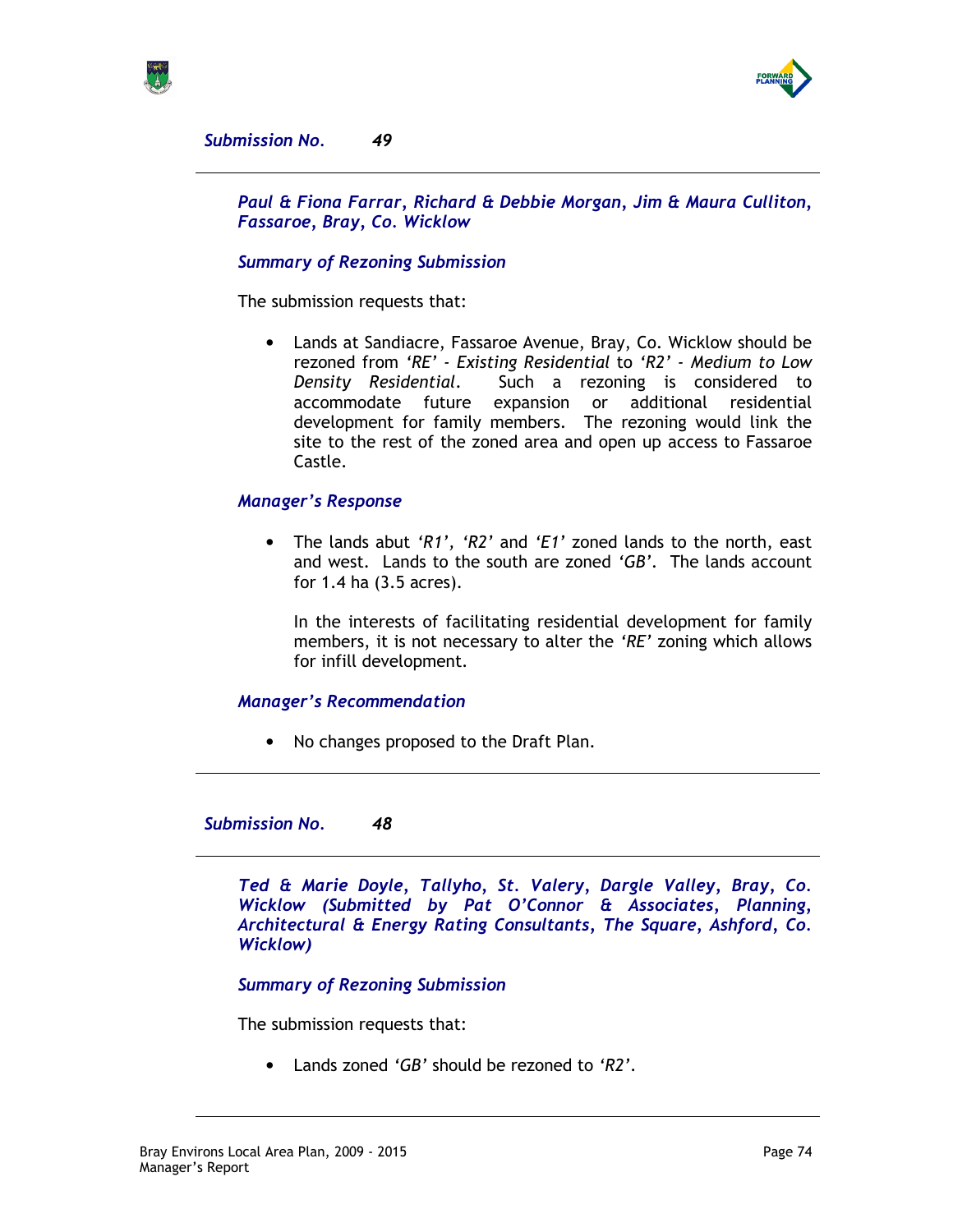



Submission No. 49

Paul & Fiona Farrar, Richard & Debbie Morgan, Jim & Maura Culliton, Fassaroe, Bray, Co. Wicklow

### Summary of Rezoning Submission

The submission requests that:

• Lands at Sandiacre, Fassaroe Avenue, Bray, Co. Wicklow should be rezoned from 'RE' - Existing Residential to 'R2' - Medium to Low Density Residential. Such a rezoning is considered to accommodate future expansion or additional residential development for family members. The rezoning would link the site to the rest of the zoned area and open up access to Fassaroe Castle.

#### Manager's Response

• The lands abut 'R1', 'R2' and 'E1' zoned lands to the north, east and west. Lands to the south are zoned  $'GB'$ . The lands account for 1.4 ha (3.5 acres).

In the interests of facilitating residential development for family members, it is not necessary to alter the 'RE' zoning which allows for infill development.

#### Manager's Recommendation

• No changes proposed to the Draft Plan.

Submission No. 48

Ted & Marie Doyle, Tallyho, St. Valery, Dargle Valley, Bray, Co. Wicklow (Submitted by Pat O'Connor & Associates, Planning, Architectural & Energy Rating Consultants, The Square, Ashford, Co. Wicklow)

Summary of Rezoning Submission

The submission requests that:

• Lands zoned 'GB' should be rezoned to 'R2'.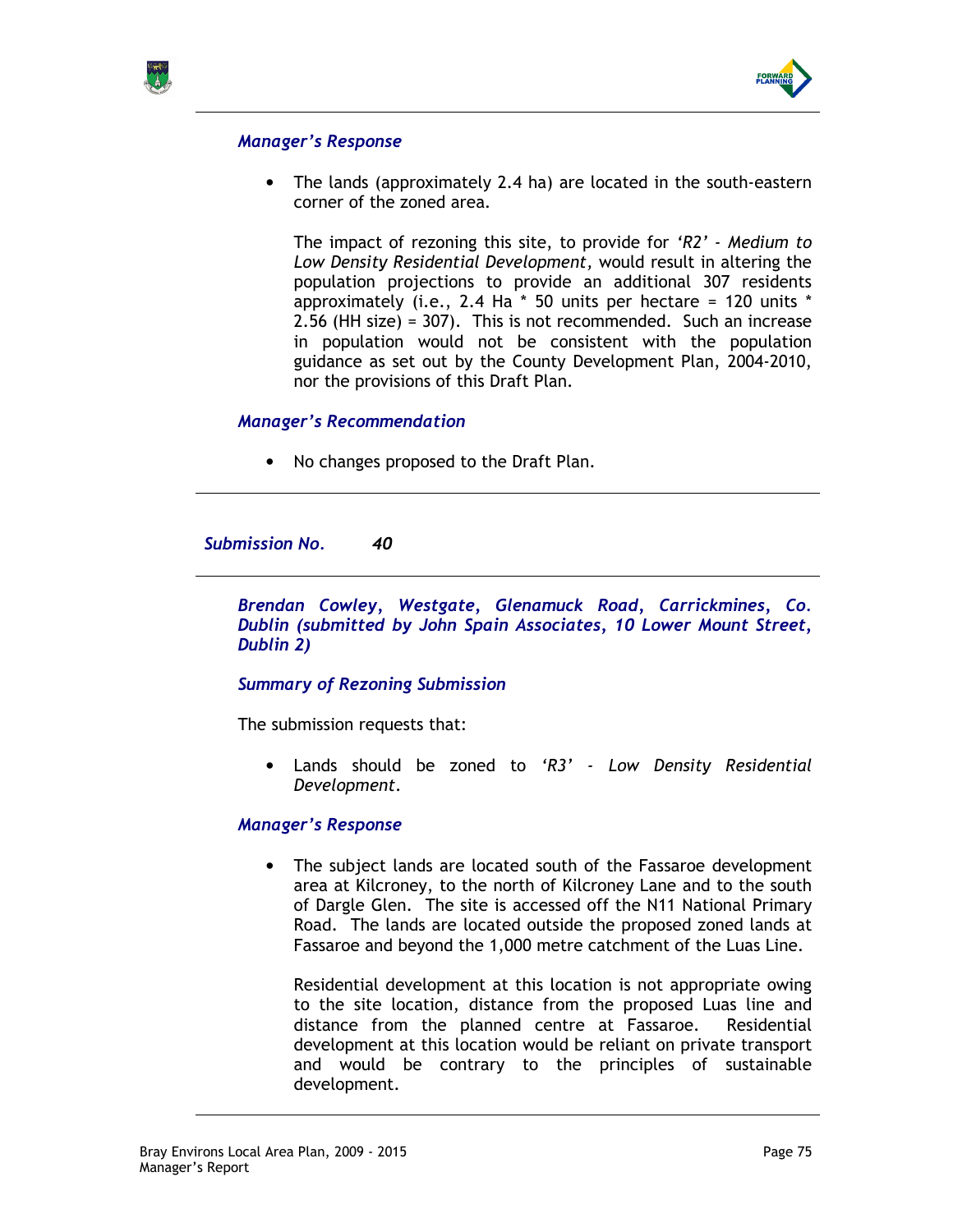



### Manager's Response

• The lands (approximately 2.4 ha) are located in the south-eastern corner of the zoned area.

The impact of rezoning this site, to provide for 'R2' - Medium to Low Density Residential Development, would result in altering the population projections to provide an additional 307 residents approximately (i.e., 2.4 Ha  $*$  50 units per hectare = 120 units  $*$ 2.56 (HH size) = 307). This is not recommended. Such an increase in population would not be consistent with the population guidance as set out by the County Development Plan, 2004-2010, nor the provisions of this Draft Plan.

### Manager's Recommendation

• No changes proposed to the Draft Plan.

Submission No. 40

Brendan Cowley, Westgate, Glenamuck Road, Carrickmines, Co. Dublin (submitted by John Spain Associates, 10 Lower Mount Street, Dublin 2)

# Summary of Rezoning Submission

The submission requests that:

• Lands should be zoned to 'R3' - Low Density Residential Development.

#### Manager's Response

• The subject lands are located south of the Fassaroe development area at Kilcroney, to the north of Kilcroney Lane and to the south of Dargle Glen. The site is accessed off the N11 National Primary Road. The lands are located outside the proposed zoned lands at Fassaroe and beyond the 1,000 metre catchment of the Luas Line.

Residential development at this location is not appropriate owing to the site location, distance from the proposed Luas line and distance from the planned centre at Fassaroe. Residential development at this location would be reliant on private transport and would be contrary to the principles of sustainable development.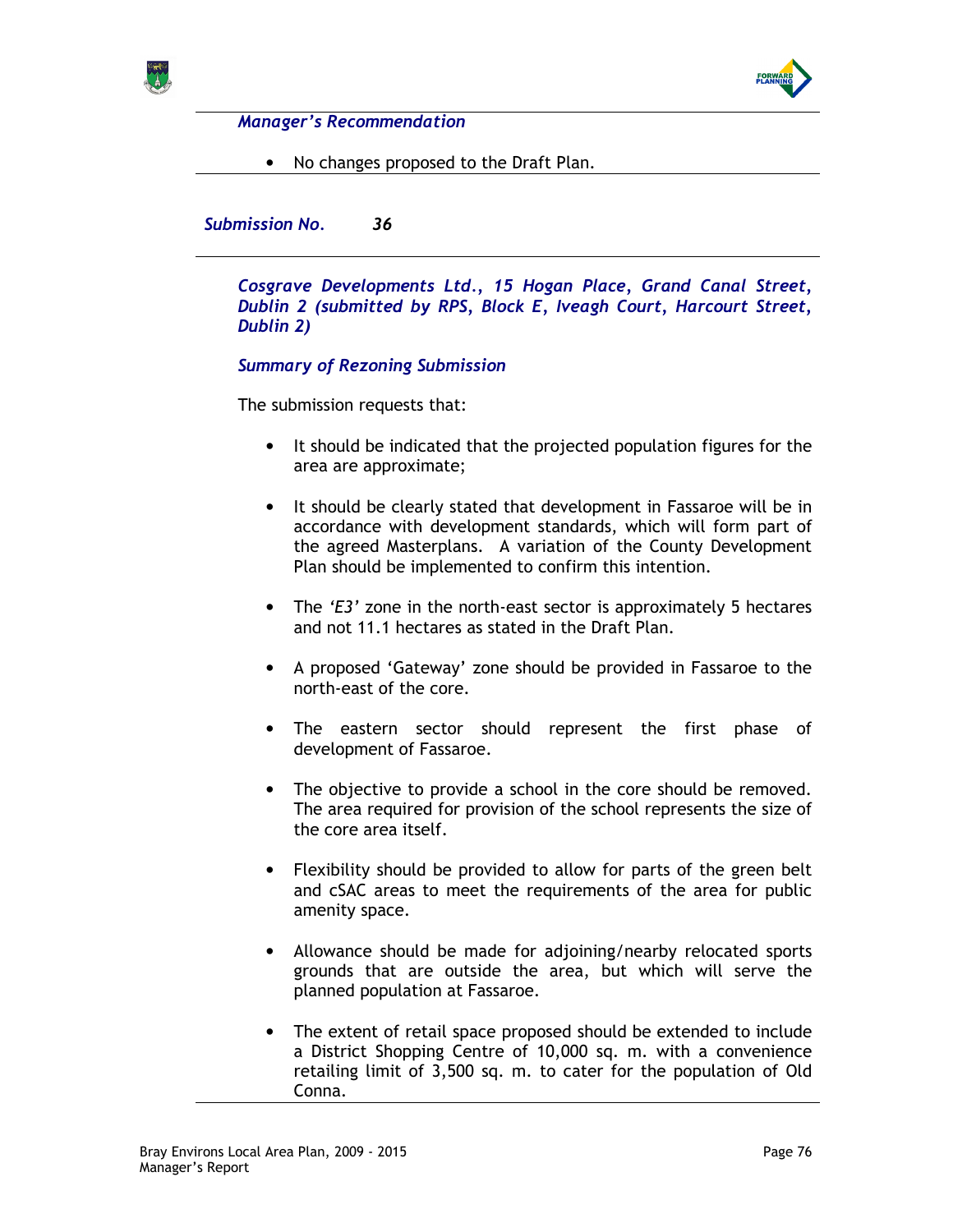



Manager's Recommendation

• No changes proposed to the Draft Plan.

Submission No. 36

Cosgrave Developments Ltd., 15 Hogan Place, Grand Canal Street, Dublin 2 (submitted by RPS, Block E, Iveagh Court, Harcourt Street, Dublin 2)

# Summary of Rezoning Submission

The submission requests that:

- It should be indicated that the projected population figures for the area are approximate;
- It should be clearly stated that development in Fassaroe will be in accordance with development standards, which will form part of the agreed Masterplans. A variation of the County Development Plan should be implemented to confirm this intention.
- The 'E3' zone in the north-east sector is approximately 5 hectares and not 11.1 hectares as stated in the Draft Plan.
- A proposed 'Gateway' zone should be provided in Fassaroe to the north-east of the core.
- The eastern sector should represent the first phase of development of Fassaroe.
- The objective to provide a school in the core should be removed. The area required for provision of the school represents the size of the core area itself.
- Flexibility should be provided to allow for parts of the green belt and cSAC areas to meet the requirements of the area for public amenity space.
- Allowance should be made for adjoining/nearby relocated sports grounds that are outside the area, but which will serve the planned population at Fassaroe.
- The extent of retail space proposed should be extended to include a District Shopping Centre of 10,000 sq. m. with a convenience retailing limit of 3,500 sq. m. to cater for the population of Old Conna.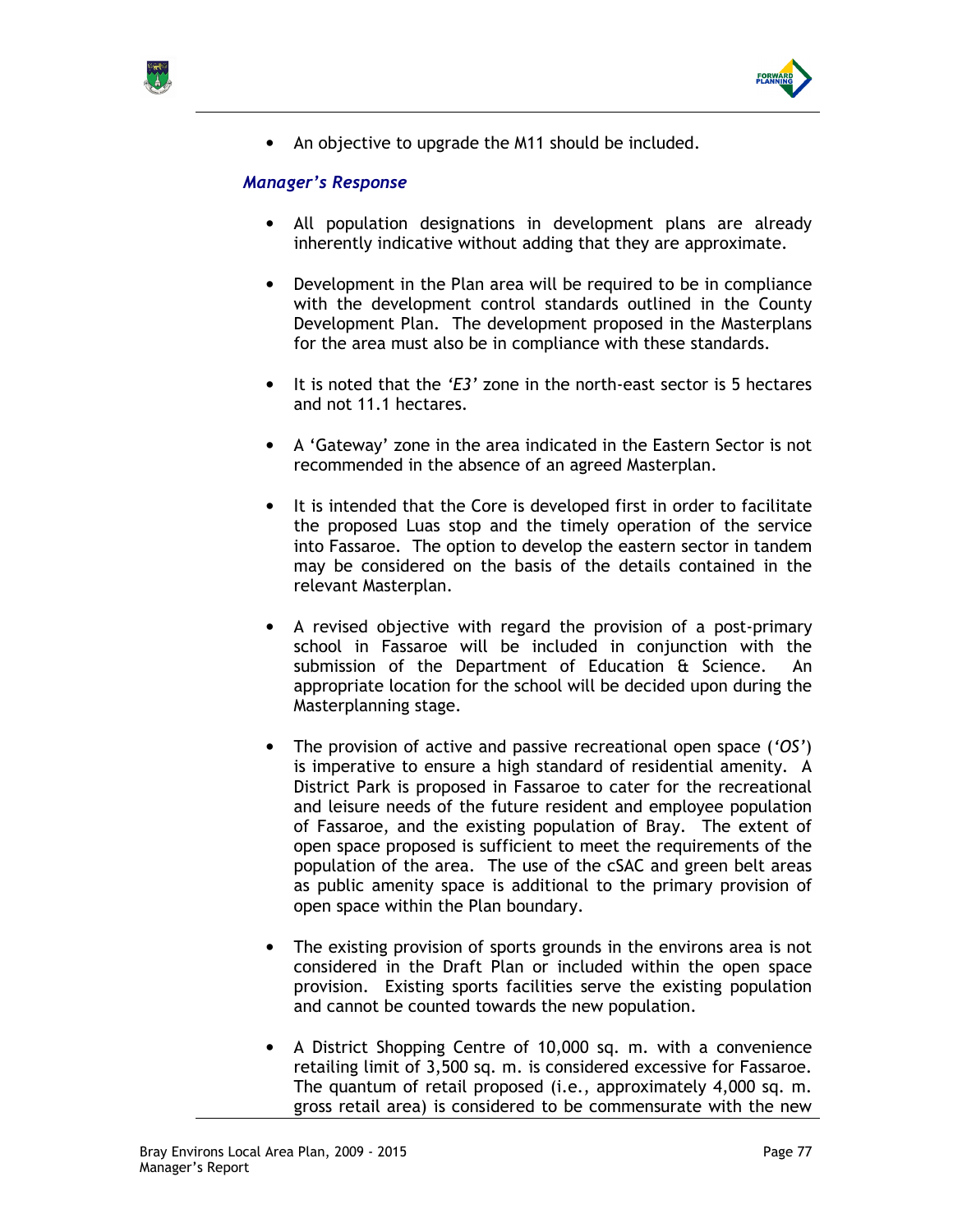



• An objective to upgrade the M11 should be included.

### Manager's Response

- All population designations in development plans are already inherently indicative without adding that they are approximate.
- Development in the Plan area will be required to be in compliance with the development control standards outlined in the County Development Plan. The development proposed in the Masterplans for the area must also be in compliance with these standards.
- It is noted that the 'E3' zone in the north-east sector is 5 hectares and not 11.1 hectares.
- A 'Gateway' zone in the area indicated in the Eastern Sector is not recommended in the absence of an agreed Masterplan.
- It is intended that the Core is developed first in order to facilitate the proposed Luas stop and the timely operation of the service into Fassaroe. The option to develop the eastern sector in tandem may be considered on the basis of the details contained in the relevant Masterplan.
- A revised objective with regard the provision of a post-primary school in Fassaroe will be included in conjunction with the submission of the Department of Education & Science. An appropriate location for the school will be decided upon during the Masterplanning stage.
- The provision of active and passive recreational open space ('OS') is imperative to ensure a high standard of residential amenity. A District Park is proposed in Fassaroe to cater for the recreational and leisure needs of the future resident and employee population of Fassaroe, and the existing population of Bray. The extent of open space proposed is sufficient to meet the requirements of the population of the area. The use of the cSAC and green belt areas as public amenity space is additional to the primary provision of open space within the Plan boundary.
- The existing provision of sports grounds in the environs area is not considered in the Draft Plan or included within the open space provision. Existing sports facilities serve the existing population and cannot be counted towards the new population.
- A District Shopping Centre of 10,000 sq. m. with a convenience retailing limit of 3,500 sq. m. is considered excessive for Fassaroe. The quantum of retail proposed (i.e., approximately 4,000 sq. m. gross retail area) is considered to be commensurate with the new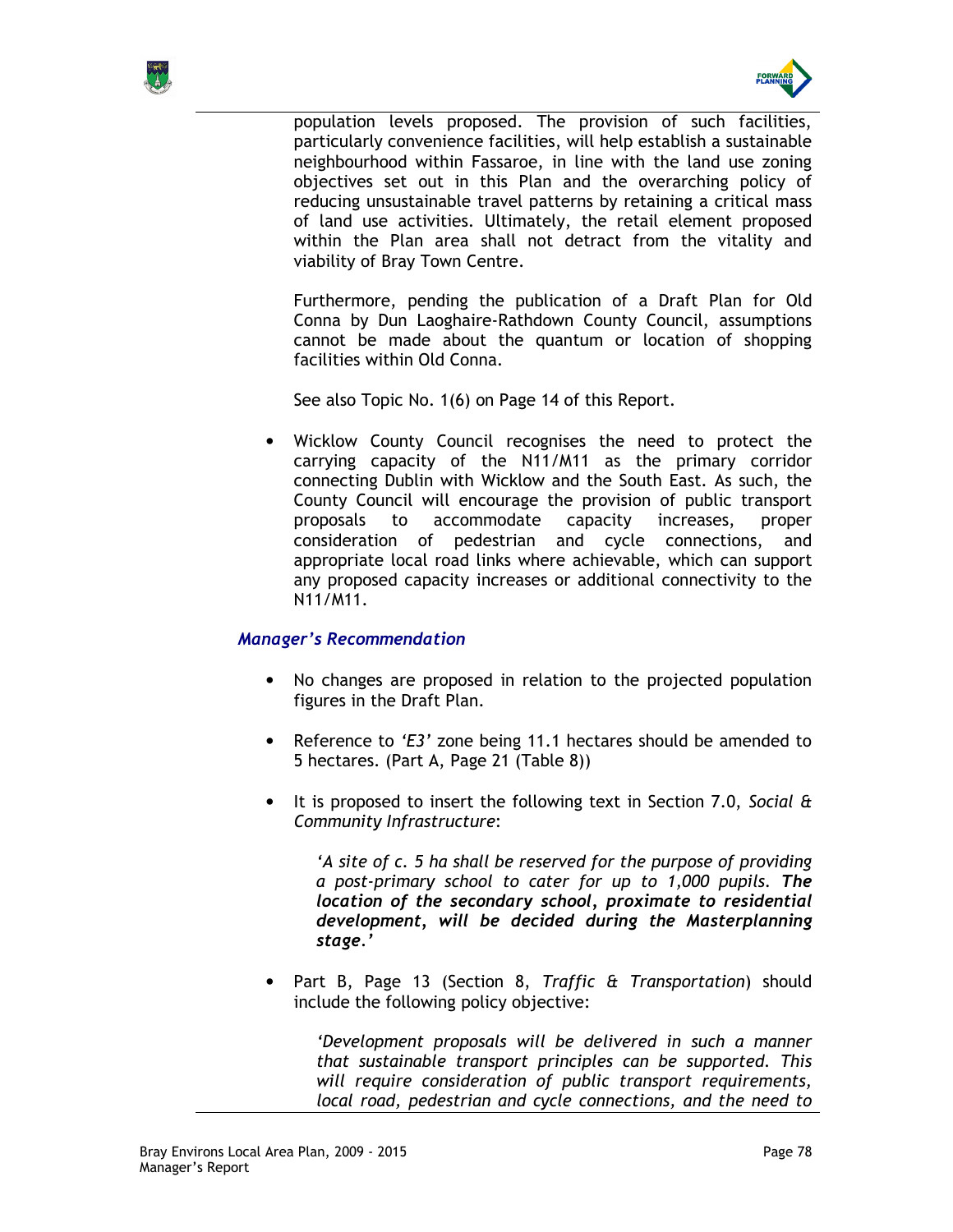



population levels proposed. The provision of such facilities, particularly convenience facilities, will help establish a sustainable neighbourhood within Fassaroe, in line with the land use zoning objectives set out in this Plan and the overarching policy of reducing unsustainable travel patterns by retaining a critical mass of land use activities. Ultimately, the retail element proposed within the Plan area shall not detract from the vitality and viability of Bray Town Centre.

Furthermore, pending the publication of a Draft Plan for Old Conna by Dun Laoghaire-Rathdown County Council, assumptions cannot be made about the quantum or location of shopping facilities within Old Conna.

See also Topic No. 1(6) on Page 14 of this Report.

• Wicklow County Council recognises the need to protect the carrying capacity of the N11/M11 as the primary corridor connecting Dublin with Wicklow and the South East. As such, the County Council will encourage the provision of public transport proposals to accommodate capacity increases, proper consideration of pedestrian and cycle connections, and appropriate local road links where achievable, which can support any proposed capacity increases or additional connectivity to the N11/M11.

# Manager's Recommendation

- No changes are proposed in relation to the projected population figures in the Draft Plan.
- Reference to 'E3' zone being 11.1 hectares should be amended to 5 hectares. (Part A, Page 21 (Table 8))
- It is proposed to insert the following text in Section 7.0, Social & Community Infrastructure:

'A site of c. 5 ha shall be reserved for the purpose of providing a post-primary school to cater for up to 1,000 pupils. The location of the secondary school, proximate to residential development, will be decided during the Masterplanning stage.'

• Part B, Page 13 (Section 8, Traffic & Transportation) should include the following policy objective:

'Development proposals will be delivered in such a manner that sustainable transport principles can be supported. This will require consideration of public transport requirements, local road, pedestrian and cycle connections, and the need to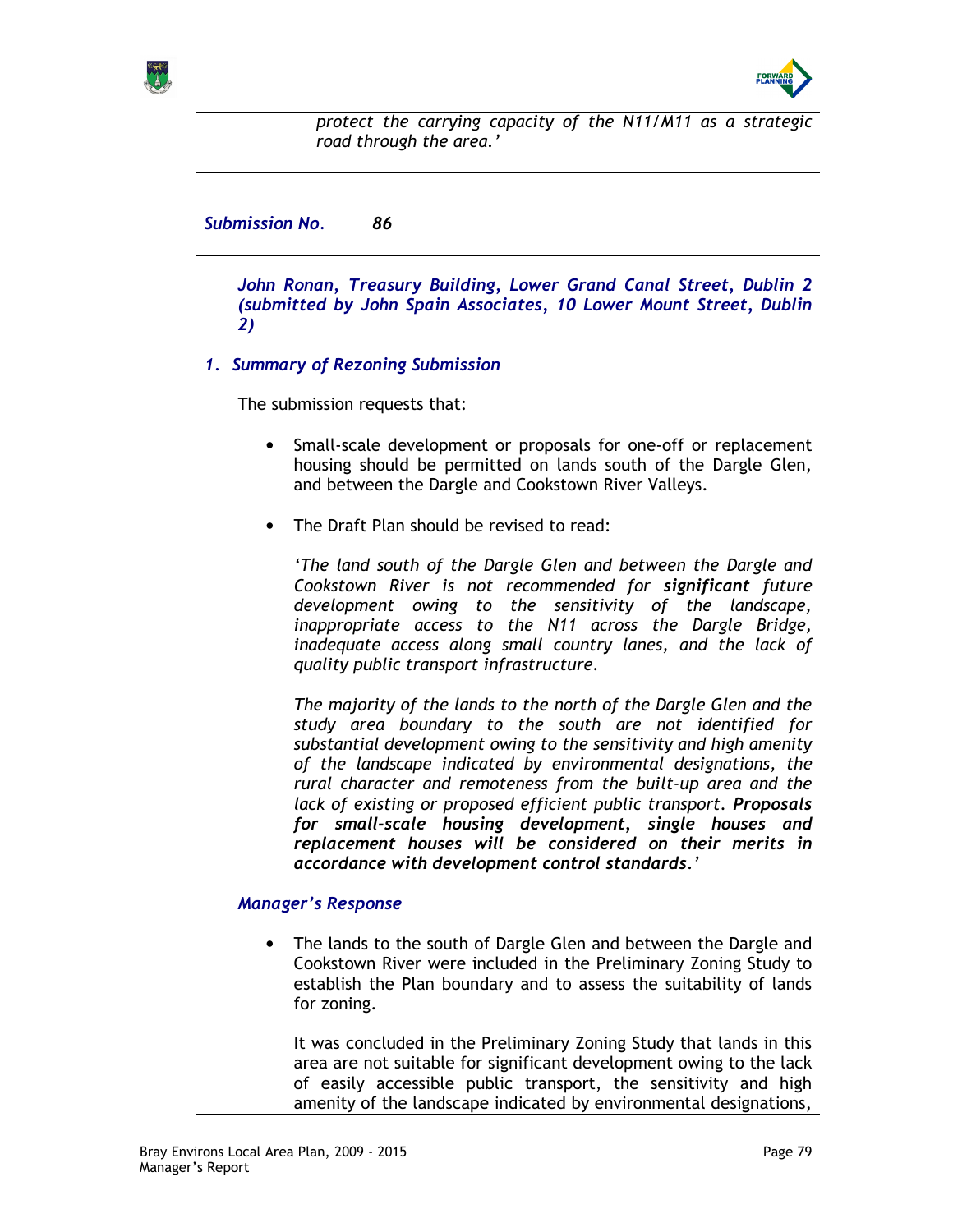



protect the carrying capacity of the N11/M11 as a strategic road through the area.'

Submission No. 86

John Ronan, Treasury Building, Lower Grand Canal Street, Dublin 2 (submitted by John Spain Associates, 10 Lower Mount Street, Dublin 2)

1. Summary of Rezoning Submission

The submission requests that:

- Small-scale development or proposals for one-off or replacement housing should be permitted on lands south of the Dargle Glen, and between the Dargle and Cookstown River Valleys.
- The Draft Plan should be revised to read:

'The land south of the Dargle Glen and between the Dargle and Cookstown River is not recommended for significant future development owing to the sensitivity of the landscape, inappropriate access to the N11 across the Dargle Bridge, inadequate access along small country lanes, and the lack of quality public transport infrastructure.

The majority of the lands to the north of the Dargle Glen and the study area boundary to the south are not identified for substantial development owing to the sensitivity and high amenity of the landscape indicated by environmental designations, the rural character and remoteness from the built-up area and the lack of existing or proposed efficient public transport. Proposals for small-scale housing development, single houses and replacement houses will be considered on their merits in accordance with development control standards.'

# Manager's Response

• The lands to the south of Dargle Glen and between the Dargle and Cookstown River were included in the Preliminary Zoning Study to establish the Plan boundary and to assess the suitability of lands for zoning.

It was concluded in the Preliminary Zoning Study that lands in this area are not suitable for significant development owing to the lack of easily accessible public transport, the sensitivity and high amenity of the landscape indicated by environmental designations,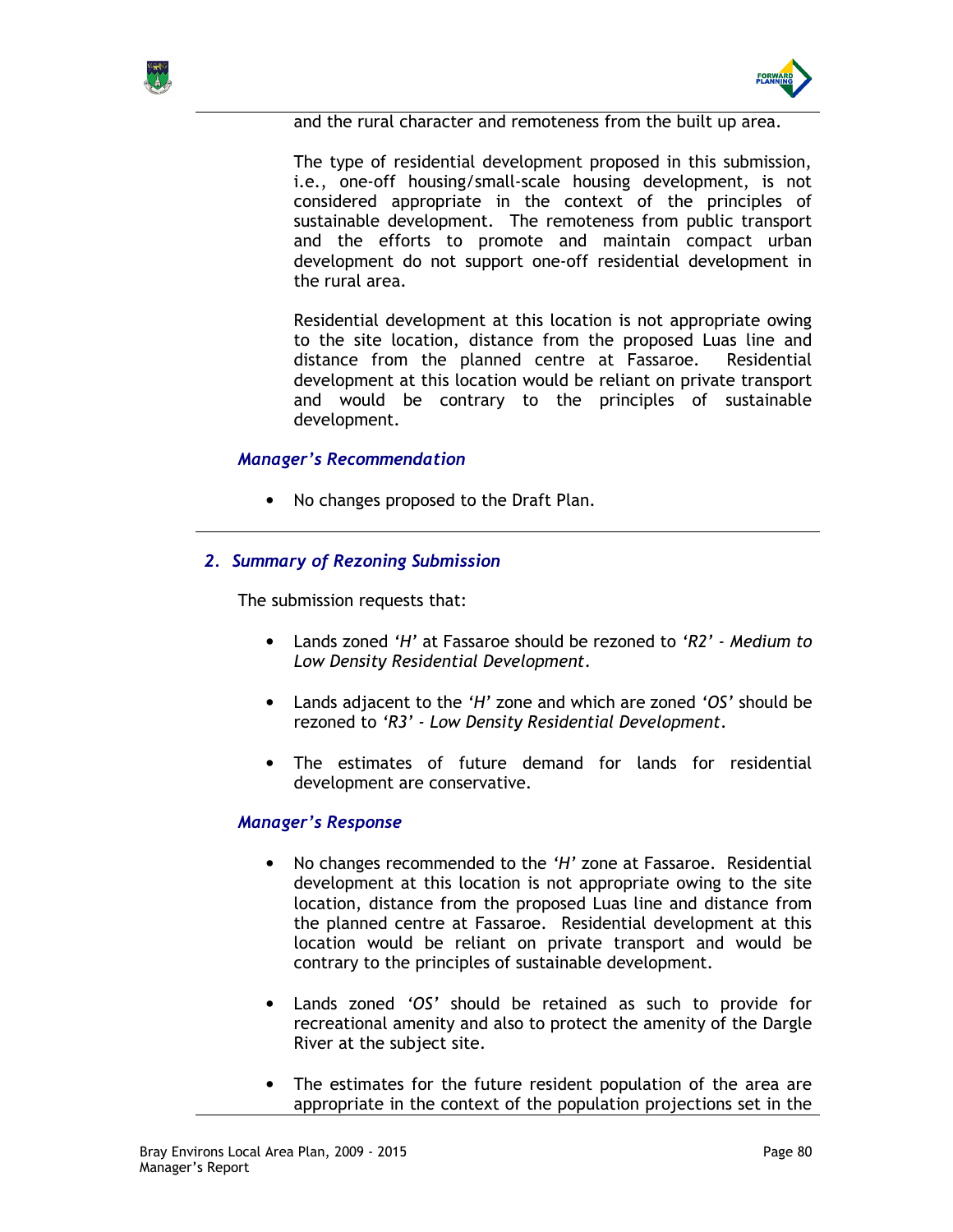



and the rural character and remoteness from the built up area.

The type of residential development proposed in this submission, i.e., one-off housing/small-scale housing development, is not considered appropriate in the context of the principles of sustainable development. The remoteness from public transport and the efforts to promote and maintain compact urban development do not support one-off residential development in the rural area.

Residential development at this location is not appropriate owing to the site location, distance from the proposed Luas line and distance from the planned centre at Fassaroe. Residential development at this location would be reliant on private transport and would be contrary to the principles of sustainable development.

#### Manager's Recommendation

• No changes proposed to the Draft Plan.

### 2. Summary of Rezoning Submission

The submission requests that:

- Lands zoned 'H' at Fassaroe should be rezoned to 'R2' Medium to Low Density Residential Development.
- Lands adjacent to the 'H' zone and which are zoned 'OS' should be rezoned to 'R3' - Low Density Residential Development.
- The estimates of future demand for lands for residential development are conservative.

### Manager's Response

- No changes recommended to the 'H' zone at Fassaroe. Residential development at this location is not appropriate owing to the site location, distance from the proposed Luas line and distance from the planned centre at Fassaroe. Residential development at this location would be reliant on private transport and would be contrary to the principles of sustainable development.
- Lands zoned 'OS' should be retained as such to provide for recreational amenity and also to protect the amenity of the Dargle River at the subject site.
- The estimates for the future resident population of the area are appropriate in the context of the population projections set in the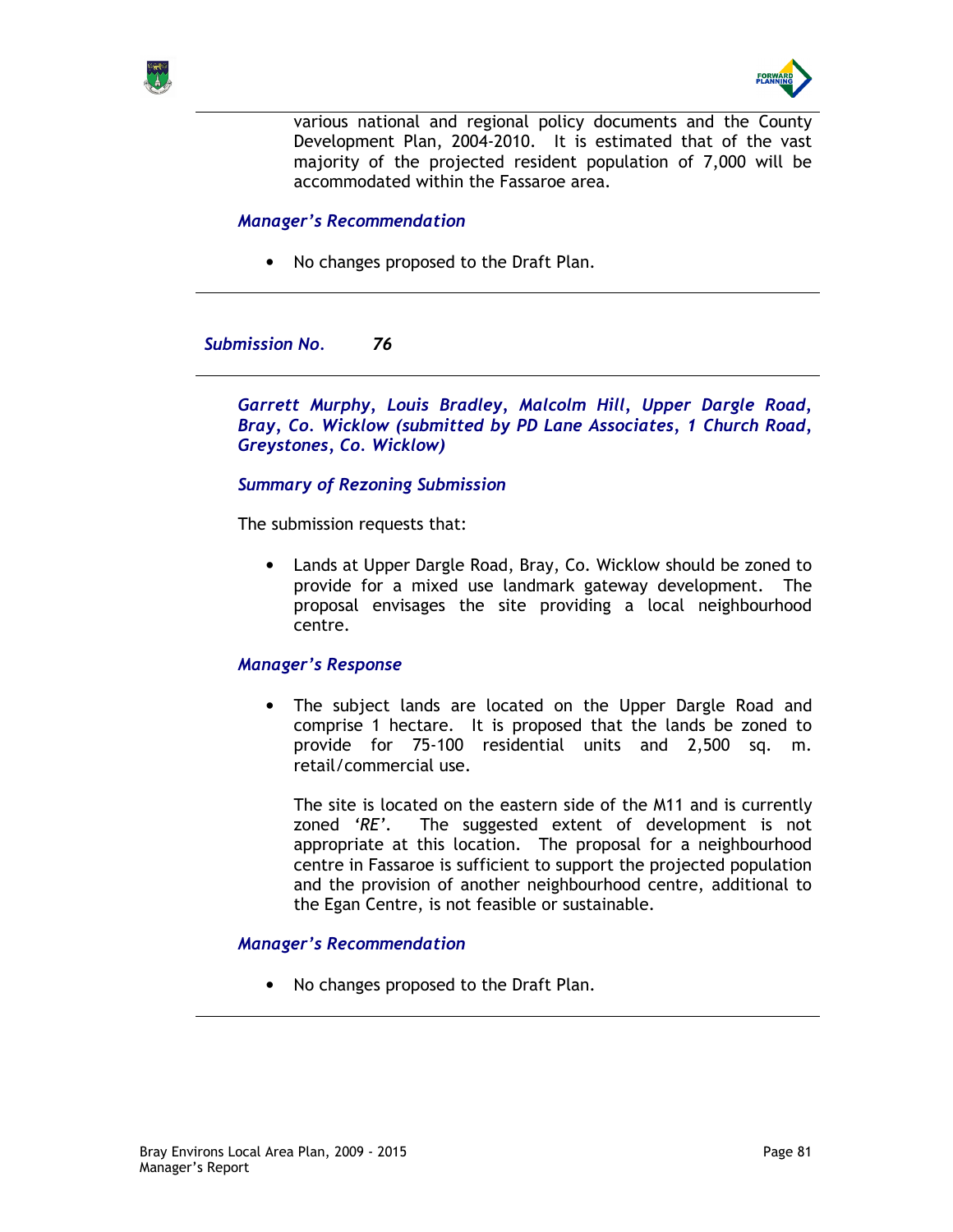



various national and regional policy documents and the County Development Plan, 2004-2010. It is estimated that of the vast majority of the projected resident population of 7,000 will be accommodated within the Fassaroe area.

## Manager's Recommendation

• No changes proposed to the Draft Plan.

Submission No. 76

Garrett Murphy, Louis Bradley, Malcolm Hill, Upper Dargle Road, Bray, Co. Wicklow (submitted by PD Lane Associates, 1 Church Road, Greystones, Co. Wicklow)

Summary of Rezoning Submission

The submission requests that:

• Lands at Upper Dargle Road, Bray, Co. Wicklow should be zoned to provide for a mixed use landmark gateway development. The proposal envisages the site providing a local neighbourhood centre.

#### Manager's Response

• The subject lands are located on the Upper Dargle Road and comprise 1 hectare. It is proposed that the lands be zoned to provide for 75-100 residential units and 2,500 sq. m. retail/commercial use.

The site is located on the eastern side of the M11 and is currently zoned 'RE'. The suggested extent of development is not appropriate at this location. The proposal for a neighbourhood centre in Fassaroe is sufficient to support the projected population and the provision of another neighbourhood centre, additional to the Egan Centre, is not feasible or sustainable.

#### Manager's Recommendation

• No changes proposed to the Draft Plan.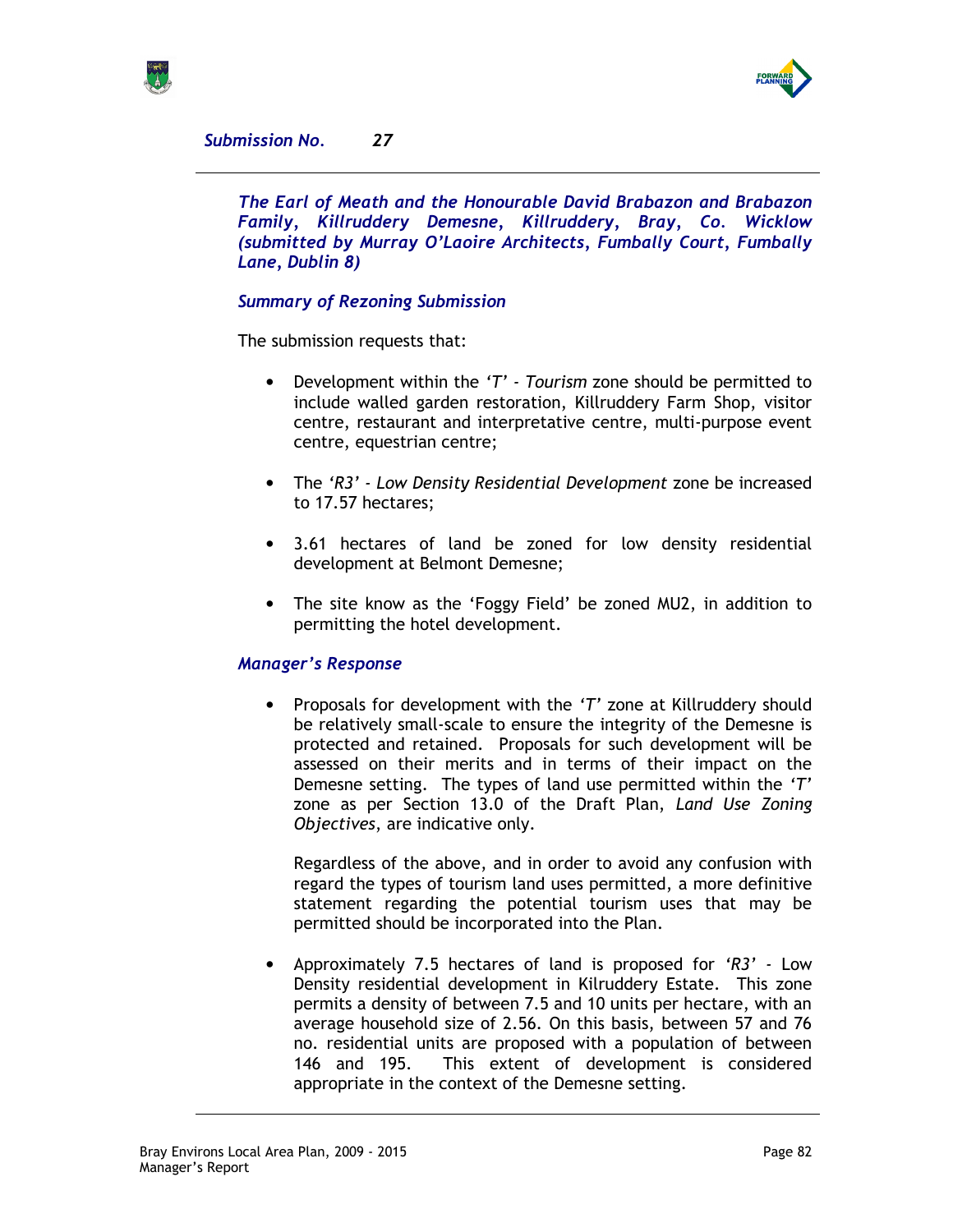



Submission No. 27

The Earl of Meath and the Honourable David Brabazon and Brabazon Family, Killruddery Demesne, Killruddery, Bray, Co. Wicklow (submitted by Murray O'Laoire Architects, Fumbally Court, Fumbally Lane, Dublin 8)

# Summary of Rezoning Submission

The submission requests that:

- Development within the 'T' Tourism zone should be permitted to include walled garden restoration, Killruddery Farm Shop, visitor centre, restaurant and interpretative centre, multi-purpose event centre, equestrian centre;
- The 'R3' Low Density Residential Development zone be increased to 17.57 hectares;
- 3.61 hectares of land be zoned for low density residential development at Belmont Demesne;
- The site know as the 'Foggy Field' be zoned MU2, in addition to permitting the hotel development.

# Manager's Response

• Proposals for development with the 'T' zone at Killruddery should be relatively small-scale to ensure the integrity of the Demesne is protected and retained. Proposals for such development will be assessed on their merits and in terms of their impact on the Demesne setting. The types of land use permitted within the 'T' zone as per Section 13.0 of the Draft Plan, Land Use Zoning Objectives, are indicative only.

Regardless of the above, and in order to avoid any confusion with regard the types of tourism land uses permitted, a more definitive statement regarding the potential tourism uses that may be permitted should be incorporated into the Plan.

• Approximately 7.5 hectares of land is proposed for 'R3' - Low Density residential development in Kilruddery Estate. This zone permits a density of between 7.5 and 10 units per hectare, with an average household size of 2.56. On this basis, between 57 and 76 no. residential units are proposed with a population of between 146 and 195. This extent of development is considered appropriate in the context of the Demesne setting.